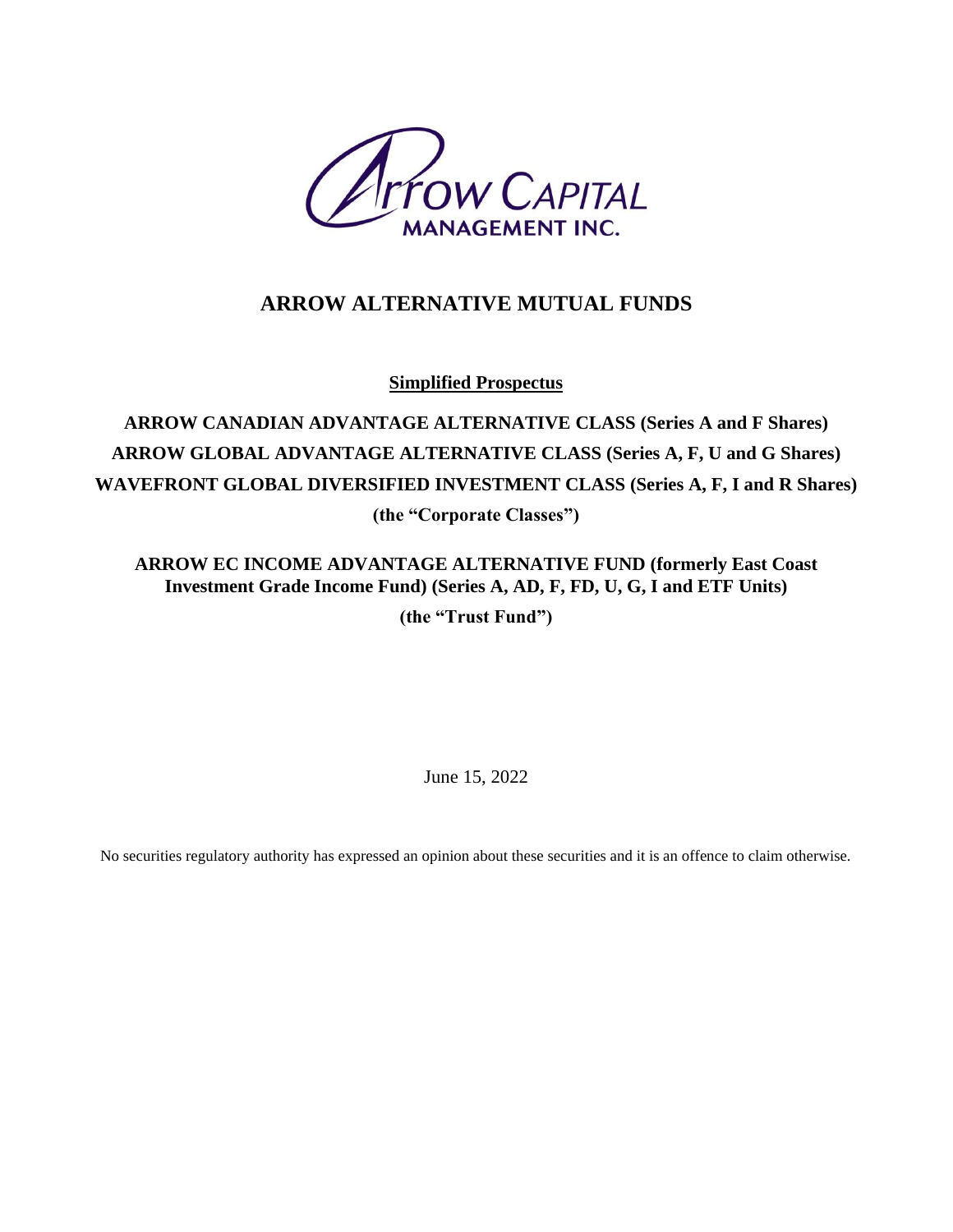

# **ARROW ALTERNATIVE MUTUAL FUNDS**

**Simplified Prospectus**

# **ARROW CANADIAN ADVANTAGE ALTERNATIVE CLASS (Series A and F Shares) ARROW GLOBAL ADVANTAGE ALTERNATIVE CLASS (Series A, F, U and G Shares) WAVEFRONT GLOBAL DIVERSIFIED INVESTMENT CLASS (Series A, F, I and R Shares) (the "Corporate Classes")**

**ARROW EC INCOME ADVANTAGE ALTERNATIVE FUND (formerly East Coast Investment Grade Income Fund) (Series A, AD, F, FD, U, G, I and ETF Units)**

**(the "Trust Fund")**

June 15, 2022

No securities regulatory authority has expressed an opinion about these securities and it is an offence to claim otherwise.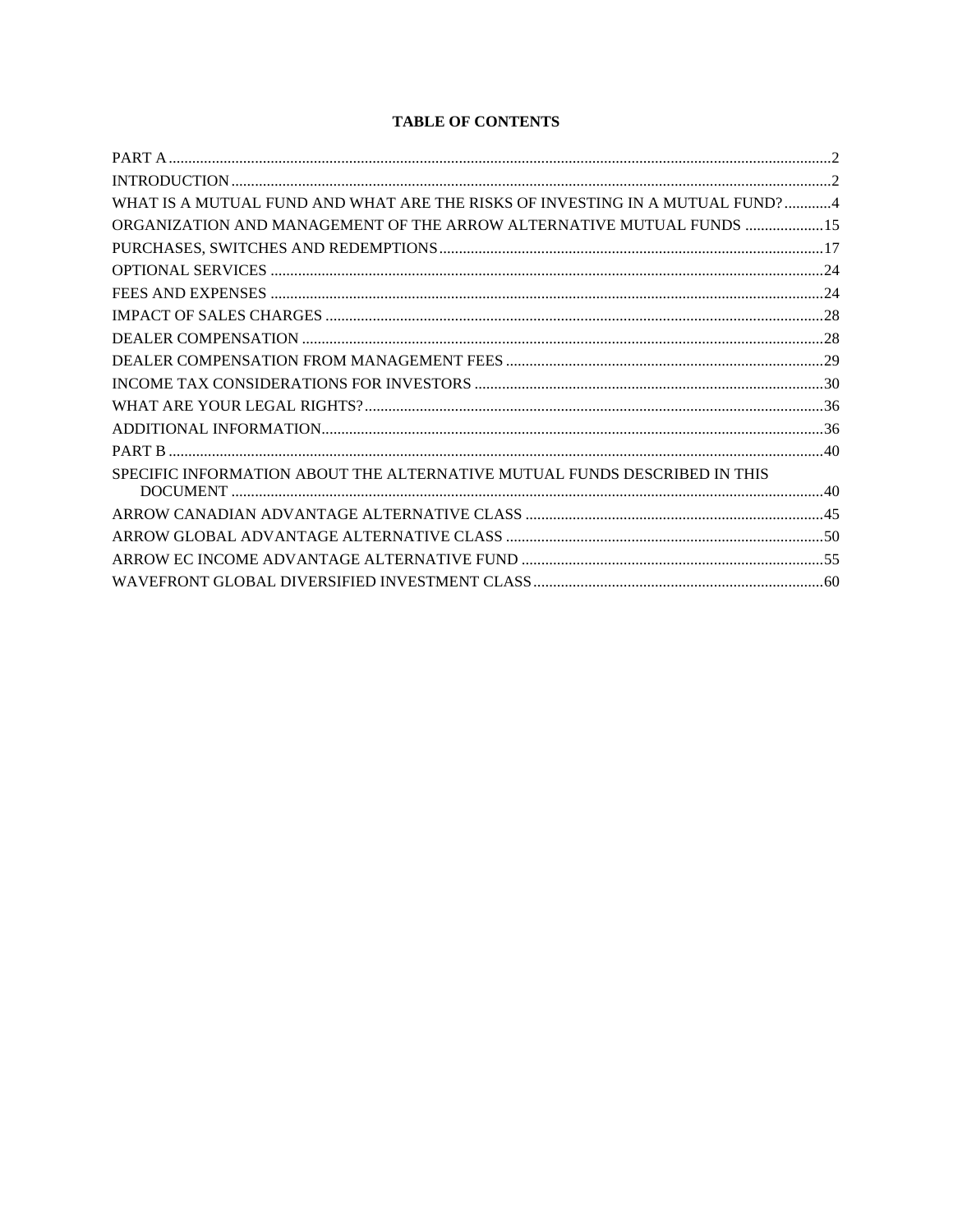## **TABLE OF CONTENTS**

| WHAT IS A MUTUAL FUND AND WHAT ARE THE RISKS OF INVESTING IN A MUTUAL FUND?4 |  |
|------------------------------------------------------------------------------|--|
| ORGANIZATION AND MANAGEMENT OF THE ARROW ALTERNATIVE MUTUAL FUNDS  15        |  |
|                                                                              |  |
|                                                                              |  |
|                                                                              |  |
|                                                                              |  |
|                                                                              |  |
|                                                                              |  |
|                                                                              |  |
|                                                                              |  |
|                                                                              |  |
|                                                                              |  |
| SPECIFIC INFORMATION ABOUT THE ALTERNATIVE MUTUAL FUNDS DESCRIBED IN THIS    |  |
|                                                                              |  |
|                                                                              |  |
|                                                                              |  |
|                                                                              |  |
|                                                                              |  |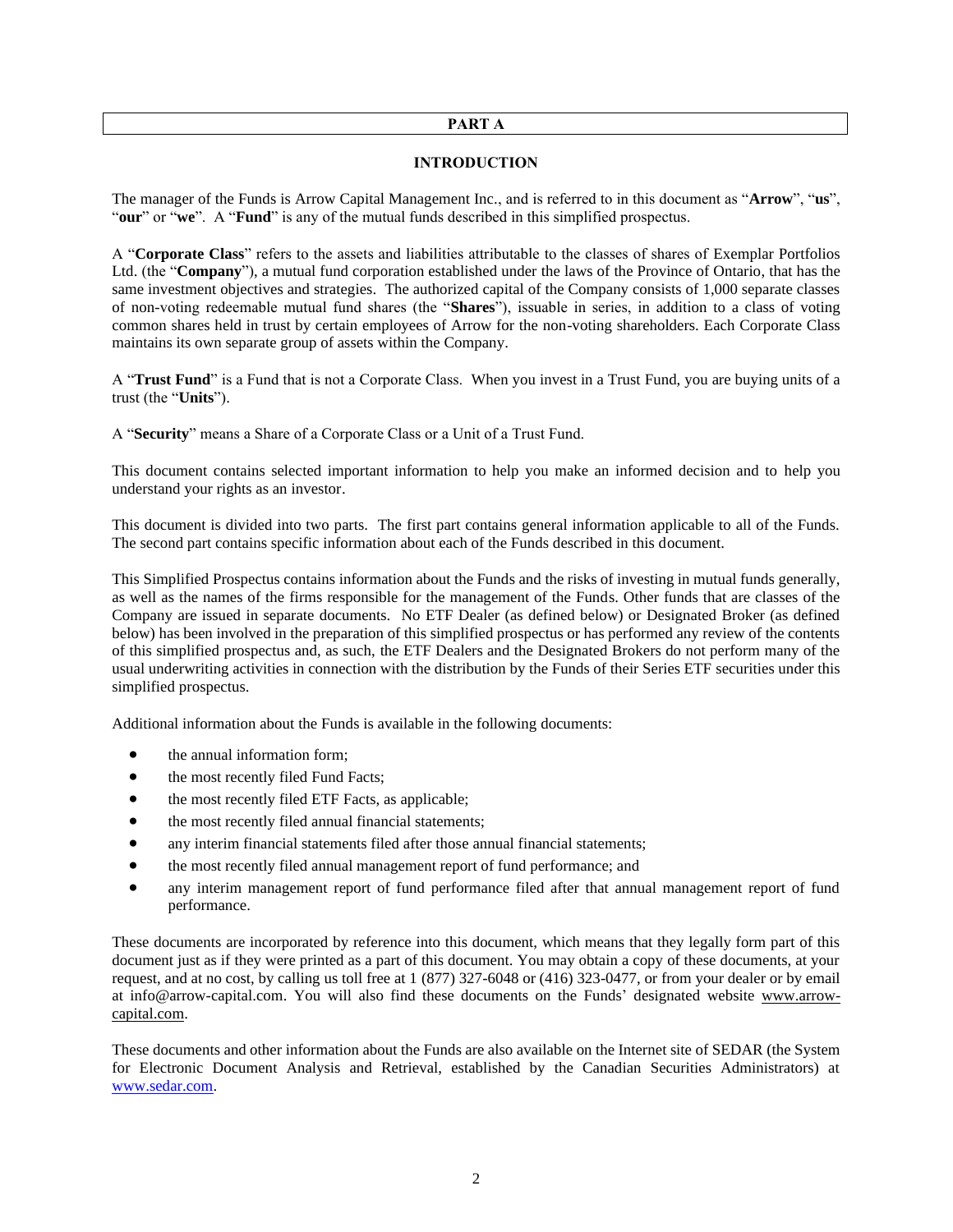#### **PART A**

### **INTRODUCTION**

<span id="page-2-1"></span><span id="page-2-0"></span>The manager of the Funds is Arrow Capital Management Inc., and is referred to in this document as "**Arrow**", "**us**", "**our**" or "**we**". A "**Fund**" is any of the mutual funds described in this simplified prospectus.

A "**Corporate Class**" refers to the assets and liabilities attributable to the classes of shares of Exemplar Portfolios Ltd. (the "**Company**"), a mutual fund corporation established under the laws of the Province of Ontario, that has the same investment objectives and strategies. The authorized capital of the Company consists of 1,000 separate classes of non-voting redeemable mutual fund shares (the "**Shares**"), issuable in series, in addition to a class of voting common shares held in trust by certain employees of Arrow for the non-voting shareholders. Each Corporate Class maintains its own separate group of assets within the Company.

A "**Trust Fund**" is a Fund that is not a Corporate Class. When you invest in a Trust Fund, you are buying units of a trust (the "**Units**").

A "**Security**" means a Share of a Corporate Class or a Unit of a Trust Fund.

This document contains selected important information to help you make an informed decision and to help you understand your rights as an investor.

This document is divided into two parts. The first part contains general information applicable to all of the Funds. The second part contains specific information about each of the Funds described in this document.

This Simplified Prospectus contains information about the Funds and the risks of investing in mutual funds generally, as well as the names of the firms responsible for the management of the Funds. Other funds that are classes of the Company are issued in separate documents. No ETF Dealer (as defined below) or Designated Broker (as defined below) has been involved in the preparation of this simplified prospectus or has performed any review of the contents of this simplified prospectus and, as such, the ETF Dealers and the Designated Brokers do not perform many of the usual underwriting activities in connection with the distribution by the Funds of their Series ETF securities under this simplified prospectus.

Additional information about the Funds is available in the following documents:

- the annual information form;
- the most recently filed Fund Facts;
- the most recently filed ETF Facts, as applicable;
- the most recently filed annual financial statements;
- any interim financial statements filed after those annual financial statements;
- the most recently filed annual management report of fund performance; and
- any interim management report of fund performance filed after that annual management report of fund performance.

These documents are incorporated by reference into this document, which means that they legally form part of this document just as if they were printed as a part of this document. You may obtain a copy of these documents, at your request, and at no cost, by calling us toll free at 1 (877) 327-6048 or (416) 323-0477, or from your dealer or by email at info@arrow-capital.com. You will also find these documents on the Funds' designated website [www.arrow](http://www.arrow-capital.com/)[capital.com.](http://www.arrow-capital.com/)

These documents and other information about the Funds are also available on the Internet site of SEDAR (the System for Electronic Document Analysis and Retrieval, established by the Canadian Securities Administrators) at [www.sedar.com.](http://www.sedar.com/)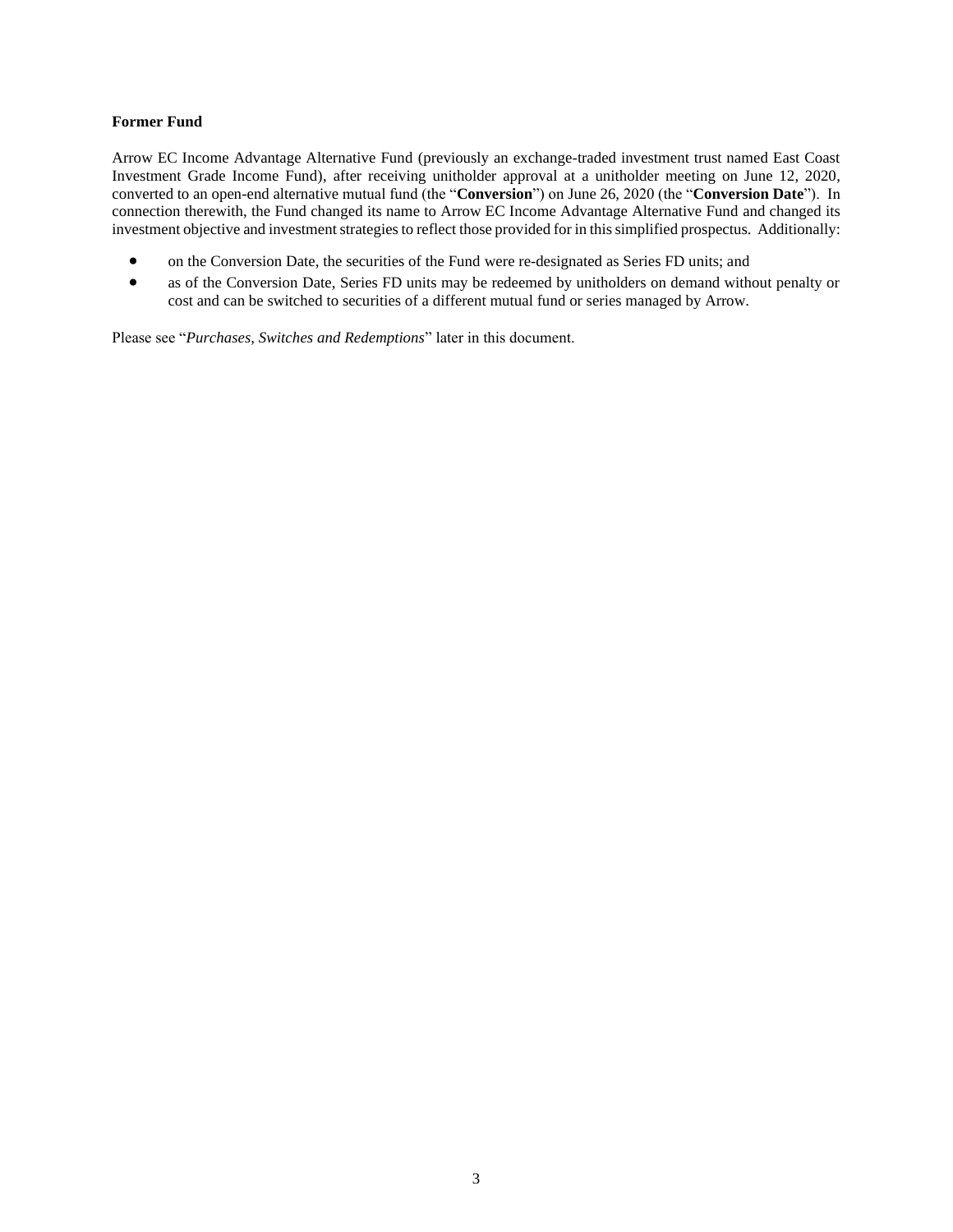## **Former Fund**

Arrow EC Income Advantage Alternative Fund (previously an exchange-traded investment trust named East Coast Investment Grade Income Fund), after receiving unitholder approval at a unitholder meeting on June 12, 2020, converted to an open-end alternative mutual fund (the "**Conversion**") on June 26, 2020 (the "**Conversion Date**"). In connection therewith, the Fund changed its name to Arrow EC Income Advantage Alternative Fund and changed its investment objective and investment strategies to reflect those provided for in this simplified prospectus. Additionally:

- on the Conversion Date, the securities of the Fund were re-designated as Series FD units; and
- as of the Conversion Date, Series FD units may be redeemed by unitholders on demand without penalty or cost and can be switched to securities of a different mutual fund or series managed by Arrow.

Please see "*Purchases, Switches and Redemptions*" later in this document.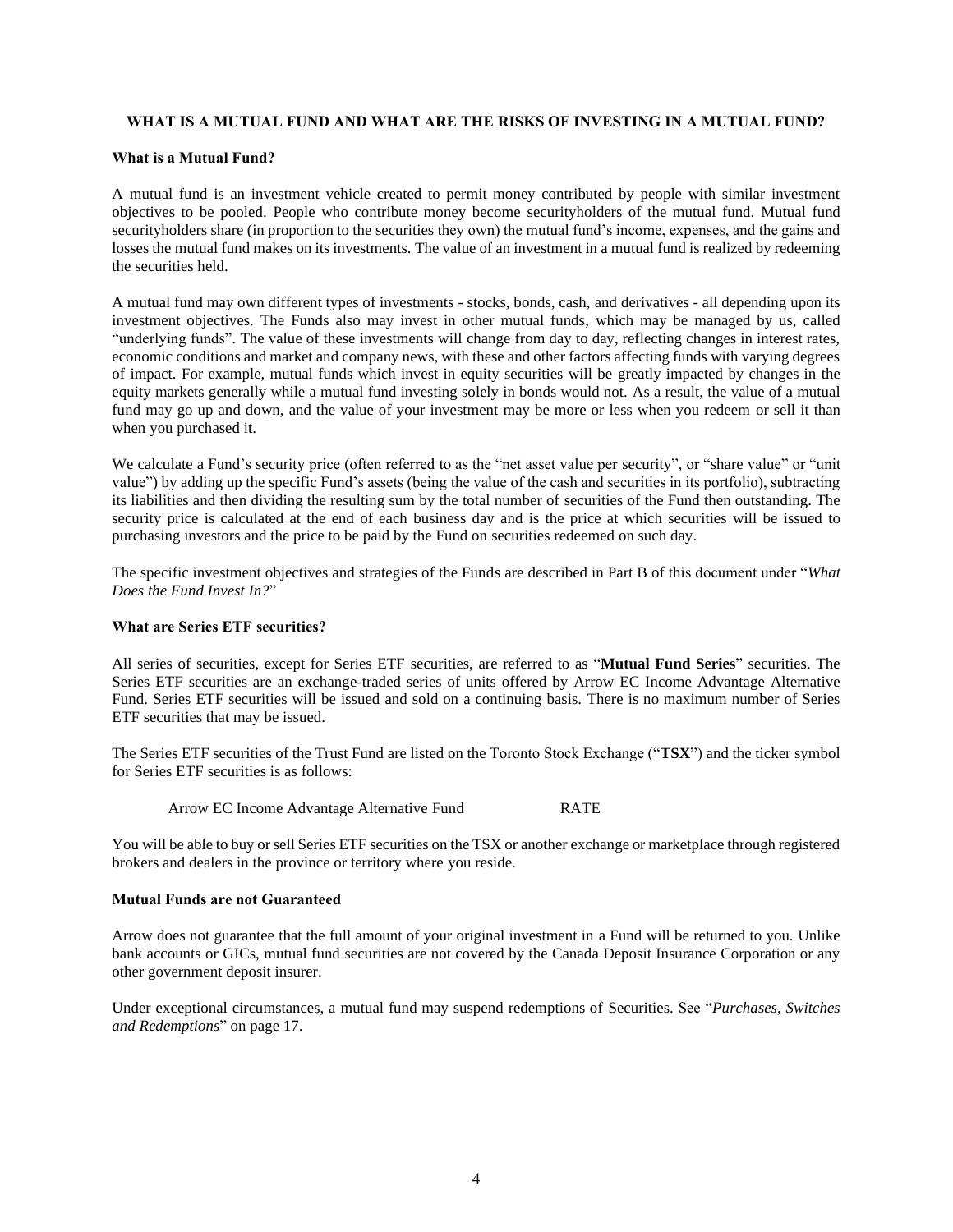## <span id="page-4-0"></span>**WHAT IS A MUTUAL FUND AND WHAT ARE THE RISKS OF INVESTING IN A MUTUAL FUND?**

### **What is a Mutual Fund?**

A mutual fund is an investment vehicle created to permit money contributed by people with similar investment objectives to be pooled. People who contribute money become securityholders of the mutual fund. Mutual fund securityholders share (in proportion to the securities they own) the mutual fund's income, expenses, and the gains and losses the mutual fund makes on its investments. The value of an investment in a mutual fund is realized by redeeming the securities held.

A mutual fund may own different types of investments - stocks, bonds, cash, and derivatives - all depending upon its investment objectives. The Funds also may invest in other mutual funds, which may be managed by us, called "underlying funds". The value of these investments will change from day to day, reflecting changes in interest rates, economic conditions and market and company news, with these and other factors affecting funds with varying degrees of impact. For example, mutual funds which invest in equity securities will be greatly impacted by changes in the equity markets generally while a mutual fund investing solely in bonds would not. As a result, the value of a mutual fund may go up and down, and the value of your investment may be more or less when you redeem or sell it than when you purchased it.

We calculate a Fund's security price (often referred to as the "net asset value per security", or "share value" or "unit" value") by adding up the specific Fund's assets (being the value of the cash and securities in its portfolio), subtracting its liabilities and then dividing the resulting sum by the total number of securities of the Fund then outstanding. The security price is calculated at the end of each business day and is the price at which securities will be issued to purchasing investors and the price to be paid by the Fund on securities redeemed on such day.

The specific investment objectives and strategies of the Funds are described in Part B of this document under "*What Does the Fund Invest In?*"

## **What are Series ETF securities?**

All series of securities, except for Series ETF securities, are referred to as "**Mutual Fund Series**" securities. The Series ETF securities are an exchange-traded series of units offered by Arrow EC Income Advantage Alternative Fund. Series ETF securities will be issued and sold on a continuing basis. There is no maximum number of Series ETF securities that may be issued.

The Series ETF securities of the Trust Fund are listed on the Toronto Stock Exchange ("**TSX**") and the ticker symbol for Series ETF securities is as follows:

Arrow EC Income Advantage Alternative Fund RATE

You will be able to buy or sell Series ETF securities on the TSX or another exchange or marketplace through registered brokers and dealers in the province or territory where you reside.

#### **Mutual Funds are not Guaranteed**

Arrow does not guarantee that the full amount of your original investment in a Fund will be returned to you. Unlike bank accounts or GICs, mutual fund securities are not covered by the Canada Deposit Insurance Corporation or any other government deposit insurer.

Under exceptional circumstances, a mutual fund may suspend redemptions of Securities. See "*Purchases, Switches and Redemptions*" on page [17.](#page-17-0)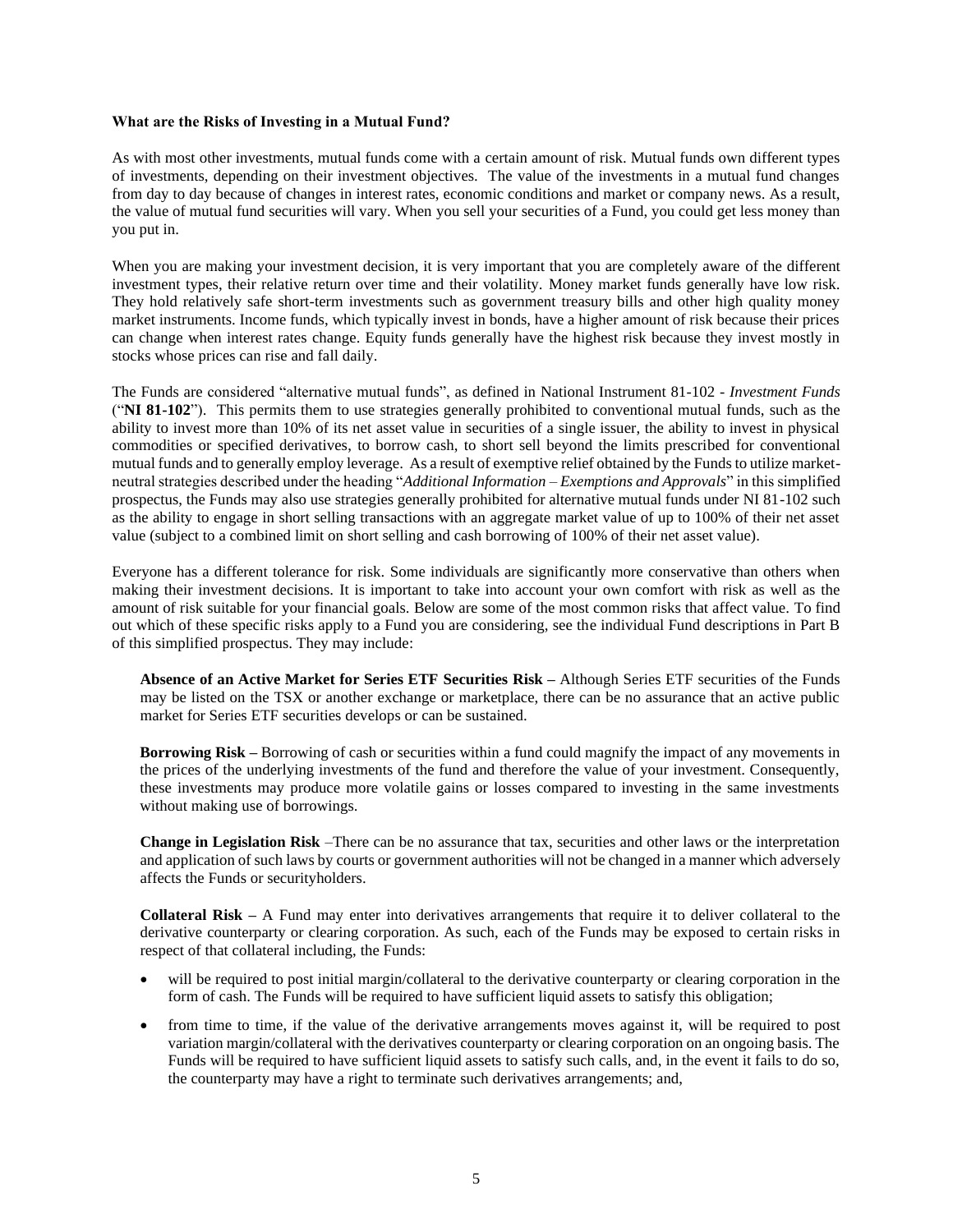#### <span id="page-5-0"></span>**What are the Risks of Investing in a Mutual Fund?**

As with most other investments, mutual funds come with a certain amount of risk. Mutual funds own different types of investments, depending on their investment objectives. The value of the investments in a mutual fund changes from day to day because of changes in interest rates, economic conditions and market or company news. As a result, the value of mutual fund securities will vary. When you sell your securities of a Fund, you could get less money than you put in.

When you are making your investment decision, it is very important that you are completely aware of the different investment types, their relative return over time and their volatility. Money market funds generally have low risk. They hold relatively safe short-term investments such as government treasury bills and other high quality money market instruments. Income funds, which typically invest in bonds, have a higher amount of risk because their prices can change when interest rates change. Equity funds generally have the highest risk because they invest mostly in stocks whose prices can rise and fall daily.

The Funds are considered "alternative mutual funds", as defined in National Instrument 81-102 - *Investment Funds* ("**NI 81-102**"). This permits them to use strategies generally prohibited to conventional mutual funds, such as the ability to invest more than 10% of its net asset value in securities of a single issuer, the ability to invest in physical commodities or specified derivatives, to borrow cash, to short sell beyond the limits prescribed for conventional mutual funds and to generally employ leverage. As a result of exemptive relief obtained by the Funds to utilize marketneutral strategies described under the heading "*Additional Information – Exemptions and Approvals*" in this simplified prospectus, the Funds may also use strategies generally prohibited for alternative mutual funds under NI 81-102 such as the ability to engage in short selling transactions with an aggregate market value of up to 100% of their net asset value (subject to a combined limit on short selling and cash borrowing of 100% of their net asset value).

Everyone has a different tolerance for risk. Some individuals are significantly more conservative than others when making their investment decisions. It is important to take into account your own comfort with risk as well as the amount of risk suitable for your financial goals. Below are some of the most common risks that affect value. To find out which of these specific risks apply to a Fund you are considering, see the individual Fund descriptions in Part B of this simplified prospectus. They may include:

**Absence of an Active Market for Series ETF Securities Risk –** Although Series ETF securities of the Funds may be listed on the TSX or another exchange or marketplace, there can be no assurance that an active public market for Series ETF securities develops or can be sustained.

**Borrowing Risk –** Borrowing of cash or securities within a fund could magnify the impact of any movements in the prices of the underlying investments of the fund and therefore the value of your investment. Consequently, these investments may produce more volatile gains or losses compared to investing in the same investments without making use of borrowings.

**Change in Legislation Risk** –There can be no assurance that tax, securities and other laws or the interpretation and application of such laws by courts or government authorities will not be changed in a manner which adversely affects the Funds or securityholders.

**Collateral Risk –** A Fund may enter into derivatives arrangements that require it to deliver collateral to the derivative counterparty or clearing corporation. As such, each of the Funds may be exposed to certain risks in respect of that collateral including, the Funds:

- will be required to post initial margin/collateral to the derivative counterparty or clearing corporation in the form of cash. The Funds will be required to have sufficient liquid assets to satisfy this obligation;
- from time to time, if the value of the derivative arrangements moves against it, will be required to post variation margin/collateral with the derivatives counterparty or clearing corporation on an ongoing basis. The Funds will be required to have sufficient liquid assets to satisfy such calls, and, in the event it fails to do so, the counterparty may have a right to terminate such derivatives arrangements; and,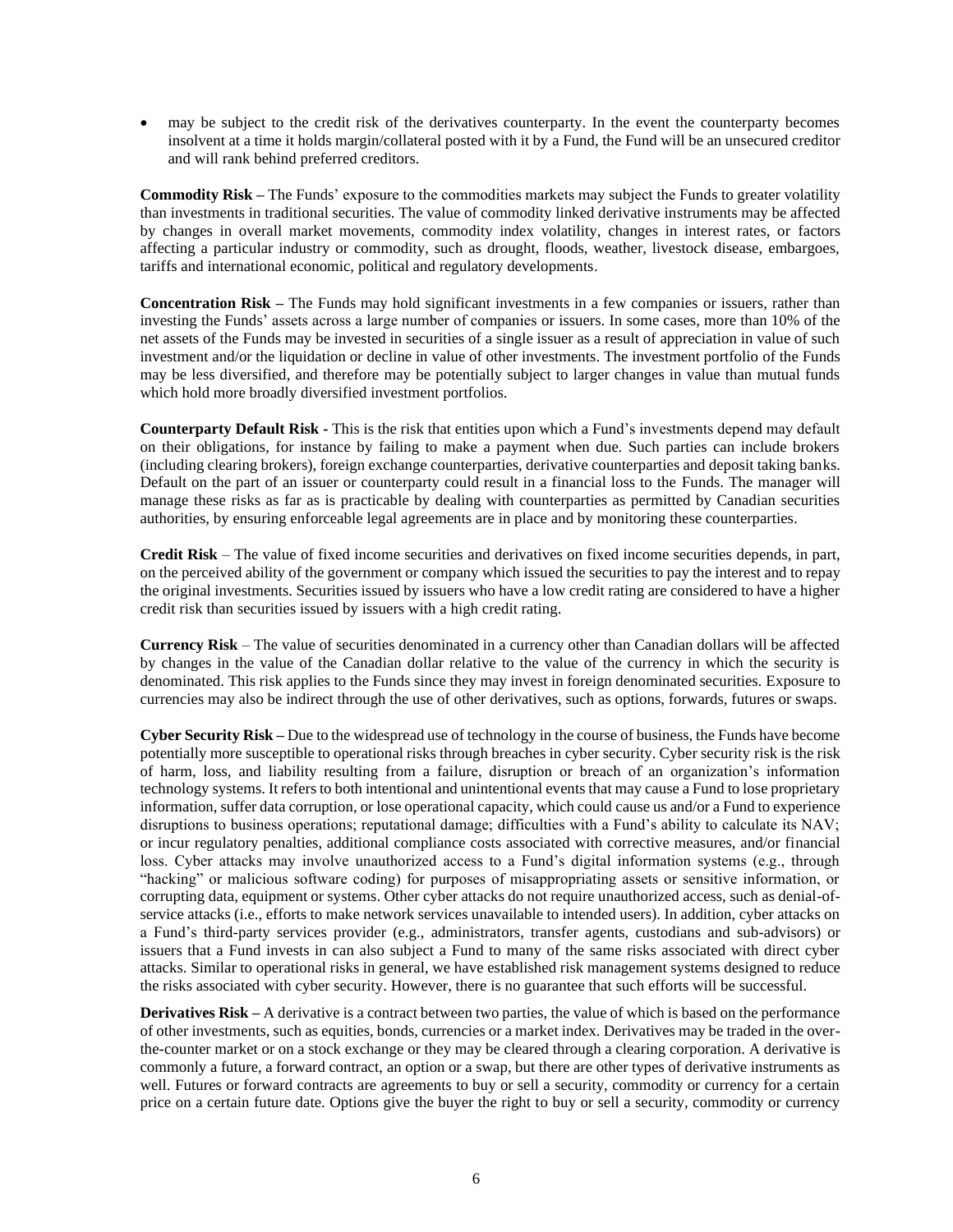• may be subject to the credit risk of the derivatives counterparty. In the event the counterparty becomes insolvent at a time it holds margin/collateral posted with it by a Fund, the Fund will be an unsecured creditor and will rank behind preferred creditors.

**Commodity Risk –** The Funds' exposure to the commodities markets may subject the Funds to greater volatility than investments in traditional securities. The value of commodity linked derivative instruments may be affected by changes in overall market movements, commodity index volatility, changes in interest rates, or factors affecting a particular industry or commodity, such as drought, floods, weather, livestock disease, embargoes, tariffs and international economic, political and regulatory developments.

**Concentration Risk –** The Funds may hold significant investments in a few companies or issuers, rather than investing the Funds' assets across a large number of companies or issuers. In some cases, more than 10% of the net assets of the Funds may be invested in securities of a single issuer as a result of appreciation in value of such investment and/or the liquidation or decline in value of other investments. The investment portfolio of the Funds may be less diversified, and therefore may be potentially subject to larger changes in value than mutual funds which hold more broadly diversified investment portfolios.

**Counterparty Default Risk -** This is the risk that entities upon which a Fund's investments depend may default on their obligations, for instance by failing to make a payment when due. Such parties can include brokers (including clearing brokers), foreign exchange counterparties, derivative counterparties and deposit taking banks. Default on the part of an issuer or counterparty could result in a financial loss to the Funds. The manager will manage these risks as far as is practicable by dealing with counterparties as permitted by Canadian securities authorities, by ensuring enforceable legal agreements are in place and by monitoring these counterparties.

**Credit Risk** – The value of fixed income securities and derivatives on fixed income securities depends, in part, on the perceived ability of the government or company which issued the securities to pay the interest and to repay the original investments. Securities issued by issuers who have a low credit rating are considered to have a higher credit risk than securities issued by issuers with a high credit rating.

**Currency Risk** – The value of securities denominated in a currency other than Canadian dollars will be affected by changes in the value of the Canadian dollar relative to the value of the currency in which the security is denominated. This risk applies to the Funds since they may invest in foreign denominated securities. Exposure to currencies may also be indirect through the use of other derivatives, such as options, forwards, futures or swaps.

**Cyber Security Risk –** Due to the widespread use of technology in the course of business, the Funds have become potentially more susceptible to operational risks through breaches in cyber security. Cyber security risk is the risk of harm, loss, and liability resulting from a failure, disruption or breach of an organization's information technology systems. It refers to both intentional and unintentional events that may cause a Fund to lose proprietary information, suffer data corruption, or lose operational capacity, which could cause us and/or a Fund to experience disruptions to business operations; reputational damage; difficulties with a Fund's ability to calculate its NAV; or incur regulatory penalties, additional compliance costs associated with corrective measures, and/or financial loss. Cyber attacks may involve unauthorized access to a Fund's digital information systems (e.g., through "hacking" or malicious software coding) for purposes of misappropriating assets or sensitive information, or corrupting data, equipment or systems. Other cyber attacks do not require unauthorized access, such as denial-ofservice attacks (i.e., efforts to make network services unavailable to intended users). In addition, cyber attacks on a Fund's third-party services provider (e.g., administrators, transfer agents, custodians and sub-advisors) or issuers that a Fund invests in can also subject a Fund to many of the same risks associated with direct cyber attacks. Similar to operational risks in general, we have established risk management systems designed to reduce the risks associated with cyber security. However, there is no guarantee that such efforts will be successful.

**Derivatives Risk** – A derivative is a contract between two parties, the value of which is based on the performance of other investments, such as equities, bonds, currencies or a market index. Derivatives may be traded in the overthe-counter market or on a stock exchange or they may be cleared through a clearing corporation. A derivative is commonly a future, a forward contract, an option or a swap, but there are other types of derivative instruments as well. Futures or forward contracts are agreements to buy or sell a security, commodity or currency for a certain price on a certain future date. Options give the buyer the right to buy or sell a security, commodity or currency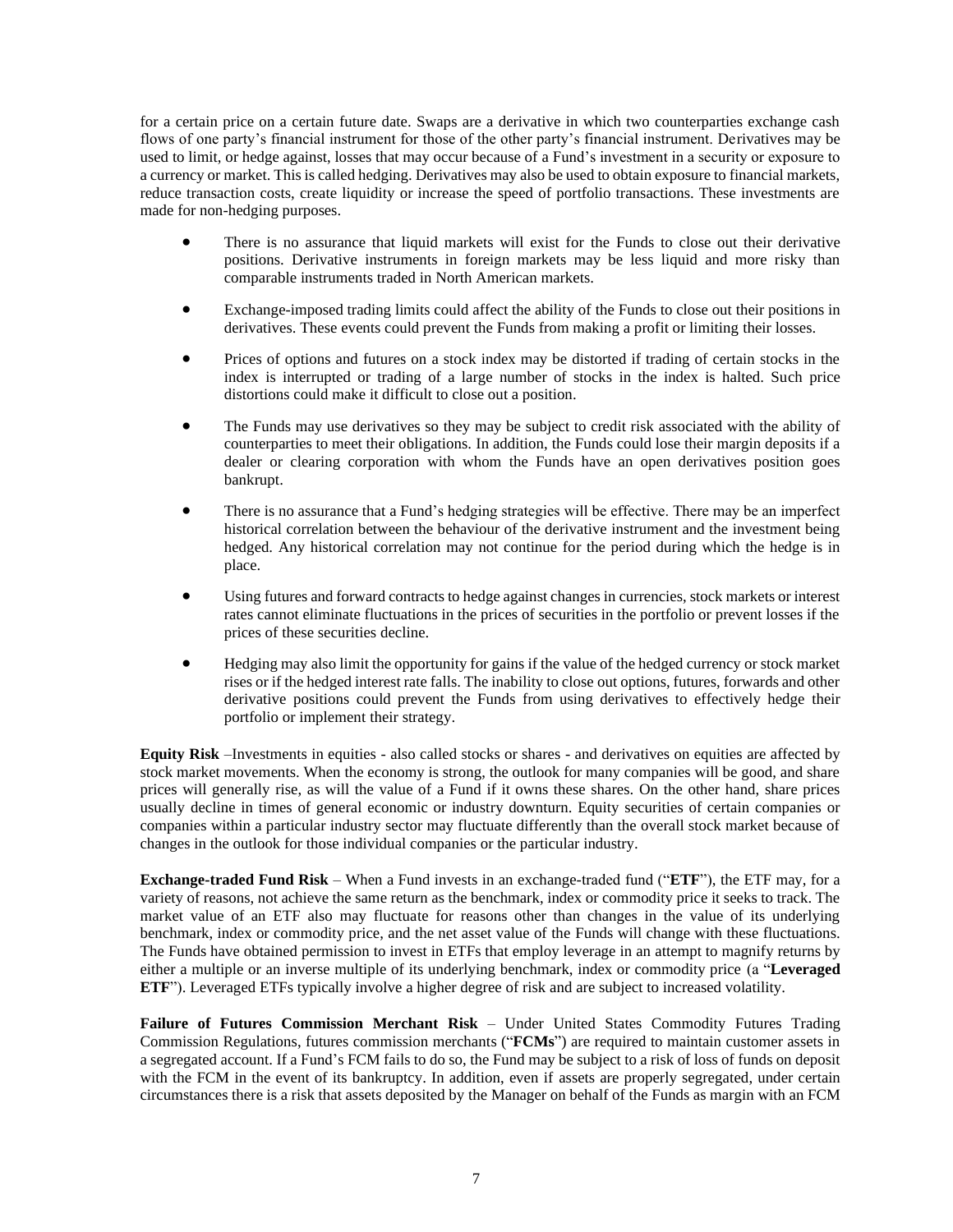for a certain price on a certain future date. Swaps are a derivative in which two counterparties exchange cash flows of one party's financial instrument for those of the other party's financial instrument. Derivatives may be used to limit, or hedge against, losses that may occur because of a Fund's investment in a security or exposure to a currency or market. This is called hedging. Derivatives may also be used to obtain exposure to financial markets, reduce transaction costs, create liquidity or increase the speed of portfolio transactions. These investments are made for non-hedging purposes.

- There is no assurance that liquid markets will exist for the Funds to close out their derivative positions. Derivative instruments in foreign markets may be less liquid and more risky than comparable instruments traded in North American markets.
- Exchange-imposed trading limits could affect the ability of the Funds to close out their positions in derivatives. These events could prevent the Funds from making a profit or limiting their losses.
- Prices of options and futures on a stock index may be distorted if trading of certain stocks in the index is interrupted or trading of a large number of stocks in the index is halted. Such price distortions could make it difficult to close out a position.
- The Funds may use derivatives so they may be subject to credit risk associated with the ability of counterparties to meet their obligations. In addition, the Funds could lose their margin deposits if a dealer or clearing corporation with whom the Funds have an open derivatives position goes bankrupt.
- There is no assurance that a Fund's hedging strategies will be effective. There may be an imperfect historical correlation between the behaviour of the derivative instrument and the investment being hedged. Any historical correlation may not continue for the period during which the hedge is in place.
- Using futures and forward contracts to hedge against changes in currencies, stock markets or interest rates cannot eliminate fluctuations in the prices of securities in the portfolio or prevent losses if the prices of these securities decline.
- Hedging may also limit the opportunity for gains if the value of the hedged currency or stock market rises or if the hedged interest rate falls. The inability to close out options, futures, forwards and other derivative positions could prevent the Funds from using derivatives to effectively hedge their portfolio or implement their strategy.

**Equity Risk** –Investments in equities - also called stocks or shares - and derivatives on equities are affected by stock market movements. When the economy is strong, the outlook for many companies will be good, and share prices will generally rise, as will the value of a Fund if it owns these shares. On the other hand, share prices usually decline in times of general economic or industry downturn. Equity securities of certain companies or companies within a particular industry sector may fluctuate differently than the overall stock market because of changes in the outlook for those individual companies or the particular industry.

**Exchange-traded Fund Risk** *–* When a Fund invests in an exchange-traded fund ("**ETF**"), the ETF may, for a variety of reasons, not achieve the same return as the benchmark, index or commodity price it seeks to track. The market value of an ETF also may fluctuate for reasons other than changes in the value of its underlying benchmark, index or commodity price, and the net asset value of the Funds will change with these fluctuations. The Funds have obtained permission to invest in ETFs that employ leverage in an attempt to magnify returns by either a multiple or an inverse multiple of its underlying benchmark, index or commodity price (a "**Leveraged ETF**"). Leveraged ETFs typically involve a higher degree of risk and are subject to increased volatility.

**Failure of Futures Commission Merchant Risk** – Under United States Commodity Futures Trading Commission Regulations, futures commission merchants ("**FCMs**") are required to maintain customer assets in a segregated account. If a Fund's FCM fails to do so, the Fund may be subject to a risk of loss of funds on deposit with the FCM in the event of its bankruptcy. In addition, even if assets are properly segregated, under certain circumstances there is a risk that assets deposited by the Manager on behalf of the Funds as margin with an FCM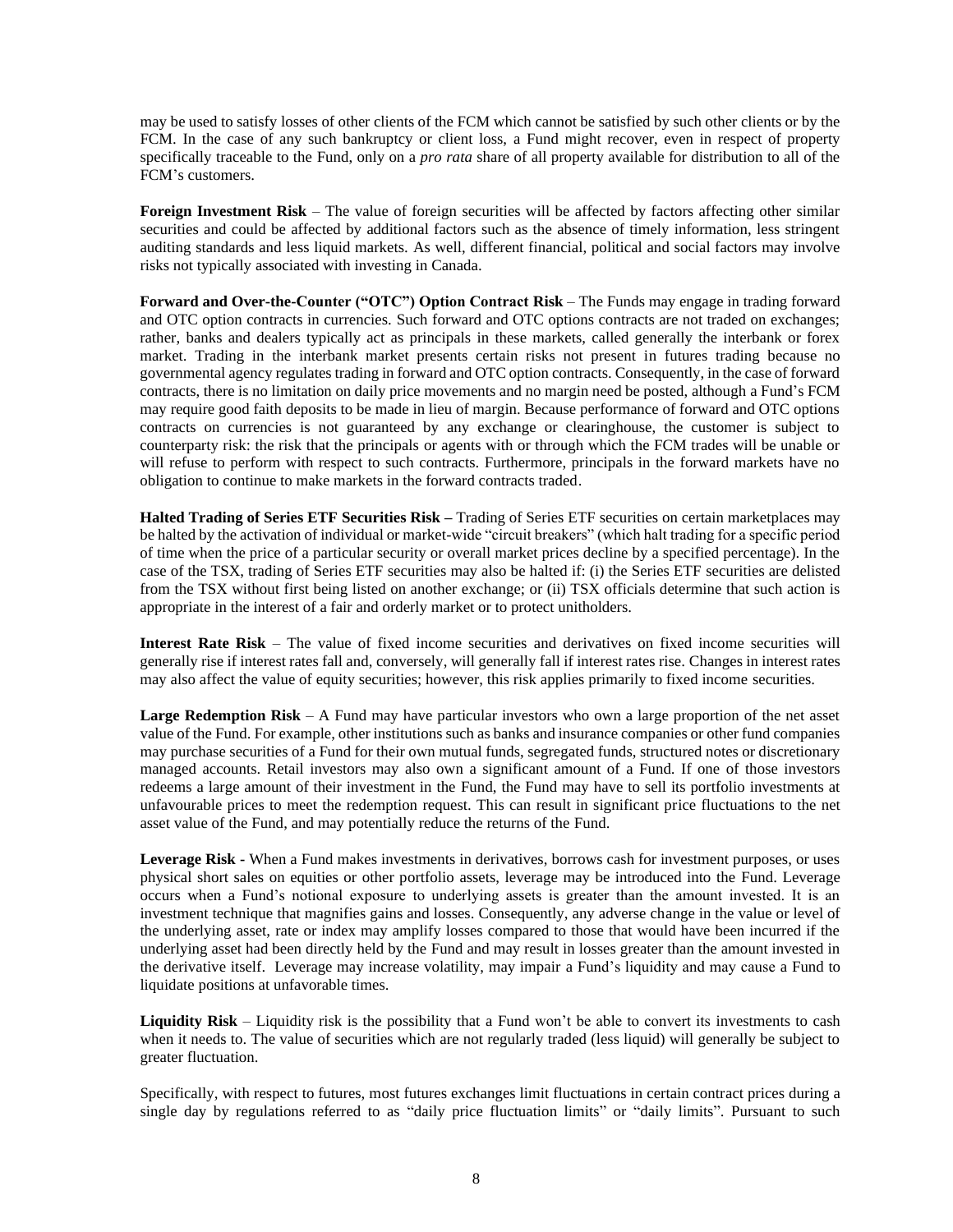may be used to satisfy losses of other clients of the FCM which cannot be satisfied by such other clients or by the FCM. In the case of any such bankruptcy or client loss, a Fund might recover, even in respect of property specifically traceable to the Fund, only on a *pro rata* share of all property available for distribution to all of the FCM's customers.

**Foreign Investment Risk** – The value of foreign securities will be affected by factors affecting other similar securities and could be affected by additional factors such as the absence of timely information, less stringent auditing standards and less liquid markets. As well, different financial, political and social factors may involve risks not typically associated with investing in Canada.

**Forward and Over-the-Counter ("OTC") Option Contract Risk** – The Funds may engage in trading forward and OTC option contracts in currencies. Such forward and OTC options contracts are not traded on exchanges; rather, banks and dealers typically act as principals in these markets, called generally the interbank or forex market. Trading in the interbank market presents certain risks not present in futures trading because no governmental agency regulates trading in forward and OTC option contracts. Consequently, in the case of forward contracts, there is no limitation on daily price movements and no margin need be posted, although a Fund's FCM may require good faith deposits to be made in lieu of margin. Because performance of forward and OTC options contracts on currencies is not guaranteed by any exchange or clearinghouse, the customer is subject to counterparty risk: the risk that the principals or agents with or through which the FCM trades will be unable or will refuse to perform with respect to such contracts. Furthermore, principals in the forward markets have no obligation to continue to make markets in the forward contracts traded.

**Halted Trading of Series ETF Securities Risk –** Trading of Series ETF securities on certain marketplaces may be halted by the activation of individual or market-wide "circuit breakers" (which halt trading for a specific period of time when the price of a particular security or overall market prices decline by a specified percentage). In the case of the TSX, trading of Series ETF securities may also be halted if: (i) the Series ETF securities are delisted from the TSX without first being listed on another exchange; or (ii) TSX officials determine that such action is appropriate in the interest of a fair and orderly market or to protect unitholders.

**Interest Rate Risk** – The value of fixed income securities and derivatives on fixed income securities will generally rise if interest rates fall and, conversely, will generally fall if interest rates rise. Changes in interest rates may also affect the value of equity securities; however, this risk applies primarily to fixed income securities.

**Large Redemption Risk** – A Fund may have particular investors who own a large proportion of the net asset value of the Fund. For example, other institutions such as banks and insurance companies or other fund companies may purchase securities of a Fund for their own mutual funds, segregated funds, structured notes or discretionary managed accounts. Retail investors may also own a significant amount of a Fund. If one of those investors redeems a large amount of their investment in the Fund, the Fund may have to sell its portfolio investments at unfavourable prices to meet the redemption request. This can result in significant price fluctuations to the net asset value of the Fund, and may potentially reduce the returns of the Fund.

**Leverage Risk -** When a Fund makes investments in derivatives, borrows cash for investment purposes, or uses physical short sales on equities or other portfolio assets, leverage may be introduced into the Fund. Leverage occurs when a Fund's notional exposure to underlying assets is greater than the amount invested. It is an investment technique that magnifies gains and losses. Consequently, any adverse change in the value or level of the underlying asset, rate or index may amplify losses compared to those that would have been incurred if the underlying asset had been directly held by the Fund and may result in losses greater than the amount invested in the derivative itself. Leverage may increase volatility, may impair a Fund's liquidity and may cause a Fund to liquidate positions at unfavorable times.

Liquidity Risk – Liquidity risk is the possibility that a Fund won't be able to convert its investments to cash when it needs to. The value of securities which are not regularly traded (less liquid) will generally be subject to greater fluctuation.

Specifically, with respect to futures, most futures exchanges limit fluctuations in certain contract prices during a single day by regulations referred to as "daily price fluctuation limits" or "daily limits". Pursuant to such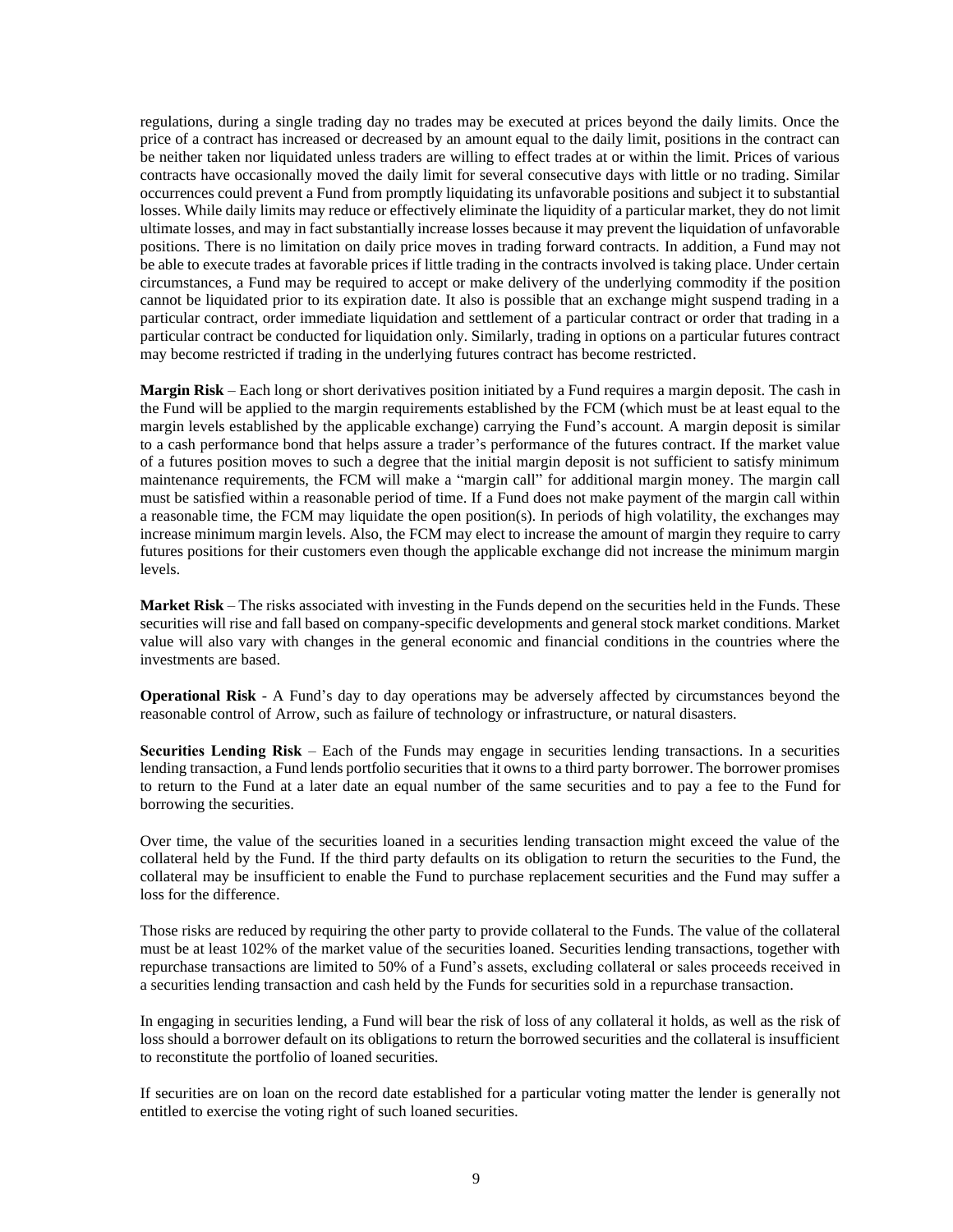regulations, during a single trading day no trades may be executed at prices beyond the daily limits. Once the price of a contract has increased or decreased by an amount equal to the daily limit, positions in the contract can be neither taken nor liquidated unless traders are willing to effect trades at or within the limit. Prices of various contracts have occasionally moved the daily limit for several consecutive days with little or no trading. Similar occurrences could prevent a Fund from promptly liquidating its unfavorable positions and subject it to substantial losses. While daily limits may reduce or effectively eliminate the liquidity of a particular market, they do not limit ultimate losses, and may in fact substantially increase losses because it may prevent the liquidation of unfavorable positions. There is no limitation on daily price moves in trading forward contracts. In addition, a Fund may not be able to execute trades at favorable prices if little trading in the contracts involved is taking place. Under certain circumstances, a Fund may be required to accept or make delivery of the underlying commodity if the position cannot be liquidated prior to its expiration date. It also is possible that an exchange might suspend trading in a particular contract, order immediate liquidation and settlement of a particular contract or order that trading in a particular contract be conducted for liquidation only. Similarly, trading in options on a particular futures contract may become restricted if trading in the underlying futures contract has become restricted.

**Margin Risk** – Each long or short derivatives position initiated by a Fund requires a margin deposit. The cash in the Fund will be applied to the margin requirements established by the FCM (which must be at least equal to the margin levels established by the applicable exchange) carrying the Fund's account. A margin deposit is similar to a cash performance bond that helps assure a trader's performance of the futures contract. If the market value of a futures position moves to such a degree that the initial margin deposit is not sufficient to satisfy minimum maintenance requirements, the FCM will make a "margin call" for additional margin money. The margin call must be satisfied within a reasonable period of time. If a Fund does not make payment of the margin call within a reasonable time, the FCM may liquidate the open position(s). In periods of high volatility, the exchanges may increase minimum margin levels. Also, the FCM may elect to increase the amount of margin they require to carry futures positions for their customers even though the applicable exchange did not increase the minimum margin levels.

**Market Risk** – The risks associated with investing in the Funds depend on the securities held in the Funds. These securities will rise and fall based on company-specific developments and general stock market conditions. Market value will also vary with changes in the general economic and financial conditions in the countries where the investments are based.

**Operational Risk** - A Fund's day to day operations may be adversely affected by circumstances beyond the reasonable control of Arrow, such as failure of technology or infrastructure, or natural disasters.

**Securities Lending Risk** – Each of the Funds may engage in securities lending transactions. In a securities lending transaction, a Fund lends portfolio securities that it owns to a third party borrower. The borrower promises to return to the Fund at a later date an equal number of the same securities and to pay a fee to the Fund for borrowing the securities.

Over time, the value of the securities loaned in a securities lending transaction might exceed the value of the collateral held by the Fund. If the third party defaults on its obligation to return the securities to the Fund, the collateral may be insufficient to enable the Fund to purchase replacement securities and the Fund may suffer a loss for the difference.

Those risks are reduced by requiring the other party to provide collateral to the Funds. The value of the collateral must be at least 102% of the market value of the securities loaned. Securities lending transactions, together with repurchase transactions are limited to 50% of a Fund's assets, excluding collateral or sales proceeds received in a securities lending transaction and cash held by the Funds for securities sold in a repurchase transaction.

In engaging in securities lending, a Fund will bear the risk of loss of any collateral it holds, as well as the risk of loss should a borrower default on its obligations to return the borrowed securities and the collateral is insufficient to reconstitute the portfolio of loaned securities.

If securities are on loan on the record date established for a particular voting matter the lender is generally not entitled to exercise the voting right of such loaned securities.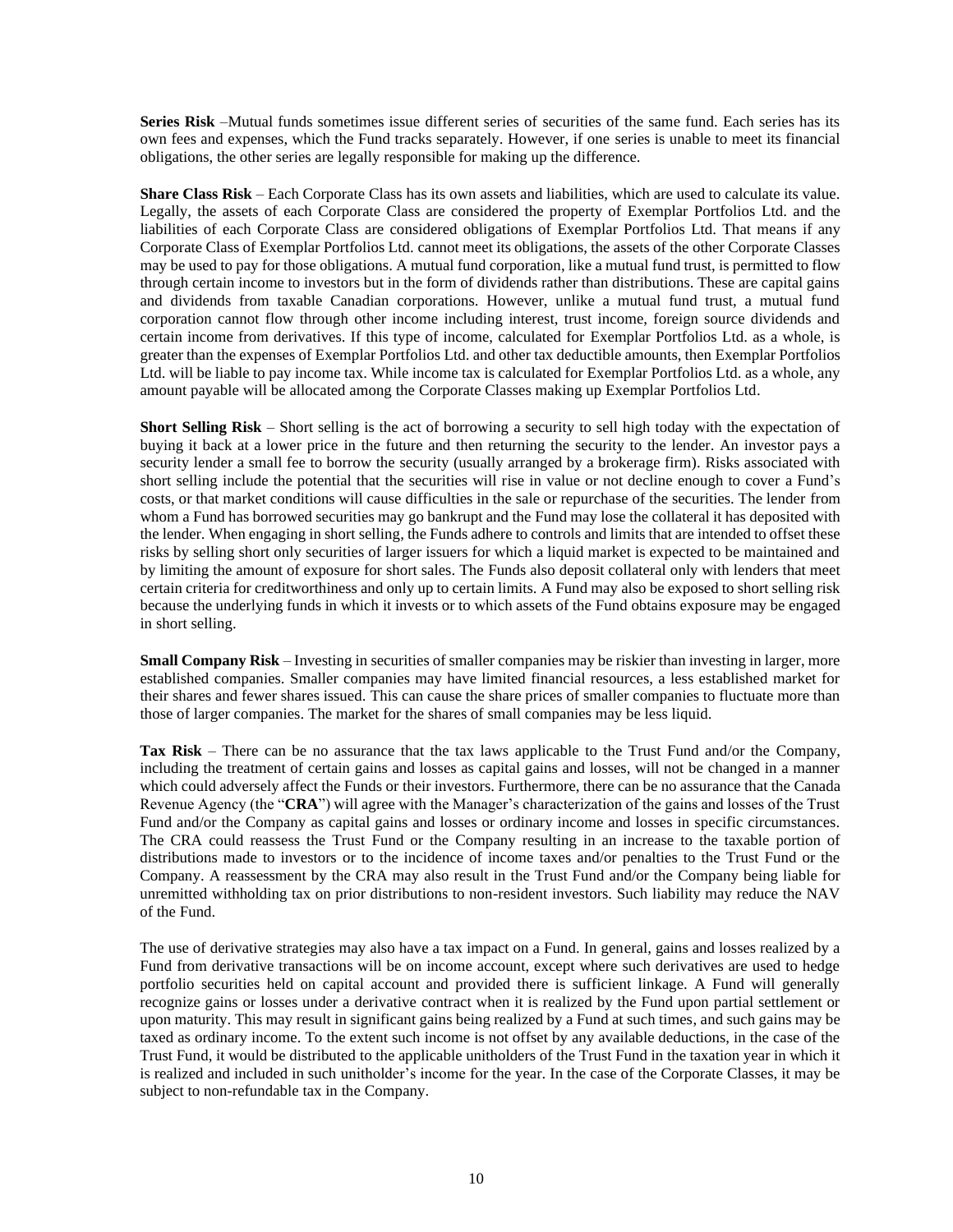**Series Risk** –Mutual funds sometimes issue different series of securities of the same fund. Each series has its own fees and expenses, which the Fund tracks separately. However, if one series is unable to meet its financial obligations, the other series are legally responsible for making up the difference.

**Share Class Risk** – Each Corporate Class has its own assets and liabilities, which are used to calculate its value. Legally, the assets of each Corporate Class are considered the property of Exemplar Portfolios Ltd. and the liabilities of each Corporate Class are considered obligations of Exemplar Portfolios Ltd. That means if any Corporate Class of Exemplar Portfolios Ltd. cannot meet its obligations, the assets of the other Corporate Classes may be used to pay for those obligations. A mutual fund corporation, like a mutual fund trust, is permitted to flow through certain income to investors but in the form of dividends rather than distributions. These are capital gains and dividends from taxable Canadian corporations. However, unlike a mutual fund trust, a mutual fund corporation cannot flow through other income including interest, trust income, foreign source dividends and certain income from derivatives. If this type of income, calculated for Exemplar Portfolios Ltd. as a whole, is greater than the expenses of Exemplar Portfolios Ltd. and other tax deductible amounts, then Exemplar Portfolios Ltd. will be liable to pay income tax. While income tax is calculated for Exemplar Portfolios Ltd. as a whole, any amount payable will be allocated among the Corporate Classes making up Exemplar Portfolios Ltd.

**Short Selling Risk** – Short selling is the act of borrowing a security to sell high today with the expectation of buying it back at a lower price in the future and then returning the security to the lender. An investor pays a security lender a small fee to borrow the security (usually arranged by a brokerage firm). Risks associated with short selling include the potential that the securities will rise in value or not decline enough to cover a Fund's costs, or that market conditions will cause difficulties in the sale or repurchase of the securities. The lender from whom a Fund has borrowed securities may go bankrupt and the Fund may lose the collateral it has deposited with the lender. When engaging in short selling, the Funds adhere to controls and limits that are intended to offset these risks by selling short only securities of larger issuers for which a liquid market is expected to be maintained and by limiting the amount of exposure for short sales. The Funds also deposit collateral only with lenders that meet certain criteria for creditworthiness and only up to certain limits. A Fund may also be exposed to short selling risk because the underlying funds in which it invests or to which assets of the Fund obtains exposure may be engaged in short selling.

**Small Company Risk** – Investing in securities of smaller companies may be riskier than investing in larger, more established companies. Smaller companies may have limited financial resources, a less established market for their shares and fewer shares issued. This can cause the share prices of smaller companies to fluctuate more than those of larger companies. The market for the shares of small companies may be less liquid.

**Tax Risk** – There can be no assurance that the tax laws applicable to the Trust Fund and/or the Company, including the treatment of certain gains and losses as capital gains and losses, will not be changed in a manner which could adversely affect the Funds or their investors. Furthermore, there can be no assurance that the Canada Revenue Agency (the "**CRA**") will agree with the Manager's characterization of the gains and losses of the Trust Fund and/or the Company as capital gains and losses or ordinary income and losses in specific circumstances. The CRA could reassess the Trust Fund or the Company resulting in an increase to the taxable portion of distributions made to investors or to the incidence of income taxes and/or penalties to the Trust Fund or the Company. A reassessment by the CRA may also result in the Trust Fund and/or the Company being liable for unremitted withholding tax on prior distributions to non-resident investors. Such liability may reduce the NAV of the Fund.

The use of derivative strategies may also have a tax impact on a Fund. In general, gains and losses realized by a Fund from derivative transactions will be on income account, except where such derivatives are used to hedge portfolio securities held on capital account and provided there is sufficient linkage. A Fund will generally recognize gains or losses under a derivative contract when it is realized by the Fund upon partial settlement or upon maturity. This may result in significant gains being realized by a Fund at such times, and such gains may be taxed as ordinary income. To the extent such income is not offset by any available deductions, in the case of the Trust Fund, it would be distributed to the applicable unitholders of the Trust Fund in the taxation year in which it is realized and included in such unitholder's income for the year. In the case of the Corporate Classes, it may be subject to non-refundable tax in the Company.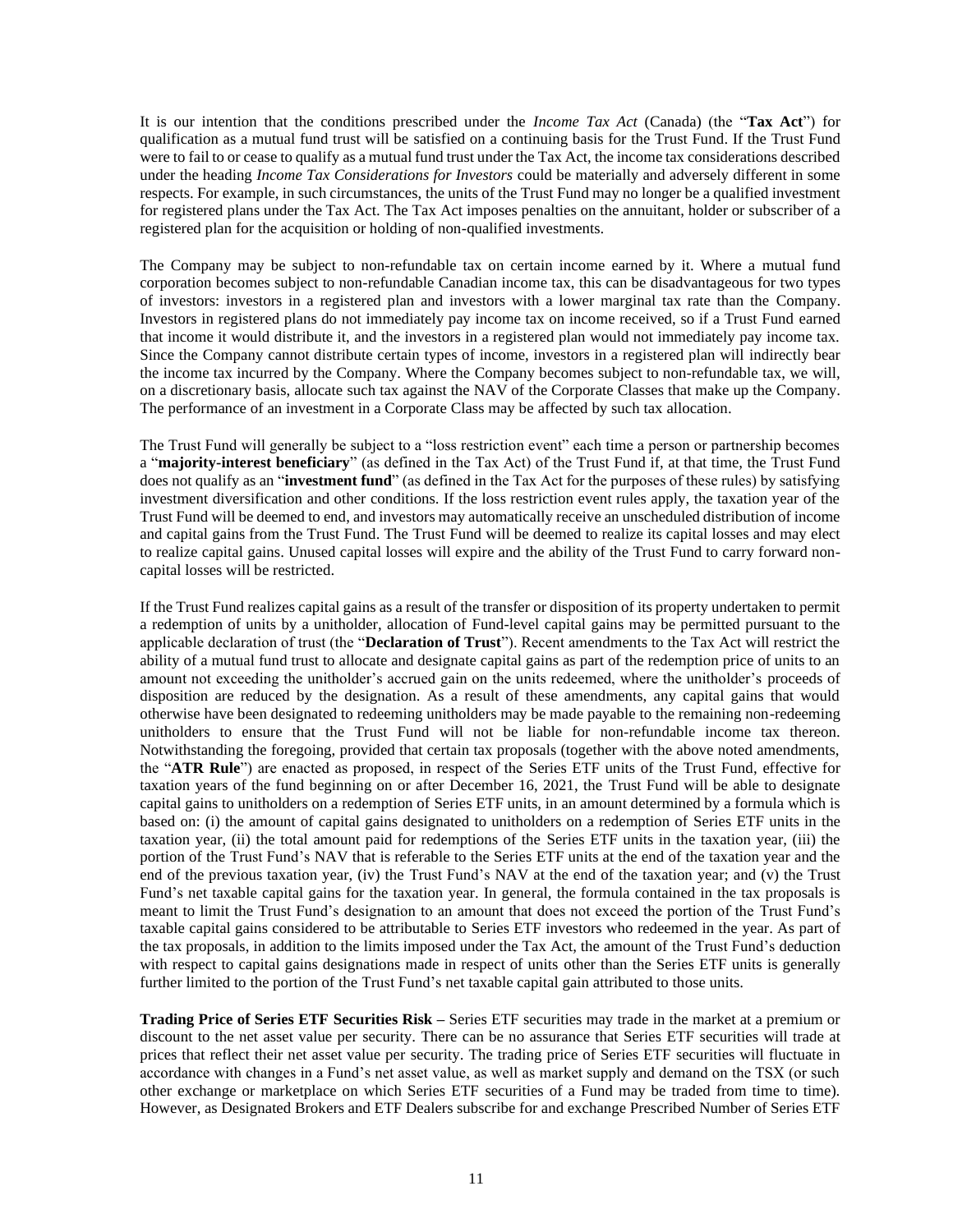It is our intention that the conditions prescribed under the *Income Tax Act* (Canada) (the "**Tax Act**") for qualification as a mutual fund trust will be satisfied on a continuing basis for the Trust Fund. If the Trust Fund were to fail to or cease to qualify as a mutual fund trust under the Tax Act, the income tax considerations described under the heading *Income Tax Considerations for Investors* could be materially and adversely different in some respects. For example, in such circumstances, the units of the Trust Fund may no longer be a qualified investment for registered plans under the Tax Act. The Tax Act imposes penalties on the annuitant, holder or subscriber of a registered plan for the acquisition or holding of non-qualified investments.

The Company may be subject to non-refundable tax on certain income earned by it. Where a mutual fund corporation becomes subject to non-refundable Canadian income tax, this can be disadvantageous for two types of investors: investors in a registered plan and investors with a lower marginal tax rate than the Company. Investors in registered plans do not immediately pay income tax on income received, so if a Trust Fund earned that income it would distribute it, and the investors in a registered plan would not immediately pay income tax. Since the Company cannot distribute certain types of income, investors in a registered plan will indirectly bear the income tax incurred by the Company. Where the Company becomes subject to non-refundable tax, we will, on a discretionary basis, allocate such tax against the NAV of the Corporate Classes that make up the Company. The performance of an investment in a Corporate Class may be affected by such tax allocation.

The Trust Fund will generally be subject to a "loss restriction event" each time a person or partnership becomes a "**majority-interest beneficiary**" (as defined in the Tax Act) of the Trust Fund if, at that time, the Trust Fund does not qualify as an "**investment fund**" (as defined in the Tax Act for the purposes of these rules) by satisfying investment diversification and other conditions. If the loss restriction event rules apply, the taxation year of the Trust Fund will be deemed to end, and investors may automatically receive an unscheduled distribution of income and capital gains from the Trust Fund. The Trust Fund will be deemed to realize its capital losses and may elect to realize capital gains. Unused capital losses will expire and the ability of the Trust Fund to carry forward noncapital losses will be restricted.

If the Trust Fund realizes capital gains as a result of the transfer or disposition of its property undertaken to permit a redemption of units by a unitholder, allocation of Fund-level capital gains may be permitted pursuant to the applicable declaration of trust (the "**Declaration of Trust**"). Recent amendments to the Tax Act will restrict the ability of a mutual fund trust to allocate and designate capital gains as part of the redemption price of units to an amount not exceeding the unitholder's accrued gain on the units redeemed, where the unitholder's proceeds of disposition are reduced by the designation. As a result of these amendments, any capital gains that would otherwise have been designated to redeeming unitholders may be made payable to the remaining non-redeeming unitholders to ensure that the Trust Fund will not be liable for non-refundable income tax thereon. Notwithstanding the foregoing, provided that certain tax proposals (together with the above noted amendments, the "**ATR Rule**") are enacted as proposed, in respect of the Series ETF units of the Trust Fund, effective for taxation years of the fund beginning on or after December 16, 2021, the Trust Fund will be able to designate capital gains to unitholders on a redemption of Series ETF units, in an amount determined by a formula which is based on: (i) the amount of capital gains designated to unitholders on a redemption of Series ETF units in the taxation year, (ii) the total amount paid for redemptions of the Series ETF units in the taxation year, (iii) the portion of the Trust Fund's NAV that is referable to the Series ETF units at the end of the taxation year and the end of the previous taxation year, (iv) the Trust Fund's NAV at the end of the taxation year; and (v) the Trust Fund's net taxable capital gains for the taxation year. In general, the formula contained in the tax proposals is meant to limit the Trust Fund's designation to an amount that does not exceed the portion of the Trust Fund's taxable capital gains considered to be attributable to Series ETF investors who redeemed in the year. As part of the tax proposals, in addition to the limits imposed under the Tax Act, the amount of the Trust Fund's deduction with respect to capital gains designations made in respect of units other than the Series ETF units is generally further limited to the portion of the Trust Fund's net taxable capital gain attributed to those units.

**Trading Price of Series ETF Securities Risk –** Series ETF securities may trade in the market at a premium or discount to the net asset value per security. There can be no assurance that Series ETF securities will trade at prices that reflect their net asset value per security. The trading price of Series ETF securities will fluctuate in accordance with changes in a Fund's net asset value, as well as market supply and demand on the TSX (or such other exchange or marketplace on which Series ETF securities of a Fund may be traded from time to time). However, as Designated Brokers and ETF Dealers subscribe for and exchange Prescribed Number of Series ETF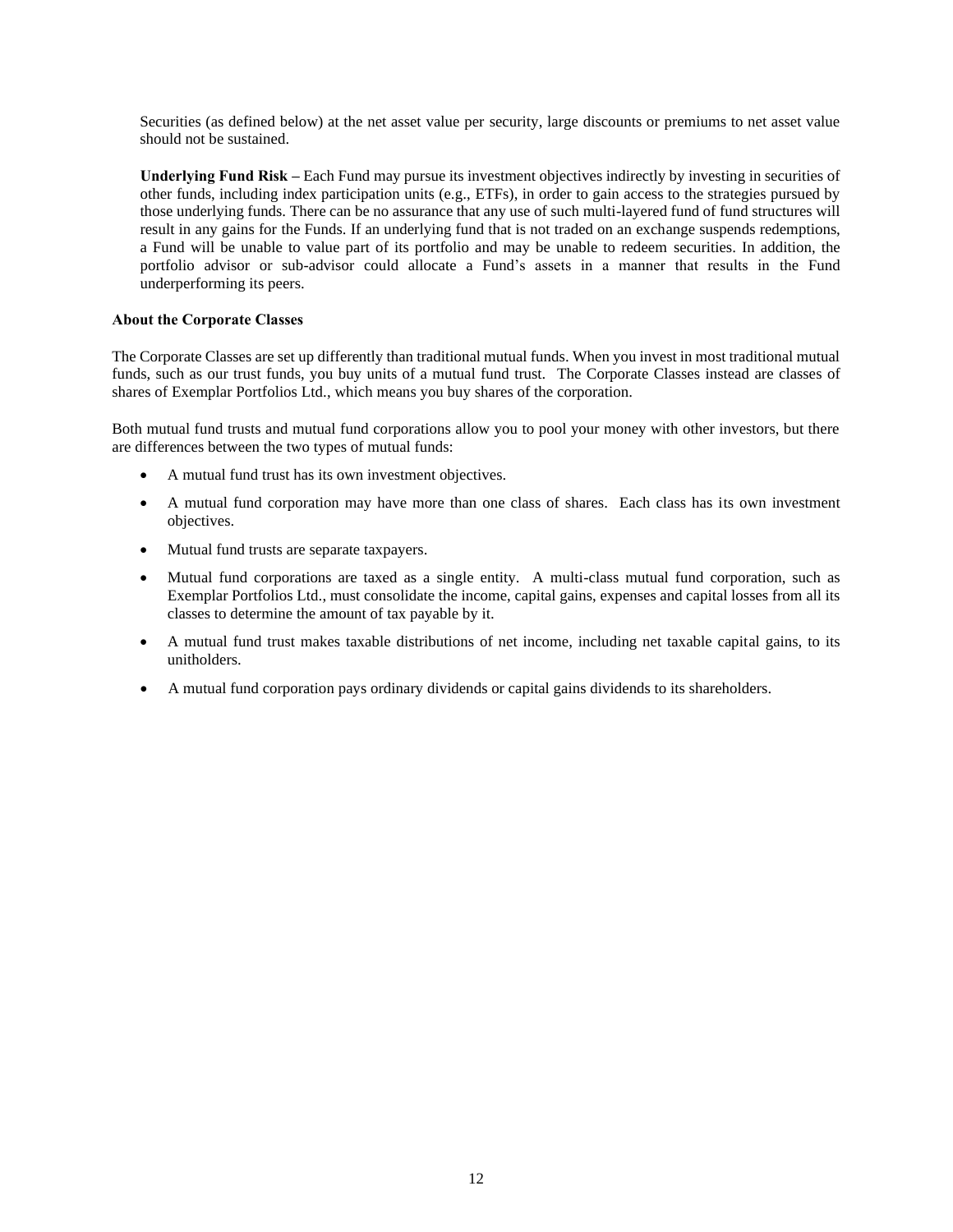Securities (as defined below) at the net asset value per security, large discounts or premiums to net asset value should not be sustained.

**Underlying Fund Risk –** Each Fund may pursue its investment objectives indirectly by investing in securities of other funds, including index participation units (e.g., ETFs), in order to gain access to the strategies pursued by those underlying funds. There can be no assurance that any use of such multi-layered fund of fund structures will result in any gains for the Funds. If an underlying fund that is not traded on an exchange suspends redemptions, a Fund will be unable to value part of its portfolio and may be unable to redeem securities. In addition, the portfolio advisor or sub-advisor could allocate a Fund's assets in a manner that results in the Fund underperforming its peers.

## **About the Corporate Classes**

The Corporate Classes are set up differently than traditional mutual funds. When you invest in most traditional mutual funds, such as our trust funds, you buy units of a mutual fund trust. The Corporate Classes instead are classes of shares of Exemplar Portfolios Ltd., which means you buy shares of the corporation.

Both mutual fund trusts and mutual fund corporations allow you to pool your money with other investors, but there are differences between the two types of mutual funds:

- A mutual fund trust has its own investment objectives.
- A mutual fund corporation may have more than one class of shares. Each class has its own investment objectives.
- Mutual fund trusts are separate taxpayers.
- Mutual fund corporations are taxed as a single entity. A multi-class mutual fund corporation, such as Exemplar Portfolios Ltd., must consolidate the income, capital gains, expenses and capital losses from all its classes to determine the amount of tax payable by it.
- A mutual fund trust makes taxable distributions of net income, including net taxable capital gains, to its unitholders.
- A mutual fund corporation pays ordinary dividends or capital gains dividends to its shareholders.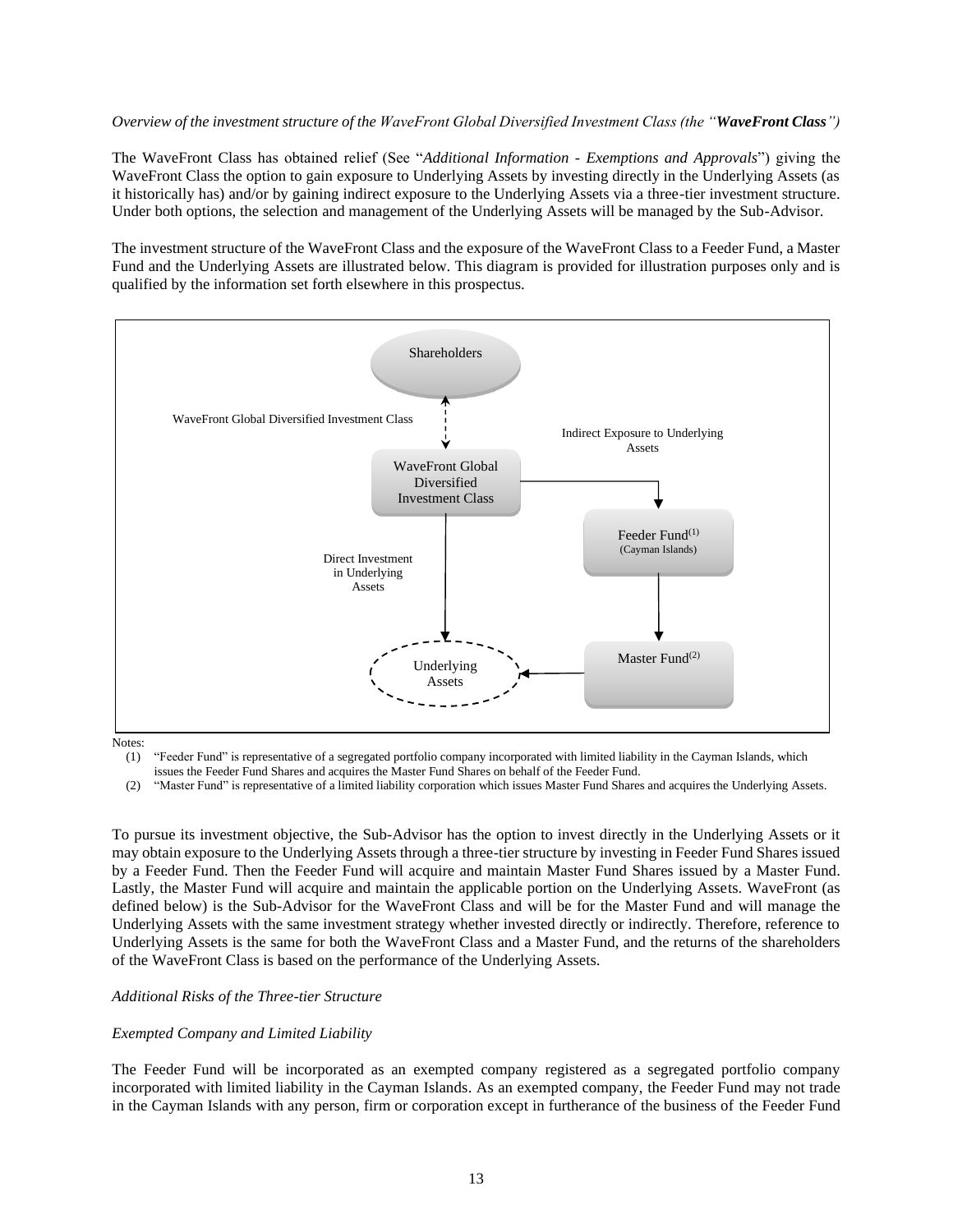#### *Overview of the investment structure of the WaveFront Global Diversified Investment Class (the "WaveFront Class")*

The WaveFront Class has obtained relief (See "*Additional Information - Exemptions and Approvals*") giving the WaveFront Class the option to gain exposure to Underlying Assets by investing directly in the Underlying Assets (as it historically has) and/or by gaining indirect exposure to the Underlying Assets via a three-tier investment structure. Under both options, the selection and management of the Underlying Assets will be managed by the Sub-Advisor.

The investment structure of the WaveFront Class and the exposure of the WaveFront Class to a Feeder Fund, a Master Fund and the Underlying Assets are illustrated below. This diagram is provided for illustration purposes only and is qualified by the information set forth elsewhere in this prospectus.



Notes:

(1) "Feeder Fund" is representative of a segregated portfolio company incorporated with limited liability in the Cayman Islands, which issues the Feeder Fund Shares and acquires the Master Fund Shares on behalf of the Feeder Fund.

(2) "Master Fund" is representative of a limited liability corporation which issues Master Fund Shares and acquires the Underlying Assets.

To pursue its investment objective, the Sub-Advisor has the option to invest directly in the Underlying Assets or it may obtain exposure to the Underlying Assets through a three-tier structure by investing in Feeder Fund Shares issued by a Feeder Fund. Then the Feeder Fund will acquire and maintain Master Fund Shares issued by a Master Fund. Lastly, the Master Fund will acquire and maintain the applicable portion on the Underlying Assets. WaveFront (as defined below) is the Sub-Advisor for the WaveFront Class and will be for the Master Fund and will manage the Underlying Assets with the same investment strategy whether invested directly or indirectly. Therefore, reference to Underlying Assets is the same for both the WaveFront Class and a Master Fund, and the returns of the shareholders of the WaveFront Class is based on the performance of the Underlying Assets.

## *Additional Risks of the Three-tier Structure*

#### *Exempted Company and Limited Liability*

The Feeder Fund will be incorporated as an exempted company registered as a segregated portfolio company incorporated with limited liability in the Cayman Islands. As an exempted company, the Feeder Fund may not trade in the Cayman Islands with any person, firm or corporation except in furtherance of the business of the Feeder Fund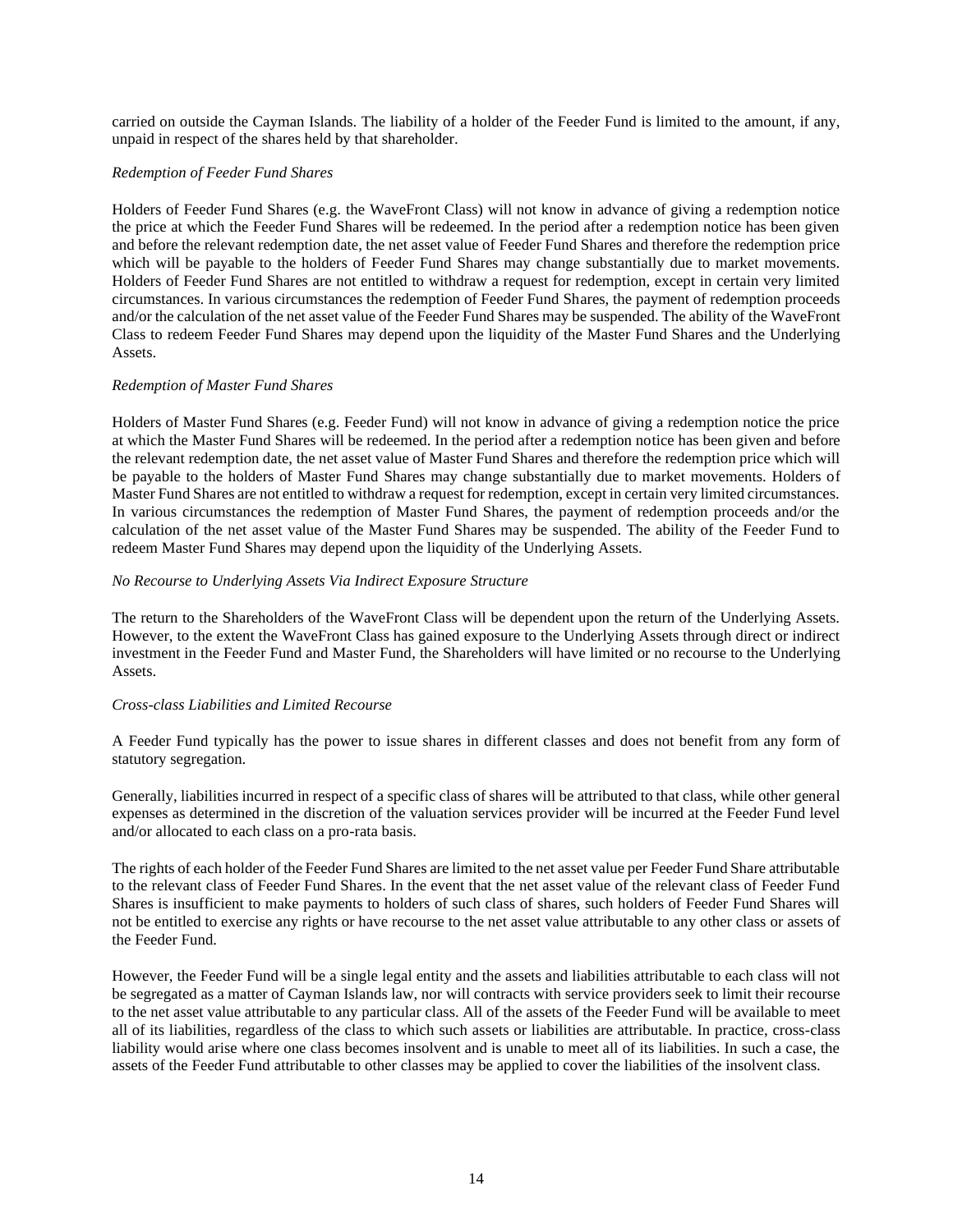carried on outside the Cayman Islands. The liability of a holder of the Feeder Fund is limited to the amount, if any, unpaid in respect of the shares held by that shareholder.

#### *Redemption of Feeder Fund Shares*

Holders of Feeder Fund Shares (e.g. the WaveFront Class) will not know in advance of giving a redemption notice the price at which the Feeder Fund Shares will be redeemed. In the period after a redemption notice has been given and before the relevant redemption date, the net asset value of Feeder Fund Shares and therefore the redemption price which will be payable to the holders of Feeder Fund Shares may change substantially due to market movements. Holders of Feeder Fund Shares are not entitled to withdraw a request for redemption, except in certain very limited circumstances. In various circumstances the redemption of Feeder Fund Shares, the payment of redemption proceeds and/or the calculation of the net asset value of the Feeder Fund Shares may be suspended. The ability of the WaveFront Class to redeem Feeder Fund Shares may depend upon the liquidity of the Master Fund Shares and the Underlying Assets.

### *Redemption of Master Fund Shares*

Holders of Master Fund Shares (e.g. Feeder Fund) will not know in advance of giving a redemption notice the price at which the Master Fund Shares will be redeemed. In the period after a redemption notice has been given and before the relevant redemption date, the net asset value of Master Fund Shares and therefore the redemption price which will be payable to the holders of Master Fund Shares may change substantially due to market movements. Holders of Master Fund Shares are not entitled to withdraw a request for redemption, except in certain very limited circumstances. In various circumstances the redemption of Master Fund Shares, the payment of redemption proceeds and/or the calculation of the net asset value of the Master Fund Shares may be suspended. The ability of the Feeder Fund to redeem Master Fund Shares may depend upon the liquidity of the Underlying Assets.

## *No Recourse to Underlying Assets Via Indirect Exposure Structure*

The return to the Shareholders of the WaveFront Class will be dependent upon the return of the Underlying Assets. However, to the extent the WaveFront Class has gained exposure to the Underlying Assets through direct or indirect investment in the Feeder Fund and Master Fund, the Shareholders will have limited or no recourse to the Underlying Assets.

#### *Cross-class Liabilities and Limited Recourse*

A Feeder Fund typically has the power to issue shares in different classes and does not benefit from any form of statutory segregation.

Generally, liabilities incurred in respect of a specific class of shares will be attributed to that class, while other general expenses as determined in the discretion of the valuation services provider will be incurred at the Feeder Fund level and/or allocated to each class on a pro-rata basis.

The rights of each holder of the Feeder Fund Shares are limited to the net asset value per Feeder Fund Share attributable to the relevant class of Feeder Fund Shares. In the event that the net asset value of the relevant class of Feeder Fund Shares is insufficient to make payments to holders of such class of shares, such holders of Feeder Fund Shares will not be entitled to exercise any rights or have recourse to the net asset value attributable to any other class or assets of the Feeder Fund.

However, the Feeder Fund will be a single legal entity and the assets and liabilities attributable to each class will not be segregated as a matter of Cayman Islands law, nor will contracts with service providers seek to limit their recourse to the net asset value attributable to any particular class. All of the assets of the Feeder Fund will be available to meet all of its liabilities, regardless of the class to which such assets or liabilities are attributable. In practice, cross-class liability would arise where one class becomes insolvent and is unable to meet all of its liabilities. In such a case, the assets of the Feeder Fund attributable to other classes may be applied to cover the liabilities of the insolvent class.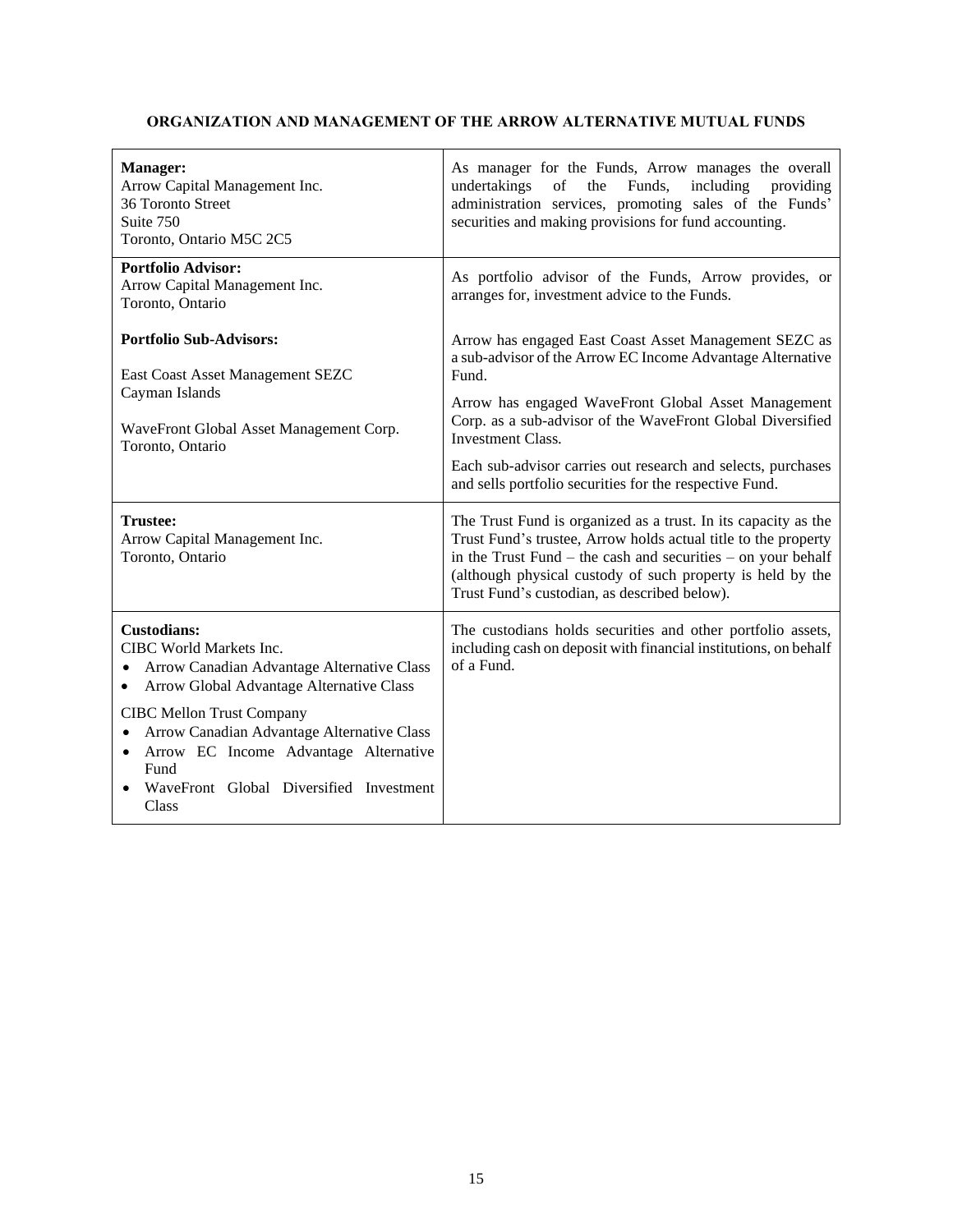## <span id="page-15-0"></span>**ORGANIZATION AND MANAGEMENT OF THE ARROW ALTERNATIVE MUTUAL FUNDS**

| <b>Manager:</b><br>Arrow Capital Management Inc.<br>36 Toronto Street<br>Suite 750<br>Toronto, Ontario M5C 2C5                                                                                                                                                                                                                                | As manager for the Funds, Arrow manages the overall<br>the<br>Funds,<br>including<br>undertakings<br>of<br>providing<br>administration services, promoting sales of the Funds'<br>securities and making provisions for fund accounting.                                                                                                                                                                  |
|-----------------------------------------------------------------------------------------------------------------------------------------------------------------------------------------------------------------------------------------------------------------------------------------------------------------------------------------------|----------------------------------------------------------------------------------------------------------------------------------------------------------------------------------------------------------------------------------------------------------------------------------------------------------------------------------------------------------------------------------------------------------|
| <b>Portfolio Advisor:</b><br>Arrow Capital Management Inc.<br>Toronto, Ontario                                                                                                                                                                                                                                                                | As portfolio advisor of the Funds, Arrow provides, or<br>arranges for, investment advice to the Funds.                                                                                                                                                                                                                                                                                                   |
| <b>Portfolio Sub-Advisors:</b><br>East Coast Asset Management SEZC<br>Cayman Islands<br>WaveFront Global Asset Management Corp.<br>Toronto, Ontario                                                                                                                                                                                           | Arrow has engaged East Coast Asset Management SEZC as<br>a sub-advisor of the Arrow EC Income Advantage Alternative<br>Fund.<br>Arrow has engaged WaveFront Global Asset Management<br>Corp. as a sub-advisor of the WaveFront Global Diversified<br><b>Investment Class.</b><br>Each sub-advisor carries out research and selects, purchases<br>and sells portfolio securities for the respective Fund. |
| <b>Trustee:</b><br>Arrow Capital Management Inc.<br>Toronto, Ontario                                                                                                                                                                                                                                                                          | The Trust Fund is organized as a trust. In its capacity as the<br>Trust Fund's trustee, Arrow holds actual title to the property<br>in the Trust Fund – the cash and securities – on your behalf<br>(although physical custody of such property is held by the<br>Trust Fund's custodian, as described below).                                                                                           |
| <b>Custodians:</b><br>CIBC World Markets Inc.<br>Arrow Canadian Advantage Alternative Class<br>٠<br>Arrow Global Advantage Alternative Class<br><b>CIBC Mellon Trust Company</b><br>Arrow Canadian Advantage Alternative Class<br>٠<br>Arrow EC Income Advantage Alternative<br>٠<br>Fund<br>WaveFront Global Diversified Investment<br>Class | The custodians holds securities and other portfolio assets,<br>including cash on deposit with financial institutions, on behalf<br>of a Fund.                                                                                                                                                                                                                                                            |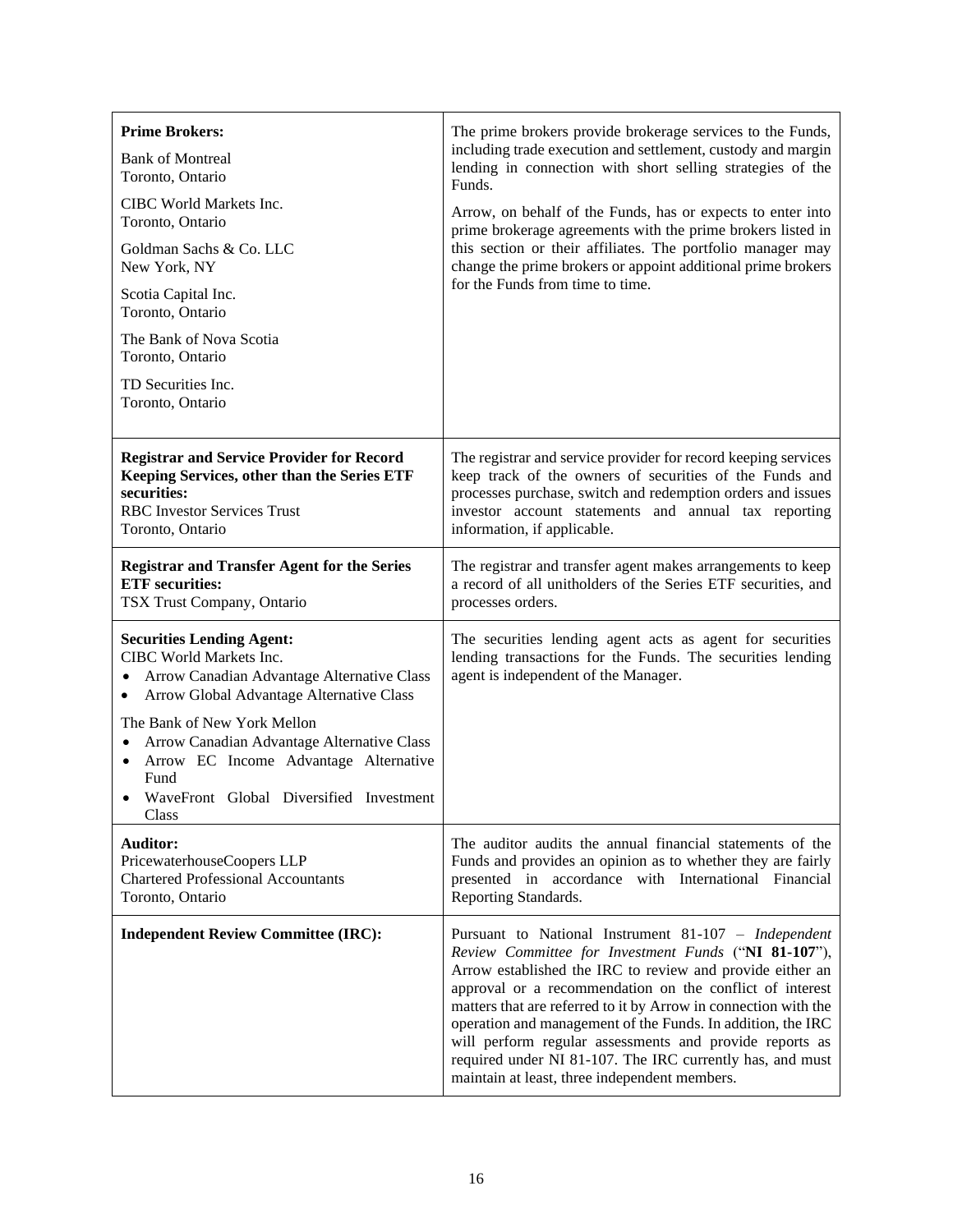| <b>Prime Brokers:</b><br><b>Bank of Montreal</b><br>Toronto, Ontario<br>CIBC World Markets Inc.<br>Toronto, Ontario<br>Goldman Sachs & Co. LLC<br>New York, NY<br>Scotia Capital Inc.<br>Toronto, Ontario<br>The Bank of Nova Scotia<br>Toronto, Ontario<br>TD Securities Inc.<br>Toronto, Ontario                                                                                          | The prime brokers provide brokerage services to the Funds,<br>including trade execution and settlement, custody and margin<br>lending in connection with short selling strategies of the<br>Funds.<br>Arrow, on behalf of the Funds, has or expects to enter into<br>prime brokerage agreements with the prime brokers listed in<br>this section or their affiliates. The portfolio manager may<br>change the prime brokers or appoint additional prime brokers<br>for the Funds from time to time.                                              |
|---------------------------------------------------------------------------------------------------------------------------------------------------------------------------------------------------------------------------------------------------------------------------------------------------------------------------------------------------------------------------------------------|--------------------------------------------------------------------------------------------------------------------------------------------------------------------------------------------------------------------------------------------------------------------------------------------------------------------------------------------------------------------------------------------------------------------------------------------------------------------------------------------------------------------------------------------------|
| <b>Registrar and Service Provider for Record</b>                                                                                                                                                                                                                                                                                                                                            | The registrar and service provider for record keeping services                                                                                                                                                                                                                                                                                                                                                                                                                                                                                   |
| Keeping Services, other than the Series ETF                                                                                                                                                                                                                                                                                                                                                 | keep track of the owners of securities of the Funds and                                                                                                                                                                                                                                                                                                                                                                                                                                                                                          |
| securities:                                                                                                                                                                                                                                                                                                                                                                                 | processes purchase, switch and redemption orders and issues                                                                                                                                                                                                                                                                                                                                                                                                                                                                                      |
| <b>RBC</b> Investor Services Trust                                                                                                                                                                                                                                                                                                                                                          | investor account statements and annual tax reporting                                                                                                                                                                                                                                                                                                                                                                                                                                                                                             |
| Toronto, Ontario                                                                                                                                                                                                                                                                                                                                                                            | information, if applicable.                                                                                                                                                                                                                                                                                                                                                                                                                                                                                                                      |
| <b>Registrar and Transfer Agent for the Series</b>                                                                                                                                                                                                                                                                                                                                          | The registrar and transfer agent makes arrangements to keep                                                                                                                                                                                                                                                                                                                                                                                                                                                                                      |
| <b>ETF</b> securities:                                                                                                                                                                                                                                                                                                                                                                      | a record of all unitholders of the Series ETF securities, and                                                                                                                                                                                                                                                                                                                                                                                                                                                                                    |
| TSX Trust Company, Ontario                                                                                                                                                                                                                                                                                                                                                                  | processes orders.                                                                                                                                                                                                                                                                                                                                                                                                                                                                                                                                |
| <b>Securities Lending Agent:</b><br>CIBC World Markets Inc.<br>Arrow Canadian Advantage Alternative Class<br>$\bullet$<br>Arrow Global Advantage Alternative Class<br>$\bullet$<br>The Bank of New York Mellon<br>Arrow Canadian Advantage Alternative Class<br>$\bullet$<br>Arrow EC Income Advantage Alternative<br>$\bullet$<br>Fund<br>WaveFront Global Diversified Investment<br>Class | The securities lending agent acts as agent for securities<br>lending transactions for the Funds. The securities lending<br>agent is independent of the Manager.                                                                                                                                                                                                                                                                                                                                                                                  |
| <b>Auditor:</b>                                                                                                                                                                                                                                                                                                                                                                             | The auditor audits the annual financial statements of the                                                                                                                                                                                                                                                                                                                                                                                                                                                                                        |
| PricewaterhouseCoopers LLP                                                                                                                                                                                                                                                                                                                                                                  | Funds and provides an opinion as to whether they are fairly                                                                                                                                                                                                                                                                                                                                                                                                                                                                                      |
| <b>Chartered Professional Accountants</b>                                                                                                                                                                                                                                                                                                                                                   | presented in accordance with International Financial                                                                                                                                                                                                                                                                                                                                                                                                                                                                                             |
| Toronto, Ontario                                                                                                                                                                                                                                                                                                                                                                            | Reporting Standards.                                                                                                                                                                                                                                                                                                                                                                                                                                                                                                                             |
| <b>Independent Review Committee (IRC):</b>                                                                                                                                                                                                                                                                                                                                                  | Pursuant to National Instrument 81-107 - Independent<br>Review Committee for Investment Funds ("NI 81-107"),<br>Arrow established the IRC to review and provide either an<br>approval or a recommendation on the conflict of interest<br>matters that are referred to it by Arrow in connection with the<br>operation and management of the Funds. In addition, the IRC<br>will perform regular assessments and provide reports as<br>required under NI 81-107. The IRC currently has, and must<br>maintain at least, three independent members. |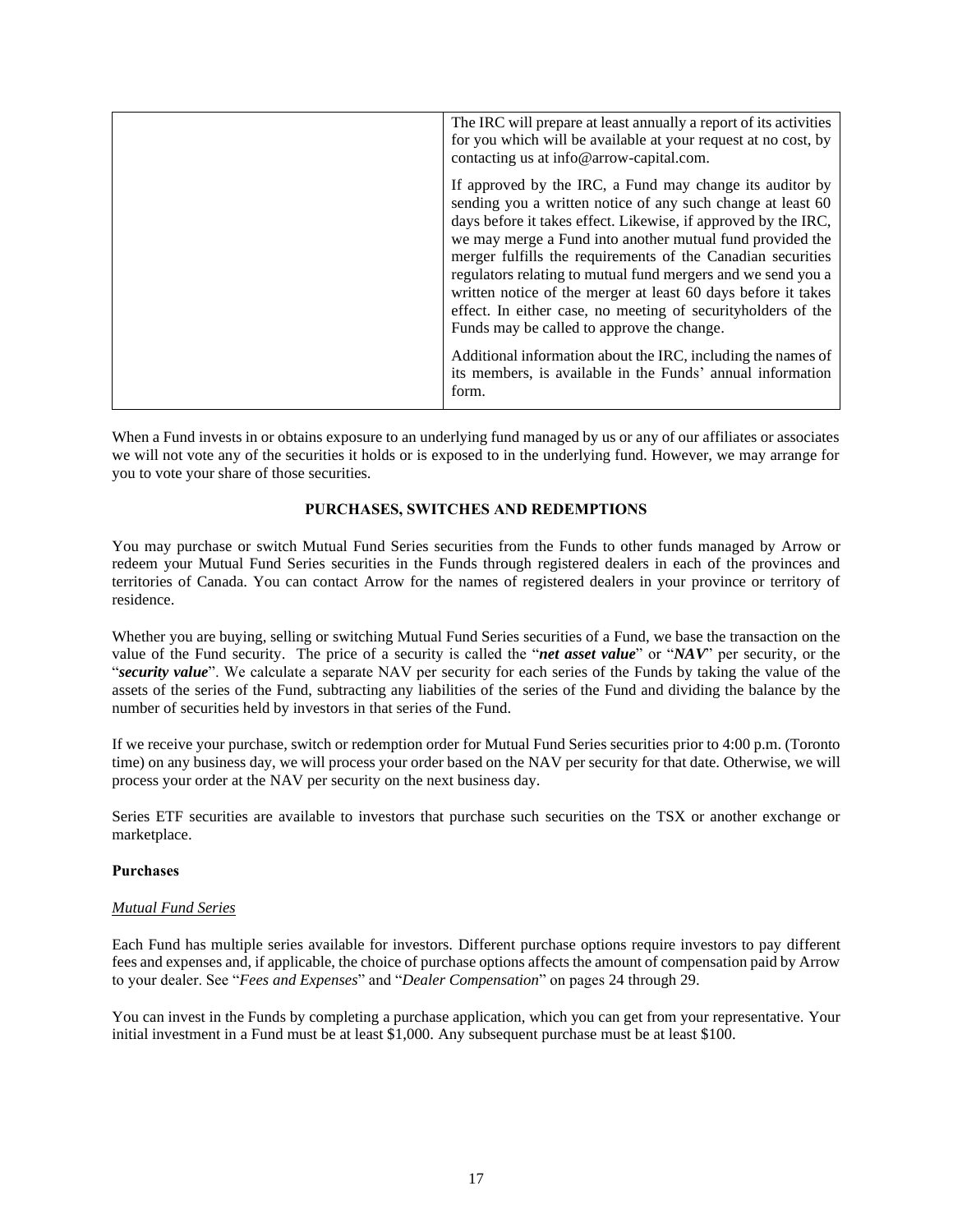| The IRC will prepare at least annually a report of its activities<br>for you which will be available at your request at no cost, by<br>contacting us at info@arrow-capital.com.                                                                                                                                                                                                                                                                                                                                                                                      |
|----------------------------------------------------------------------------------------------------------------------------------------------------------------------------------------------------------------------------------------------------------------------------------------------------------------------------------------------------------------------------------------------------------------------------------------------------------------------------------------------------------------------------------------------------------------------|
| If approved by the IRC, a Fund may change its auditor by<br>sending you a written notice of any such change at least 60<br>days before it takes effect. Likewise, if approved by the IRC,<br>we may merge a Fund into another mutual fund provided the<br>merger fulfills the requirements of the Canadian securities<br>regulators relating to mutual fund mergers and we send you a<br>written notice of the merger at least 60 days before it takes<br>effect. In either case, no meeting of securityholders of the<br>Funds may be called to approve the change. |
| Additional information about the IRC, including the names of<br>its members, is available in the Funds' annual information<br>form.                                                                                                                                                                                                                                                                                                                                                                                                                                  |

When a Fund invests in or obtains exposure to an underlying fund managed by us or any of our affiliates or associates we will not vote any of the securities it holds or is exposed to in the underlying fund. However, we may arrange for you to vote your share of those securities.

## **PURCHASES, SWITCHES AND REDEMPTIONS**

<span id="page-17-0"></span>You may purchase or switch Mutual Fund Series securities from the Funds to other funds managed by Arrow or redeem your Mutual Fund Series securities in the Funds through registered dealers in each of the provinces and territories of Canada. You can contact Arrow for the names of registered dealers in your province or territory of residence.

Whether you are buying, selling or switching Mutual Fund Series securities of a Fund, we base the transaction on the value of the Fund security. The price of a security is called the "*net asset value*" or "*NAV*" per security, or the "*security value*". We calculate a separate NAV per security for each series of the Funds by taking the value of the assets of the series of the Fund, subtracting any liabilities of the series of the Fund and dividing the balance by the number of securities held by investors in that series of the Fund.

If we receive your purchase, switch or redemption order for Mutual Fund Series securities prior to 4:00 p.m. (Toronto time) on any business day, we will process your order based on the NAV per security for that date. Otherwise, we will process your order at the NAV per security on the next business day.

Series ETF securities are available to investors that purchase such securities on the TSX or another exchange or marketplace.

#### **Purchases**

## *Mutual Fund Series*

Each Fund has multiple series available for investors. Different purchase options require investors to pay different fees and expenses and, if applicable, the choice of purchase options affects the amount of compensation paid by Arrow to your dealer. See "*Fees and Expenses*" and "*Dealer Compensation*" on pages [24](#page-24-1) through [29.](#page-29-1)

You can invest in the Funds by completing a purchase application, which you can get from your representative. Your initial investment in a Fund must be at least \$1,000. Any subsequent purchase must be at least \$100.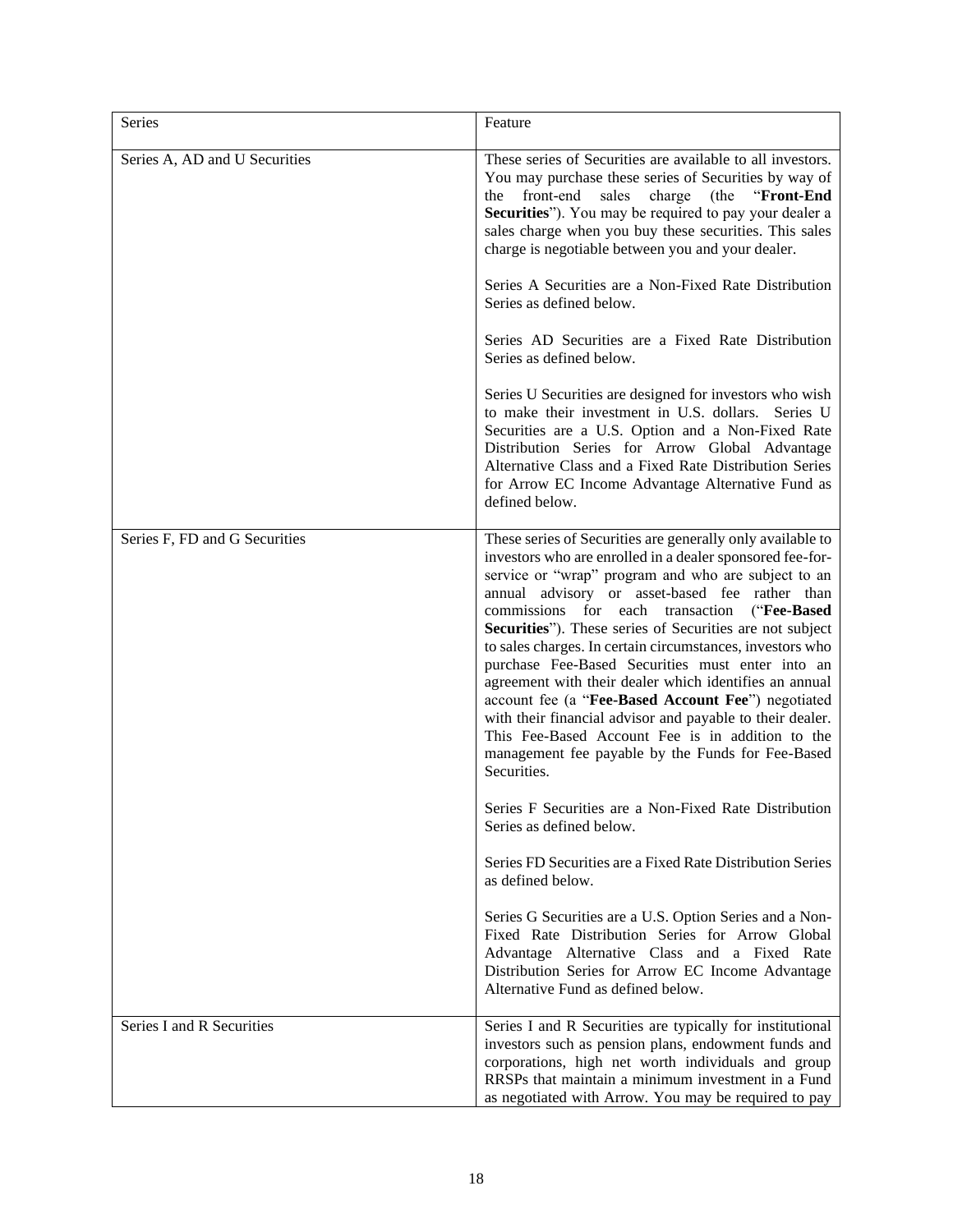| Series                        | Feature                                                                                                                                                                                                                                                                                                                                                                                                                                                                                                                                                                                                                                                                                                                                                                                                                                                                                                                                                                                                                                                                                                                                                                                            |
|-------------------------------|----------------------------------------------------------------------------------------------------------------------------------------------------------------------------------------------------------------------------------------------------------------------------------------------------------------------------------------------------------------------------------------------------------------------------------------------------------------------------------------------------------------------------------------------------------------------------------------------------------------------------------------------------------------------------------------------------------------------------------------------------------------------------------------------------------------------------------------------------------------------------------------------------------------------------------------------------------------------------------------------------------------------------------------------------------------------------------------------------------------------------------------------------------------------------------------------------|
| Series A, AD and U Securities | These series of Securities are available to all investors.<br>You may purchase these series of Securities by way of<br>front-end<br>sales<br>charge (the<br>"Front-End<br>the<br>Securities"). You may be required to pay your dealer a<br>sales charge when you buy these securities. This sales<br>charge is negotiable between you and your dealer.<br>Series A Securities are a Non-Fixed Rate Distribution<br>Series as defined below.<br>Series AD Securities are a Fixed Rate Distribution<br>Series as defined below.<br>Series U Securities are designed for investors who wish<br>to make their investment in U.S. dollars. Series U<br>Securities are a U.S. Option and a Non-Fixed Rate<br>Distribution Series for Arrow Global Advantage<br>Alternative Class and a Fixed Rate Distribution Series<br>for Arrow EC Income Advantage Alternative Fund as<br>defined below.                                                                                                                                                                                                                                                                                                             |
| Series F, FD and G Securities | These series of Securities are generally only available to<br>investors who are enrolled in a dealer sponsored fee-for-<br>service or "wrap" program and who are subject to an<br>annual advisory or asset-based fee rather than<br>commissions for each transaction ("Fee-Based<br>Securities"). These series of Securities are not subject<br>to sales charges. In certain circumstances, investors who<br>purchase Fee-Based Securities must enter into an<br>agreement with their dealer which identifies an annual<br>account fee (a "Fee-Based Account Fee") negotiated<br>with their financial advisor and payable to their dealer.<br>This Fee-Based Account Fee is in addition to the<br>management fee payable by the Funds for Fee-Based<br>Securities.<br>Series F Securities are a Non-Fixed Rate Distribution<br>Series as defined below.<br>Series FD Securities are a Fixed Rate Distribution Series<br>as defined below.<br>Series G Securities are a U.S. Option Series and a Non-<br>Fixed Rate Distribution Series for Arrow Global<br>Advantage Alternative Class and a Fixed Rate<br>Distribution Series for Arrow EC Income Advantage<br>Alternative Fund as defined below. |
| Series I and R Securities     | Series I and R Securities are typically for institutional<br>investors such as pension plans, endowment funds and                                                                                                                                                                                                                                                                                                                                                                                                                                                                                                                                                                                                                                                                                                                                                                                                                                                                                                                                                                                                                                                                                  |
|                               | corporations, high net worth individuals and group<br>RRSPs that maintain a minimum investment in a Fund<br>as negotiated with Arrow. You may be required to pay                                                                                                                                                                                                                                                                                                                                                                                                                                                                                                                                                                                                                                                                                                                                                                                                                                                                                                                                                                                                                                   |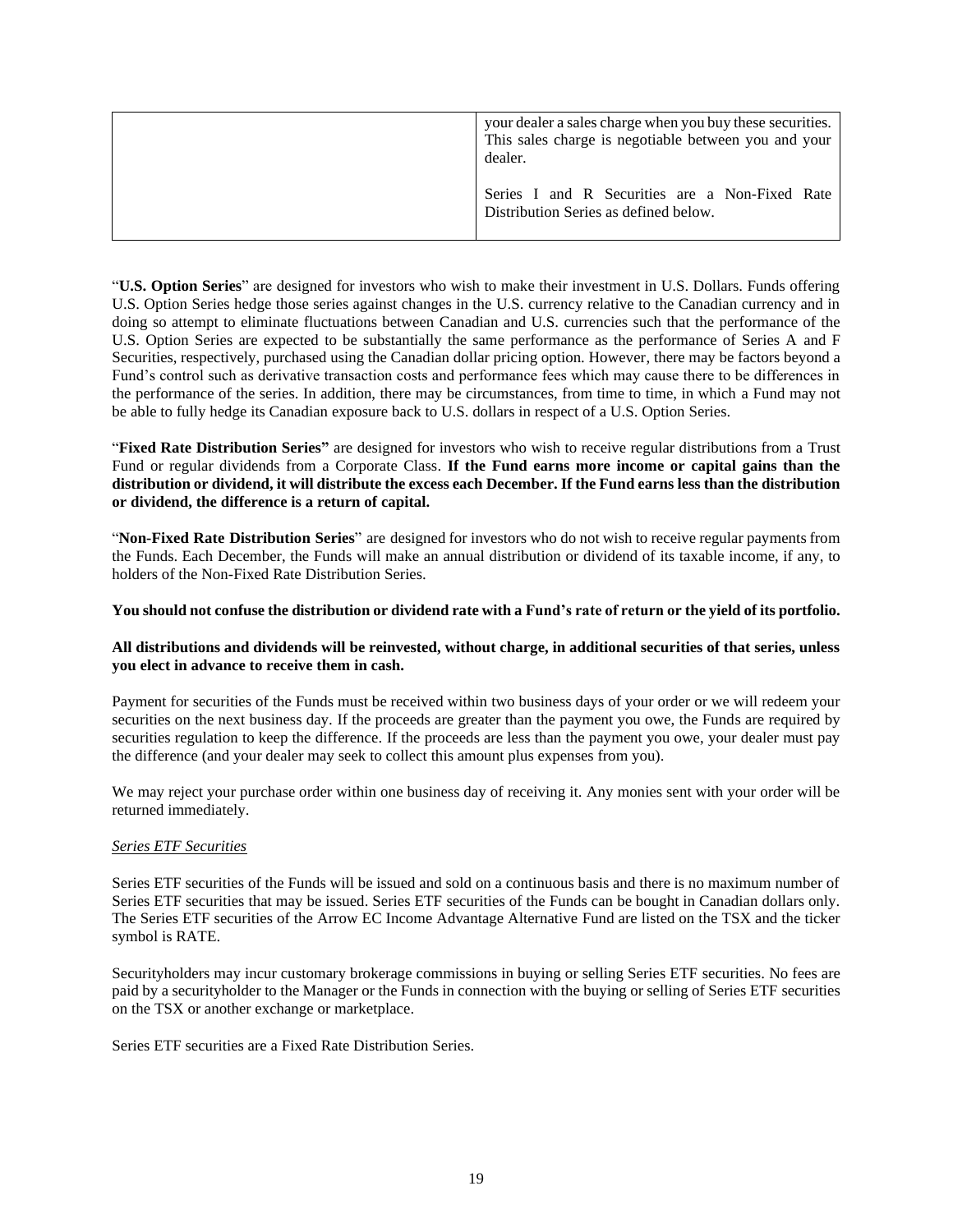| your dealer a sales charge when you buy these securities.<br>This sales charge is negotiable between you and your<br>dealer. |
|------------------------------------------------------------------------------------------------------------------------------|
| Series I and R Securities are a Non-Fixed Rate<br>Distribution Series as defined below.                                      |

"**U.S. Option Series**" are designed for investors who wish to make their investment in U.S. Dollars. Funds offering U.S. Option Series hedge those series against changes in the U.S. currency relative to the Canadian currency and in doing so attempt to eliminate fluctuations between Canadian and U.S. currencies such that the performance of the U.S. Option Series are expected to be substantially the same performance as the performance of Series A and F Securities, respectively, purchased using the Canadian dollar pricing option. However, there may be factors beyond a Fund's control such as derivative transaction costs and performance fees which may cause there to be differences in the performance of the series. In addition, there may be circumstances, from time to time, in which a Fund may not be able to fully hedge its Canadian exposure back to U.S. dollars in respect of a U.S. Option Series.

"**Fixed Rate Distribution Series"** are designed for investors who wish to receive regular distributions from a Trust Fund or regular dividends from a Corporate Class. **If the Fund earns more income or capital gains than the distribution or dividend, it will distribute the excess each December. If the Fund earns less than the distribution or dividend, the difference is a return of capital.**

"**Non-Fixed Rate Distribution Series**" are designed for investors who do not wish to receive regular paymentsfrom the Funds. Each December, the Funds will make an annual distribution or dividend of its taxable income, if any, to holders of the Non-Fixed Rate Distribution Series.

## **You should not confuse the distribution or dividend rate with a Fund's rate of return or the yield of its portfolio.**

## **All distributions and dividends will be reinvested, without charge, in additional securities of that series, unless you elect in advance to receive them in cash.**

Payment for securities of the Funds must be received within two business days of your order or we will redeem your securities on the next business day. If the proceeds are greater than the payment you owe, the Funds are required by securities regulation to keep the difference. If the proceeds are less than the payment you owe, your dealer must pay the difference (and your dealer may seek to collect this amount plus expenses from you).

We may reject your purchase order within one business day of receiving it. Any monies sent with your order will be returned immediately.

## *Series ETF Securities*

Series ETF securities of the Funds will be issued and sold on a continuous basis and there is no maximum number of Series ETF securities that may be issued. Series ETF securities of the Funds can be bought in Canadian dollars only. The Series ETF securities of the Arrow EC Income Advantage Alternative Fund are listed on the TSX and the ticker symbol is RATE.

Securityholders may incur customary brokerage commissions in buying or selling Series ETF securities. No fees are paid by a securityholder to the Manager or the Funds in connection with the buying or selling of Series ETF securities on the TSX or another exchange or marketplace.

Series ETF securities are a Fixed Rate Distribution Series.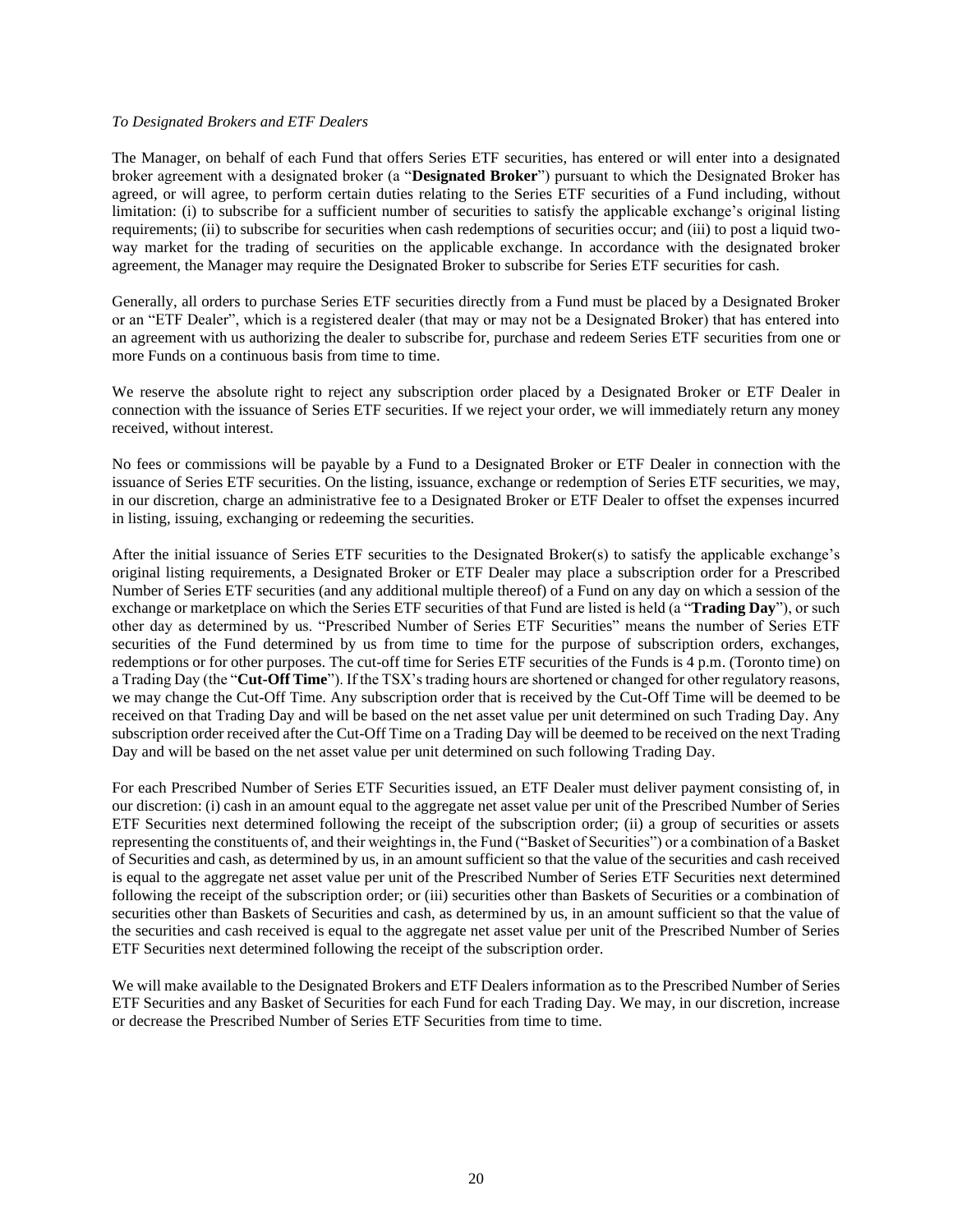#### *To Designated Brokers and ETF Dealers*

The Manager, on behalf of each Fund that offers Series ETF securities, has entered or will enter into a designated broker agreement with a designated broker (a "**Designated Broker**") pursuant to which the Designated Broker has agreed, or will agree, to perform certain duties relating to the Series ETF securities of a Fund including, without limitation: (i) to subscribe for a sufficient number of securities to satisfy the applicable exchange's original listing requirements; (ii) to subscribe for securities when cash redemptions of securities occur; and (iii) to post a liquid twoway market for the trading of securities on the applicable exchange. In accordance with the designated broker agreement, the Manager may require the Designated Broker to subscribe for Series ETF securities for cash.

Generally, all orders to purchase Series ETF securities directly from a Fund must be placed by a Designated Broker or an "ETF Dealer", which is a registered dealer (that may or may not be a Designated Broker) that has entered into an agreement with us authorizing the dealer to subscribe for, purchase and redeem Series ETF securities from one or more Funds on a continuous basis from time to time.

We reserve the absolute right to reject any subscription order placed by a Designated Broker or ETF Dealer in connection with the issuance of Series ETF securities. If we reject your order, we will immediately return any money received, without interest.

No fees or commissions will be payable by a Fund to a Designated Broker or ETF Dealer in connection with the issuance of Series ETF securities. On the listing, issuance, exchange or redemption of Series ETF securities, we may, in our discretion, charge an administrative fee to a Designated Broker or ETF Dealer to offset the expenses incurred in listing, issuing, exchanging or redeeming the securities.

After the initial issuance of Series ETF securities to the Designated Broker(s) to satisfy the applicable exchange's original listing requirements, a Designated Broker or ETF Dealer may place a subscription order for a Prescribed Number of Series ETF securities (and any additional multiple thereof) of a Fund on any day on which a session of the exchange or marketplace on which the Series ETF securities of that Fund are listed is held (a "**Trading Day**"), or such other day as determined by us. "Prescribed Number of Series ETF Securities" means the number of Series ETF securities of the Fund determined by us from time to time for the purpose of subscription orders, exchanges, redemptions or for other purposes. The cut-off time for Series ETF securities of the Funds is 4 p.m. (Toronto time) on a Trading Day (the "**Cut-Off Time**"). If the TSX's trading hours are shortened or changed for other regulatory reasons, we may change the Cut-Off Time. Any subscription order that is received by the Cut-Off Time will be deemed to be received on that Trading Day and will be based on the net asset value per unit determined on such Trading Day. Any subscription order received after the Cut-Off Time on a Trading Day will be deemed to be received on the next Trading Day and will be based on the net asset value per unit determined on such following Trading Day.

For each Prescribed Number of Series ETF Securities issued, an ETF Dealer must deliver payment consisting of, in our discretion: (i) cash in an amount equal to the aggregate net asset value per unit of the Prescribed Number of Series ETF Securities next determined following the receipt of the subscription order; (ii) a group of securities or assets representing the constituents of, and their weightings in, the Fund ("Basket of Securities") or a combination of a Basket of Securities and cash, as determined by us, in an amount sufficient so that the value of the securities and cash received is equal to the aggregate net asset value per unit of the Prescribed Number of Series ETF Securities next determined following the receipt of the subscription order; or (iii) securities other than Baskets of Securities or a combination of securities other than Baskets of Securities and cash, as determined by us, in an amount sufficient so that the value of the securities and cash received is equal to the aggregate net asset value per unit of the Prescribed Number of Series ETF Securities next determined following the receipt of the subscription order.

We will make available to the Designated Brokers and ETF Dealers information as to the Prescribed Number of Series ETF Securities and any Basket of Securities for each Fund for each Trading Day. We may, in our discretion, increase or decrease the Prescribed Number of Series ETF Securities from time to time.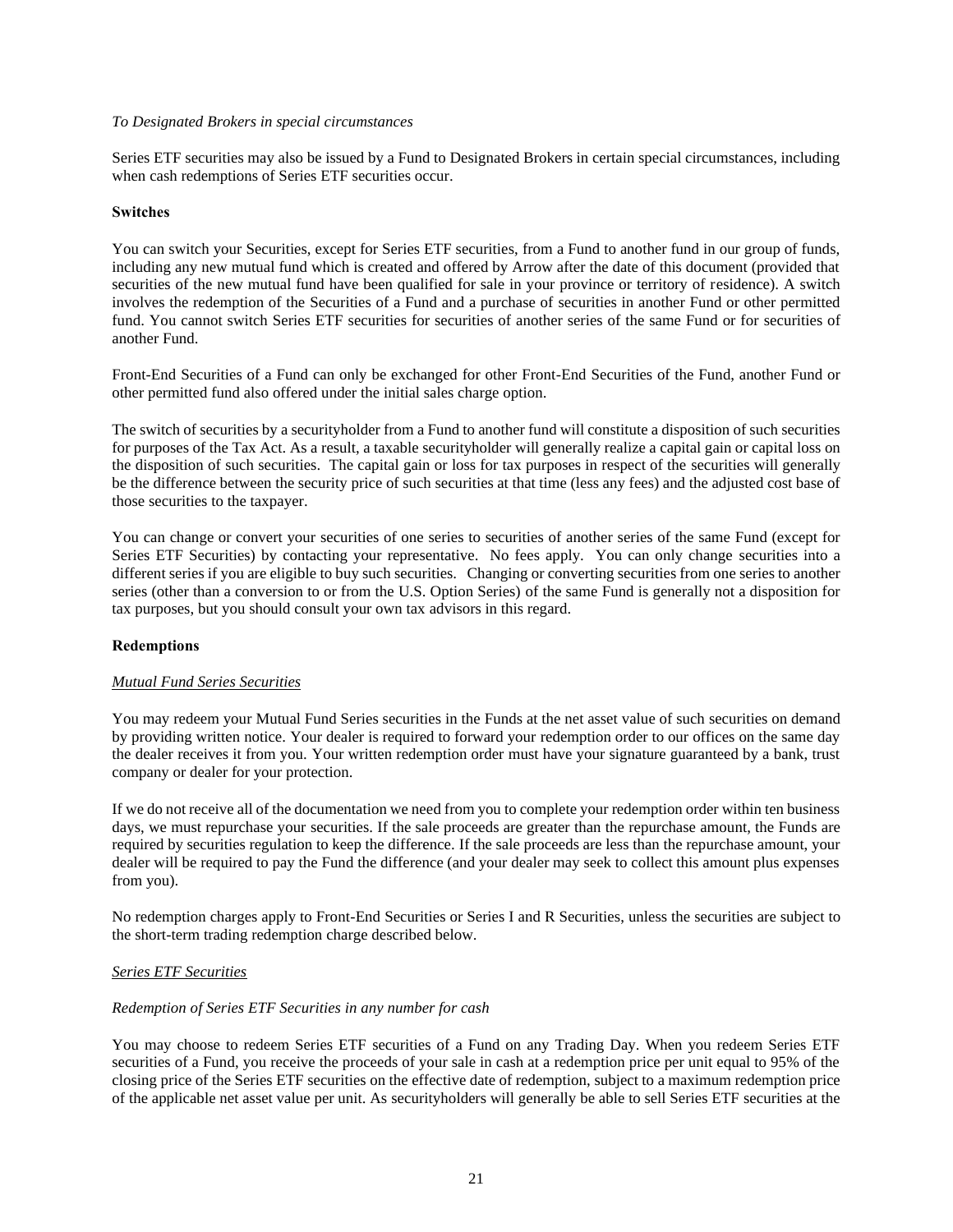#### *To Designated Brokers in special circumstances*

Series ETF securities may also be issued by a Fund to Designated Brokers in certain special circumstances, including when cash redemptions of Series ETF securities occur.

#### **Switches**

You can switch your Securities, except for Series ETF securities, from a Fund to another fund in our group of funds, including any new mutual fund which is created and offered by Arrow after the date of this document (provided that securities of the new mutual fund have been qualified for sale in your province or territory of residence). A switch involves the redemption of the Securities of a Fund and a purchase of securities in another Fund or other permitted fund. You cannot switch Series ETF securities for securities of another series of the same Fund or for securities of another Fund.

Front-End Securities of a Fund can only be exchanged for other Front-End Securities of the Fund, another Fund or other permitted fund also offered under the initial sales charge option.

The switch of securities by a securityholder from a Fund to another fund will constitute a disposition of such securities for purposes of the Tax Act. As a result, a taxable securityholder will generally realize a capital gain or capital loss on the disposition of such securities. The capital gain or loss for tax purposes in respect of the securities will generally be the difference between the security price of such securities at that time (less any fees) and the adjusted cost base of those securities to the taxpayer.

You can change or convert your securities of one series to securities of another series of the same Fund (except for Series ETF Securities) by contacting your representative. No fees apply. You can only change securities into a different series if you are eligible to buy such securities. Changing or converting securities from one series to another series (other than a conversion to or from the U.S. Option Series) of the same Fund is generally not a disposition for tax purposes, but you should consult your own tax advisors in this regard.

## **Redemptions**

#### *Mutual Fund Series Securities*

You may redeem your Mutual Fund Series securities in the Funds at the net asset value of such securities on demand by providing written notice. Your dealer is required to forward your redemption order to our offices on the same day the dealer receives it from you. Your written redemption order must have your signature guaranteed by a bank, trust company or dealer for your protection.

If we do not receive all of the documentation we need from you to complete your redemption order within ten business days, we must repurchase your securities. If the sale proceeds are greater than the repurchase amount, the Funds are required by securities regulation to keep the difference. If the sale proceeds are less than the repurchase amount, your dealer will be required to pay the Fund the difference (and your dealer may seek to collect this amount plus expenses from you).

No redemption charges apply to Front-End Securities or Series I and R Securities, unless the securities are subject to the short-term trading redemption charge described below.

## *Series ETF Securities*

#### *Redemption of Series ETF Securities in any number for cash*

You may choose to redeem Series ETF securities of a Fund on any Trading Day. When you redeem Series ETF securities of a Fund, you receive the proceeds of your sale in cash at a redemption price per unit equal to 95% of the closing price of the Series ETF securities on the effective date of redemption, subject to a maximum redemption price of the applicable net asset value per unit. As securityholders will generally be able to sell Series ETF securities at the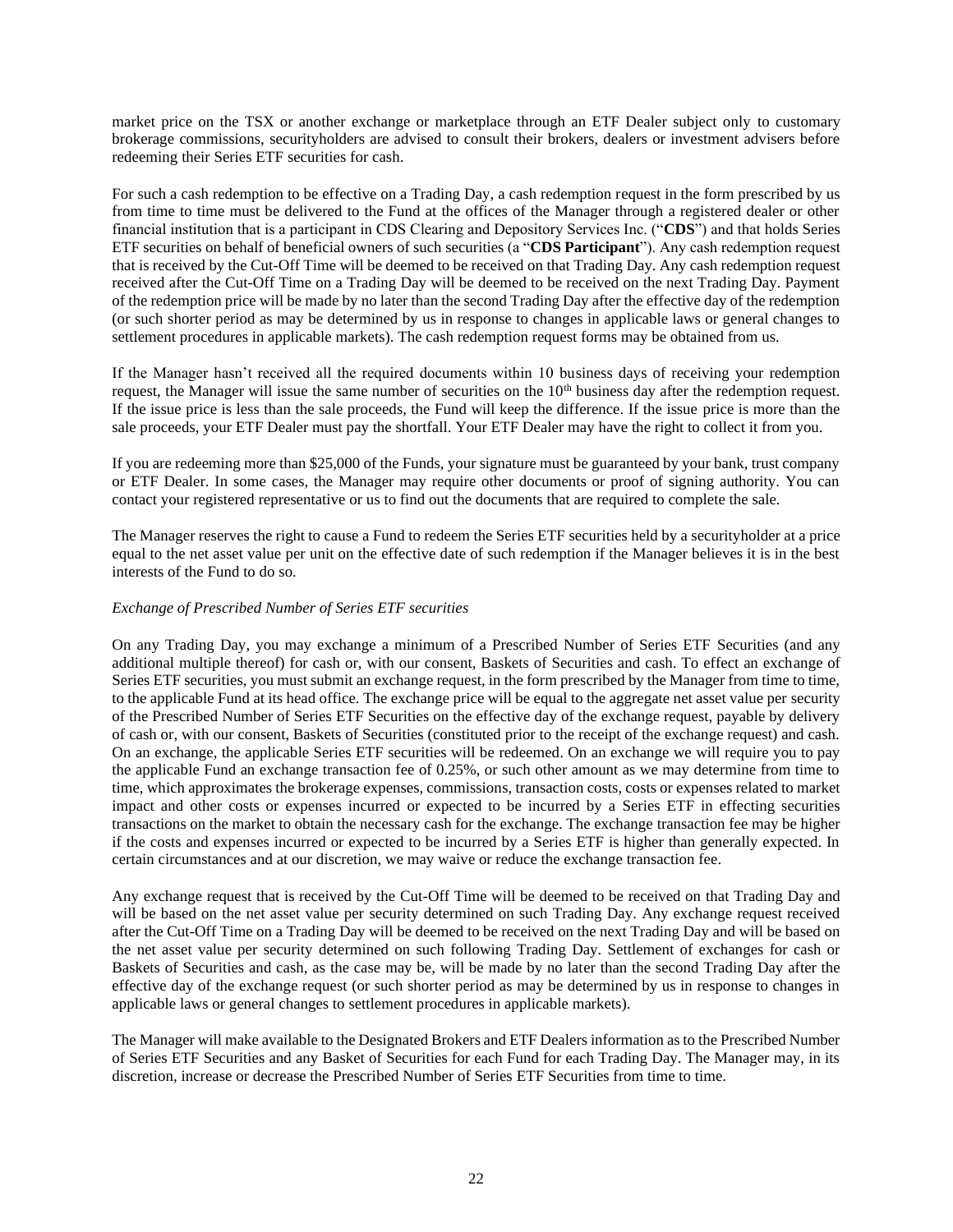market price on the TSX or another exchange or marketplace through an ETF Dealer subject only to customary brokerage commissions, securityholders are advised to consult their brokers, dealers or investment advisers before redeeming their Series ETF securities for cash.

For such a cash redemption to be effective on a Trading Day, a cash redemption request in the form prescribed by us from time to time must be delivered to the Fund at the offices of the Manager through a registered dealer or other financial institution that is a participant in CDS Clearing and Depository Services Inc. ("**CDS**") and that holds Series ETF securities on behalf of beneficial owners of such securities (a "**CDS Participant**"). Any cash redemption request that is received by the Cut-Off Time will be deemed to be received on that Trading Day. Any cash redemption request received after the Cut-Off Time on a Trading Day will be deemed to be received on the next Trading Day. Payment of the redemption price will be made by no later than the second Trading Day after the effective day of the redemption (or such shorter period as may be determined by us in response to changes in applicable laws or general changes to settlement procedures in applicable markets). The cash redemption request forms may be obtained from us.

If the Manager hasn't received all the required documents within 10 business days of receiving your redemption request, the Manager will issue the same number of securities on the  $10<sup>th</sup>$  business day after the redemption request. If the issue price is less than the sale proceeds, the Fund will keep the difference. If the issue price is more than the sale proceeds, your ETF Dealer must pay the shortfall. Your ETF Dealer may have the right to collect it from you.

If you are redeeming more than \$25,000 of the Funds, your signature must be guaranteed by your bank, trust company or ETF Dealer. In some cases, the Manager may require other documents or proof of signing authority. You can contact your registered representative or us to find out the documents that are required to complete the sale.

The Manager reserves the right to cause a Fund to redeem the Series ETF securities held by a securityholder at a price equal to the net asset value per unit on the effective date of such redemption if the Manager believes it is in the best interests of the Fund to do so.

## *Exchange of Prescribed Number of Series ETF securities*

On any Trading Day, you may exchange a minimum of a Prescribed Number of Series ETF Securities (and any additional multiple thereof) for cash or, with our consent, Baskets of Securities and cash. To effect an exchange of Series ETF securities, you must submit an exchange request, in the form prescribed by the Manager from time to time, to the applicable Fund at its head office. The exchange price will be equal to the aggregate net asset value per security of the Prescribed Number of Series ETF Securities on the effective day of the exchange request, payable by delivery of cash or, with our consent, Baskets of Securities (constituted prior to the receipt of the exchange request) and cash. On an exchange, the applicable Series ETF securities will be redeemed. On an exchange we will require you to pay the applicable Fund an exchange transaction fee of 0.25%, or such other amount as we may determine from time to time, which approximates the brokerage expenses, commissions, transaction costs, costs or expenses related to market impact and other costs or expenses incurred or expected to be incurred by a Series ETF in effecting securities transactions on the market to obtain the necessary cash for the exchange. The exchange transaction fee may be higher if the costs and expenses incurred or expected to be incurred by a Series ETF is higher than generally expected. In certain circumstances and at our discretion, we may waive or reduce the exchange transaction fee.

Any exchange request that is received by the Cut-Off Time will be deemed to be received on that Trading Day and will be based on the net asset value per security determined on such Trading Day. Any exchange request received after the Cut-Off Time on a Trading Day will be deemed to be received on the next Trading Day and will be based on the net asset value per security determined on such following Trading Day. Settlement of exchanges for cash or Baskets of Securities and cash, as the case may be, will be made by no later than the second Trading Day after the effective day of the exchange request (or such shorter period as may be determined by us in response to changes in applicable laws or general changes to settlement procedures in applicable markets).

The Manager will make available to the Designated Brokers and ETF Dealers information as to the Prescribed Number of Series ETF Securities and any Basket of Securities for each Fund for each Trading Day. The Manager may, in its discretion, increase or decrease the Prescribed Number of Series ETF Securities from time to time.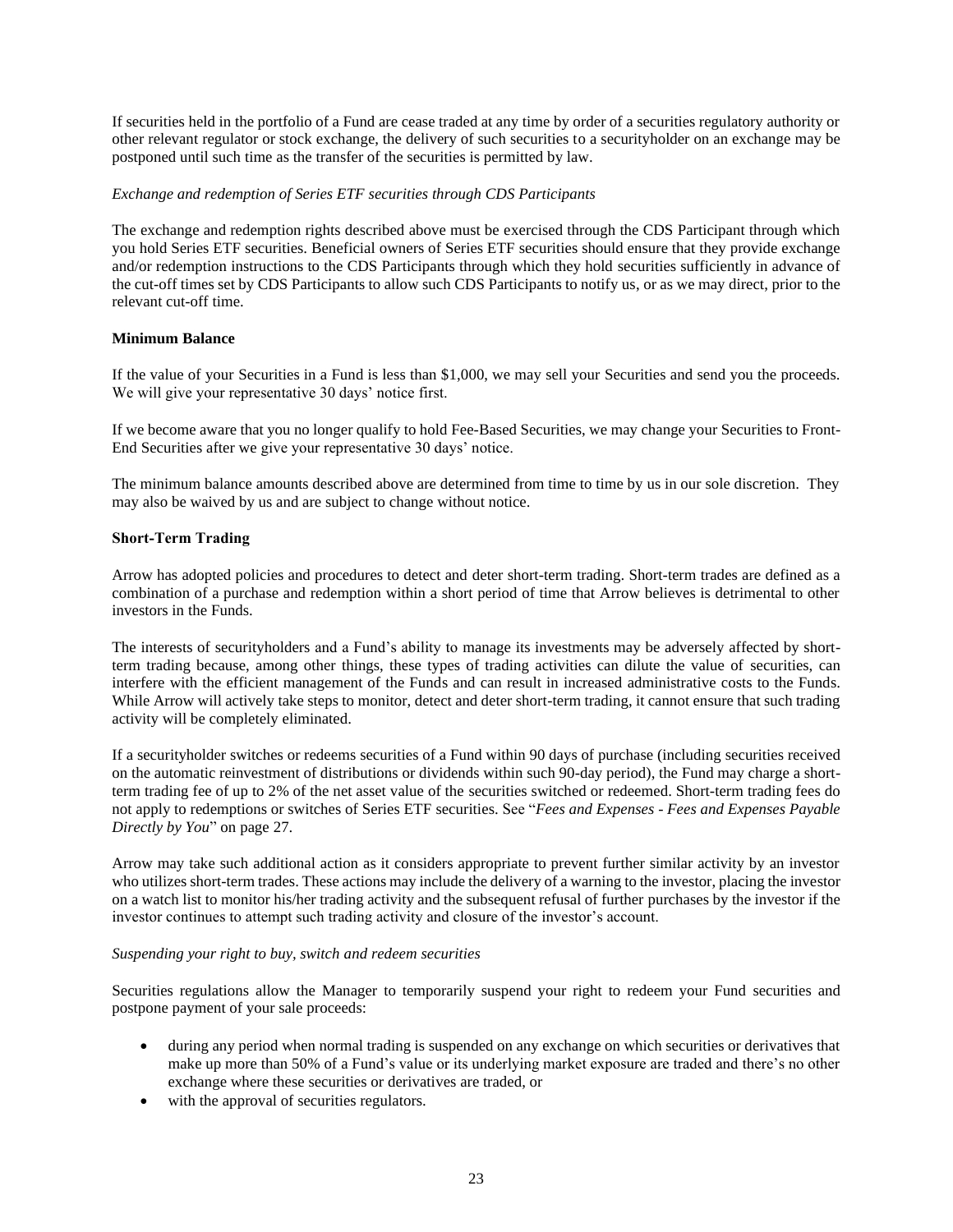If securities held in the portfolio of a Fund are cease traded at any time by order of a securities regulatory authority or other relevant regulator or stock exchange, the delivery of such securities to a securityholder on an exchange may be postponed until such time as the transfer of the securities is permitted by law.

## *Exchange and redemption of Series ETF securities through CDS Participants*

The exchange and redemption rights described above must be exercised through the CDS Participant through which you hold Series ETF securities. Beneficial owners of Series ETF securities should ensure that they provide exchange and/or redemption instructions to the CDS Participants through which they hold securities sufficiently in advance of the cut-off times set by CDS Participants to allow such CDS Participants to notify us, or as we may direct, prior to the relevant cut-off time.

## **Minimum Balance**

If the value of your Securities in a Fund is less than \$1,000, we may sell your Securities and send you the proceeds. We will give your representative 30 days' notice first.

If we become aware that you no longer qualify to hold Fee-Based Securities, we may change your Securities to Front-End Securities after we give your representative 30 days' notice.

The minimum balance amounts described above are determined from time to time by us in our sole discretion. They may also be waived by us and are subject to change without notice.

### **Short-Term Trading**

Arrow has adopted policies and procedures to detect and deter short-term trading. Short-term trades are defined as a combination of a purchase and redemption within a short period of time that Arrow believes is detrimental to other investors in the Funds.

The interests of securityholders and a Fund's ability to manage its investments may be adversely affected by shortterm trading because, among other things, these types of trading activities can dilute the value of securities, can interfere with the efficient management of the Funds and can result in increased administrative costs to the Funds. While Arrow will actively take steps to monitor, detect and deter short-term trading, it cannot ensure that such trading activity will be completely eliminated.

If a securityholder switches or redeems securities of a Fund within 90 days of purchase (including securities received on the automatic reinvestment of distributions or dividends within such 90-day period), the Fund may charge a shortterm trading fee of up to 2% of the net asset value of the securities switched or redeemed. Short-term trading fees do not apply to redemptions or switches of Series ETF securities. See "*Fees and Expenses - Fees and Expenses Payable Directly by You*" on pag[e 27.](#page-27-0)

Arrow may take such additional action as it considers appropriate to prevent further similar activity by an investor who utilizes short-term trades. These actions may include the delivery of a warning to the investor, placing the investor on a watch list to monitor his/her trading activity and the subsequent refusal of further purchases by the investor if the investor continues to attempt such trading activity and closure of the investor's account.

#### *Suspending your right to buy, switch and redeem securities*

Securities regulations allow the Manager to temporarily suspend your right to redeem your Fund securities and postpone payment of your sale proceeds:

- during any period when normal trading is suspended on any exchange on which securities or derivatives that make up more than 50% of a Fund's value or its underlying market exposure are traded and there's no other exchange where these securities or derivatives are traded, or
- with the approval of securities regulators.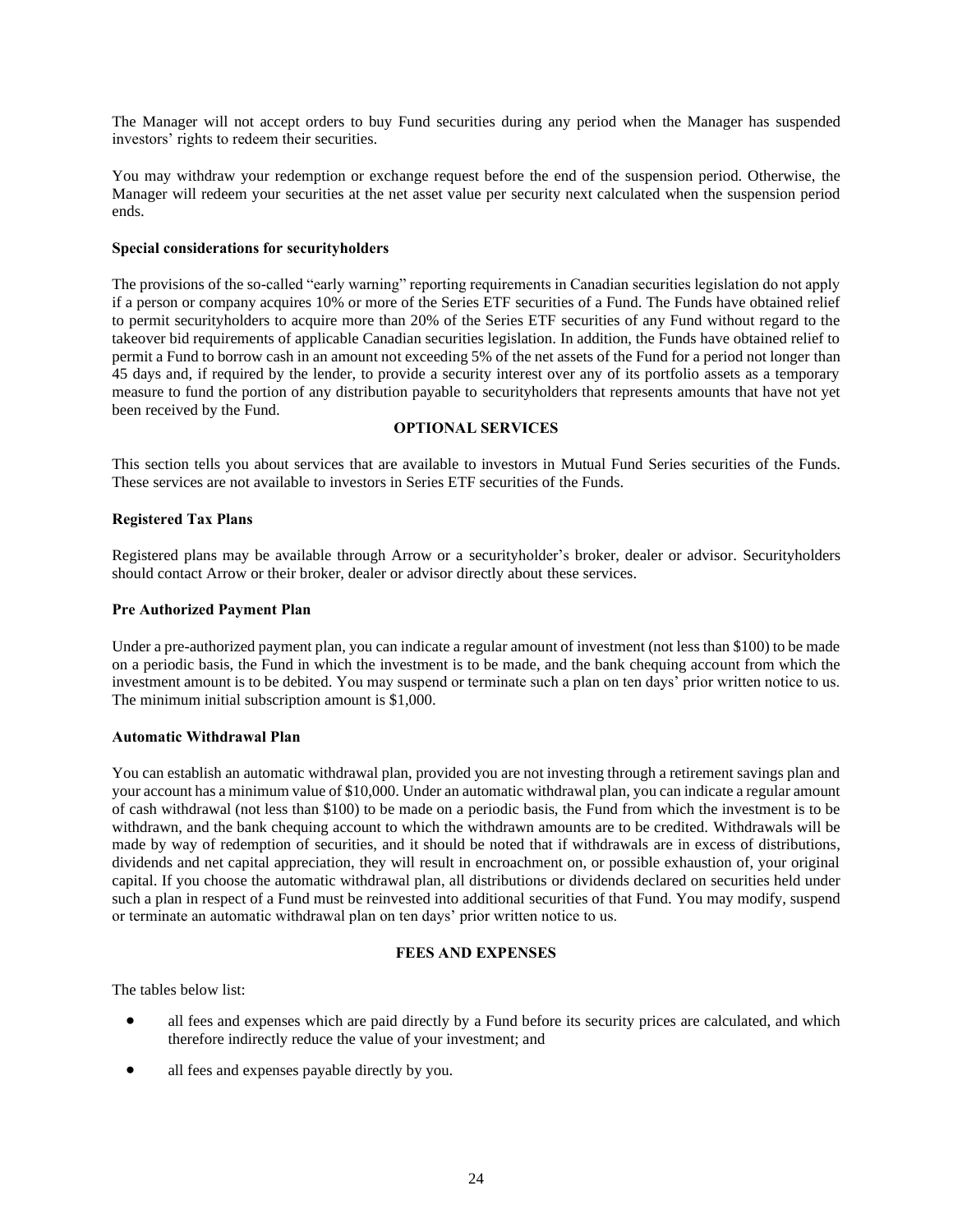The Manager will not accept orders to buy Fund securities during any period when the Manager has suspended investors' rights to redeem their securities.

You may withdraw your redemption or exchange request before the end of the suspension period. Otherwise, the Manager will redeem your securities at the net asset value per security next calculated when the suspension period ends.

### **Special considerations for securityholders**

The provisions of the so-called "early warning" reporting requirements in Canadian securities legislation do not apply if a person or company acquires 10% or more of the Series ETF securities of a Fund. The Funds have obtained relief to permit securityholders to acquire more than 20% of the Series ETF securities of any Fund without regard to the takeover bid requirements of applicable Canadian securities legislation. In addition, the Funds have obtained relief to permit a Fund to borrow cash in an amount not exceeding 5% of the net assets of the Fund for a period not longer than 45 days and, if required by the lender, to provide a security interest over any of its portfolio assets as a temporary measure to fund the portion of any distribution payable to securityholders that represents amounts that have not yet been received by the Fund.

## **OPTIONAL SERVICES**

<span id="page-24-0"></span>This section tells you about services that are available to investors in Mutual Fund Series securities of the Funds. These services are not available to investors in Series ETF securities of the Funds.

### **Registered Tax Plans**

Registered plans may be available through Arrow or a securityholder's broker, dealer or advisor. Securityholders should contact Arrow or their broker, dealer or advisor directly about these services.

#### **Pre Authorized Payment Plan**

Under a pre-authorized payment plan, you can indicate a regular amount of investment (not less than \$100) to be made on a periodic basis, the Fund in which the investment is to be made, and the bank chequing account from which the investment amount is to be debited. You may suspend or terminate such a plan on ten days' prior written notice to us. The minimum initial subscription amount is \$1,000.

#### **Automatic Withdrawal Plan**

You can establish an automatic withdrawal plan, provided you are not investing through a retirement savings plan and your account has a minimum value of \$10,000. Under an automatic withdrawal plan, you can indicate a regular amount of cash withdrawal (not less than \$100) to be made on a periodic basis, the Fund from which the investment is to be withdrawn, and the bank chequing account to which the withdrawn amounts are to be credited. Withdrawals will be made by way of redemption of securities, and it should be noted that if withdrawals are in excess of distributions, dividends and net capital appreciation, they will result in encroachment on, or possible exhaustion of, your original capital. If you choose the automatic withdrawal plan, all distributions or dividends declared on securities held under such a plan in respect of a Fund must be reinvested into additional securities of that Fund. You may modify, suspend or terminate an automatic withdrawal plan on ten days' prior written notice to us.

## **FEES AND EXPENSES**

<span id="page-24-1"></span>The tables below list:

- all fees and expenses which are paid directly by a Fund before its security prices are calculated, and which therefore indirectly reduce the value of your investment; and
- all fees and expenses payable directly by you.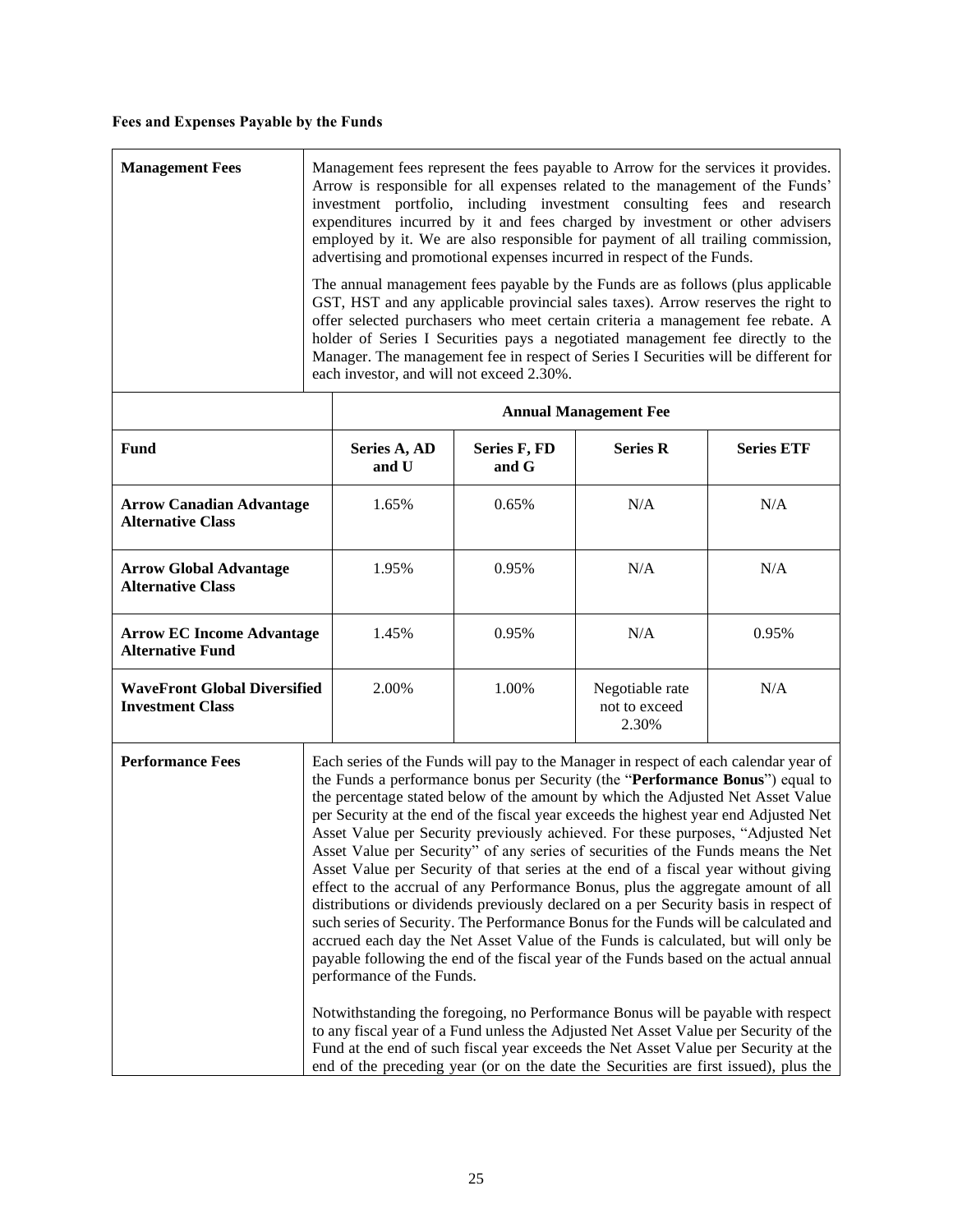## **Fees and Expenses Payable by the Funds**

| <b>Management Fees</b>                                         | Management fees represent the fees payable to Arrow for the services it provides.<br>Arrow is responsible for all expenses related to the management of the Funds'<br>investment portfolio, including investment consulting fees and research<br>expenditures incurred by it and fees charged by investment or other advisers<br>employed by it. We are also responsible for payment of all trailing commission,<br>advertising and promotional expenses incurred in respect of the Funds.<br>The annual management fees payable by the Funds are as follows (plus applicable<br>GST, HST and any applicable provincial sales taxes). Arrow reserves the right to<br>offer selected purchasers who meet certain criteria a management fee rebate. A<br>holder of Series I Securities pays a negotiated management fee directly to the<br>Manager. The management fee in respect of Series I Securities will be different for<br>each investor, and will not exceed 2.30%.                                                                                                                                                                                                                                                                                                                                                                                                                                                                             |                       |                       |                                           |                   |
|----------------------------------------------------------------|-------------------------------------------------------------------------------------------------------------------------------------------------------------------------------------------------------------------------------------------------------------------------------------------------------------------------------------------------------------------------------------------------------------------------------------------------------------------------------------------------------------------------------------------------------------------------------------------------------------------------------------------------------------------------------------------------------------------------------------------------------------------------------------------------------------------------------------------------------------------------------------------------------------------------------------------------------------------------------------------------------------------------------------------------------------------------------------------------------------------------------------------------------------------------------------------------------------------------------------------------------------------------------------------------------------------------------------------------------------------------------------------------------------------------------------------------------|-----------------------|-----------------------|-------------------------------------------|-------------------|
|                                                                |                                                                                                                                                                                                                                                                                                                                                                                                                                                                                                                                                                                                                                                                                                                                                                                                                                                                                                                                                                                                                                                                                                                                                                                                                                                                                                                                                                                                                                                       |                       |                       | <b>Annual Management Fee</b>              |                   |
| Fund                                                           |                                                                                                                                                                                                                                                                                                                                                                                                                                                                                                                                                                                                                                                                                                                                                                                                                                                                                                                                                                                                                                                                                                                                                                                                                                                                                                                                                                                                                                                       | Series A, AD<br>and U | Series F, FD<br>and G | <b>Series R</b>                           | <b>Series ETF</b> |
| <b>Arrow Canadian Advantage</b><br><b>Alternative Class</b>    |                                                                                                                                                                                                                                                                                                                                                                                                                                                                                                                                                                                                                                                                                                                                                                                                                                                                                                                                                                                                                                                                                                                                                                                                                                                                                                                                                                                                                                                       | 1.65%                 | 0.65%                 | N/A                                       | N/A               |
| <b>Arrow Global Advantage</b><br><b>Alternative Class</b>      |                                                                                                                                                                                                                                                                                                                                                                                                                                                                                                                                                                                                                                                                                                                                                                                                                                                                                                                                                                                                                                                                                                                                                                                                                                                                                                                                                                                                                                                       | 1.95%                 | 0.95%                 | N/A                                       | N/A               |
| <b>Arrow EC Income Advantage</b><br><b>Alternative Fund</b>    |                                                                                                                                                                                                                                                                                                                                                                                                                                                                                                                                                                                                                                                                                                                                                                                                                                                                                                                                                                                                                                                                                                                                                                                                                                                                                                                                                                                                                                                       | 1.45%                 | 0.95%                 | N/A                                       | 0.95%             |
| <b>WaveFront Global Diversified</b><br><b>Investment Class</b> |                                                                                                                                                                                                                                                                                                                                                                                                                                                                                                                                                                                                                                                                                                                                                                                                                                                                                                                                                                                                                                                                                                                                                                                                                                                                                                                                                                                                                                                       | 2.00%                 | 1.00%                 | Negotiable rate<br>not to exceed<br>2.30% | N/A               |
| <b>Performance Fees</b>                                        | Each series of the Funds will pay to the Manager in respect of each calendar year of<br>the Funds a performance bonus per Security (the "Performance Bonus") equal to<br>the percentage stated below of the amount by which the Adjusted Net Asset Value<br>per Security at the end of the fiscal year exceeds the highest year end Adjusted Net<br>Asset Value per Security previously achieved. For these purposes, "Adjusted Net<br>Asset Value per Security" of any series of securities of the Funds means the Net<br>Asset Value per Security of that series at the end of a fiscal year without giving<br>effect to the accrual of any Performance Bonus, plus the aggregate amount of all<br>distributions or dividends previously declared on a per Security basis in respect of<br>such series of Security. The Performance Bonus for the Funds will be calculated and<br>accrued each day the Net Asset Value of the Funds is calculated, but will only be<br>payable following the end of the fiscal year of the Funds based on the actual annual<br>performance of the Funds.<br>Notwithstanding the foregoing, no Performance Bonus will be payable with respect<br>to any fiscal year of a Fund unless the Adjusted Net Asset Value per Security of the<br>Fund at the end of such fiscal year exceeds the Net Asset Value per Security at the<br>end of the preceding year (or on the date the Securities are first issued), plus the |                       |                       |                                           |                   |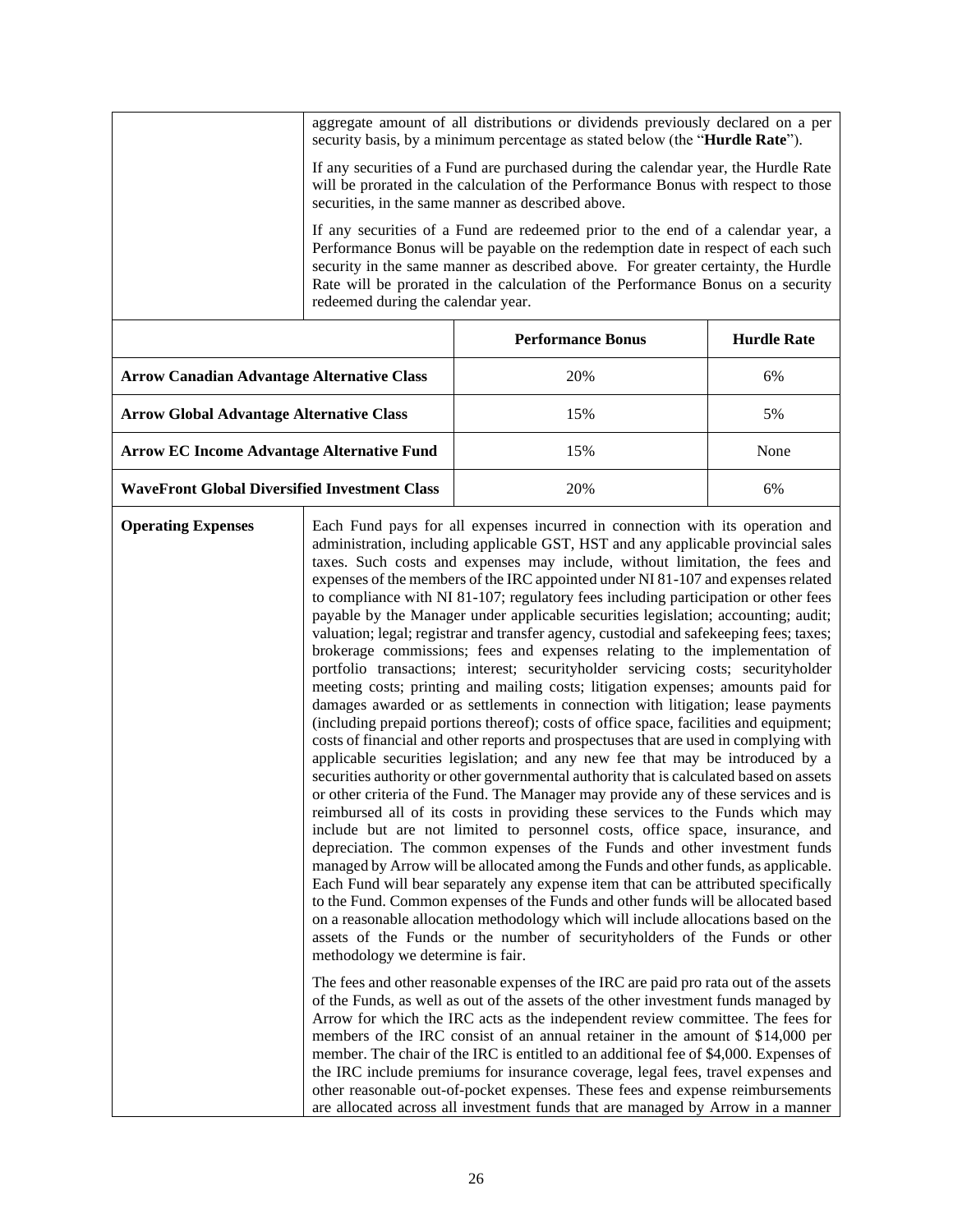|                                                      | aggregate amount of all distributions or dividends previously declared on a per<br>security basis, by a minimum percentage as stated below (the "Hurdle Rate").                                                                                                                                                                                                                   |                                                                                                                                                                                                                                                                                                                                                                                                                                                                                                                                                                                                                                                                                                                                                                                                                                                                                                                                                                                                                                                                                                                                                                                                                                                                                                                                                                                                                                                                                                                                                                                                                                                                                                                                                                                                                                                                                                                                                                                                                                                                                                                                                                                                                                                                                                                                                                                                                                                                                                                                                                                                                                                                                                                                                                                                            |                    |
|------------------------------------------------------|-----------------------------------------------------------------------------------------------------------------------------------------------------------------------------------------------------------------------------------------------------------------------------------------------------------------------------------------------------------------------------------|------------------------------------------------------------------------------------------------------------------------------------------------------------------------------------------------------------------------------------------------------------------------------------------------------------------------------------------------------------------------------------------------------------------------------------------------------------------------------------------------------------------------------------------------------------------------------------------------------------------------------------------------------------------------------------------------------------------------------------------------------------------------------------------------------------------------------------------------------------------------------------------------------------------------------------------------------------------------------------------------------------------------------------------------------------------------------------------------------------------------------------------------------------------------------------------------------------------------------------------------------------------------------------------------------------------------------------------------------------------------------------------------------------------------------------------------------------------------------------------------------------------------------------------------------------------------------------------------------------------------------------------------------------------------------------------------------------------------------------------------------------------------------------------------------------------------------------------------------------------------------------------------------------------------------------------------------------------------------------------------------------------------------------------------------------------------------------------------------------------------------------------------------------------------------------------------------------------------------------------------------------------------------------------------------------------------------------------------------------------------------------------------------------------------------------------------------------------------------------------------------------------------------------------------------------------------------------------------------------------------------------------------------------------------------------------------------------------------------------------------------------------------------------------------------------|--------------------|
|                                                      | If any securities of a Fund are purchased during the calendar year, the Hurdle Rate<br>will be prorated in the calculation of the Performance Bonus with respect to those<br>securities, in the same manner as described above.                                                                                                                                                   |                                                                                                                                                                                                                                                                                                                                                                                                                                                                                                                                                                                                                                                                                                                                                                                                                                                                                                                                                                                                                                                                                                                                                                                                                                                                                                                                                                                                                                                                                                                                                                                                                                                                                                                                                                                                                                                                                                                                                                                                                                                                                                                                                                                                                                                                                                                                                                                                                                                                                                                                                                                                                                                                                                                                                                                                            |                    |
|                                                      | If any securities of a Fund are redeemed prior to the end of a calendar year, a<br>Performance Bonus will be payable on the redemption date in respect of each such<br>security in the same manner as described above. For greater certainty, the Hurdle<br>Rate will be prorated in the calculation of the Performance Bonus on a security<br>redeemed during the calendar year. |                                                                                                                                                                                                                                                                                                                                                                                                                                                                                                                                                                                                                                                                                                                                                                                                                                                                                                                                                                                                                                                                                                                                                                                                                                                                                                                                                                                                                                                                                                                                                                                                                                                                                                                                                                                                                                                                                                                                                                                                                                                                                                                                                                                                                                                                                                                                                                                                                                                                                                                                                                                                                                                                                                                                                                                                            |                    |
|                                                      |                                                                                                                                                                                                                                                                                                                                                                                   | <b>Performance Bonus</b>                                                                                                                                                                                                                                                                                                                                                                                                                                                                                                                                                                                                                                                                                                                                                                                                                                                                                                                                                                                                                                                                                                                                                                                                                                                                                                                                                                                                                                                                                                                                                                                                                                                                                                                                                                                                                                                                                                                                                                                                                                                                                                                                                                                                                                                                                                                                                                                                                                                                                                                                                                                                                                                                                                                                                                                   | <b>Hurdle Rate</b> |
| <b>Arrow Canadian Advantage Alternative Class</b>    |                                                                                                                                                                                                                                                                                                                                                                                   | 20%                                                                                                                                                                                                                                                                                                                                                                                                                                                                                                                                                                                                                                                                                                                                                                                                                                                                                                                                                                                                                                                                                                                                                                                                                                                                                                                                                                                                                                                                                                                                                                                                                                                                                                                                                                                                                                                                                                                                                                                                                                                                                                                                                                                                                                                                                                                                                                                                                                                                                                                                                                                                                                                                                                                                                                                                        | 6%                 |
| <b>Arrow Global Advantage Alternative Class</b>      |                                                                                                                                                                                                                                                                                                                                                                                   | 15%                                                                                                                                                                                                                                                                                                                                                                                                                                                                                                                                                                                                                                                                                                                                                                                                                                                                                                                                                                                                                                                                                                                                                                                                                                                                                                                                                                                                                                                                                                                                                                                                                                                                                                                                                                                                                                                                                                                                                                                                                                                                                                                                                                                                                                                                                                                                                                                                                                                                                                                                                                                                                                                                                                                                                                                                        | 5%                 |
| <b>Arrow EC Income Advantage Alternative Fund</b>    |                                                                                                                                                                                                                                                                                                                                                                                   | 15%                                                                                                                                                                                                                                                                                                                                                                                                                                                                                                                                                                                                                                                                                                                                                                                                                                                                                                                                                                                                                                                                                                                                                                                                                                                                                                                                                                                                                                                                                                                                                                                                                                                                                                                                                                                                                                                                                                                                                                                                                                                                                                                                                                                                                                                                                                                                                                                                                                                                                                                                                                                                                                                                                                                                                                                                        | None               |
| <b>WaveFront Global Diversified Investment Class</b> |                                                                                                                                                                                                                                                                                                                                                                                   | 20%                                                                                                                                                                                                                                                                                                                                                                                                                                                                                                                                                                                                                                                                                                                                                                                                                                                                                                                                                                                                                                                                                                                                                                                                                                                                                                                                                                                                                                                                                                                                                                                                                                                                                                                                                                                                                                                                                                                                                                                                                                                                                                                                                                                                                                                                                                                                                                                                                                                                                                                                                                                                                                                                                                                                                                                                        | 6%                 |
| <b>Operating Expenses</b>                            | methodology we determine is fair.                                                                                                                                                                                                                                                                                                                                                 | Each Fund pays for all expenses incurred in connection with its operation and<br>administration, including applicable GST, HST and any applicable provincial sales<br>taxes. Such costs and expenses may include, without limitation, the fees and<br>expenses of the members of the IRC appointed under NI 81-107 and expenses related<br>to compliance with NI 81-107; regulatory fees including participation or other fees<br>payable by the Manager under applicable securities legislation; accounting; audit;<br>valuation; legal; registrar and transfer agency, custodial and safekeeping fees; taxes;<br>brokerage commissions; fees and expenses relating to the implementation of<br>portfolio transactions; interest; securityholder servicing costs; securityholder<br>meeting costs; printing and mailing costs; litigation expenses; amounts paid for<br>damages awarded or as settlements in connection with litigation; lease payments<br>(including prepaid portions thereof); costs of office space, facilities and equipment;<br>costs of financial and other reports and prospectuses that are used in complying with<br>applicable securities legislation; and any new fee that may be introduced by a<br>securities authority or other governmental authority that is calculated based on assets<br>or other criteria of the Fund. The Manager may provide any of these services and is<br>reimbursed all of its costs in providing these services to the Funds which may<br>include but are not limited to personnel costs, office space, insurance, and<br>depreciation. The common expenses of the Funds and other investment funds<br>managed by Arrow will be allocated among the Funds and other funds, as applicable.<br>Each Fund will bear separately any expense item that can be attributed specifically<br>to the Fund. Common expenses of the Funds and other funds will be allocated based<br>on a reasonable allocation methodology which will include allocations based on the<br>assets of the Funds or the number of securityholders of the Funds or other<br>The fees and other reasonable expenses of the IRC are paid pro rata out of the assets<br>of the Funds, as well as out of the assets of the other investment funds managed by<br>Arrow for which the IRC acts as the independent review committee. The fees for<br>members of the IRC consist of an annual retainer in the amount of \$14,000 per<br>member. The chair of the IRC is entitled to an additional fee of \$4,000. Expenses of<br>the IRC include premiums for insurance coverage, legal fees, travel expenses and<br>other reasonable out-of-pocket expenses. These fees and expense reimbursements<br>are allocated across all investment funds that are managed by Arrow in a manner |                    |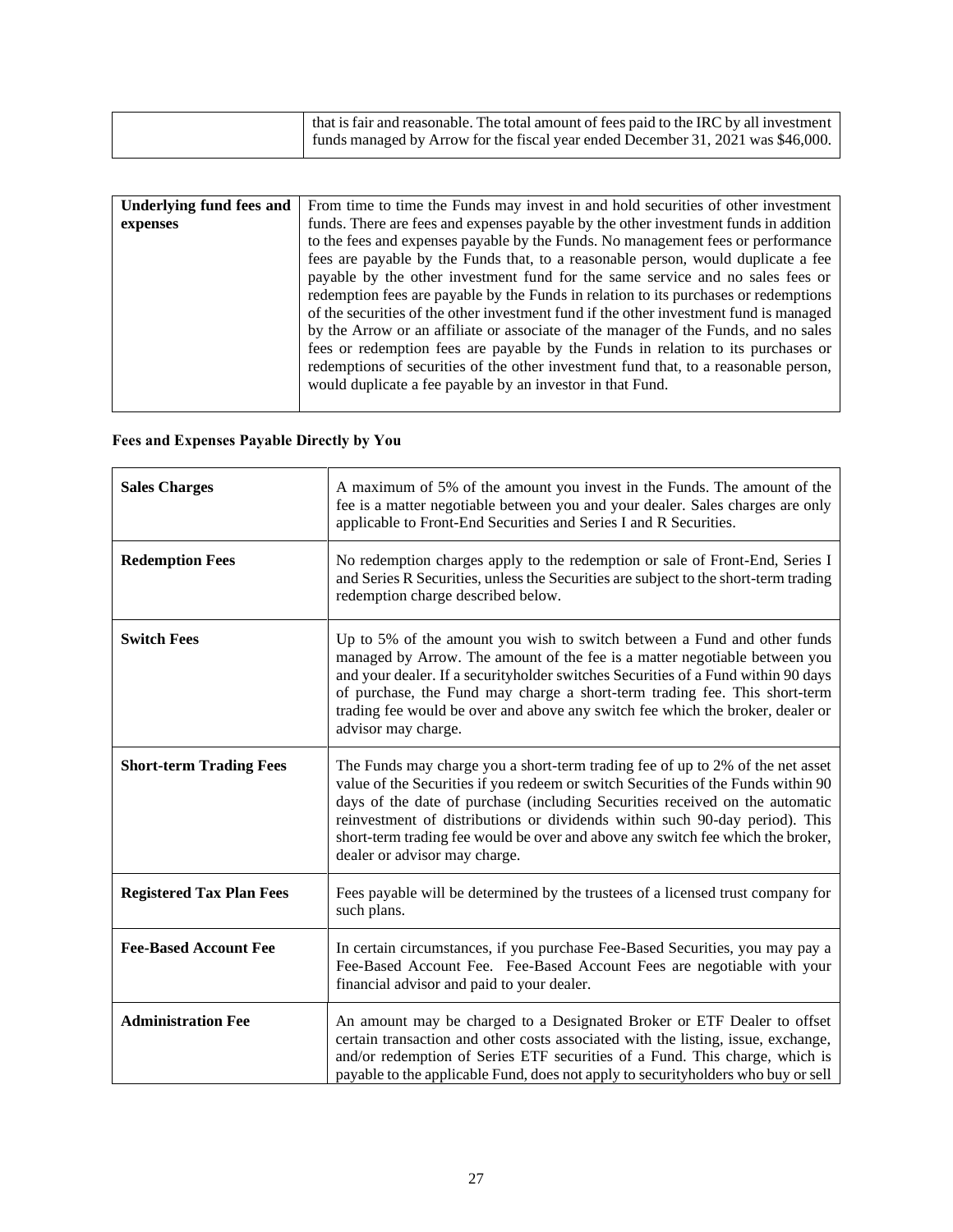| that is fair and reasonable. The total amount of fees paid to the IRC by all investment |
|-----------------------------------------------------------------------------------------|
| funds managed by Arrow for the fiscal year ended December 31, 2021 was \$46,000.        |

<span id="page-27-0"></span>

| Underlying fund fees and | From time to time the Funds may invest in and hold securities of other investment                                                                                                                                                                                                                                                                                                                                                                                                                                                                                                                                                                                                                                                                                                                                                                                  |
|--------------------------|--------------------------------------------------------------------------------------------------------------------------------------------------------------------------------------------------------------------------------------------------------------------------------------------------------------------------------------------------------------------------------------------------------------------------------------------------------------------------------------------------------------------------------------------------------------------------------------------------------------------------------------------------------------------------------------------------------------------------------------------------------------------------------------------------------------------------------------------------------------------|
| expenses                 | funds. There are fees and expenses payable by the other investment funds in addition<br>to the fees and expenses payable by the Funds. No management fees or performance<br>fees are payable by the Funds that, to a reasonable person, would duplicate a fee<br>payable by the other investment fund for the same service and no sales fees or<br>redemption fees are payable by the Funds in relation to its purchases or redemptions<br>of the securities of the other investment fund if the other investment fund is managed<br>by the Arrow or an affiliate or associate of the manager of the Funds, and no sales<br>fees or redemption fees are payable by the Funds in relation to its purchases or<br>redemptions of securities of the other investment fund that, to a reasonable person,<br>would duplicate a fee payable by an investor in that Fund. |

## **Fees and Expenses Payable Directly by You**

| <b>Sales Charges</b>            | A maximum of 5% of the amount you invest in the Funds. The amount of the<br>fee is a matter negotiable between you and your dealer. Sales charges are only<br>applicable to Front-End Securities and Series I and R Securities.                                                                                                                                                                                                                        |
|---------------------------------|--------------------------------------------------------------------------------------------------------------------------------------------------------------------------------------------------------------------------------------------------------------------------------------------------------------------------------------------------------------------------------------------------------------------------------------------------------|
| <b>Redemption Fees</b>          | No redemption charges apply to the redemption or sale of Front-End, Series I<br>and Series R Securities, unless the Securities are subject to the short-term trading<br>redemption charge described below.                                                                                                                                                                                                                                             |
| <b>Switch Fees</b>              | Up to 5% of the amount you wish to switch between a Fund and other funds<br>managed by Arrow. The amount of the fee is a matter negotiable between you<br>and your dealer. If a securityholder switches Securities of a Fund within 90 days<br>of purchase, the Fund may charge a short-term trading fee. This short-term<br>trading fee would be over and above any switch fee which the broker, dealer or<br>advisor may charge.                     |
| <b>Short-term Trading Fees</b>  | The Funds may charge you a short-term trading fee of up to 2% of the net asset<br>value of the Securities if you redeem or switch Securities of the Funds within 90<br>days of the date of purchase (including Securities received on the automatic<br>reinvestment of distributions or dividends within such 90-day period). This<br>short-term trading fee would be over and above any switch fee which the broker,<br>dealer or advisor may charge. |
| <b>Registered Tax Plan Fees</b> | Fees payable will be determined by the trustees of a licensed trust company for<br>such plans.                                                                                                                                                                                                                                                                                                                                                         |
| <b>Fee-Based Account Fee</b>    | In certain circumstances, if you purchase Fee-Based Securities, you may pay a<br>Fee-Based Account Fee. Fee-Based Account Fees are negotiable with your<br>financial advisor and paid to your dealer.                                                                                                                                                                                                                                                  |
| <b>Administration Fee</b>       | An amount may be charged to a Designated Broker or ETF Dealer to offset<br>certain transaction and other costs associated with the listing, issue, exchange,<br>and/or redemption of Series ETF securities of a Fund. This charge, which is<br>payable to the applicable Fund, does not apply to security holders who buy or sell                                                                                                                      |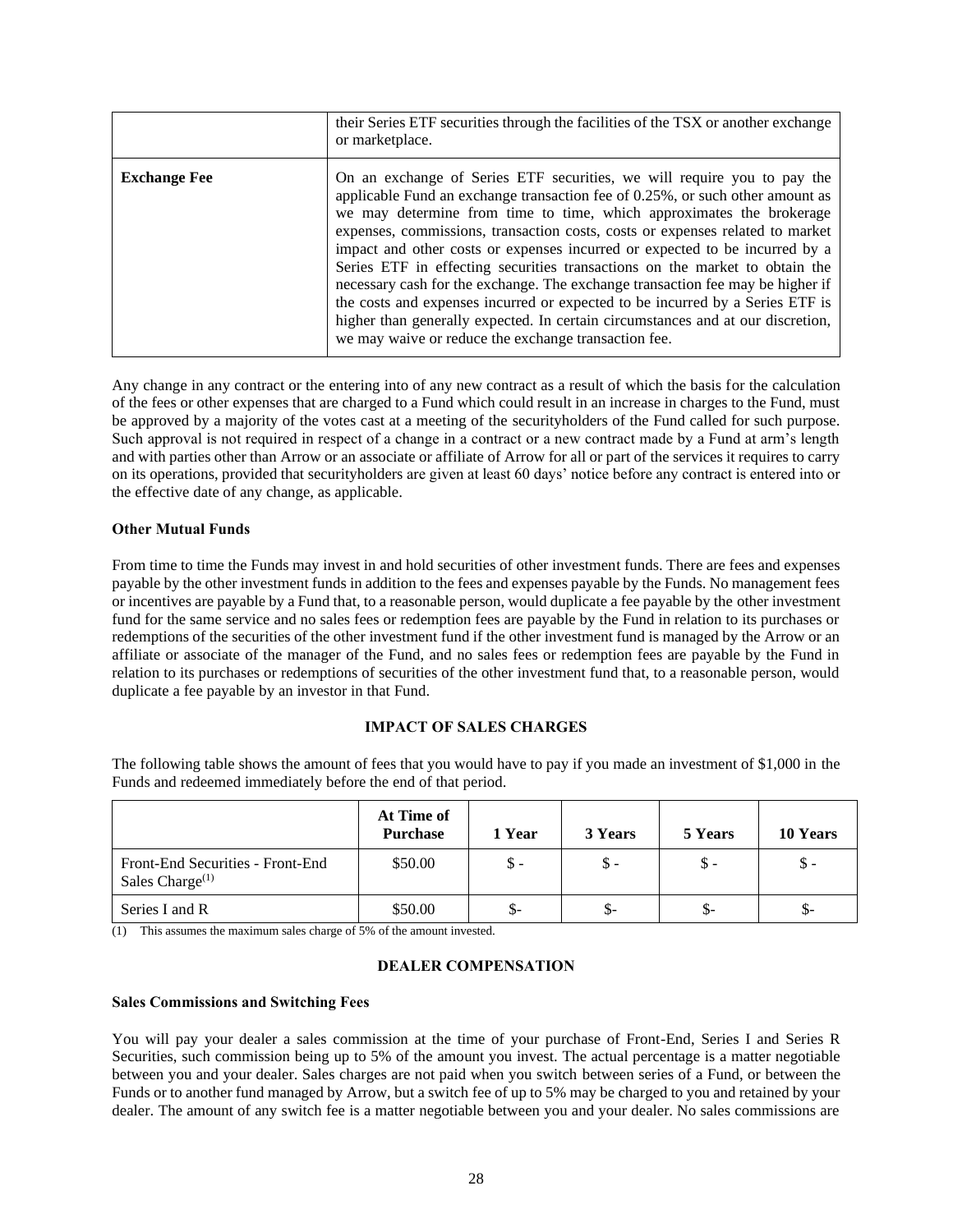|                     | their Series ETF securities through the facilities of the TSX or another exchange<br>or marketplace.                                                                                                                                                                                                                                                                                                                                                                                                                                                                                                                                                                                                                                                                                          |
|---------------------|-----------------------------------------------------------------------------------------------------------------------------------------------------------------------------------------------------------------------------------------------------------------------------------------------------------------------------------------------------------------------------------------------------------------------------------------------------------------------------------------------------------------------------------------------------------------------------------------------------------------------------------------------------------------------------------------------------------------------------------------------------------------------------------------------|
| <b>Exchange Fee</b> | On an exchange of Series ETF securities, we will require you to pay the<br>applicable Fund an exchange transaction fee of 0.25%, or such other amount as<br>we may determine from time to time, which approximates the brokerage<br>expenses, commissions, transaction costs, costs or expenses related to market<br>impact and other costs or expenses incurred or expected to be incurred by a<br>Series ETF in effecting securities transactions on the market to obtain the<br>necessary cash for the exchange. The exchange transaction fee may be higher if<br>the costs and expenses incurred or expected to be incurred by a Series ETF is<br>higher than generally expected. In certain circumstances and at our discretion,<br>we may waive or reduce the exchange transaction fee. |

Any change in any contract or the entering into of any new contract as a result of which the basis for the calculation of the fees or other expenses that are charged to a Fund which could result in an increase in charges to the Fund, must be approved by a majority of the votes cast at a meeting of the securityholders of the Fund called for such purpose. Such approval is not required in respect of a change in a contract or a new contract made by a Fund at arm's length and with parties other than Arrow or an associate or affiliate of Arrow for all or part of the services it requires to carry on its operations, provided that securityholders are given at least 60 days' notice before any contract is entered into or the effective date of any change, as applicable.

### **Other Mutual Funds**

From time to time the Funds may invest in and hold securities of other investment funds. There are fees and expenses payable by the other investment funds in addition to the fees and expenses payable by the Funds. No management fees or incentives are payable by a Fund that, to a reasonable person, would duplicate a fee payable by the other investment fund for the same service and no sales fees or redemption fees are payable by the Fund in relation to its purchases or redemptions of the securities of the other investment fund if the other investment fund is managed by the Arrow or an affiliate or associate of the manager of the Fund, and no sales fees or redemption fees are payable by the Fund in relation to its purchases or redemptions of securities of the other investment fund that, to a reasonable person, would duplicate a fee payable by an investor in that Fund.

## **IMPACT OF SALES CHARGES**

<span id="page-28-0"></span>The following table shows the amount of fees that you would have to pay if you made an investment of \$1,000 in the Funds and redeemed immediately before the end of that period.

|                                                                 | At Time of<br><b>Purchase</b> | 1 Year | 3 Years | 5 Years | 10 Years       |
|-----------------------------------------------------------------|-------------------------------|--------|---------|---------|----------------|
| Front-End Securities - Front-End<br>Sales Charge <sup>(1)</sup> | \$50.00                       | \$ -   | \$ -    | \$ -    | \$ -           |
| Series I and R                                                  | \$50.00                       | \$-    | \$-     | \$-     | $\mathbb{S}^-$ |

<span id="page-28-1"></span>(1) This assumes the maximum sales charge of 5% of the amount invested.

#### **DEALER COMPENSATION**

#### **Sales Commissions and Switching Fees**

You will pay your dealer a sales commission at the time of your purchase of Front-End, Series I and Series R Securities, such commission being up to 5% of the amount you invest. The actual percentage is a matter negotiable between you and your dealer. Sales charges are not paid when you switch between series of a Fund, or between the Funds or to another fund managed by Arrow, but a switch fee of up to 5% may be charged to you and retained by your dealer. The amount of any switch fee is a matter negotiable between you and your dealer. No sales commissions are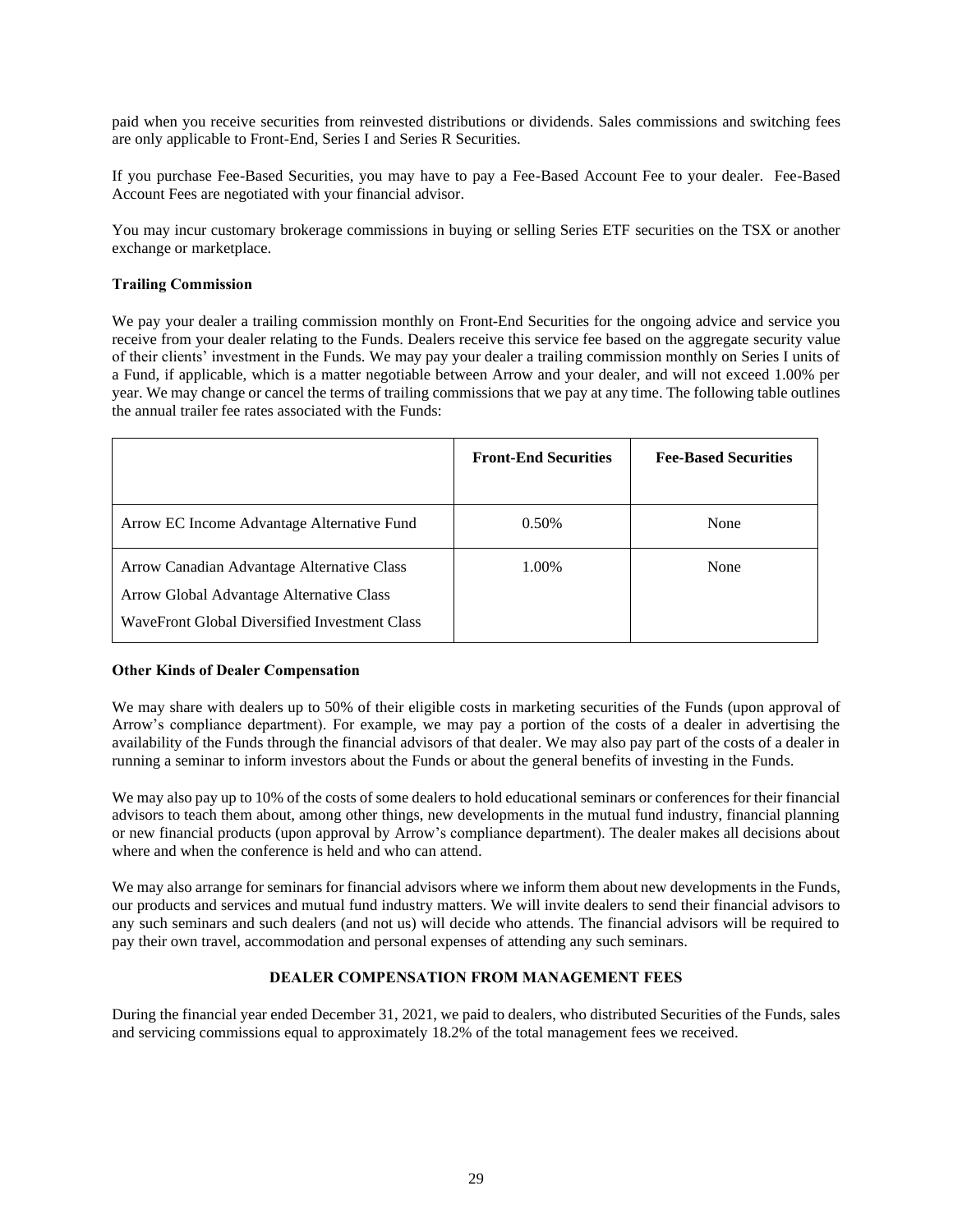paid when you receive securities from reinvested distributions or dividends. Sales commissions and switching fees are only applicable to Front-End, Series I and Series R Securities.

If you purchase Fee-Based Securities, you may have to pay a Fee-Based Account Fee to your dealer. Fee-Based Account Fees are negotiated with your financial advisor.

You may incur customary brokerage commissions in buying or selling Series ETF securities on the TSX or another exchange or marketplace.

### **Trailing Commission**

We pay your dealer a trailing commission monthly on Front-End Securities for the ongoing advice and service you receive from your dealer relating to the Funds. Dealers receive this service fee based on the aggregate security value of their clients' investment in the Funds. We may pay your dealer a trailing commission monthly on Series I units of a Fund, if applicable, which is a matter negotiable between Arrow and your dealer, and will not exceed 1.00% per year. We may change or cancel the terms of trailing commissions that we pay at any time. The following table outlines the annual trailer fee rates associated with the Funds:

|                                                                                                                                         | <b>Front-End Securities</b> | <b>Fee-Based Securities</b> |
|-----------------------------------------------------------------------------------------------------------------------------------------|-----------------------------|-----------------------------|
| Arrow EC Income Advantage Alternative Fund                                                                                              | 0.50%                       | None                        |
| Arrow Canadian Advantage Alternative Class<br>Arrow Global Advantage Alternative Class<br>WaveFront Global Diversified Investment Class | 1.00%                       | None                        |

#### <span id="page-29-1"></span>**Other Kinds of Dealer Compensation**

We may share with dealers up to 50% of their eligible costs in marketing securities of the Funds (upon approval of Arrow's compliance department). For example, we may pay a portion of the costs of a dealer in advertising the availability of the Funds through the financial advisors of that dealer. We may also pay part of the costs of a dealer in running a seminar to inform investors about the Funds or about the general benefits of investing in the Funds.

We may also pay up to 10% of the costs of some dealers to hold educational seminars or conferences for their financial advisors to teach them about, among other things, new developments in the mutual fund industry, financial planning or new financial products (upon approval by Arrow's compliance department). The dealer makes all decisions about where and when the conference is held and who can attend.

We may also arrange for seminars for financial advisors where we inform them about new developments in the Funds, our products and services and mutual fund industry matters. We will invite dealers to send their financial advisors to any such seminars and such dealers (and not us) will decide who attends. The financial advisors will be required to pay their own travel, accommodation and personal expenses of attending any such seminars.

## **DEALER COMPENSATION FROM MANAGEMENT FEES**

<span id="page-29-0"></span>During the financial year ended December 31, 2021, we paid to dealers, who distributed Securities of the Funds, sales and servicing commissions equal to approximately 18.2% of the total management fees we received.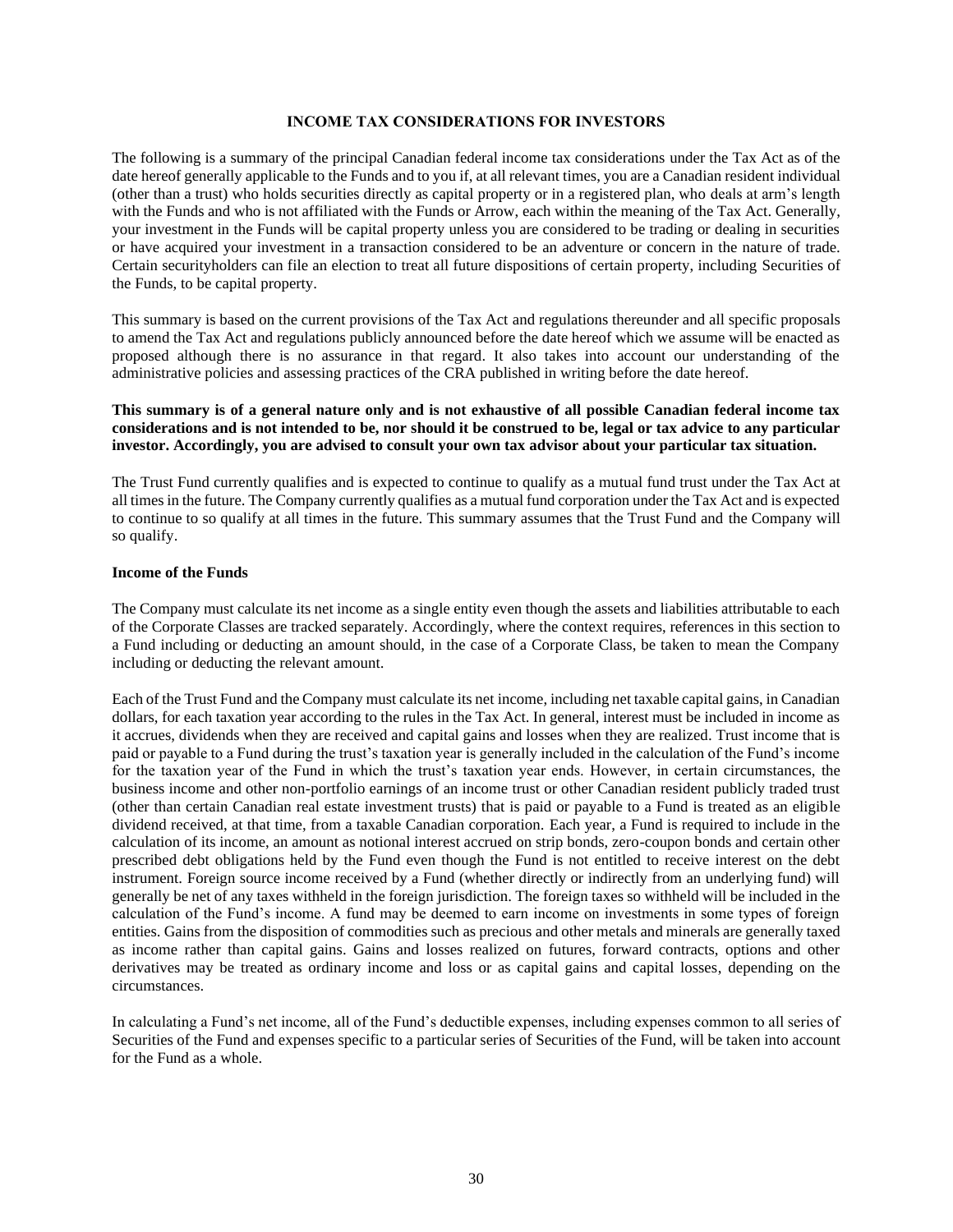#### **INCOME TAX CONSIDERATIONS FOR INVESTORS**

<span id="page-30-0"></span>The following is a summary of the principal Canadian federal income tax considerations under the Tax Act as of the date hereof generally applicable to the Funds and to you if, at all relevant times, you are a Canadian resident individual (other than a trust) who holds securities directly as capital property or in a registered plan, who deals at arm's length with the Funds and who is not affiliated with the Funds or Arrow, each within the meaning of the Tax Act. Generally, your investment in the Funds will be capital property unless you are considered to be trading or dealing in securities or have acquired your investment in a transaction considered to be an adventure or concern in the nature of trade. Certain securityholders can file an election to treat all future dispositions of certain property, including Securities of the Funds, to be capital property.

This summary is based on the current provisions of the Tax Act and regulations thereunder and all specific proposals to amend the Tax Act and regulations publicly announced before the date hereof which we assume will be enacted as proposed although there is no assurance in that regard. It also takes into account our understanding of the administrative policies and assessing practices of the CRA published in writing before the date hereof.

### **This summary is of a general nature only and is not exhaustive of all possible Canadian federal income tax considerations and is not intended to be, nor should it be construed to be, legal or tax advice to any particular investor. Accordingly, you are advised to consult your own tax advisor about your particular tax situation.**

The Trust Fund currently qualifies and is expected to continue to qualify as a mutual fund trust under the Tax Act at all times in the future. The Company currently qualifies as a mutual fund corporation under the Tax Act and is expected to continue to so qualify at all times in the future. This summary assumes that the Trust Fund and the Company will so qualify.

#### **Income of the Funds**

The Company must calculate its net income as a single entity even though the assets and liabilities attributable to each of the Corporate Classes are tracked separately. Accordingly, where the context requires, references in this section to a Fund including or deducting an amount should, in the case of a Corporate Class, be taken to mean the Company including or deducting the relevant amount.

Each of the Trust Fund and the Company must calculate its net income, including net taxable capital gains, in Canadian dollars, for each taxation year according to the rules in the Tax Act. In general, interest must be included in income as it accrues, dividends when they are received and capital gains and losses when they are realized. Trust income that is paid or payable to a Fund during the trust's taxation year is generally included in the calculation of the Fund's income for the taxation year of the Fund in which the trust's taxation year ends. However, in certain circumstances, the business income and other non-portfolio earnings of an income trust or other Canadian resident publicly traded trust (other than certain Canadian real estate investment trusts) that is paid or payable to a Fund is treated as an eligible dividend received, at that time, from a taxable Canadian corporation. Each year, a Fund is required to include in the calculation of its income, an amount as notional interest accrued on strip bonds, zero-coupon bonds and certain other prescribed debt obligations held by the Fund even though the Fund is not entitled to receive interest on the debt instrument. Foreign source income received by a Fund (whether directly or indirectly from an underlying fund) will generally be net of any taxes withheld in the foreign jurisdiction. The foreign taxes so withheld will be included in the calculation of the Fund's income. A fund may be deemed to earn income on investments in some types of foreign entities. Gains from the disposition of commodities such as precious and other metals and minerals are generally taxed as income rather than capital gains. Gains and losses realized on futures, forward contracts, options and other derivatives may be treated as ordinary income and loss or as capital gains and capital losses, depending on the circumstances.

In calculating a Fund's net income, all of the Fund's deductible expenses, including expenses common to all series of Securities of the Fund and expenses specific to a particular series of Securities of the Fund, will be taken into account for the Fund as a whole.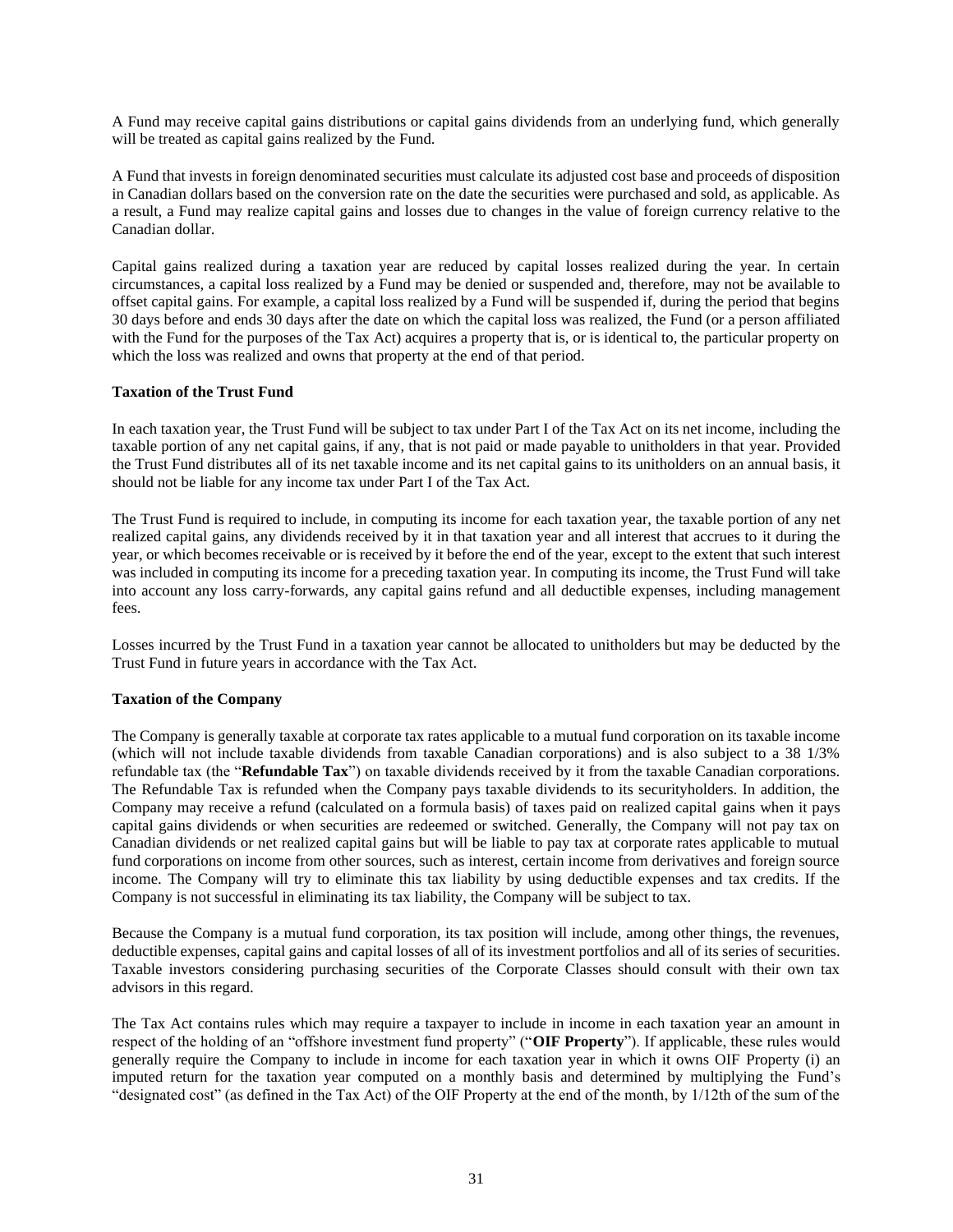A Fund may receive capital gains distributions or capital gains dividends from an underlying fund, which generally will be treated as capital gains realized by the Fund.

A Fund that invests in foreign denominated securities must calculate its adjusted cost base and proceeds of disposition in Canadian dollars based on the conversion rate on the date the securities were purchased and sold, as applicable. As a result, a Fund may realize capital gains and losses due to changes in the value of foreign currency relative to the Canadian dollar.

Capital gains realized during a taxation year are reduced by capital losses realized during the year. In certain circumstances, a capital loss realized by a Fund may be denied or suspended and, therefore, may not be available to offset capital gains. For example, a capital loss realized by a Fund will be suspended if, during the period that begins 30 days before and ends 30 days after the date on which the capital loss was realized, the Fund (or a person affiliated with the Fund for the purposes of the Tax Act) acquires a property that is, or is identical to, the particular property on which the loss was realized and owns that property at the end of that period.

### **Taxation of the Trust Fund**

In each taxation year, the Trust Fund will be subject to tax under Part I of the Tax Act on its net income, including the taxable portion of any net capital gains, if any, that is not paid or made payable to unitholders in that year. Provided the Trust Fund distributes all of its net taxable income and its net capital gains to its unitholders on an annual basis, it should not be liable for any income tax under Part I of the Tax Act.

The Trust Fund is required to include, in computing its income for each taxation year, the taxable portion of any net realized capital gains, any dividends received by it in that taxation year and all interest that accrues to it during the year, or which becomes receivable or is received by it before the end of the year, except to the extent that such interest was included in computing its income for a preceding taxation year. In computing its income, the Trust Fund will take into account any loss carry-forwards, any capital gains refund and all deductible expenses, including management fees.

Losses incurred by the Trust Fund in a taxation year cannot be allocated to unitholders but may be deducted by the Trust Fund in future years in accordance with the Tax Act.

### **Taxation of the Company**

The Company is generally taxable at corporate tax rates applicable to a mutual fund corporation on its taxable income (which will not include taxable dividends from taxable Canadian corporations) and is also subject to a 38 1/3% refundable tax (the "**Refundable Tax**") on taxable dividends received by it from the taxable Canadian corporations. The Refundable Tax is refunded when the Company pays taxable dividends to its securityholders. In addition, the Company may receive a refund (calculated on a formula basis) of taxes paid on realized capital gains when it pays capital gains dividends or when securities are redeemed or switched. Generally, the Company will not pay tax on Canadian dividends or net realized capital gains but will be liable to pay tax at corporate rates applicable to mutual fund corporations on income from other sources, such as interest, certain income from derivatives and foreign source income. The Company will try to eliminate this tax liability by using deductible expenses and tax credits. If the Company is not successful in eliminating its tax liability, the Company will be subject to tax.

Because the Company is a mutual fund corporation, its tax position will include, among other things, the revenues, deductible expenses, capital gains and capital losses of all of its investment portfolios and all of its series of securities. Taxable investors considering purchasing securities of the Corporate Classes should consult with their own tax advisors in this regard.

The Tax Act contains rules which may require a taxpayer to include in income in each taxation year an amount in respect of the holding of an "offshore investment fund property" ("**OIF Property**"). If applicable, these rules would generally require the Company to include in income for each taxation year in which it owns OIF Property (i) an imputed return for the taxation year computed on a monthly basis and determined by multiplying the Fund's "designated cost" (as defined in the Tax Act) of the OIF Property at the end of the month, by 1/12th of the sum of the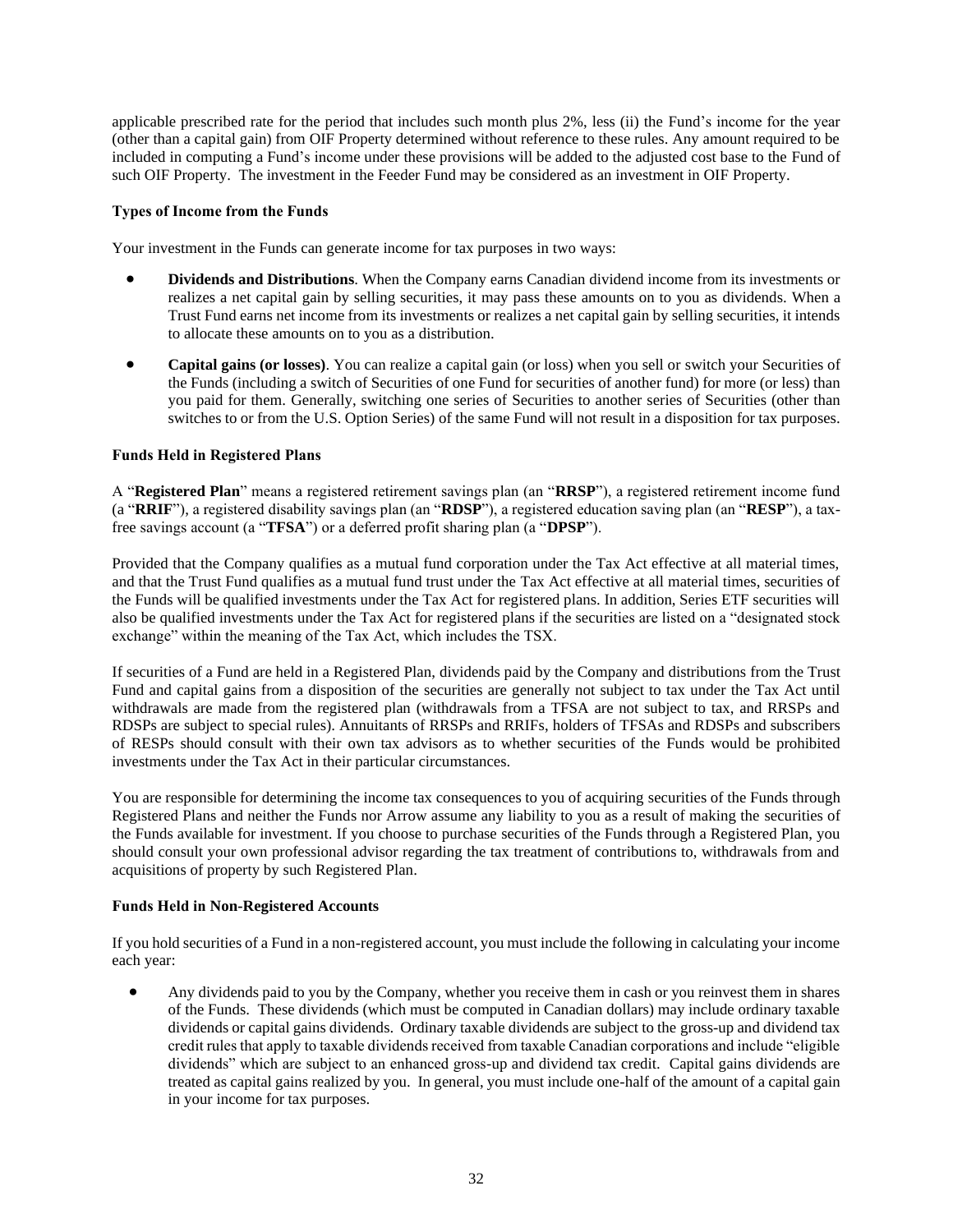applicable prescribed rate for the period that includes such month plus 2%, less (ii) the Fund's income for the year (other than a capital gain) from OIF Property determined without reference to these rules. Any amount required to be included in computing a Fund's income under these provisions will be added to the adjusted cost base to the Fund of such OIF Property. The investment in the Feeder Fund may be considered as an investment in OIF Property.

## **Types of Income from the Funds**

Your investment in the Funds can generate income for tax purposes in two ways:

- **Dividends and Distributions**. When the Company earns Canadian dividend income from its investments or realizes a net capital gain by selling securities, it may pass these amounts on to you as dividends. When a Trust Fund earns net income from its investments or realizes a net capital gain by selling securities, it intends to allocate these amounts on to you as a distribution.
- **Capital gains (or losses)**. You can realize a capital gain (or loss) when you sell or switch your Securities of the Funds (including a switch of Securities of one Fund for securities of another fund) for more (or less) than you paid for them. Generally, switching one series of Securities to another series of Securities (other than switches to or from the U.S. Option Series) of the same Fund will not result in a disposition for tax purposes.

### **Funds Held in Registered Plans**

A "**Registered Plan**" means a registered retirement savings plan (an "**RRSP**"), a registered retirement income fund (a "**RRIF**"), a registered disability savings plan (an "**RDSP**"), a registered education saving plan (an "**RESP**"), a taxfree savings account (a "**TFSA**") or a deferred profit sharing plan (a "**DPSP**").

Provided that the Company qualifies as a mutual fund corporation under the Tax Act effective at all material times, and that the Trust Fund qualifies as a mutual fund trust under the Tax Act effective at all material times, securities of the Funds will be qualified investments under the Tax Act for registered plans. In addition, Series ETF securities will also be qualified investments under the Tax Act for registered plans if the securities are listed on a "designated stock exchange" within the meaning of the Tax Act, which includes the TSX.

If securities of a Fund are held in a Registered Plan, dividends paid by the Company and distributions from the Trust Fund and capital gains from a disposition of the securities are generally not subject to tax under the Tax Act until withdrawals are made from the registered plan (withdrawals from a TFSA are not subject to tax, and RRSPs and RDSPs are subject to special rules). Annuitants of RRSPs and RRIFs, holders of TFSAs and RDSPs and subscribers of RESPs should consult with their own tax advisors as to whether securities of the Funds would be prohibited investments under the Tax Act in their particular circumstances.

You are responsible for determining the income tax consequences to you of acquiring securities of the Funds through Registered Plans and neither the Funds nor Arrow assume any liability to you as a result of making the securities of the Funds available for investment. If you choose to purchase securities of the Funds through a Registered Plan, you should consult your own professional advisor regarding the tax treatment of contributions to, withdrawals from and acquisitions of property by such Registered Plan.

#### **Funds Held in Non-Registered Accounts**

If you hold securities of a Fund in a non-registered account, you must include the following in calculating your income each year:

• Any dividends paid to you by the Company, whether you receive them in cash or you reinvest them in shares of the Funds. These dividends (which must be computed in Canadian dollars) may include ordinary taxable dividends or capital gains dividends. Ordinary taxable dividends are subject to the gross-up and dividend tax credit rules that apply to taxable dividends received from taxable Canadian corporations and include "eligible dividends" which are subject to an enhanced gross-up and dividend tax credit. Capital gains dividends are treated as capital gains realized by you. In general, you must include one-half of the amount of a capital gain in your income for tax purposes.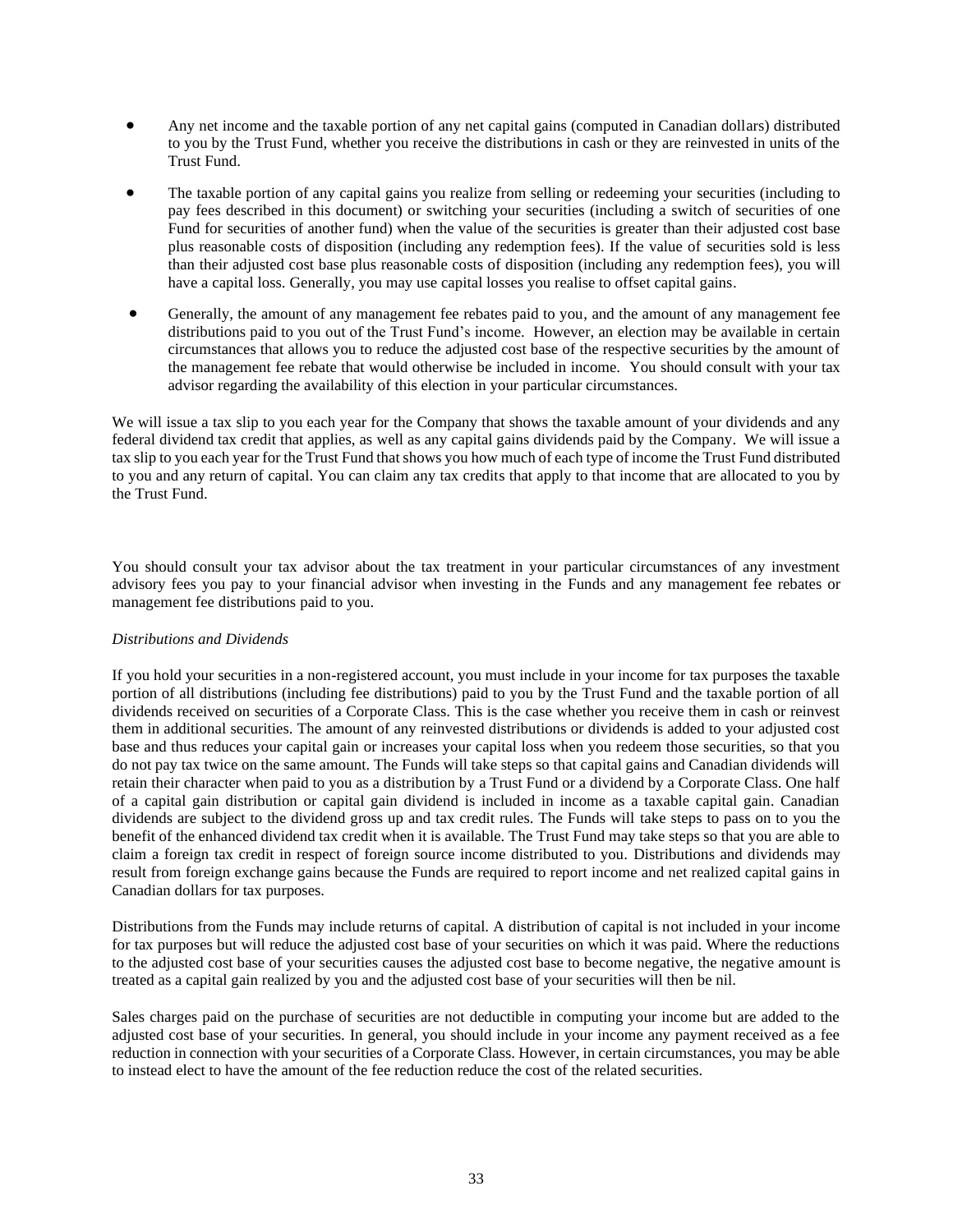- Any net income and the taxable portion of any net capital gains (computed in Canadian dollars) distributed to you by the Trust Fund, whether you receive the distributions in cash or they are reinvested in units of the Trust Fund.
- The taxable portion of any capital gains you realize from selling or redeeming your securities (including to pay fees described in this document) or switching your securities (including a switch of securities of one Fund for securities of another fund) when the value of the securities is greater than their adjusted cost base plus reasonable costs of disposition (including any redemption fees). If the value of securities sold is less than their adjusted cost base plus reasonable costs of disposition (including any redemption fees), you will have a capital loss. Generally, you may use capital losses you realise to offset capital gains.
- Generally, the amount of any management fee rebates paid to you, and the amount of any management fee distributions paid to you out of the Trust Fund's income. However, an election may be available in certain circumstances that allows you to reduce the adjusted cost base of the respective securities by the amount of the management fee rebate that would otherwise be included in income. You should consult with your tax advisor regarding the availability of this election in your particular circumstances.

We will issue a tax slip to you each year for the Company that shows the taxable amount of your dividends and any federal dividend tax credit that applies, as well as any capital gains dividends paid by the Company. We will issue a tax slip to you each year for the Trust Fund that shows you how much of each type of income the Trust Fund distributed to you and any return of capital. You can claim any tax credits that apply to that income that are allocated to you by the Trust Fund.

You should consult your tax advisor about the tax treatment in your particular circumstances of any investment advisory fees you pay to your financial advisor when investing in the Funds and any management fee rebates or management fee distributions paid to you.

## *Distributions and Dividends*

If you hold your securities in a non-registered account, you must include in your income for tax purposes the taxable portion of all distributions (including fee distributions) paid to you by the Trust Fund and the taxable portion of all dividends received on securities of a Corporate Class. This is the case whether you receive them in cash or reinvest them in additional securities. The amount of any reinvested distributions or dividends is added to your adjusted cost base and thus reduces your capital gain or increases your capital loss when you redeem those securities, so that you do not pay tax twice on the same amount. The Funds will take steps so that capital gains and Canadian dividends will retain their character when paid to you as a distribution by a Trust Fund or a dividend by a Corporate Class. One half of a capital gain distribution or capital gain dividend is included in income as a taxable capital gain. Canadian dividends are subject to the dividend gross up and tax credit rules. The Funds will take steps to pass on to you the benefit of the enhanced dividend tax credit when it is available. The Trust Fund may take steps so that you are able to claim a foreign tax credit in respect of foreign source income distributed to you. Distributions and dividends may result from foreign exchange gains because the Funds are required to report income and net realized capital gains in Canadian dollars for tax purposes.

Distributions from the Funds may include returns of capital. A distribution of capital is not included in your income for tax purposes but will reduce the adjusted cost base of your securities on which it was paid. Where the reductions to the adjusted cost base of your securities causes the adjusted cost base to become negative, the negative amount is treated as a capital gain realized by you and the adjusted cost base of your securities will then be nil.

Sales charges paid on the purchase of securities are not deductible in computing your income but are added to the adjusted cost base of your securities. In general, you should include in your income any payment received as a fee reduction in connection with your securities of a Corporate Class. However, in certain circumstances, you may be able to instead elect to have the amount of the fee reduction reduce the cost of the related securities.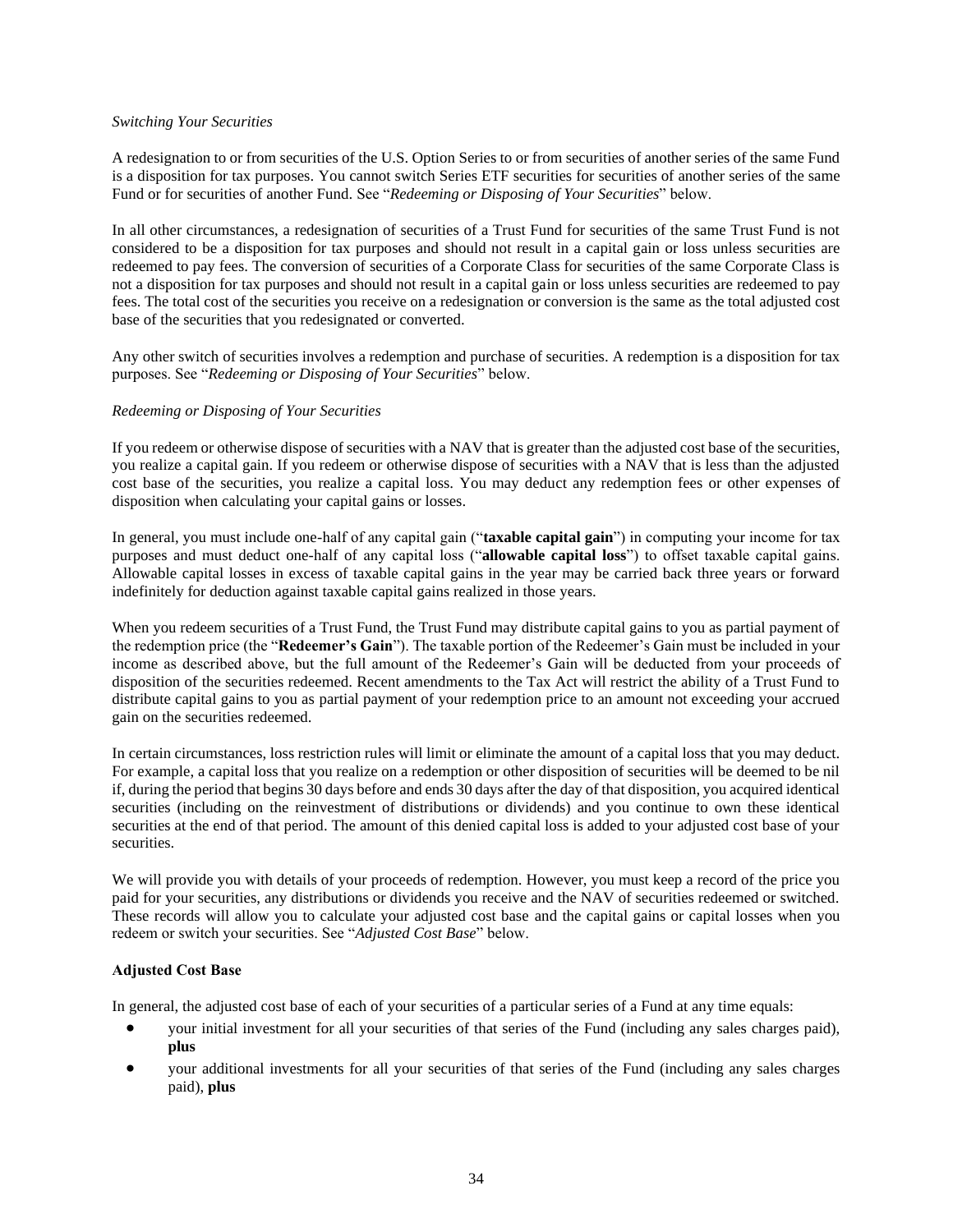#### *Switching Your Securities*

A redesignation to or from securities of the U.S. Option Series to or from securities of another series of the same Fund is a disposition for tax purposes. You cannot switch Series ETF securities for securities of another series of the same Fund or for securities of another Fund. See "*Redeeming or Disposing of Your Securities*" below.

In all other circumstances, a redesignation of securities of a Trust Fund for securities of the same Trust Fund is not considered to be a disposition for tax purposes and should not result in a capital gain or loss unless securities are redeemed to pay fees. The conversion of securities of a Corporate Class for securities of the same Corporate Class is not a disposition for tax purposes and should not result in a capital gain or loss unless securities are redeemed to pay fees. The total cost of the securities you receive on a redesignation or conversion is the same as the total adjusted cost base of the securities that you redesignated or converted.

Any other switch of securities involves a redemption and purchase of securities. A redemption is a disposition for tax purposes. See "*Redeeming or Disposing of Your Securities*" below.

### *Redeeming or Disposing of Your Securities*

If you redeem or otherwise dispose of securities with a NAV that is greater than the adjusted cost base of the securities, you realize a capital gain. If you redeem or otherwise dispose of securities with a NAV that is less than the adjusted cost base of the securities, you realize a capital loss. You may deduct any redemption fees or other expenses of disposition when calculating your capital gains or losses.

In general, you must include one-half of any capital gain ("**taxable capital gain**") in computing your income for tax purposes and must deduct one-half of any capital loss ("**allowable capital loss**") to offset taxable capital gains. Allowable capital losses in excess of taxable capital gains in the year may be carried back three years or forward indefinitely for deduction against taxable capital gains realized in those years.

When you redeem securities of a Trust Fund, the Trust Fund may distribute capital gains to you as partial payment of the redemption price (the "**Redeemer's Gain**"). The taxable portion of the Redeemer's Gain must be included in your income as described above, but the full amount of the Redeemer's Gain will be deducted from your proceeds of disposition of the securities redeemed. Recent amendments to the Tax Act will restrict the ability of a Trust Fund to distribute capital gains to you as partial payment of your redemption price to an amount not exceeding your accrued gain on the securities redeemed.

In certain circumstances, loss restriction rules will limit or eliminate the amount of a capital loss that you may deduct. For example, a capital loss that you realize on a redemption or other disposition of securities will be deemed to be nil if, during the period that begins 30 days before and ends 30 days after the day of that disposition, you acquired identical securities (including on the reinvestment of distributions or dividends) and you continue to own these identical securities at the end of that period. The amount of this denied capital loss is added to your adjusted cost base of your securities.

We will provide you with details of your proceeds of redemption. However, you must keep a record of the price you paid for your securities, any distributions or dividends you receive and the NAV of securities redeemed or switched. These records will allow you to calculate your adjusted cost base and the capital gains or capital losses when you redeem or switch your securities. See "*Adjusted Cost Base*" below.

## **Adjusted Cost Base**

In general, the adjusted cost base of each of your securities of a particular series of a Fund at any time equals:

- your initial investment for all your securities of that series of the Fund (including any sales charges paid), **plus**
- your additional investments for all your securities of that series of the Fund (including any sales charges paid), **plus**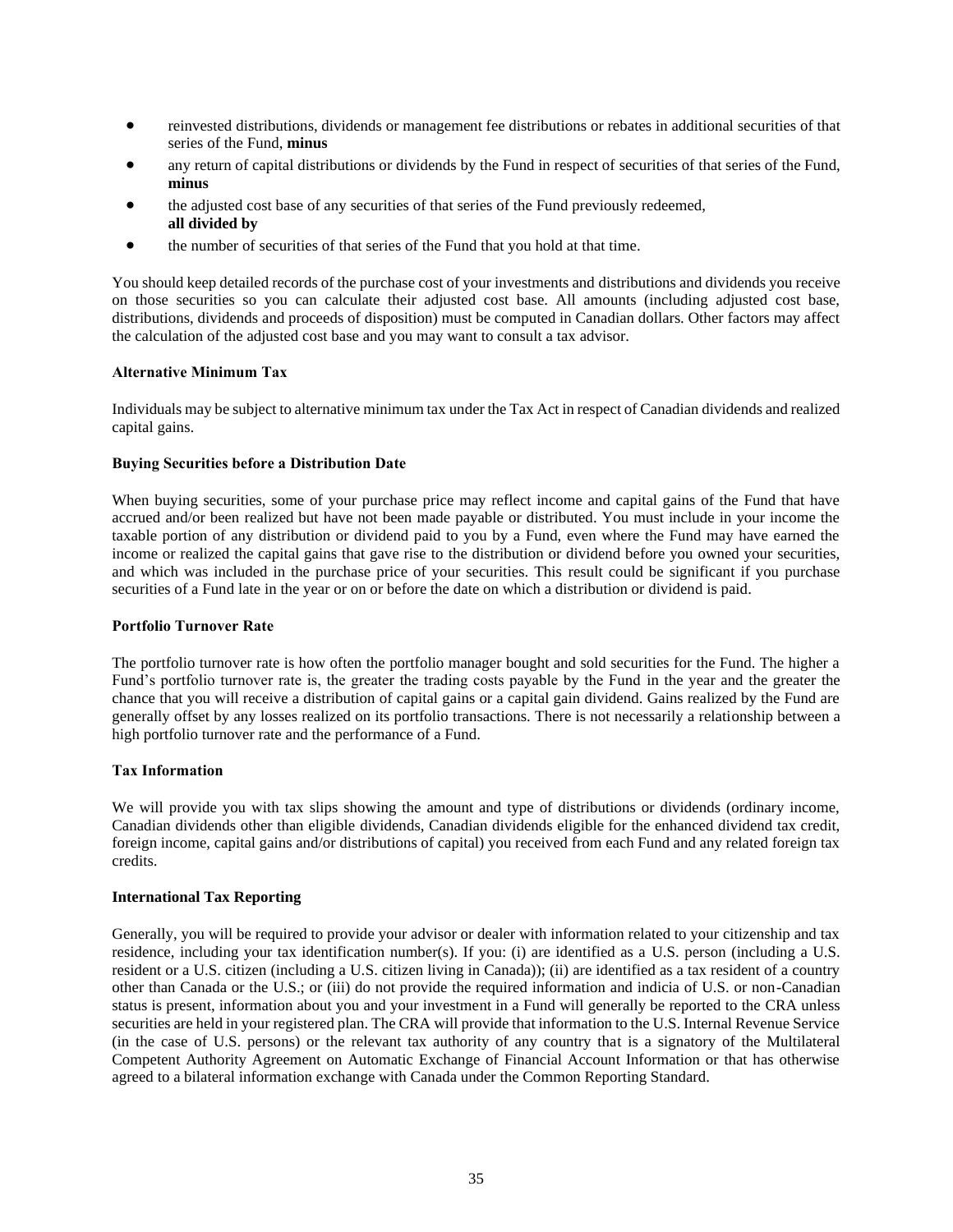- reinvested distributions, dividends or management fee distributions or rebates in additional securities of that series of the Fund, **minus**
- any return of capital distributions or dividends by the Fund in respect of securities of that series of the Fund, **minus**
- the adjusted cost base of any securities of that series of the Fund previously redeemed, **all divided by**
- the number of securities of that series of the Fund that you hold at that time.

You should keep detailed records of the purchase cost of your investments and distributions and dividends you receive on those securities so you can calculate their adjusted cost base. All amounts (including adjusted cost base, distributions, dividends and proceeds of disposition) must be computed in Canadian dollars. Other factors may affect the calculation of the adjusted cost base and you may want to consult a tax advisor.

#### **Alternative Minimum Tax**

Individuals may be subject to alternative minimum tax under the Tax Act in respect of Canadian dividends and realized capital gains.

#### **Buying Securities before a Distribution Date**

When buying securities, some of your purchase price may reflect income and capital gains of the Fund that have accrued and/or been realized but have not been made payable or distributed. You must include in your income the taxable portion of any distribution or dividend paid to you by a Fund, even where the Fund may have earned the income or realized the capital gains that gave rise to the distribution or dividend before you owned your securities, and which was included in the purchase price of your securities. This result could be significant if you purchase securities of a Fund late in the year or on or before the date on which a distribution or dividend is paid.

#### **Portfolio Turnover Rate**

The portfolio turnover rate is how often the portfolio manager bought and sold securities for the Fund. The higher a Fund's portfolio turnover rate is, the greater the trading costs payable by the Fund in the year and the greater the chance that you will receive a distribution of capital gains or a capital gain dividend. Gains realized by the Fund are generally offset by any losses realized on its portfolio transactions. There is not necessarily a relationship between a high portfolio turnover rate and the performance of a Fund.

## **Tax Information**

We will provide you with tax slips showing the amount and type of distributions or dividends (ordinary income, Canadian dividends other than eligible dividends, Canadian dividends eligible for the enhanced dividend tax credit, foreign income, capital gains and/or distributions of capital) you received from each Fund and any related foreign tax credits.

#### **International Tax Reporting**

Generally, you will be required to provide your advisor or dealer with information related to your citizenship and tax residence, including your tax identification number(s). If you: (i) are identified as a U.S. person (including a U.S. resident or a U.S. citizen (including a U.S. citizen living in Canada)); (ii) are identified as a tax resident of a country other than Canada or the U.S.; or (iii) do not provide the required information and indicia of U.S. or non-Canadian status is present, information about you and your investment in a Fund will generally be reported to the CRA unless securities are held in your registered plan. The CRA will provide that information to the U.S. Internal Revenue Service (in the case of U.S. persons) or the relevant tax authority of any country that is a signatory of the Multilateral Competent Authority Agreement on Automatic Exchange of Financial Account Information or that has otherwise agreed to a bilateral information exchange with Canada under the Common Reporting Standard.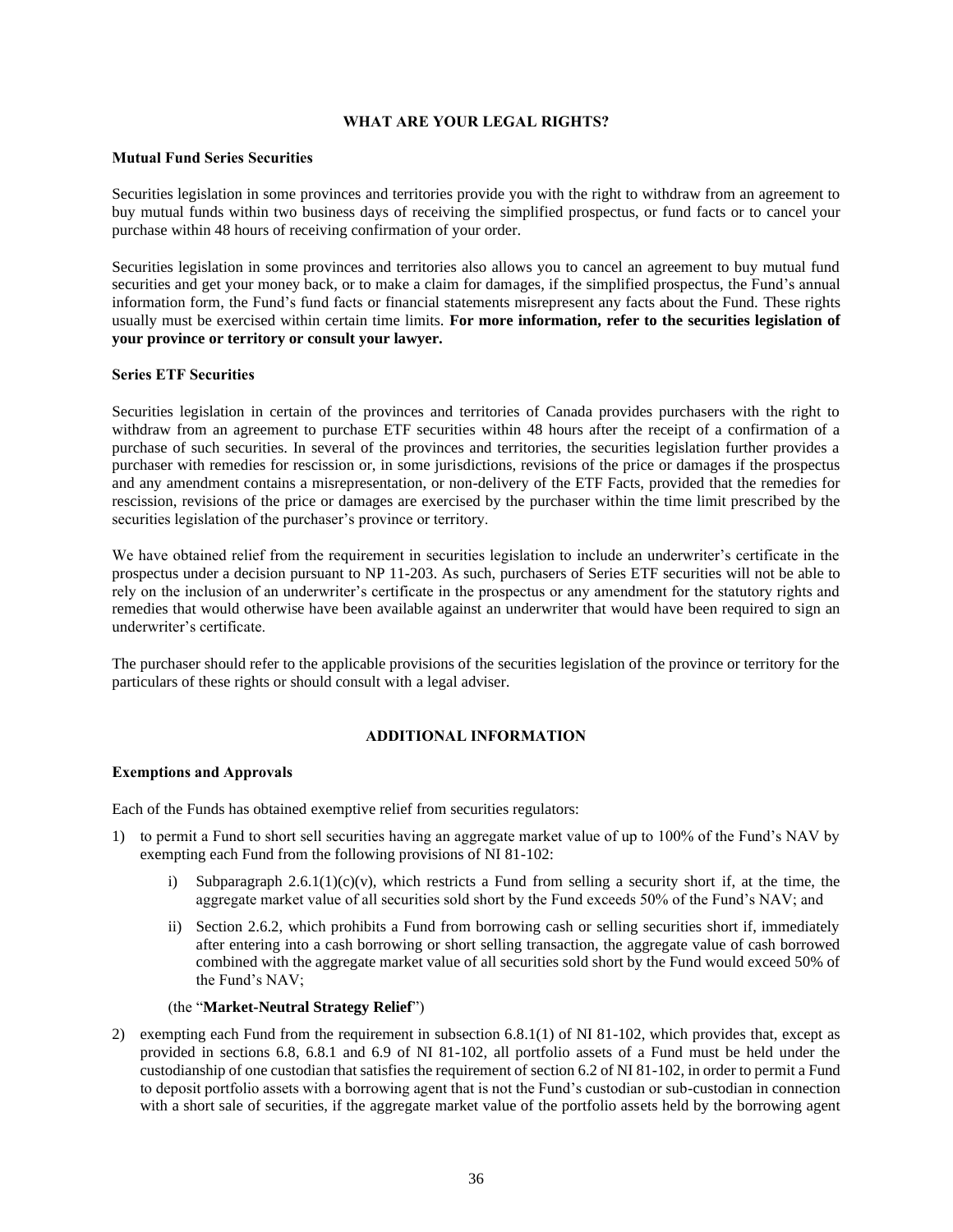### **WHAT ARE YOUR LEGAL RIGHTS?**

#### <span id="page-36-0"></span>**Mutual Fund Series Securities**

Securities legislation in some provinces and territories provide you with the right to withdraw from an agreement to buy mutual funds within two business days of receiving the simplified prospectus, or fund facts or to cancel your purchase within 48 hours of receiving confirmation of your order.

Securities legislation in some provinces and territories also allows you to cancel an agreement to buy mutual fund securities and get your money back, or to make a claim for damages, if the simplified prospectus, the Fund's annual information form, the Fund's fund facts or financial statements misrepresent any facts about the Fund. These rights usually must be exercised within certain time limits. **For more information, refer to the securities legislation of your province or territory or consult your lawyer.**

### **Series ETF Securities**

Securities legislation in certain of the provinces and territories of Canada provides purchasers with the right to withdraw from an agreement to purchase ETF securities within 48 hours after the receipt of a confirmation of a purchase of such securities. In several of the provinces and territories, the securities legislation further provides a purchaser with remedies for rescission or, in some jurisdictions, revisions of the price or damages if the prospectus and any amendment contains a misrepresentation, or non-delivery of the ETF Facts, provided that the remedies for rescission, revisions of the price or damages are exercised by the purchaser within the time limit prescribed by the securities legislation of the purchaser's province or territory.

We have obtained relief from the requirement in securities legislation to include an underwriter's certificate in the prospectus under a decision pursuant to NP 11-203. As such, purchasers of Series ETF securities will not be able to rely on the inclusion of an underwriter's certificate in the prospectus or any amendment for the statutory rights and remedies that would otherwise have been available against an underwriter that would have been required to sign an underwriter's certificate.

The purchaser should refer to the applicable provisions of the securities legislation of the province or territory for the particulars of these rights or should consult with a legal adviser.

## **ADDITIONAL INFORMATION**

#### <span id="page-36-1"></span>**Exemptions and Approvals**

Each of the Funds has obtained exemptive relief from securities regulators:

- 1) to permit a Fund to short sell securities having an aggregate market value of up to 100% of the Fund's NAV by exempting each Fund from the following provisions of NI 81-102:
	- i) Subparagraph  $2.6.1(1)(c)(v)$ , which restricts a Fund from selling a security short if, at the time, the aggregate market value of all securities sold short by the Fund exceeds 50% of the Fund's NAV; and
	- ii) Section 2.6.2, which prohibits a Fund from borrowing cash or selling securities short if, immediately after entering into a cash borrowing or short selling transaction, the aggregate value of cash borrowed combined with the aggregate market value of all securities sold short by the Fund would exceed 50% of the Fund's NAV;

#### (the "**Market-Neutral Strategy Relief**")

2) exempting each Fund from the requirement in subsection 6.8.1(1) of NI 81-102, which provides that, except as provided in sections 6.8, 6.8.1 and 6.9 of NI 81-102, all portfolio assets of a Fund must be held under the custodianship of one custodian that satisfies the requirement of section 6.2 of NI 81-102, in order to permit a Fund to deposit portfolio assets with a borrowing agent that is not the Fund's custodian or sub-custodian in connection with a short sale of securities, if the aggregate market value of the portfolio assets held by the borrowing agent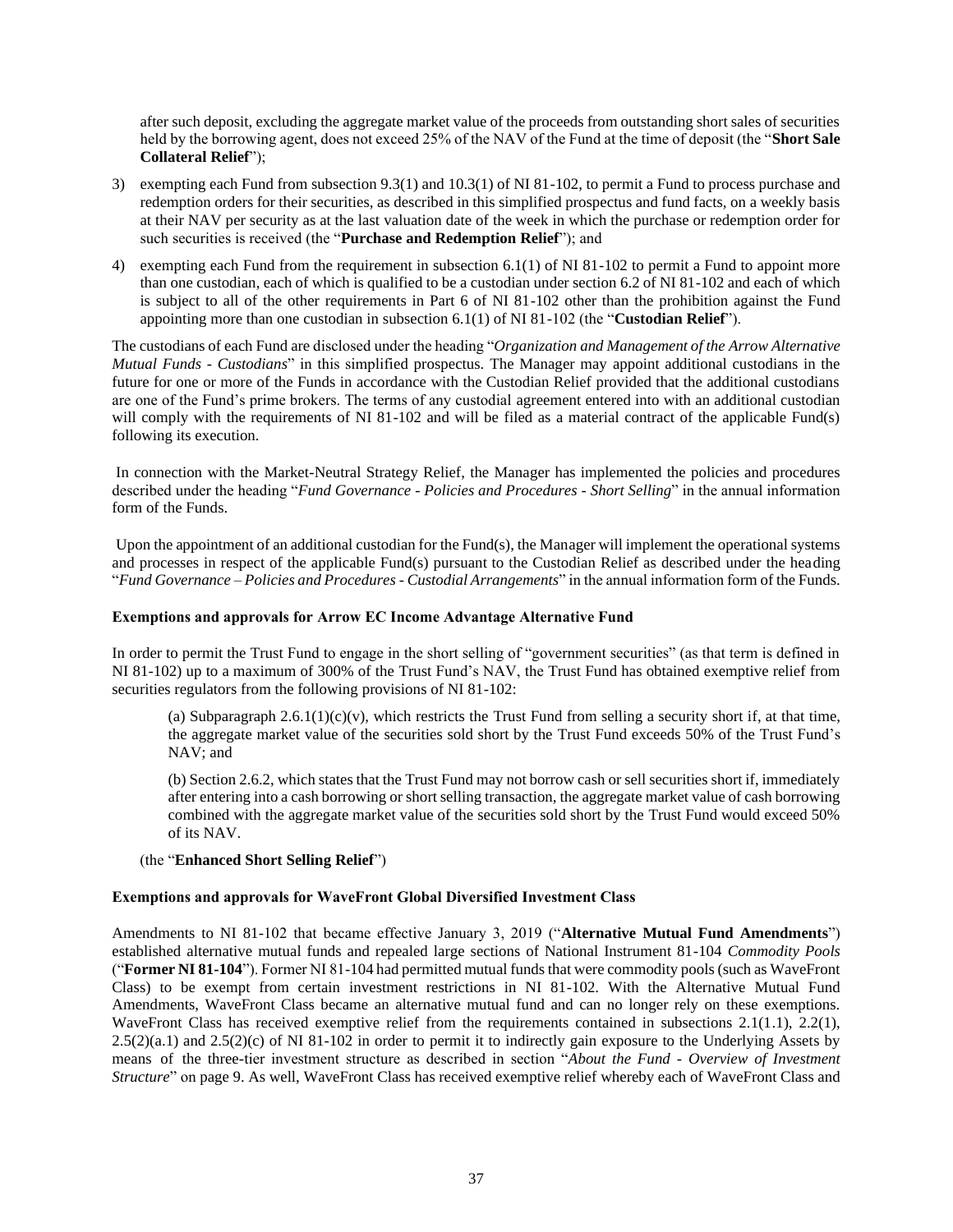after such deposit, excluding the aggregate market value of the proceeds from outstanding short sales of securities held by the borrowing agent, does not exceed 25% of the NAV of the Fund at the time of deposit (the "**Short Sale Collateral Relief**");

- 3) exempting each Fund from subsection 9.3(1) and 10.3(1) of NI 81-102, to permit a Fund to process purchase and redemption orders for their securities, as described in this simplified prospectus and fund facts, on a weekly basis at their NAV per security as at the last valuation date of the week in which the purchase or redemption order for such securities is received (the "**Purchase and Redemption Relief**"); and
- 4) exempting each Fund from the requirement in subsection 6.1(1) of NI 81-102 to permit a Fund to appoint more than one custodian, each of which is qualified to be a custodian under section 6.2 of NI 81-102 and each of which is subject to all of the other requirements in Part 6 of NI 81-102 other than the prohibition against the Fund appointing more than one custodian in subsection 6.1(1) of NI 81-102 (the "**Custodian Relief**").

The custodians of each Fund are disclosed under the heading "*Organization and Management of the Arrow Alternative Mutual Funds - Custodians*" in this simplified prospectus. The Manager may appoint additional custodians in the future for one or more of the Funds in accordance with the Custodian Relief provided that the additional custodians are one of the Fund's prime brokers. The terms of any custodial agreement entered into with an additional custodian will comply with the requirements of NI 81-102 and will be filed as a material contract of the applicable Fund(s) following its execution.

In connection with the Market-Neutral Strategy Relief, the Manager has implemented the policies and procedures described under the heading "*Fund Governance - Policies and Procedures - Short Selling*" in the annual information form of the Funds.

Upon the appointment of an additional custodian for the Fund(s), the Manager will implement the operational systems and processes in respect of the applicable Fund(s) pursuant to the Custodian Relief as described under the heading "*Fund Governance – Policies and Procedures - Custodial Arrangements*" in the annual information form of the Funds.

#### **Exemptions and approvals for Arrow EC Income Advantage Alternative Fund**

In order to permit the Trust Fund to engage in the short selling of "government securities" (as that term is defined in NI 81-102) up to a maximum of 300% of the Trust Fund's NAV, the Trust Fund has obtained exemptive relief from securities regulators from the following provisions of NI 81-102:

(a) Subparagraph  $2.6.1(1)(c)(v)$ , which restricts the Trust Fund from selling a security short if, at that time, the aggregate market value of the securities sold short by the Trust Fund exceeds 50% of the Trust Fund's NAV; and

(b) Section 2.6.2, which states that the Trust Fund may not borrow cash or sell securities short if, immediately after entering into a cash borrowing or short selling transaction, the aggregate market value of cash borrowing combined with the aggregate market value of the securities sold short by the Trust Fund would exceed 50% of its NAV.

#### (the "**Enhanced Short Selling Relief**")

#### **Exemptions and approvals for WaveFront Global Diversified Investment Class**

Amendments to NI 81-102 that became effective January 3, 2019 ("**Alternative Mutual Fund Amendments**") established alternative mutual funds and repealed large sections of National Instrument 81-104 *Commodity Pools* ("**Former NI 81-104**"). Former NI 81-104 had permitted mutual funds that were commodity pools (such as WaveFront Class) to be exempt from certain investment restrictions in NI 81-102. With the Alternative Mutual Fund Amendments, WaveFront Class became an alternative mutual fund and can no longer rely on these exemptions. WaveFront Class has received exemptive relief from the requirements contained in subsections 2.1(1.1), 2.2(1), 2.5(2)(a.1) and 2.5(2)(c) of NI 81-102 in order to permit it to indirectly gain exposure to the Underlying Assets by means of the three-tier investment structure as described in section "*About the Fund - Overview of Investment Structure*" on page 9. As well, WaveFront Class has received exemptive relief whereby each of WaveFront Class and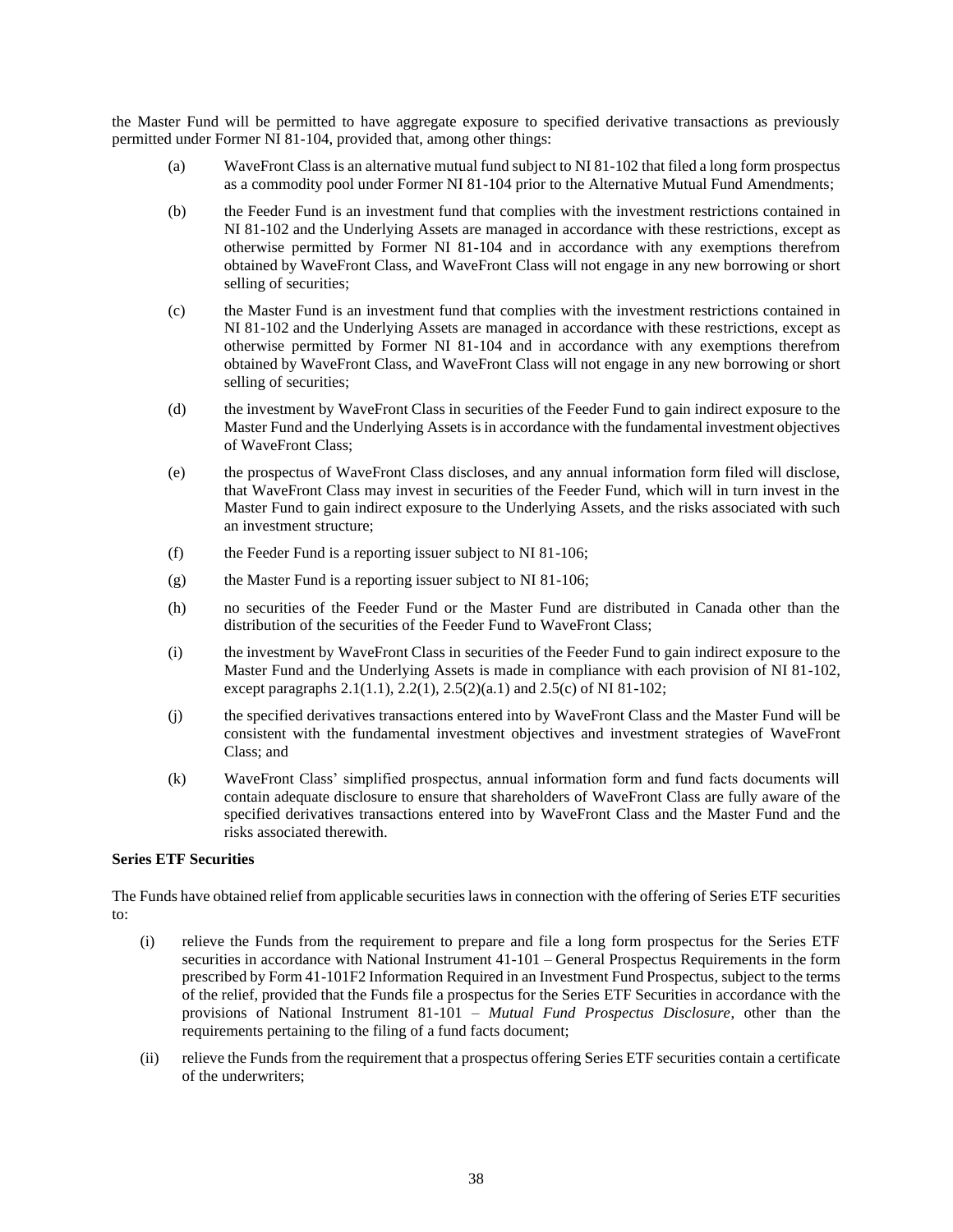the Master Fund will be permitted to have aggregate exposure to specified derivative transactions as previously permitted under Former NI 81-104, provided that, among other things:

- (a) WaveFront Class is an alternative mutual fund subject to NI 81-102 that filed a long form prospectus as a commodity pool under Former NI 81-104 prior to the Alternative Mutual Fund Amendments;
- (b) the Feeder Fund is an investment fund that complies with the investment restrictions contained in NI 81-102 and the Underlying Assets are managed in accordance with these restrictions, except as otherwise permitted by Former NI 81-104 and in accordance with any exemptions therefrom obtained by WaveFront Class, and WaveFront Class will not engage in any new borrowing or short selling of securities;
- (c) the Master Fund is an investment fund that complies with the investment restrictions contained in NI 81-102 and the Underlying Assets are managed in accordance with these restrictions, except as otherwise permitted by Former NI 81-104 and in accordance with any exemptions therefrom obtained by WaveFront Class, and WaveFront Class will not engage in any new borrowing or short selling of securities;
- (d) the investment by WaveFront Class in securities of the Feeder Fund to gain indirect exposure to the Master Fund and the Underlying Assets is in accordance with the fundamental investment objectives of WaveFront Class;
- (e) the prospectus of WaveFront Class discloses, and any annual information form filed will disclose, that WaveFront Class may invest in securities of the Feeder Fund, which will in turn invest in the Master Fund to gain indirect exposure to the Underlying Assets, and the risks associated with such an investment structure;
- (f) the Feeder Fund is a reporting issuer subject to NI 81-106;
- (g) the Master Fund is a reporting issuer subject to NI 81-106;
- (h) no securities of the Feeder Fund or the Master Fund are distributed in Canada other than the distribution of the securities of the Feeder Fund to WaveFront Class;
- (i) the investment by WaveFront Class in securities of the Feeder Fund to gain indirect exposure to the Master Fund and the Underlying Assets is made in compliance with each provision of NI 81-102, except paragraphs  $2.1(1.1)$ ,  $2.2(1)$ ,  $2.5(2)(a.1)$  and  $2.5(c)$  of NI 81-102;
- (j) the specified derivatives transactions entered into by WaveFront Class and the Master Fund will be consistent with the fundamental investment objectives and investment strategies of WaveFront Class; and
- (k) WaveFront Class' simplified prospectus, annual information form and fund facts documents will contain adequate disclosure to ensure that shareholders of WaveFront Class are fully aware of the specified derivatives transactions entered into by WaveFront Class and the Master Fund and the risks associated therewith.

## **Series ETF Securities**

The Funds have obtained relief from applicable securities laws in connection with the offering of Series ETF securities to:

- (i) relieve the Funds from the requirement to prepare and file a long form prospectus for the Series ETF securities in accordance with National Instrument 41-101 – General Prospectus Requirements in the form prescribed by Form 41-101F2 Information Required in an Investment Fund Prospectus, subject to the terms of the relief, provided that the Funds file a prospectus for the Series ETF Securities in accordance with the provisions of National Instrument 81-101 – *Mutual Fund Prospectus Disclosure*, other than the requirements pertaining to the filing of a fund facts document;
- (ii) relieve the Funds from the requirement that a prospectus offering Series ETF securities contain a certificate of the underwriters;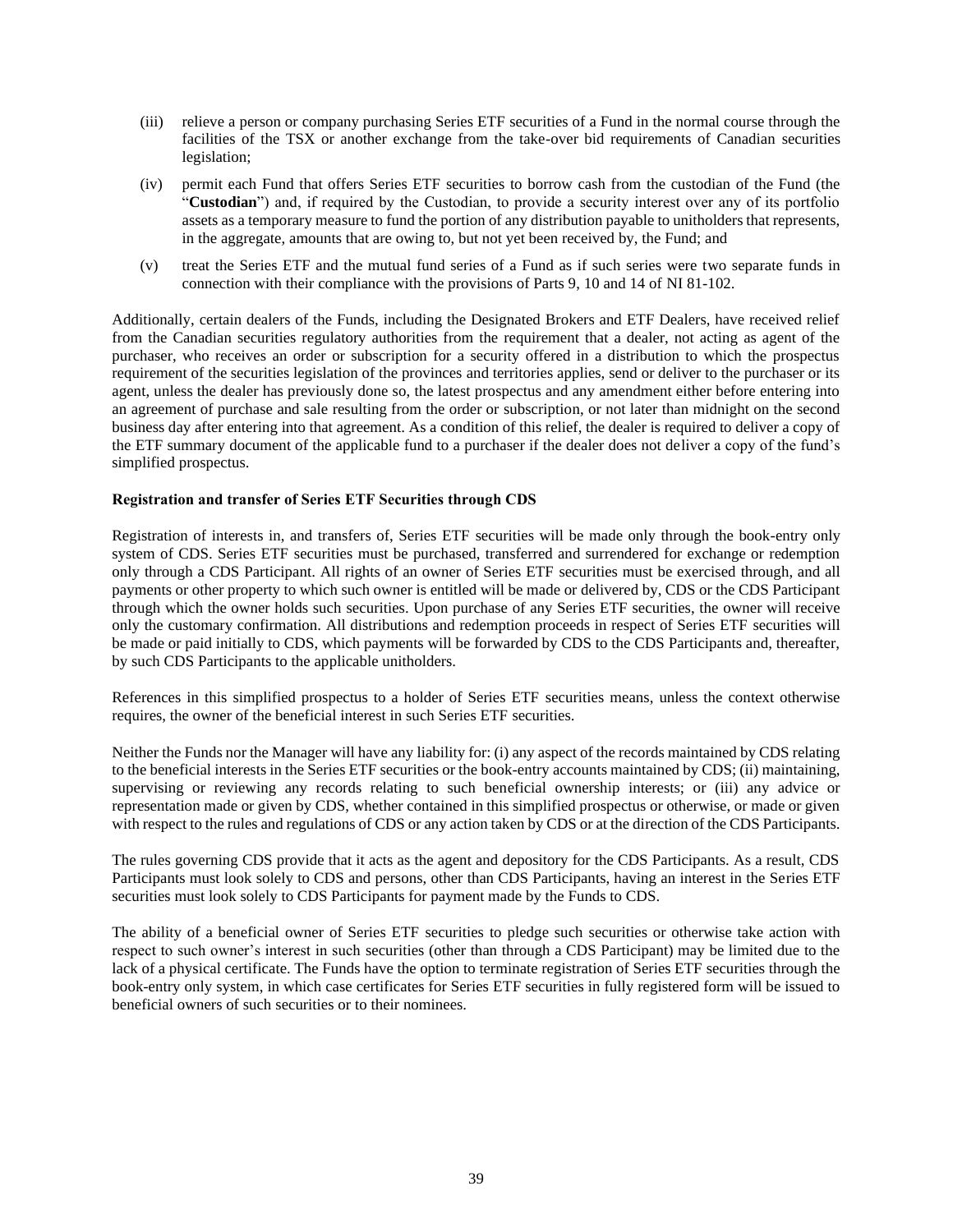- (iii) relieve a person or company purchasing Series ETF securities of a Fund in the normal course through the facilities of the TSX or another exchange from the take-over bid requirements of Canadian securities legislation;
- (iv) permit each Fund that offers Series ETF securities to borrow cash from the custodian of the Fund (the "**Custodian**") and, if required by the Custodian, to provide a security interest over any of its portfolio assets as a temporary measure to fund the portion of any distribution payable to unitholders that represents, in the aggregate, amounts that are owing to, but not yet been received by, the Fund; and
- (v) treat the Series ETF and the mutual fund series of a Fund as if such series were two separate funds in connection with their compliance with the provisions of Parts 9, 10 and 14 of NI 81-102.

Additionally, certain dealers of the Funds, including the Designated Brokers and ETF Dealers, have received relief from the Canadian securities regulatory authorities from the requirement that a dealer, not acting as agent of the purchaser, who receives an order or subscription for a security offered in a distribution to which the prospectus requirement of the securities legislation of the provinces and territories applies, send or deliver to the purchaser or its agent, unless the dealer has previously done so, the latest prospectus and any amendment either before entering into an agreement of purchase and sale resulting from the order or subscription, or not later than midnight on the second business day after entering into that agreement. As a condition of this relief, the dealer is required to deliver a copy of the ETF summary document of the applicable fund to a purchaser if the dealer does not deliver a copy of the fund's simplified prospectus.

## **Registration and transfer of Series ETF Securities through CDS**

Registration of interests in, and transfers of, Series ETF securities will be made only through the book-entry only system of CDS. Series ETF securities must be purchased, transferred and surrendered for exchange or redemption only through a CDS Participant. All rights of an owner of Series ETF securities must be exercised through, and all payments or other property to which such owner is entitled will be made or delivered by, CDS or the CDS Participant through which the owner holds such securities. Upon purchase of any Series ETF securities, the owner will receive only the customary confirmation. All distributions and redemption proceeds in respect of Series ETF securities will be made or paid initially to CDS, which payments will be forwarded by CDS to the CDS Participants and, thereafter, by such CDS Participants to the applicable unitholders.

References in this simplified prospectus to a holder of Series ETF securities means, unless the context otherwise requires, the owner of the beneficial interest in such Series ETF securities.

Neither the Funds nor the Manager will have any liability for: (i) any aspect of the records maintained by CDS relating to the beneficial interests in the Series ETF securities or the book-entry accounts maintained by CDS; (ii) maintaining, supervising or reviewing any records relating to such beneficial ownership interests; or (iii) any advice or representation made or given by CDS, whether contained in this simplified prospectus or otherwise, or made or given with respect to the rules and regulations of CDS or any action taken by CDS or at the direction of the CDS Participants.

The rules governing CDS provide that it acts as the agent and depository for the CDS Participants. As a result, CDS Participants must look solely to CDS and persons, other than CDS Participants, having an interest in the Series ETF securities must look solely to CDS Participants for payment made by the Funds to CDS.

The ability of a beneficial owner of Series ETF securities to pledge such securities or otherwise take action with respect to such owner's interest in such securities (other than through a CDS Participant) may be limited due to the lack of a physical certificate. The Funds have the option to terminate registration of Series ETF securities through the book-entry only system, in which case certificates for Series ETF securities in fully registered form will be issued to beneficial owners of such securities or to their nominees.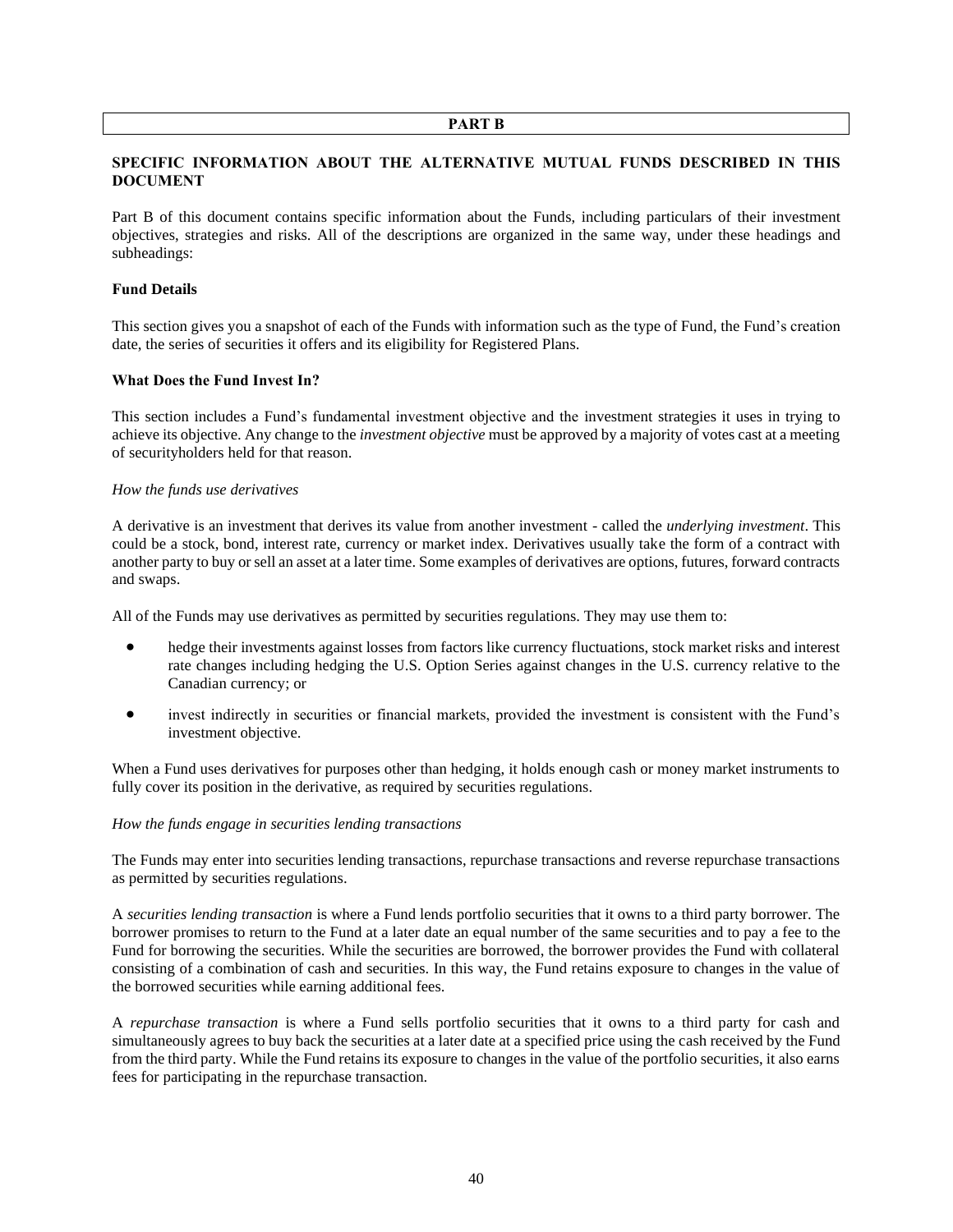#### **PART B**

## <span id="page-40-1"></span><span id="page-40-0"></span>**SPECIFIC INFORMATION ABOUT THE ALTERNATIVE MUTUAL FUNDS DESCRIBED IN THIS DOCUMENT**

Part B of this document contains specific information about the Funds, including particulars of their investment objectives, strategies and risks. All of the descriptions are organized in the same way, under these headings and subheadings:

#### **Fund Details**

This section gives you a snapshot of each of the Funds with information such as the type of Fund, the Fund's creation date, the series of securities it offers and its eligibility for Registered Plans.

#### **What Does the Fund Invest In?**

This section includes a Fund's fundamental investment objective and the investment strategies it uses in trying to achieve its objective. Any change to the *investment objective* must be approved by a majority of votes cast at a meeting of securityholders held for that reason.

#### *How the funds use derivatives*

A derivative is an investment that derives its value from another investment - called the *underlying investment*. This could be a stock, bond, interest rate, currency or market index. Derivatives usually take the form of a contract with another party to buy or sell an asset at a later time. Some examples of derivatives are options, futures, forward contracts and swaps.

All of the Funds may use derivatives as permitted by securities regulations. They may use them to:

- hedge their investments against losses from factors like currency fluctuations, stock market risks and interest rate changes including hedging the U.S. Option Series against changes in the U.S. currency relative to the Canadian currency; or
- invest indirectly in securities or financial markets, provided the investment is consistent with the Fund's investment objective.

When a Fund uses derivatives for purposes other than hedging, it holds enough cash or money market instruments to fully cover its position in the derivative, as required by securities regulations.

#### *How the funds engage in securities lending transactions*

The Funds may enter into securities lending transactions, repurchase transactions and reverse repurchase transactions as permitted by securities regulations.

A *securities lending transaction* is where a Fund lends portfolio securities that it owns to a third party borrower. The borrower promises to return to the Fund at a later date an equal number of the same securities and to pay a fee to the Fund for borrowing the securities. While the securities are borrowed, the borrower provides the Fund with collateral consisting of a combination of cash and securities. In this way, the Fund retains exposure to changes in the value of the borrowed securities while earning additional fees.

A *repurchase transaction* is where a Fund sells portfolio securities that it owns to a third party for cash and simultaneously agrees to buy back the securities at a later date at a specified price using the cash received by the Fund from the third party. While the Fund retains its exposure to changes in the value of the portfolio securities, it also earns fees for participating in the repurchase transaction.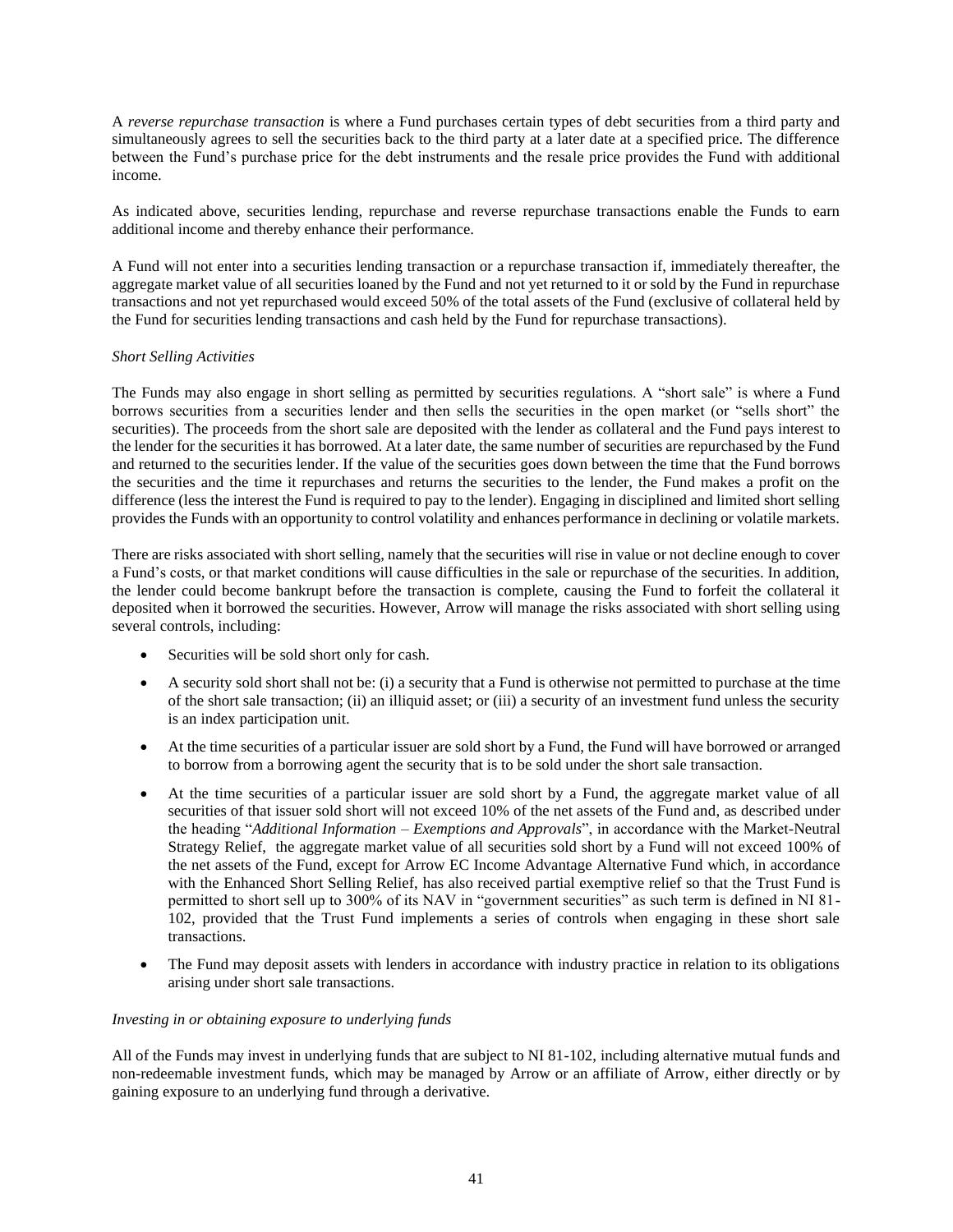A *reverse repurchase transaction* is where a Fund purchases certain types of debt securities from a third party and simultaneously agrees to sell the securities back to the third party at a later date at a specified price. The difference between the Fund's purchase price for the debt instruments and the resale price provides the Fund with additional income.

As indicated above, securities lending, repurchase and reverse repurchase transactions enable the Funds to earn additional income and thereby enhance their performance.

A Fund will not enter into a securities lending transaction or a repurchase transaction if, immediately thereafter, the aggregate market value of all securities loaned by the Fund and not yet returned to it or sold by the Fund in repurchase transactions and not yet repurchased would exceed 50% of the total assets of the Fund (exclusive of collateral held by the Fund for securities lending transactions and cash held by the Fund for repurchase transactions).

### *Short Selling Activities*

The Funds may also engage in short selling as permitted by securities regulations. A "short sale" is where a Fund borrows securities from a securities lender and then sells the securities in the open market (or "sells short" the securities). The proceeds from the short sale are deposited with the lender as collateral and the Fund pays interest to the lender for the securities it has borrowed. At a later date, the same number of securities are repurchased by the Fund and returned to the securities lender. If the value of the securities goes down between the time that the Fund borrows the securities and the time it repurchases and returns the securities to the lender, the Fund makes a profit on the difference (less the interest the Fund is required to pay to the lender). Engaging in disciplined and limited short selling provides the Funds with an opportunity to control volatility and enhances performance in declining or volatile markets.

There are risks associated with short selling, namely that the securities will rise in value or not decline enough to cover a Fund's costs, or that market conditions will cause difficulties in the sale or repurchase of the securities. In addition, the lender could become bankrupt before the transaction is complete, causing the Fund to forfeit the collateral it deposited when it borrowed the securities. However, Arrow will manage the risks associated with short selling using several controls, including:

- Securities will be sold short only for cash.
- A security sold short shall not be: (i) a security that a Fund is otherwise not permitted to purchase at the time of the short sale transaction; (ii) an illiquid asset; or (iii) a security of an investment fund unless the security is an index participation unit.
- At the time securities of a particular issuer are sold short by a Fund, the Fund will have borrowed or arranged to borrow from a borrowing agent the security that is to be sold under the short sale transaction.
- At the time securities of a particular issuer are sold short by a Fund, the aggregate market value of all securities of that issuer sold short will not exceed 10% of the net assets of the Fund and, as described under the heading "*Additional Information – Exemptions and Approvals*", in accordance with the Market-Neutral Strategy Relief, the aggregate market value of all securities sold short by a Fund will not exceed 100% of the net assets of the Fund, except for Arrow EC Income Advantage Alternative Fund which, in accordance with the Enhanced Short Selling Relief, has also received partial exemptive relief so that the Trust Fund is permitted to short sell up to 300% of its NAV in "government securities" as such term is defined in NI 81- 102, provided that the Trust Fund implements a series of controls when engaging in these short sale transactions.
- The Fund may deposit assets with lenders in accordance with industry practice in relation to its obligations arising under short sale transactions.

## *Investing in or obtaining exposure to underlying funds*

All of the Funds may invest in underlying funds that are subject to NI 81-102, including alternative mutual funds and non-redeemable investment funds, which may be managed by Arrow or an affiliate of Arrow, either directly or by gaining exposure to an underlying fund through a derivative.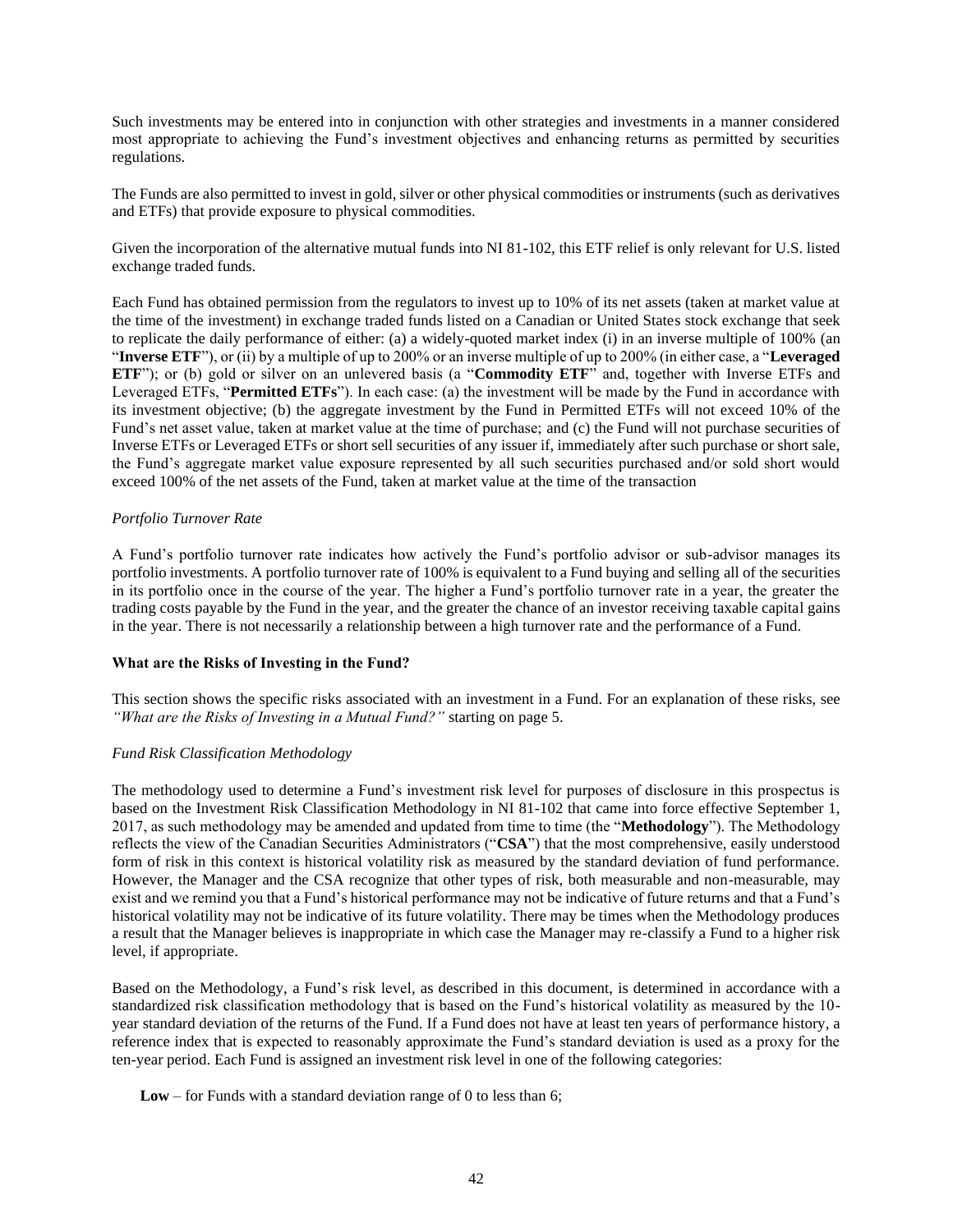Such investments may be entered into in conjunction with other strategies and investments in a manner considered most appropriate to achieving the Fund's investment objectives and enhancing returns as permitted by securities regulations.

The Funds are also permitted to invest in gold, silver or other physical commodities or instruments (such as derivatives and ETFs) that provide exposure to physical commodities.

Given the incorporation of the alternative mutual funds into NI 81-102, this ETF relief is only relevant for U.S. listed exchange traded funds.

Each Fund has obtained permission from the regulators to invest up to 10% of its net assets (taken at market value at the time of the investment) in exchange traded funds listed on a Canadian or United States stock exchange that seek to replicate the daily performance of either: (a) a widely-quoted market index (i) in an inverse multiple of 100% (an "**Inverse ETF**"), or (ii) by a multiple of up to 200% or an inverse multiple of up to 200% (in either case, a "**Leveraged ETF**"); or (b) gold or silver on an unlevered basis (a "**Commodity ETF**" and, together with Inverse ETFs and Leveraged ETFs, "**Permitted ETFs**"). In each case: (a) the investment will be made by the Fund in accordance with its investment objective; (b) the aggregate investment by the Fund in Permitted ETFs will not exceed 10% of the Fund's net asset value, taken at market value at the time of purchase; and (c) the Fund will not purchase securities of Inverse ETFs or Leveraged ETFs or short sell securities of any issuer if, immediately after such purchase or short sale, the Fund's aggregate market value exposure represented by all such securities purchased and/or sold short would exceed 100% of the net assets of the Fund, taken at market value at the time of the transaction

### *Portfolio Turnover Rate*

A Fund's portfolio turnover rate indicates how actively the Fund's portfolio advisor or sub-advisor manages its portfolio investments. A portfolio turnover rate of 100% is equivalent to a Fund buying and selling all of the securities in its portfolio once in the course of the year. The higher a Fund's portfolio turnover rate in a year, the greater the trading costs payable by the Fund in the year, and the greater the chance of an investor receiving taxable capital gains in the year. There is not necessarily a relationship between a high turnover rate and the performance of a Fund.

#### **What are the Risks of Investing in the Fund?**

This section shows the specific risks associated with an investment in a Fund. For an explanation of these risks, see *"What are the Risks of Investing in a Mutual Fund?"* starting on pag[e 5.](#page-5-0)

## *Fund Risk Classification Methodology*

The methodology used to determine a Fund's investment risk level for purposes of disclosure in this prospectus is based on the Investment Risk Classification Methodology in NI 81-102 that came into force effective September 1, 2017, as such methodology may be amended and updated from time to time (the "**Methodology**"). The Methodology reflects the view of the Canadian Securities Administrators ("**CSA**") that the most comprehensive, easily understood form of risk in this context is historical volatility risk as measured by the standard deviation of fund performance. However, the Manager and the CSA recognize that other types of risk, both measurable and non-measurable, may exist and we remind you that a Fund's historical performance may not be indicative of future returns and that a Fund's historical volatility may not be indicative of its future volatility. There may be times when the Methodology produces a result that the Manager believes is inappropriate in which case the Manager may re-classify a Fund to a higher risk level, if appropriate.

Based on the Methodology, a Fund's risk level, as described in this document, is determined in accordance with a standardized risk classification methodology that is based on the Fund's historical volatility as measured by the 10 year standard deviation of the returns of the Fund. If a Fund does not have at least ten years of performance history, a reference index that is expected to reasonably approximate the Fund's standard deviation is used as a proxy for the ten-year period. Each Fund is assigned an investment risk level in one of the following categories:

**Low** – for Funds with a standard deviation range of 0 to less than 6;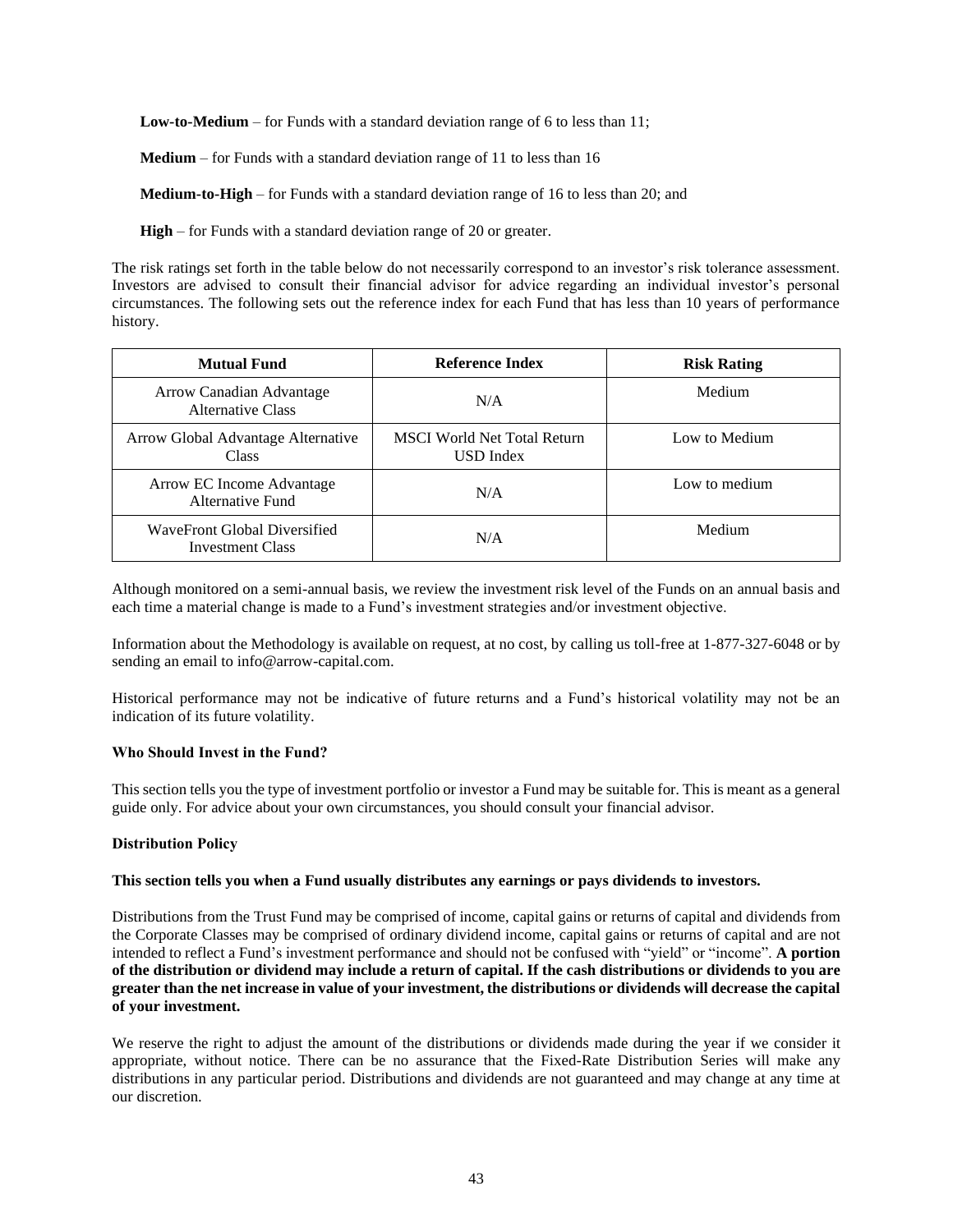**Low-to-Medium** – for Funds with a standard deviation range of 6 to less than 11;

**Medium** – for Funds with a standard deviation range of 11 to less than 16

**Medium-to-High** – for Funds with a standard deviation range of 16 to less than 20; and

**High** – for Funds with a standard deviation range of 20 or greater.

The risk ratings set forth in the table below do not necessarily correspond to an investor's risk tolerance assessment. Investors are advised to consult their financial advisor for advice regarding an individual investor's personal circumstances. The following sets out the reference index for each Fund that has less than 10 years of performance history.

| <b>Mutual Fund</b>                                      | Reference Index                                 | <b>Risk Rating</b> |
|---------------------------------------------------------|-------------------------------------------------|--------------------|
| Arrow Canadian Advantage<br>Alternative Class           | N/A                                             | Medium             |
| Arrow Global Advantage Alternative<br><b>Class</b>      | <b>MSCI</b> World Net Total Return<br>USD Index | Low to Medium      |
| Arrow EC Income Advantage<br>Alternative Fund           | N/A                                             | Low to medium      |
| WaveFront Global Diversified<br><b>Investment Class</b> | N/A                                             | Medium             |

Although monitored on a semi-annual basis, we review the investment risk level of the Funds on an annual basis and each time a material change is made to a Fund's investment strategies and/or investment objective.

Information about the Methodology is available on request, at no cost, by calling us toll-free at 1-877-327-6048 or by sending an email to info@arrow-capital.com.

Historical performance may not be indicative of future returns and a Fund's historical volatility may not be an indication of its future volatility.

#### **Who Should Invest in the Fund?**

This section tells you the type of investment portfolio or investor a Fund may be suitable for. This is meant as a general guide only. For advice about your own circumstances, you should consult your financial advisor.

#### <span id="page-43-0"></span>**Distribution Policy**

#### **This section tells you when a Fund usually distributes any earnings or pays dividends to investors.**

Distributions from the Trust Fund may be comprised of income, capital gains or returns of capital and dividends from the Corporate Classes may be comprised of ordinary dividend income, capital gains or returns of capital and are not intended to reflect a Fund's investment performance and should not be confused with "yield" or "income". **A portion of the distribution or dividend may include a return of capital. If the cash distributions or dividends to you are greater than the net increase in value of your investment, the distributions or dividends will decrease the capital of your investment.** 

We reserve the right to adjust the amount of the distributions or dividends made during the year if we consider it appropriate, without notice. There can be no assurance that the Fixed-Rate Distribution Series will make any distributions in any particular period. Distributions and dividends are not guaranteed and may change at any time at our discretion.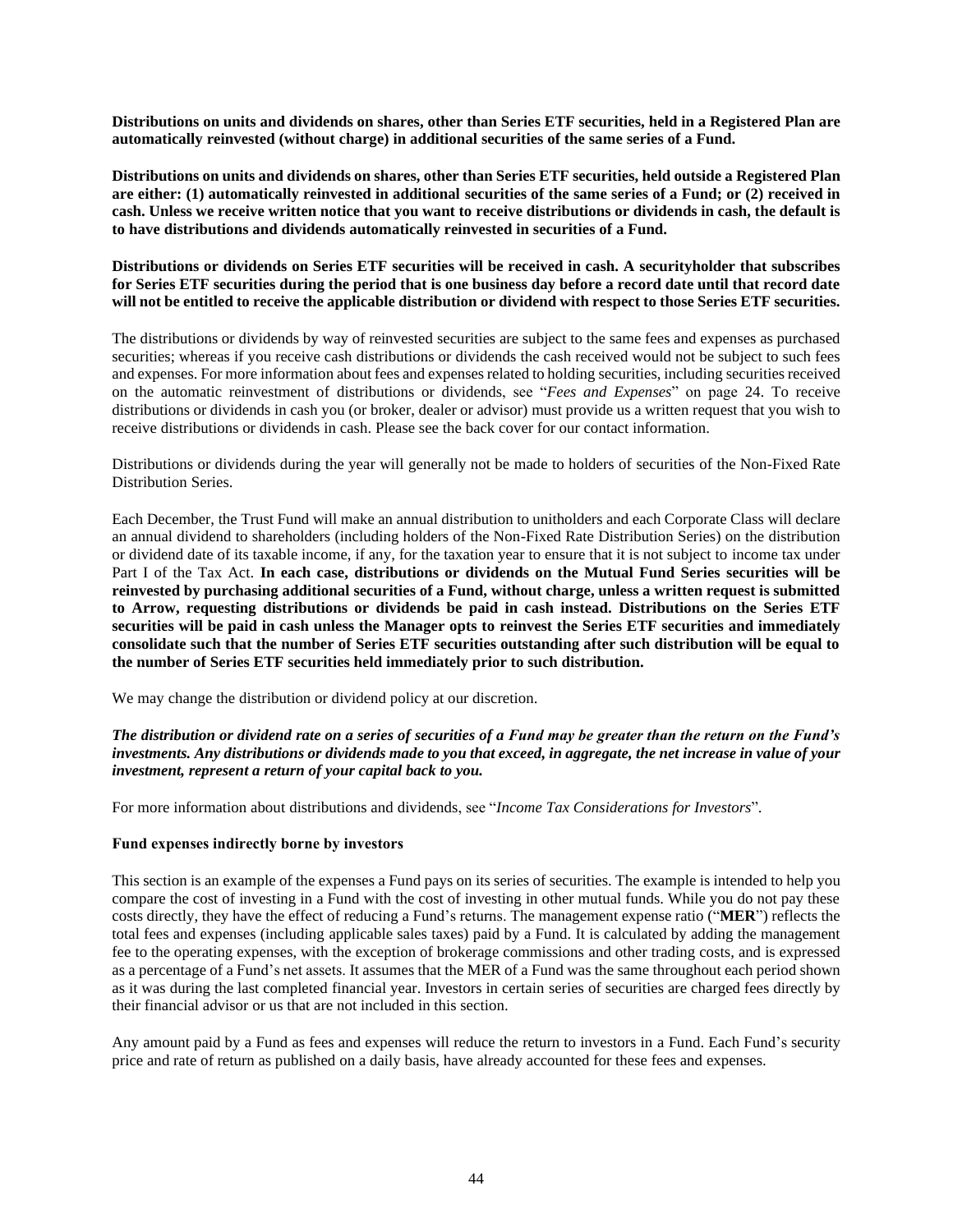**Distributions on units and dividends on shares, other than Series ETF securities, held in a Registered Plan are automatically reinvested (without charge) in additional securities of the same series of a Fund.** 

**Distributions on units and dividends on shares, other than Series ETF securities, held outside a Registered Plan are either: (1) automatically reinvested in additional securities of the same series of a Fund; or (2) received in cash. Unless we receive written notice that you want to receive distributions or dividends in cash, the default is to have distributions and dividends automatically reinvested in securities of a Fund.**

**Distributions or dividends on Series ETF securities will be received in cash. A securityholder that subscribes for Series ETF securities during the period that is one business day before a record date until that record date will not be entitled to receive the applicable distribution or dividend with respect to those Series ETF securities.**

The distributions or dividends by way of reinvested securities are subject to the same fees and expenses as purchased securities; whereas if you receive cash distributions or dividends the cash received would not be subject to such fees and expenses. For more information about fees and expenses related to holding securities, including securities received on the automatic reinvestment of distributions or dividends, see "*Fees and Expenses*" on page [24.](#page-24-1) To receive distributions or dividends in cash you (or broker, dealer or advisor) must provide us a written request that you wish to receive distributions or dividends in cash. Please see the back cover for our contact information.

Distributions or dividends during the year will generally not be made to holders of securities of the Non-Fixed Rate Distribution Series.

Each December, the Trust Fund will make an annual distribution to unitholders and each Corporate Class will declare an annual dividend to shareholders (including holders of the Non-Fixed Rate Distribution Series) on the distribution or dividend date of its taxable income, if any, for the taxation year to ensure that it is not subject to income tax under Part I of the Tax Act. **In each case, distributions or dividends on the Mutual Fund Series securities will be reinvested by purchasing additional securities of a Fund, without charge, unless a written request is submitted to Arrow, requesting distributions or dividends be paid in cash instead. Distributions on the Series ETF securities will be paid in cash unless the Manager opts to reinvest the Series ETF securities and immediately consolidate such that the number of Series ETF securities outstanding after such distribution will be equal to the number of Series ETF securities held immediately prior to such distribution.**

We may change the distribution or dividend policy at our discretion.

*The distribution or dividend rate on a series of securities of a Fund may be greater than the return on the Fund's investments. Any distributions or dividends made to you that exceed, in aggregate, the net increase in value of your investment, represent a return of your capital back to you.*

For more information about distributions and dividends, see "*Income Tax Considerations for Investors*".

#### **Fund expenses indirectly borne by investors**

This section is an example of the expenses a Fund pays on its series of securities. The example is intended to help you compare the cost of investing in a Fund with the cost of investing in other mutual funds. While you do not pay these costs directly, they have the effect of reducing a Fund's returns. The management expense ratio ("**MER**") reflects the total fees and expenses (including applicable sales taxes) paid by a Fund. It is calculated by adding the management fee to the operating expenses, with the exception of brokerage commissions and other trading costs, and is expressed as a percentage of a Fund's net assets. It assumes that the MER of a Fund was the same throughout each period shown as it was during the last completed financial year. Investors in certain series of securities are charged fees directly by their financial advisor or us that are not included in this section.

Any amount paid by a Fund as fees and expenses will reduce the return to investors in a Fund. Each Fund's security price and rate of return as published on a daily basis, have already accounted for these fees and expenses.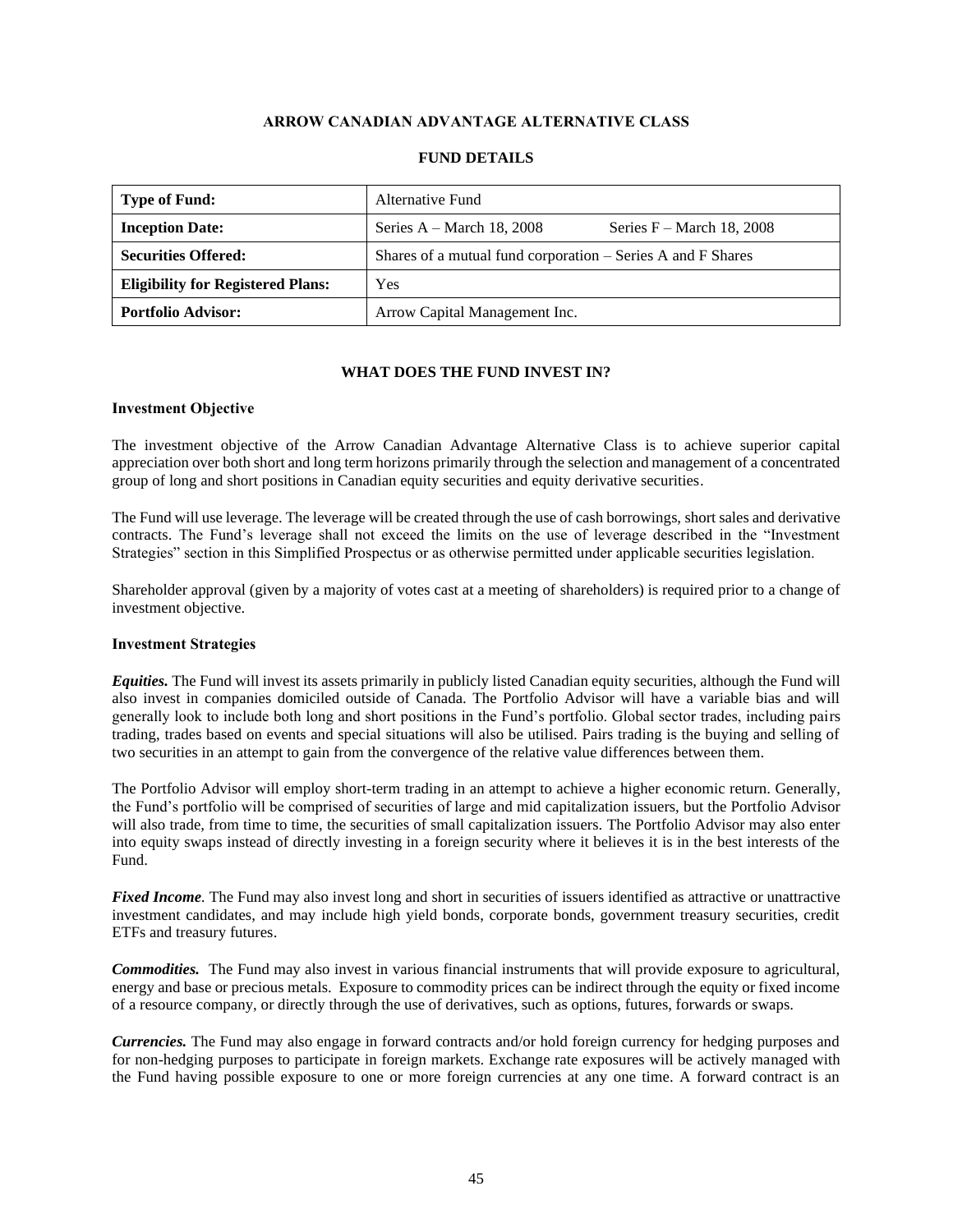## **ARROW CANADIAN ADVANTAGE ALTERNATIVE CLASS**

<span id="page-45-0"></span>

| <b>Type of Fund:</b>                     | Alternative Fund                                             |
|------------------------------------------|--------------------------------------------------------------|
| <b>Inception Date:</b>                   | Series $A - March 18$ , 2008<br>Series $F - March 18$ , 2008 |
| <b>Securities Offered:</b>               | Shares of a mutual fund corporation – Series A and F Shares  |
| <b>Eligibility for Registered Plans:</b> | Yes                                                          |
| <b>Portfolio Advisor:</b>                | Arrow Capital Management Inc.                                |

#### **FUND DETAILS**

## **WHAT DOES THE FUND INVEST IN?**

#### **Investment Objective**

The investment objective of the Arrow Canadian Advantage Alternative Class is to achieve superior capital appreciation over both short and long term horizons primarily through the selection and management of a concentrated group of long and short positions in Canadian equity securities and equity derivative securities.

The Fund will use leverage. The leverage will be created through the use of cash borrowings, short sales and derivative contracts. The Fund's leverage shall not exceed the limits on the use of leverage described in the "Investment Strategies" section in this Simplified Prospectus or as otherwise permitted under applicable securities legislation.

Shareholder approval (given by a majority of votes cast at a meeting of shareholders) is required prior to a change of investment objective.

#### **Investment Strategies**

*Equities.* The Fund will invest its assets primarily in publicly listed Canadian equity securities, although the Fund will also invest in companies domiciled outside of Canada. The Portfolio Advisor will have a variable bias and will generally look to include both long and short positions in the Fund's portfolio. Global sector trades, including pairs trading, trades based on events and special situations will also be utilised. Pairs trading is the buying and selling of two securities in an attempt to gain from the convergence of the relative value differences between them.

The Portfolio Advisor will employ short-term trading in an attempt to achieve a higher economic return. Generally, the Fund's portfolio will be comprised of securities of large and mid capitalization issuers, but the Portfolio Advisor will also trade, from time to time, the securities of small capitalization issuers. The Portfolio Advisor may also enter into equity swaps instead of directly investing in a foreign security where it believes it is in the best interests of the Fund.

*Fixed Income.* The Fund may also invest long and short in securities of issuers identified as attractive or unattractive investment candidates, and may include high yield bonds, corporate bonds, government treasury securities, credit ETFs and treasury futures.

*Commodities.* The Fund may also invest in various financial instruments that will provide exposure to agricultural, energy and base or precious metals. Exposure to commodity prices can be indirect through the equity or fixed income of a resource company, or directly through the use of derivatives, such as options, futures, forwards or swaps.

*Currencies.* The Fund may also engage in forward contracts and/or hold foreign currency for hedging purposes and for non-hedging purposes to participate in foreign markets. Exchange rate exposures will be actively managed with the Fund having possible exposure to one or more foreign currencies at any one time. A forward contract is an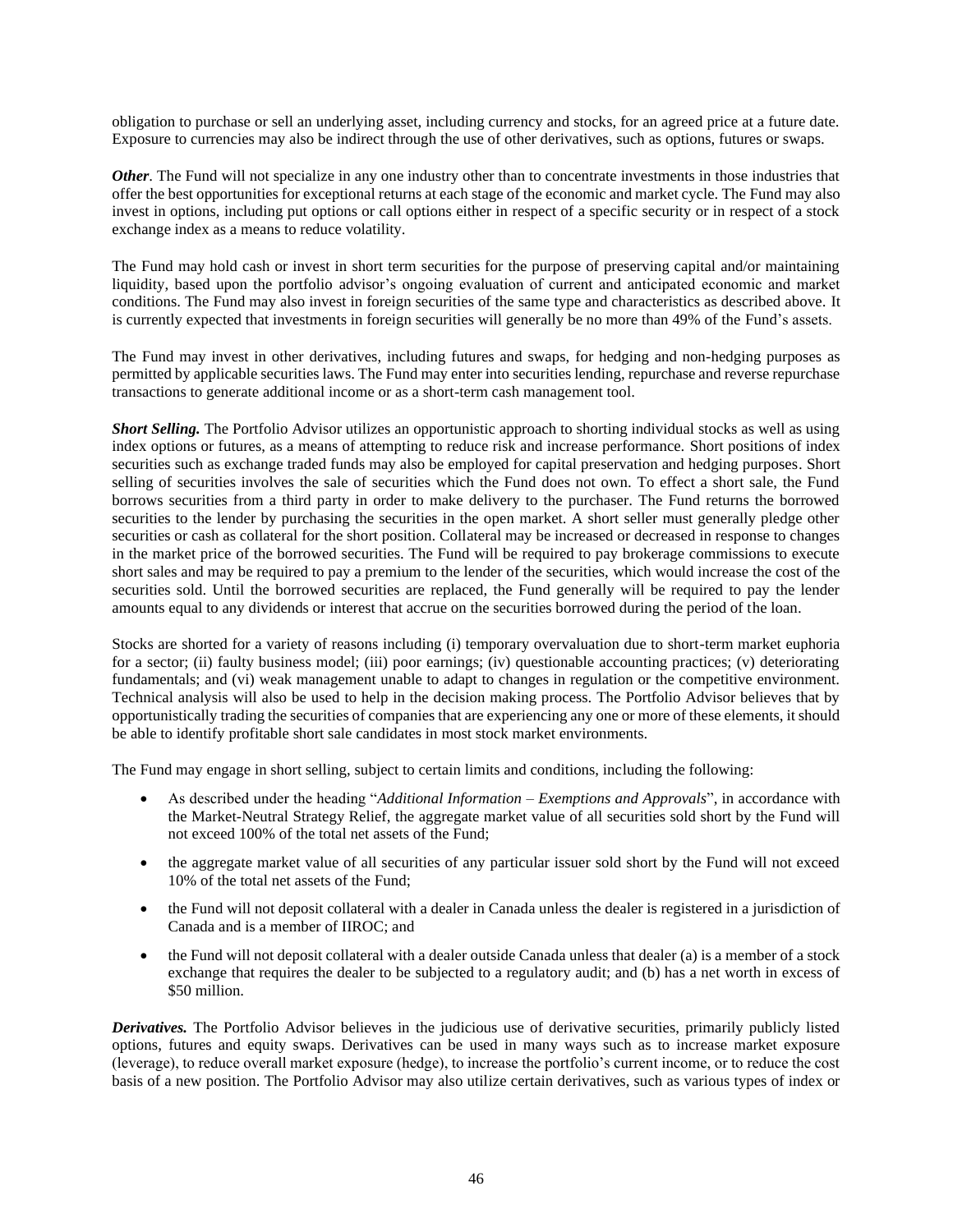obligation to purchase or sell an underlying asset, including currency and stocks, for an agreed price at a future date. Exposure to currencies may also be indirect through the use of other derivatives, such as options, futures or swaps.

*Other*. The Fund will not specialize in any one industry other than to concentrate investments in those industries that offer the best opportunities for exceptional returns at each stage of the economic and market cycle. The Fund may also invest in options, including put options or call options either in respect of a specific security or in respect of a stock exchange index as a means to reduce volatility.

The Fund may hold cash or invest in short term securities for the purpose of preserving capital and/or maintaining liquidity, based upon the portfolio advisor's ongoing evaluation of current and anticipated economic and market conditions. The Fund may also invest in foreign securities of the same type and characteristics as described above. It is currently expected that investments in foreign securities will generally be no more than 49% of the Fund's assets.

The Fund may invest in other derivatives, including futures and swaps, for hedging and non-hedging purposes as permitted by applicable securities laws. The Fund may enter into securities lending, repurchase and reverse repurchase transactions to generate additional income or as a short-term cash management tool.

*Short Selling.* The Portfolio Advisor utilizes an opportunistic approach to shorting individual stocks as well as using index options or futures, as a means of attempting to reduce risk and increase performance. Short positions of index securities such as exchange traded funds may also be employed for capital preservation and hedging purposes. Short selling of securities involves the sale of securities which the Fund does not own. To effect a short sale, the Fund borrows securities from a third party in order to make delivery to the purchaser. The Fund returns the borrowed securities to the lender by purchasing the securities in the open market. A short seller must generally pledge other securities or cash as collateral for the short position. Collateral may be increased or decreased in response to changes in the market price of the borrowed securities. The Fund will be required to pay brokerage commissions to execute short sales and may be required to pay a premium to the lender of the securities, which would increase the cost of the securities sold. Until the borrowed securities are replaced, the Fund generally will be required to pay the lender amounts equal to any dividends or interest that accrue on the securities borrowed during the period of the loan.

Stocks are shorted for a variety of reasons including (i) temporary overvaluation due to short-term market euphoria for a sector; (ii) faulty business model; (iii) poor earnings; (iv) questionable accounting practices; (v) deteriorating fundamentals; and (vi) weak management unable to adapt to changes in regulation or the competitive environment. Technical analysis will also be used to help in the decision making process. The Portfolio Advisor believes that by opportunistically trading the securities of companies that are experiencing any one or more of these elements, it should be able to identify profitable short sale candidates in most stock market environments.

The Fund may engage in short selling, subject to certain limits and conditions, including the following:

- As described under the heading "*Additional Information – Exemptions and Approvals*", in accordance with the Market-Neutral Strategy Relief, the aggregate market value of all securities sold short by the Fund will not exceed 100% of the total net assets of the Fund;
- the aggregate market value of all securities of any particular issuer sold short by the Fund will not exceed 10% of the total net assets of the Fund;
- the Fund will not deposit collateral with a dealer in Canada unless the dealer is registered in a jurisdiction of Canada and is a member of IIROC; and
- the Fund will not deposit collateral with a dealer outside Canada unless that dealer (a) is a member of a stock exchange that requires the dealer to be subjected to a regulatory audit; and (b) has a net worth in excess of \$50 million.

*Derivatives.* The Portfolio Advisor believes in the judicious use of derivative securities, primarily publicly listed options, futures and equity swaps. Derivatives can be used in many ways such as to increase market exposure (leverage), to reduce overall market exposure (hedge), to increase the portfolio's current income, or to reduce the cost basis of a new position. The Portfolio Advisor may also utilize certain derivatives, such as various types of index or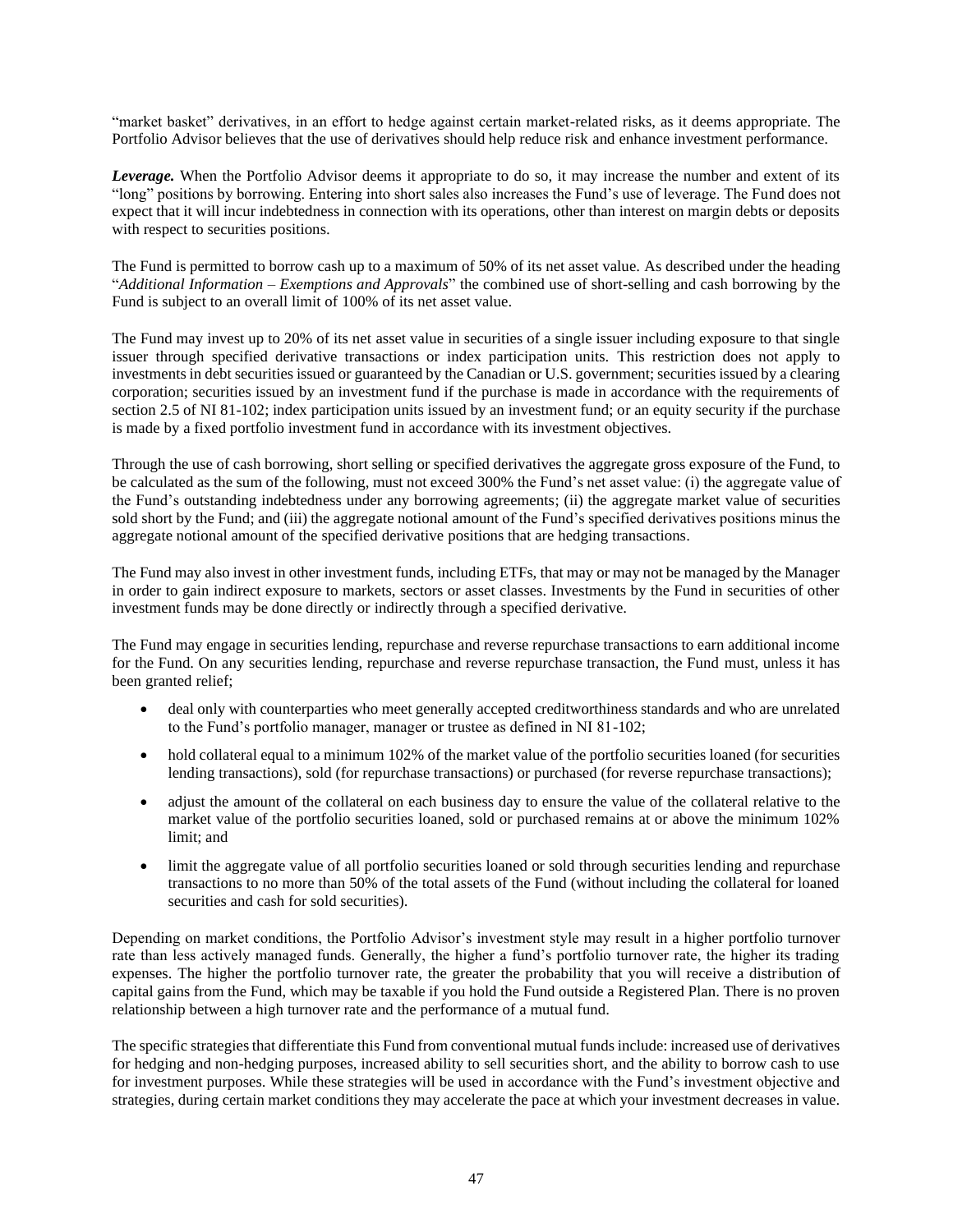"market basket" derivatives, in an effort to hedge against certain market-related risks, as it deems appropriate. The Portfolio Advisor believes that the use of derivatives should help reduce risk and enhance investment performance.

*Leverage.* When the Portfolio Advisor deems it appropriate to do so, it may increase the number and extent of its "long" positions by borrowing. Entering into short sales also increases the Fund's use of leverage. The Fund does not expect that it will incur indebtedness in connection with its operations, other than interest on margin debts or deposits with respect to securities positions.

The Fund is permitted to borrow cash up to a maximum of 50% of its net asset value. As described under the heading "*Additional Information – Exemptions and Approvals*" the combined use of short-selling and cash borrowing by the Fund is subject to an overall limit of 100% of its net asset value.

The Fund may invest up to 20% of its net asset value in securities of a single issuer including exposure to that single issuer through specified derivative transactions or index participation units. This restriction does not apply to investments in debt securities issued or guaranteed by the Canadian or U.S. government; securities issued by a clearing corporation; securities issued by an investment fund if the purchase is made in accordance with the requirements of section 2.5 of NI 81-102; index participation units issued by an investment fund; or an equity security if the purchase is made by a fixed portfolio investment fund in accordance with its investment objectives.

Through the use of cash borrowing, short selling or specified derivatives the aggregate gross exposure of the Fund, to be calculated as the sum of the following, must not exceed 300% the Fund's net asset value: (i) the aggregate value of the Fund's outstanding indebtedness under any borrowing agreements; (ii) the aggregate market value of securities sold short by the Fund; and (iii) the aggregate notional amount of the Fund's specified derivatives positions minus the aggregate notional amount of the specified derivative positions that are hedging transactions.

The Fund may also invest in other investment funds, including ETFs, that may or may not be managed by the Manager in order to gain indirect exposure to markets, sectors or asset classes. Investments by the Fund in securities of other investment funds may be done directly or indirectly through a specified derivative.

The Fund may engage in securities lending, repurchase and reverse repurchase transactions to earn additional income for the Fund. On any securities lending, repurchase and reverse repurchase transaction, the Fund must, unless it has been granted relief;

- deal only with counterparties who meet generally accepted creditworthiness standards and who are unrelated to the Fund's portfolio manager, manager or trustee as defined in NI 81-102;
- hold collateral equal to a minimum 102% of the market value of the portfolio securities loaned (for securities lending transactions), sold (for repurchase transactions) or purchased (for reverse repurchase transactions);
- adjust the amount of the collateral on each business day to ensure the value of the collateral relative to the market value of the portfolio securities loaned, sold or purchased remains at or above the minimum 102% limit; and
- limit the aggregate value of all portfolio securities loaned or sold through securities lending and repurchase transactions to no more than 50% of the total assets of the Fund (without including the collateral for loaned securities and cash for sold securities).

Depending on market conditions, the Portfolio Advisor's investment style may result in a higher portfolio turnover rate than less actively managed funds. Generally, the higher a fund's portfolio turnover rate, the higher its trading expenses. The higher the portfolio turnover rate, the greater the probability that you will receive a distribution of capital gains from the Fund, which may be taxable if you hold the Fund outside a Registered Plan. There is no proven relationship between a high turnover rate and the performance of a mutual fund.

The specific strategies that differentiate this Fund from conventional mutual funds include: increased use of derivatives for hedging and non-hedging purposes, increased ability to sell securities short, and the ability to borrow cash to use for investment purposes. While these strategies will be used in accordance with the Fund's investment objective and strategies, during certain market conditions they may accelerate the pace at which your investment decreases in value.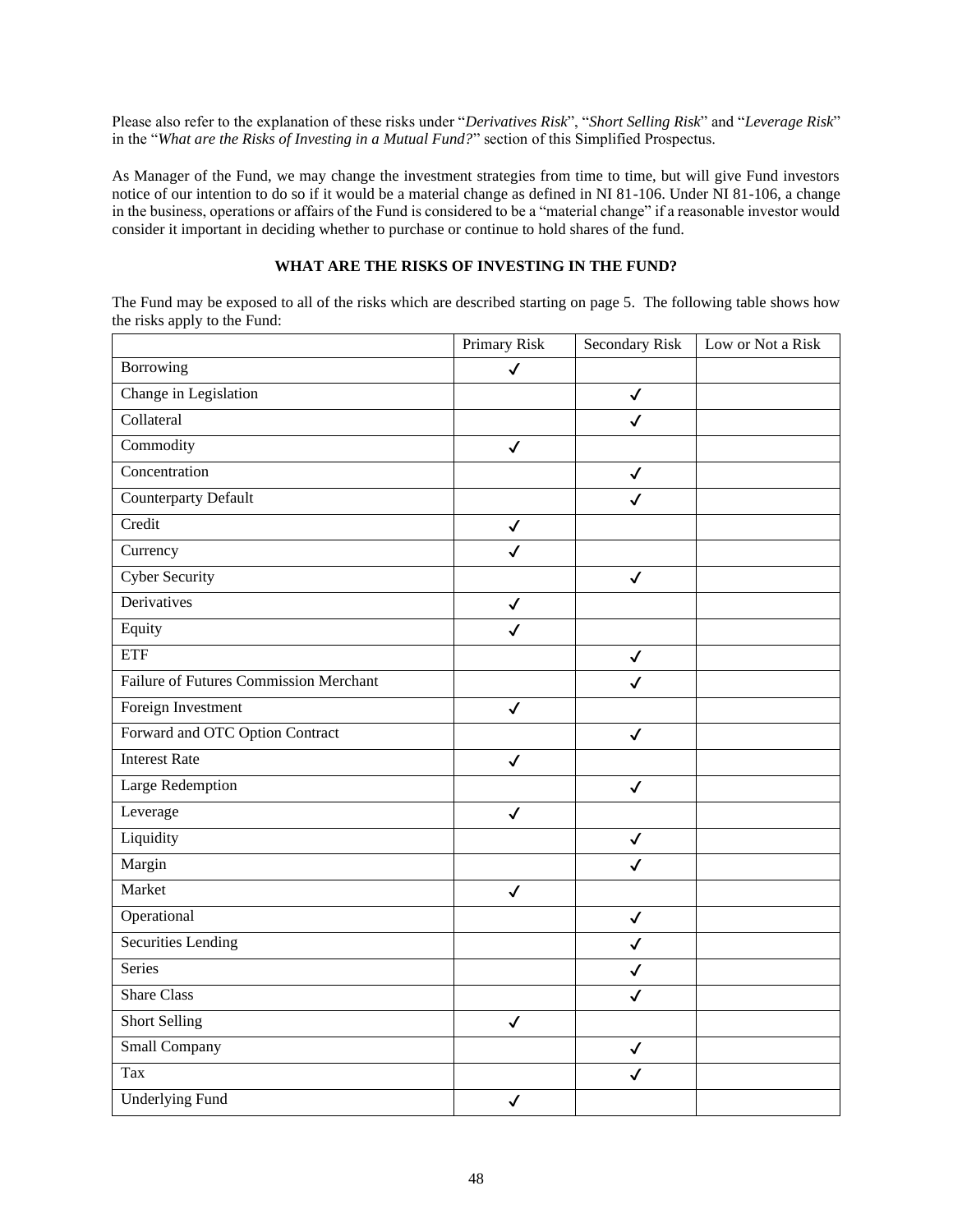Please also refer to the explanation of these risks under "*Derivatives Risk*", "*Short Selling Risk*" and "*Leverage Risk*" in the "*What are the Risks of Investing in a Mutual Fund?*" section of this Simplified Prospectus.

As Manager of the Fund, we may change the investment strategies from time to time, but will give Fund investors notice of our intention to do so if it would be a material change as defined in NI 81-106. Under NI 81-106, a change in the business, operations or affairs of the Fund is considered to be a "material change" if a reasonable investor would consider it important in deciding whether to purchase or continue to hold shares of the fund.

## **WHAT ARE THE RISKS OF INVESTING IN THE FUND?**

The Fund may be exposed to all of the risks which are described starting on pag[e 5.](#page-5-0) The following table shows how the risks apply to the Fund:

|                                        | <b>Primary Risk</b> | <b>Secondary Risk</b> | Low or Not a Risk |
|----------------------------------------|---------------------|-----------------------|-------------------|
| Borrowing                              | $\checkmark$        |                       |                   |
| Change in Legislation                  |                     | $\checkmark$          |                   |
| Collateral                             |                     | $\checkmark$          |                   |
| Commodity                              | $\checkmark$        |                       |                   |
| Concentration                          |                     | $\checkmark$          |                   |
| <b>Counterparty Default</b>            |                     | $\checkmark$          |                   |
| Credit                                 | $\checkmark$        |                       |                   |
| Currency                               | $\checkmark$        |                       |                   |
| <b>Cyber Security</b>                  |                     | $\checkmark$          |                   |
| Derivatives                            | $\checkmark$        |                       |                   |
| Equity                                 | $\checkmark$        |                       |                   |
| ETF                                    |                     | $\checkmark$          |                   |
| Failure of Futures Commission Merchant |                     | $\checkmark$          |                   |
| Foreign Investment                     | $\checkmark$        |                       |                   |
| Forward and OTC Option Contract        |                     | $\checkmark$          |                   |
| <b>Interest Rate</b>                   | $\checkmark$        |                       |                   |
| <b>Large Redemption</b>                |                     | $\checkmark$          |                   |
| Leverage                               | $\checkmark$        |                       |                   |
| Liquidity                              |                     | $\checkmark$          |                   |
| Margin                                 |                     | $\checkmark$          |                   |
| Market                                 | $\checkmark$        |                       |                   |
| Operational                            |                     | $\checkmark$          |                   |
| Securities Lending                     |                     | $\checkmark$          |                   |
| <b>Series</b>                          |                     | $\checkmark$          |                   |
| <b>Share Class</b>                     |                     | $\checkmark$          |                   |
| <b>Short Selling</b>                   | $\checkmark$        |                       |                   |
| <b>Small Company</b>                   |                     | $\checkmark$          |                   |
| Tax                                    |                     | $\checkmark$          |                   |
| <b>Underlying Fund</b>                 | $\checkmark$        |                       |                   |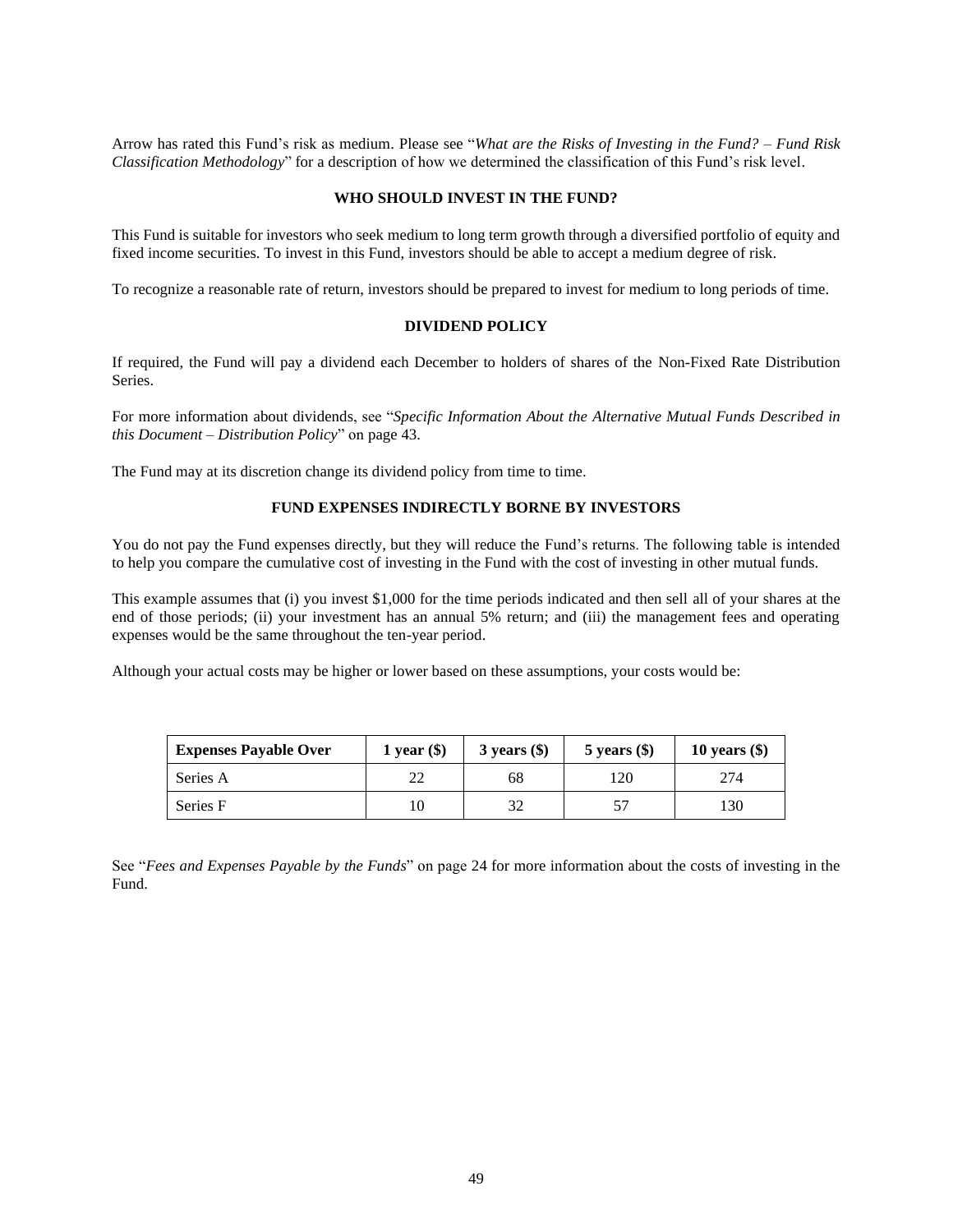Arrow has rated this Fund's risk as medium. Please see "*What are the Risks of Investing in the Fund? – Fund Risk Classification Methodology*" for a description of how we determined the classification of this Fund's risk level.

### **WHO SHOULD INVEST IN THE FUND?**

This Fund is suitable for investors who seek medium to long term growth through a diversified portfolio of equity and fixed income securities. To invest in this Fund, investors should be able to accept a medium degree of risk.

To recognize a reasonable rate of return, investors should be prepared to invest for medium to long periods of time.

## **DIVIDEND POLICY**

If required, the Fund will pay a dividend each December to holders of shares of the Non-Fixed Rate Distribution Series.

For more information about dividends, see "*Specific Information About the Alternative Mutual Funds Described in this Document – Distribution Policy*" on page [43.](#page-43-0)

The Fund may at its discretion change its dividend policy from time to time.

#### **FUND EXPENSES INDIRECTLY BORNE BY INVESTORS**

You do not pay the Fund expenses directly, but they will reduce the Fund's returns. The following table is intended to help you compare the cumulative cost of investing in the Fund with the cost of investing in other mutual funds.

This example assumes that (i) you invest \$1,000 for the time periods indicated and then sell all of your shares at the end of those periods; (ii) your investment has an annual 5% return; and (iii) the management fees and operating expenses would be the same throughout the ten-year period.

Although your actual costs may be higher or lower based on these assumptions, your costs would be:

| <b>Expenses Payable Over</b> | 1 year $(\$)$ | $3$ years $(\$)$ | $5$ years $(\$)$ | 10 years $(\$)$ |
|------------------------------|---------------|------------------|------------------|-----------------|
| Series A                     | າາ<br>∠∠      | 68               | 120              | 274             |
| Series F                     | 10            | 32               |                  | 130             |

See "*Fees and Expenses Payable by the Funds*" on page [24](#page-24-1) for more information about the costs of investing in the Fund.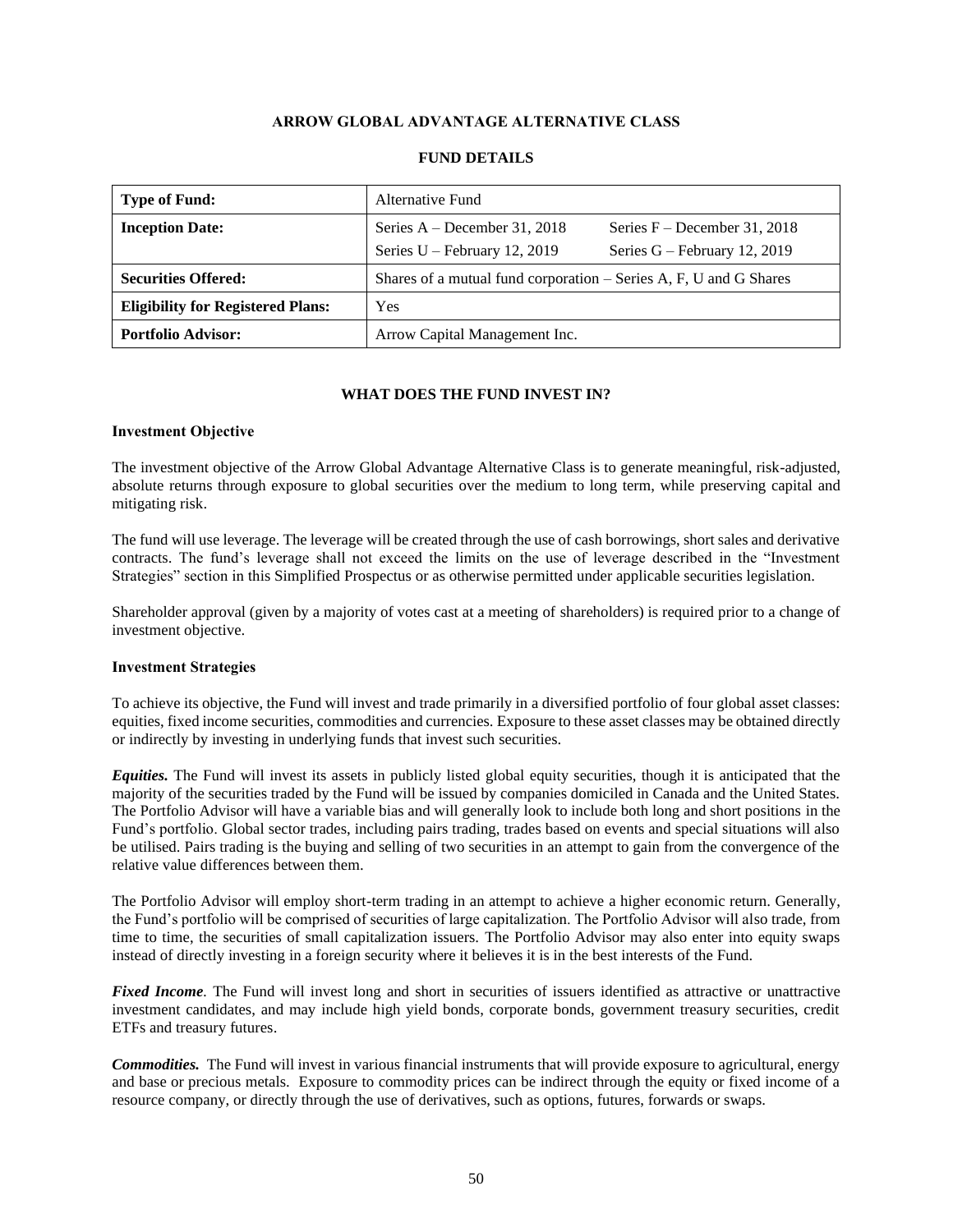## **ARROW GLOBAL ADVANTAGE ALTERNATIVE CLASS**

<span id="page-50-0"></span>

| Type of Fund:                            | <b>Alternative Fund</b>                                                                                                              |
|------------------------------------------|--------------------------------------------------------------------------------------------------------------------------------------|
| <b>Inception Date:</b>                   | Series $A - December 31, 2018$<br>Series $F - December 31, 2018$<br>Series $U$ – February 12, 2019<br>Series $G$ – February 12, 2019 |
| <b>Securities Offered:</b>               | Shares of a mutual fund corporation $-$ Series A, F, U and G Shares                                                                  |
| <b>Eligibility for Registered Plans:</b> | Yes                                                                                                                                  |
| <b>Portfolio Advisor:</b>                | Arrow Capital Management Inc.                                                                                                        |

### **FUND DETAILS**

## **WHAT DOES THE FUND INVEST IN?**

#### **Investment Objective**

The investment objective of the Arrow Global Advantage Alternative Class is to generate meaningful, risk-adjusted, absolute returns through exposure to global securities over the medium to long term, while preserving capital and mitigating risk.

The fund will use leverage. The leverage will be created through the use of cash borrowings, short sales and derivative contracts. The fund's leverage shall not exceed the limits on the use of leverage described in the "Investment Strategies" section in this Simplified Prospectus or as otherwise permitted under applicable securities legislation.

Shareholder approval (given by a majority of votes cast at a meeting of shareholders) is required prior to a change of investment objective.

## **Investment Strategies**

To achieve its objective, the Fund will invest and trade primarily in a diversified portfolio of four global asset classes: equities, fixed income securities, commodities and currencies. Exposure to these asset classes may be obtained directly or indirectly by investing in underlying funds that invest such securities.

*Equities.* The Fund will invest its assets in publicly listed global equity securities, though it is anticipated that the majority of the securities traded by the Fund will be issued by companies domiciled in Canada and the United States. The Portfolio Advisor will have a variable bias and will generally look to include both long and short positions in the Fund's portfolio. Global sector trades, including pairs trading, trades based on events and special situations will also be utilised. Pairs trading is the buying and selling of two securities in an attempt to gain from the convergence of the relative value differences between them.

The Portfolio Advisor will employ short-term trading in an attempt to achieve a higher economic return. Generally, the Fund's portfolio will be comprised of securities of large capitalization. The Portfolio Advisor will also trade, from time to time, the securities of small capitalization issuers. The Portfolio Advisor may also enter into equity swaps instead of directly investing in a foreign security where it believes it is in the best interests of the Fund.

*Fixed Income*. The Fund will invest long and short in securities of issuers identified as attractive or unattractive investment candidates, and may include high yield bonds, corporate bonds, government treasury securities, credit ETFs and treasury futures.

*Commodities.* The Fund will invest in various financial instruments that will provide exposure to agricultural, energy and base or precious metals. Exposure to commodity prices can be indirect through the equity or fixed income of a resource company, or directly through the use of derivatives, such as options, futures, forwards or swaps.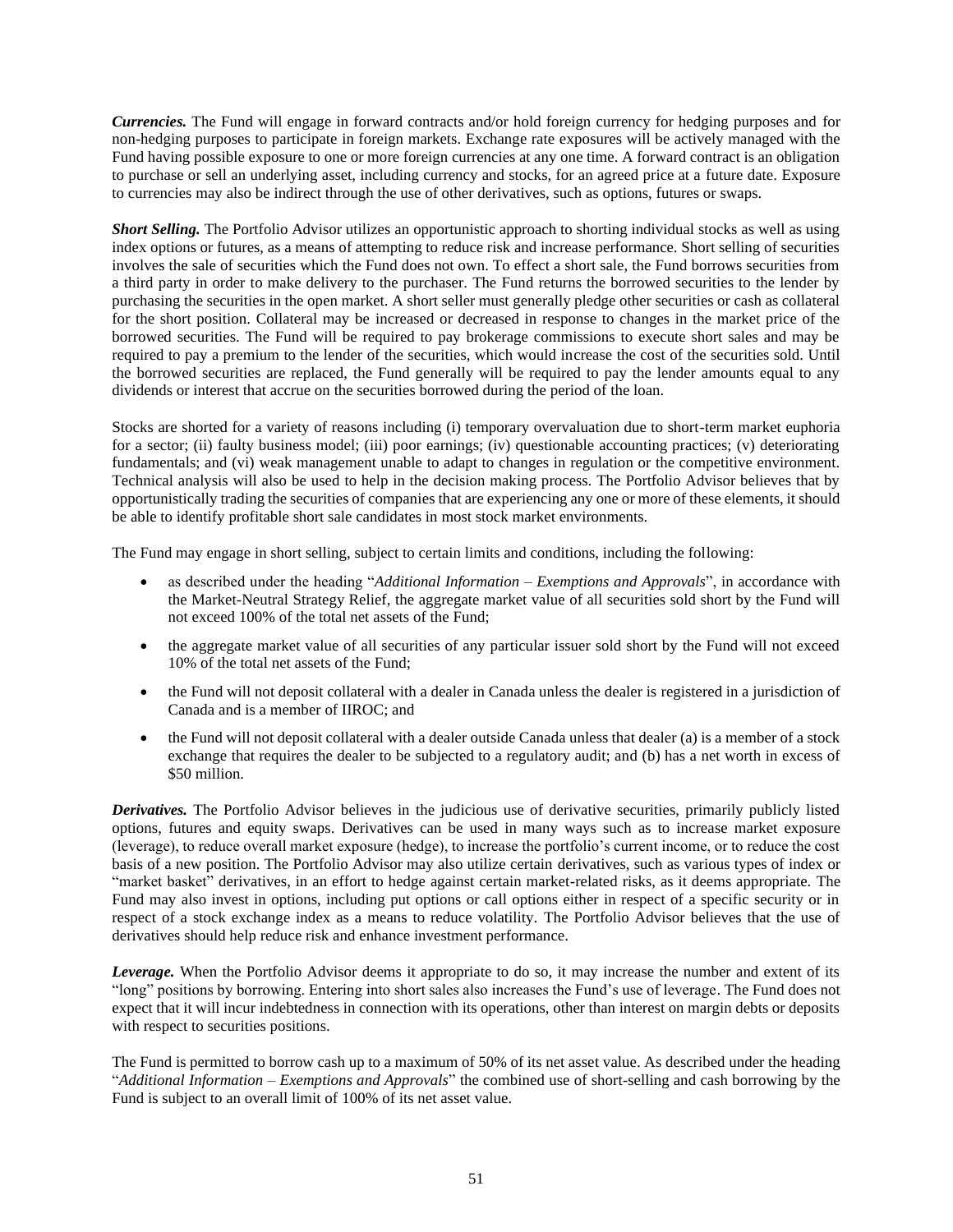*Currencies.* The Fund will engage in forward contracts and/or hold foreign currency for hedging purposes and for non-hedging purposes to participate in foreign markets. Exchange rate exposures will be actively managed with the Fund having possible exposure to one or more foreign currencies at any one time. A forward contract is an obligation to purchase or sell an underlying asset, including currency and stocks, for an agreed price at a future date. Exposure to currencies may also be indirect through the use of other derivatives, such as options, futures or swaps.

*Short Selling.* The Portfolio Advisor utilizes an opportunistic approach to shorting individual stocks as well as using index options or futures, as a means of attempting to reduce risk and increase performance. Short selling of securities involves the sale of securities which the Fund does not own. To effect a short sale, the Fund borrows securities from a third party in order to make delivery to the purchaser. The Fund returns the borrowed securities to the lender by purchasing the securities in the open market. A short seller must generally pledge other securities or cash as collateral for the short position. Collateral may be increased or decreased in response to changes in the market price of the borrowed securities. The Fund will be required to pay brokerage commissions to execute short sales and may be required to pay a premium to the lender of the securities, which would increase the cost of the securities sold. Until the borrowed securities are replaced, the Fund generally will be required to pay the lender amounts equal to any dividends or interest that accrue on the securities borrowed during the period of the loan.

Stocks are shorted for a variety of reasons including (i) temporary overvaluation due to short-term market euphoria for a sector; (ii) faulty business model; (iii) poor earnings; (iv) questionable accounting practices; (v) deteriorating fundamentals; and (vi) weak management unable to adapt to changes in regulation or the competitive environment. Technical analysis will also be used to help in the decision making process. The Portfolio Advisor believes that by opportunistically trading the securities of companies that are experiencing any one or more of these elements, it should be able to identify profitable short sale candidates in most stock market environments.

The Fund may engage in short selling, subject to certain limits and conditions, including the following:

- as described under the heading "*Additional Information – Exemptions and Approvals*", in accordance with the Market-Neutral Strategy Relief, the aggregate market value of all securities sold short by the Fund will not exceed 100% of the total net assets of the Fund;
- the aggregate market value of all securities of any particular issuer sold short by the Fund will not exceed 10% of the total net assets of the Fund;
- the Fund will not deposit collateral with a dealer in Canada unless the dealer is registered in a jurisdiction of Canada and is a member of IIROC; and
- the Fund will not deposit collateral with a dealer outside Canada unless that dealer (a) is a member of a stock exchange that requires the dealer to be subjected to a regulatory audit; and (b) has a net worth in excess of \$50 million.

*Derivatives.* The Portfolio Advisor believes in the judicious use of derivative securities, primarily publicly listed options, futures and equity swaps. Derivatives can be used in many ways such as to increase market exposure (leverage), to reduce overall market exposure (hedge), to increase the portfolio's current income, or to reduce the cost basis of a new position. The Portfolio Advisor may also utilize certain derivatives, such as various types of index or "market basket" derivatives, in an effort to hedge against certain market-related risks, as it deems appropriate. The Fund may also invest in options, including put options or call options either in respect of a specific security or in respect of a stock exchange index as a means to reduce volatility. The Portfolio Advisor believes that the use of derivatives should help reduce risk and enhance investment performance.

*Leverage.* When the Portfolio Advisor deems it appropriate to do so, it may increase the number and extent of its "long" positions by borrowing. Entering into short sales also increases the Fund's use of leverage. The Fund does not expect that it will incur indebtedness in connection with its operations, other than interest on margin debts or deposits with respect to securities positions.

The Fund is permitted to borrow cash up to a maximum of 50% of its net asset value. As described under the heading "*Additional Information – Exemptions and Approvals*" the combined use of short-selling and cash borrowing by the Fund is subject to an overall limit of 100% of its net asset value.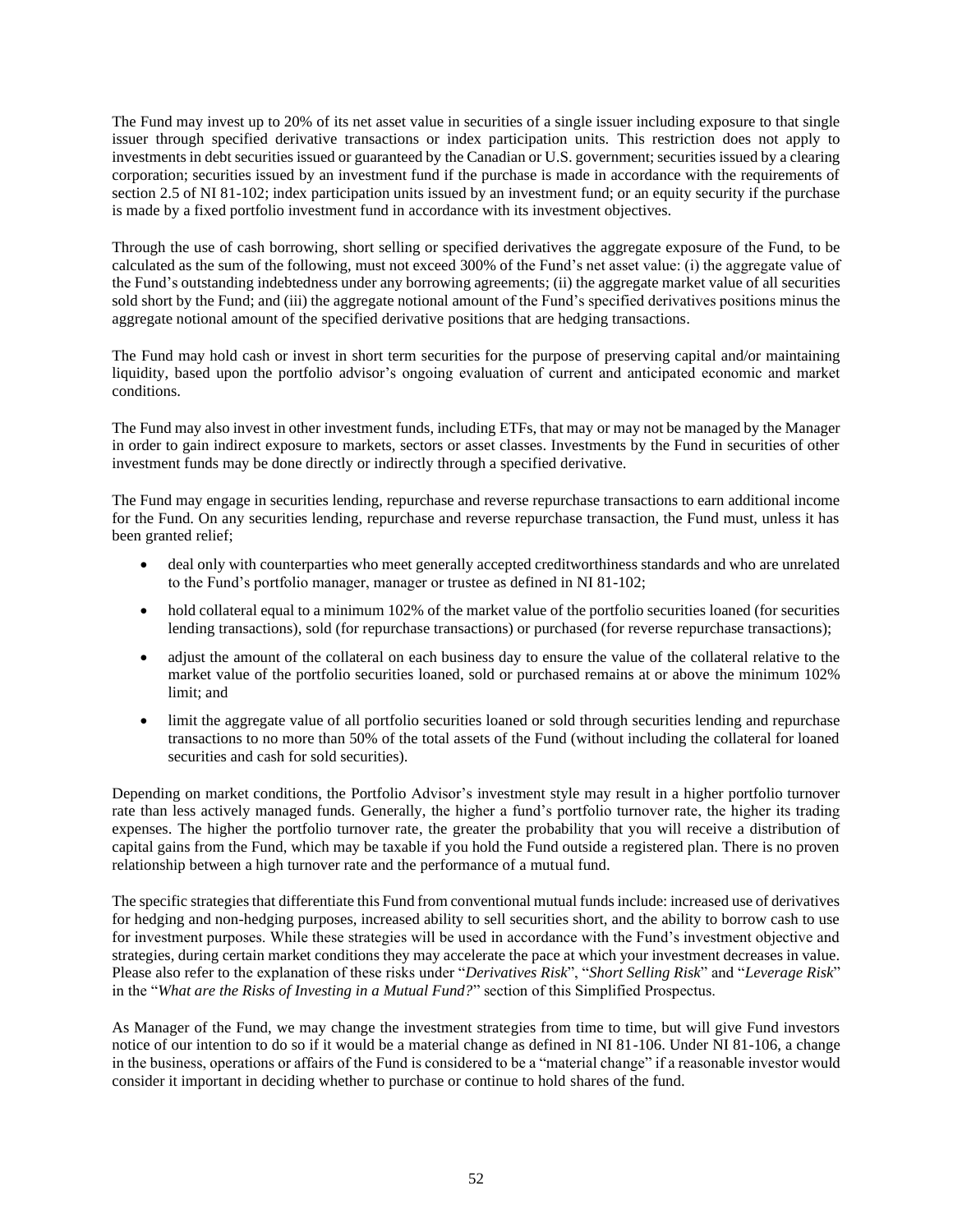The Fund may invest up to 20% of its net asset value in securities of a single issuer including exposure to that single issuer through specified derivative transactions or index participation units. This restriction does not apply to investments in debt securities issued or guaranteed by the Canadian or U.S. government; securities issued by a clearing corporation; securities issued by an investment fund if the purchase is made in accordance with the requirements of section 2.5 of NI 81-102; index participation units issued by an investment fund; or an equity security if the purchase is made by a fixed portfolio investment fund in accordance with its investment objectives.

Through the use of cash borrowing, short selling or specified derivatives the aggregate exposure of the Fund, to be calculated as the sum of the following, must not exceed 300% of the Fund's net asset value: (i) the aggregate value of the Fund's outstanding indebtedness under any borrowing agreements; (ii) the aggregate market value of all securities sold short by the Fund; and (iii) the aggregate notional amount of the Fund's specified derivatives positions minus the aggregate notional amount of the specified derivative positions that are hedging transactions.

The Fund may hold cash or invest in short term securities for the purpose of preserving capital and/or maintaining liquidity, based upon the portfolio advisor's ongoing evaluation of current and anticipated economic and market conditions.

The Fund may also invest in other investment funds, including ETFs, that may or may not be managed by the Manager in order to gain indirect exposure to markets, sectors or asset classes. Investments by the Fund in securities of other investment funds may be done directly or indirectly through a specified derivative.

The Fund may engage in securities lending, repurchase and reverse repurchase transactions to earn additional income for the Fund. On any securities lending, repurchase and reverse repurchase transaction, the Fund must, unless it has been granted relief;

- deal only with counterparties who meet generally accepted creditworthiness standards and who are unrelated to the Fund's portfolio manager, manager or trustee as defined in NI 81-102;
- hold collateral equal to a minimum 102% of the market value of the portfolio securities loaned (for securities lending transactions), sold (for repurchase transactions) or purchased (for reverse repurchase transactions);
- adjust the amount of the collateral on each business day to ensure the value of the collateral relative to the market value of the portfolio securities loaned, sold or purchased remains at or above the minimum 102% limit; and
- limit the aggregate value of all portfolio securities loaned or sold through securities lending and repurchase transactions to no more than 50% of the total assets of the Fund (without including the collateral for loaned securities and cash for sold securities).

Depending on market conditions, the Portfolio Advisor's investment style may result in a higher portfolio turnover rate than less actively managed funds. Generally, the higher a fund's portfolio turnover rate, the higher its trading expenses. The higher the portfolio turnover rate, the greater the probability that you will receive a distribution of capital gains from the Fund, which may be taxable if you hold the Fund outside a registered plan. There is no proven relationship between a high turnover rate and the performance of a mutual fund.

The specific strategies that differentiate this Fund from conventional mutual funds include: increased use of derivatives for hedging and non-hedging purposes, increased ability to sell securities short, and the ability to borrow cash to use for investment purposes. While these strategies will be used in accordance with the Fund's investment objective and strategies, during certain market conditions they may accelerate the pace at which your investment decreases in value. Please also refer to the explanation of these risks under "*Derivatives Risk*", "*Short Selling Risk*" and "*Leverage Risk*" in the "*What are the Risks of Investing in a Mutual Fund?*" section of this Simplified Prospectus.

As Manager of the Fund, we may change the investment strategies from time to time, but will give Fund investors notice of our intention to do so if it would be a material change as defined in NI 81-106. Under NI 81-106, a change in the business, operations or affairs of the Fund is considered to be a "material change" if a reasonable investor would consider it important in deciding whether to purchase or continue to hold shares of the fund.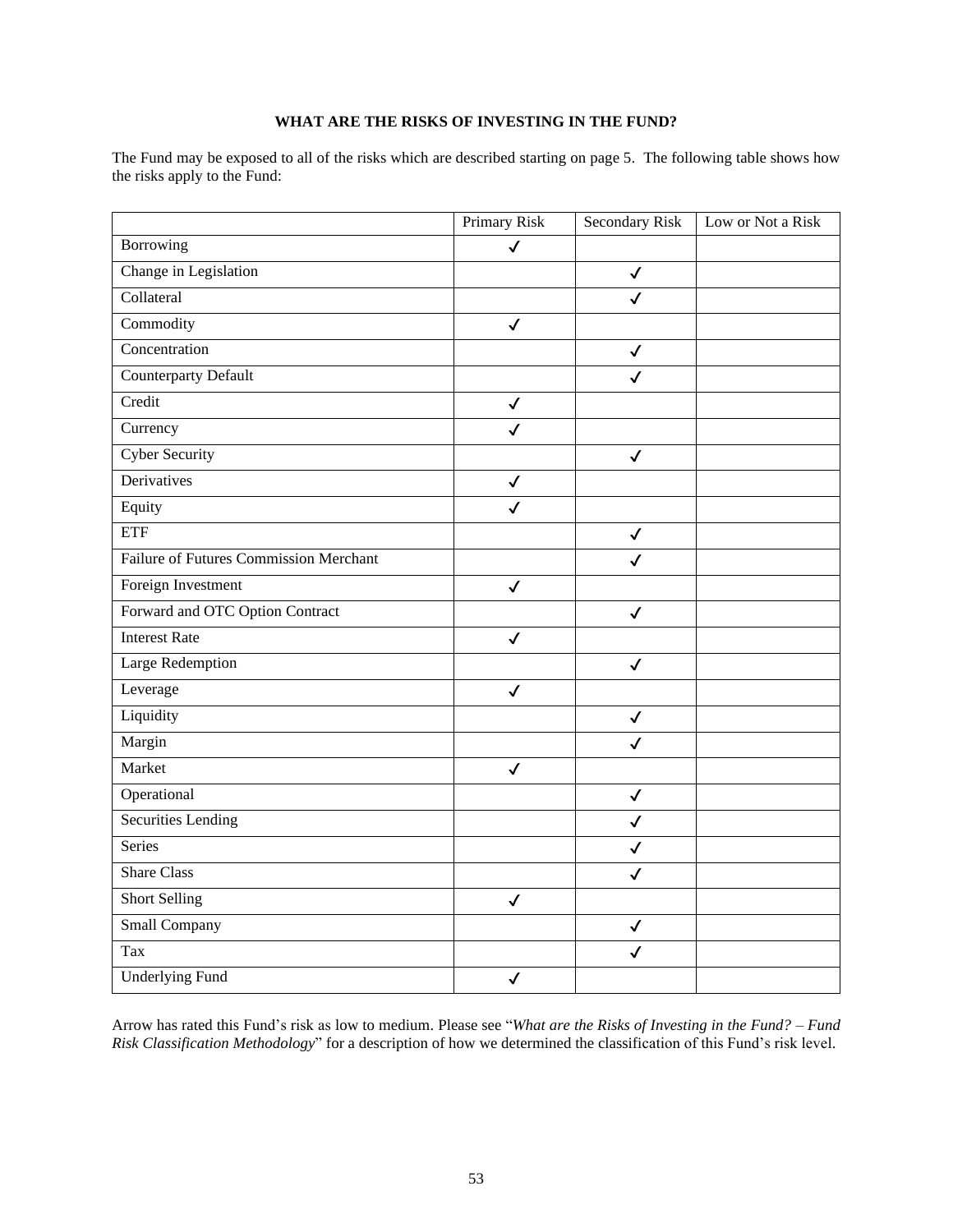## **WHAT ARE THE RISKS OF INVESTING IN THE FUND?**

The Fund may be exposed to all of the risks which are described starting on page [5.](#page-5-0) The following table shows how the risks apply to the Fund:

| Borrowing<br>Change in Legislation<br>Collateral | $\checkmark$ | $\checkmark$ |  |
|--------------------------------------------------|--------------|--------------|--|
|                                                  |              |              |  |
|                                                  |              |              |  |
|                                                  |              | $\checkmark$ |  |
| Commodity                                        | $\checkmark$ |              |  |
| Concentration                                    |              | $\checkmark$ |  |
| <b>Counterparty Default</b>                      |              | $\checkmark$ |  |
| Credit                                           | $\checkmark$ |              |  |
| Currency                                         | $\checkmark$ |              |  |
| <b>Cyber Security</b>                            |              | $\checkmark$ |  |
| Derivatives                                      | $\checkmark$ |              |  |
| Equity                                           | $\checkmark$ |              |  |
| ETF                                              |              | $\checkmark$ |  |
| Failure of Futures Commission Merchant           |              | ✓            |  |
| Foreign Investment                               | $\checkmark$ |              |  |
| Forward and OTC Option Contract                  |              | $\checkmark$ |  |
| <b>Interest Rate</b>                             | $\checkmark$ |              |  |
| Large Redemption                                 |              | $\checkmark$ |  |
| Leverage                                         | $\checkmark$ |              |  |
| Liquidity                                        |              | $\checkmark$ |  |
| Margin                                           |              | $\checkmark$ |  |
| Market                                           | $\checkmark$ |              |  |
| Operational                                      |              | $\checkmark$ |  |
| <b>Securities Lending</b>                        |              | $\checkmark$ |  |
| <b>Series</b>                                    |              | $\checkmark$ |  |
| <b>Share Class</b>                               |              | $\checkmark$ |  |
| <b>Short Selling</b>                             | $\checkmark$ |              |  |
| Small Company                                    |              | $\checkmark$ |  |
| Tax                                              |              | $\checkmark$ |  |
| <b>Underlying Fund</b>                           | ✓            |              |  |

Arrow has rated this Fund's risk as low to medium. Please see "*What are the Risks of Investing in the Fund? – Fund Risk Classification Methodology*" for a description of how we determined the classification of this Fund's risk level.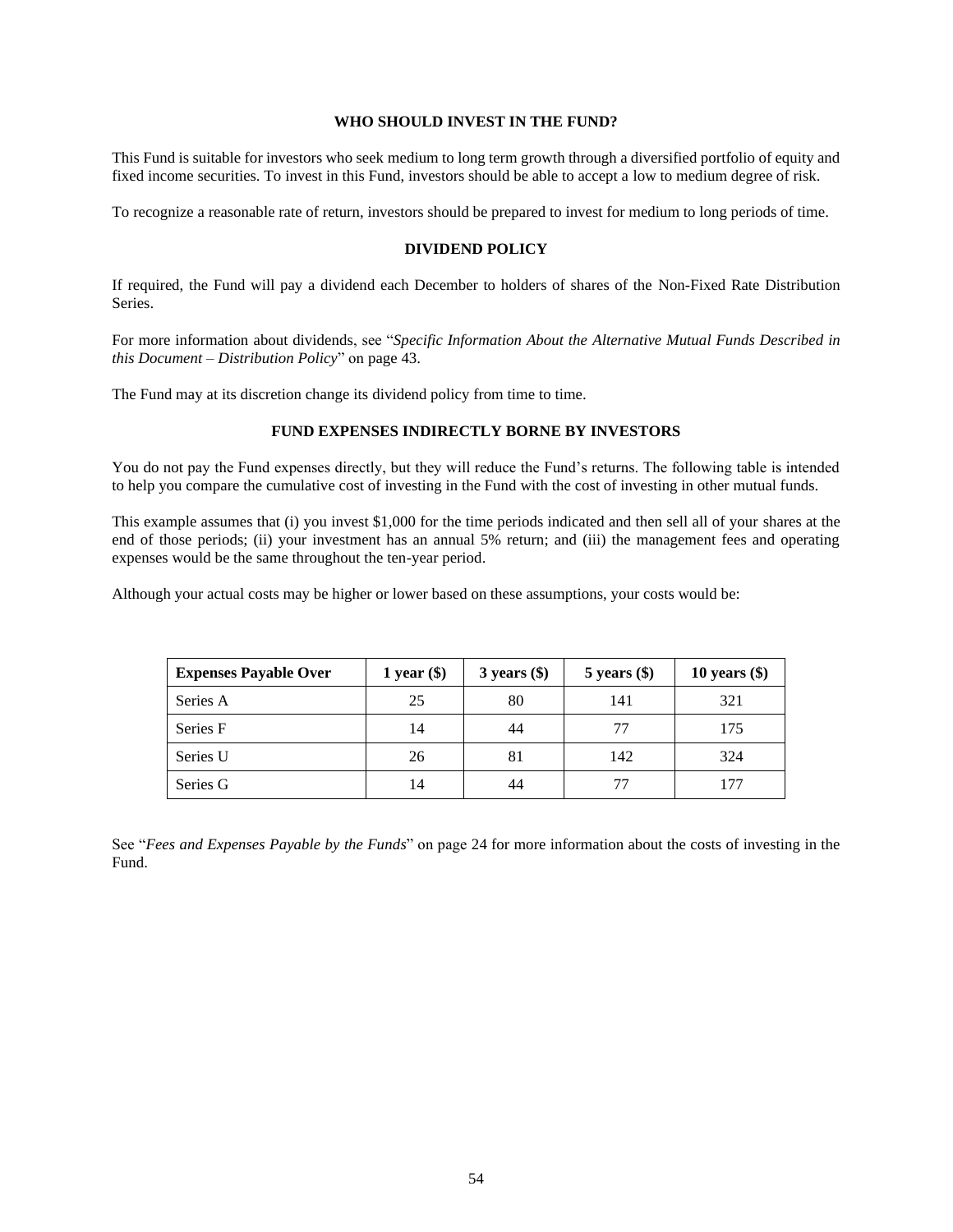## **WHO SHOULD INVEST IN THE FUND?**

This Fund is suitable for investors who seek medium to long term growth through a diversified portfolio of equity and fixed income securities. To invest in this Fund, investors should be able to accept a low to medium degree of risk.

To recognize a reasonable rate of return, investors should be prepared to invest for medium to long periods of time.

#### **DIVIDEND POLICY**

If required, the Fund will pay a dividend each December to holders of shares of the Non-Fixed Rate Distribution Series.

For more information about dividends, see "*Specific Information About the Alternative Mutual Funds Described in this Document – Distribution Policy*" on page [43.](#page-43-0)

The Fund may at its discretion change its dividend policy from time to time.

### **FUND EXPENSES INDIRECTLY BORNE BY INVESTORS**

You do not pay the Fund expenses directly, but they will reduce the Fund's returns. The following table is intended to help you compare the cumulative cost of investing in the Fund with the cost of investing in other mutual funds.

This example assumes that (i) you invest \$1,000 for the time periods indicated and then sell all of your shares at the end of those periods; (ii) your investment has an annual 5% return; and (iii) the management fees and operating expenses would be the same throughout the ten-year period.

Although your actual costs may be higher or lower based on these assumptions, your costs would be:

| <b>Expenses Payable Over</b> | 1 year $(\$)$ | $3$ years $(\$)$ | $5$ years $(\$)$ | 10 years $(\$)$ |
|------------------------------|---------------|------------------|------------------|-----------------|
| Series A                     | 25            | 80               | 141              | 321             |
| Series F                     | 14            | 44               |                  | 175             |
| Series U                     | 26            | 81               | 142              | 324             |
| Series G                     | 14            | 44               | 77               | 177             |

See "*Fees and Expenses Payable by the Funds*" on page [24](#page-24-1) for more information about the costs of investing in the Fund.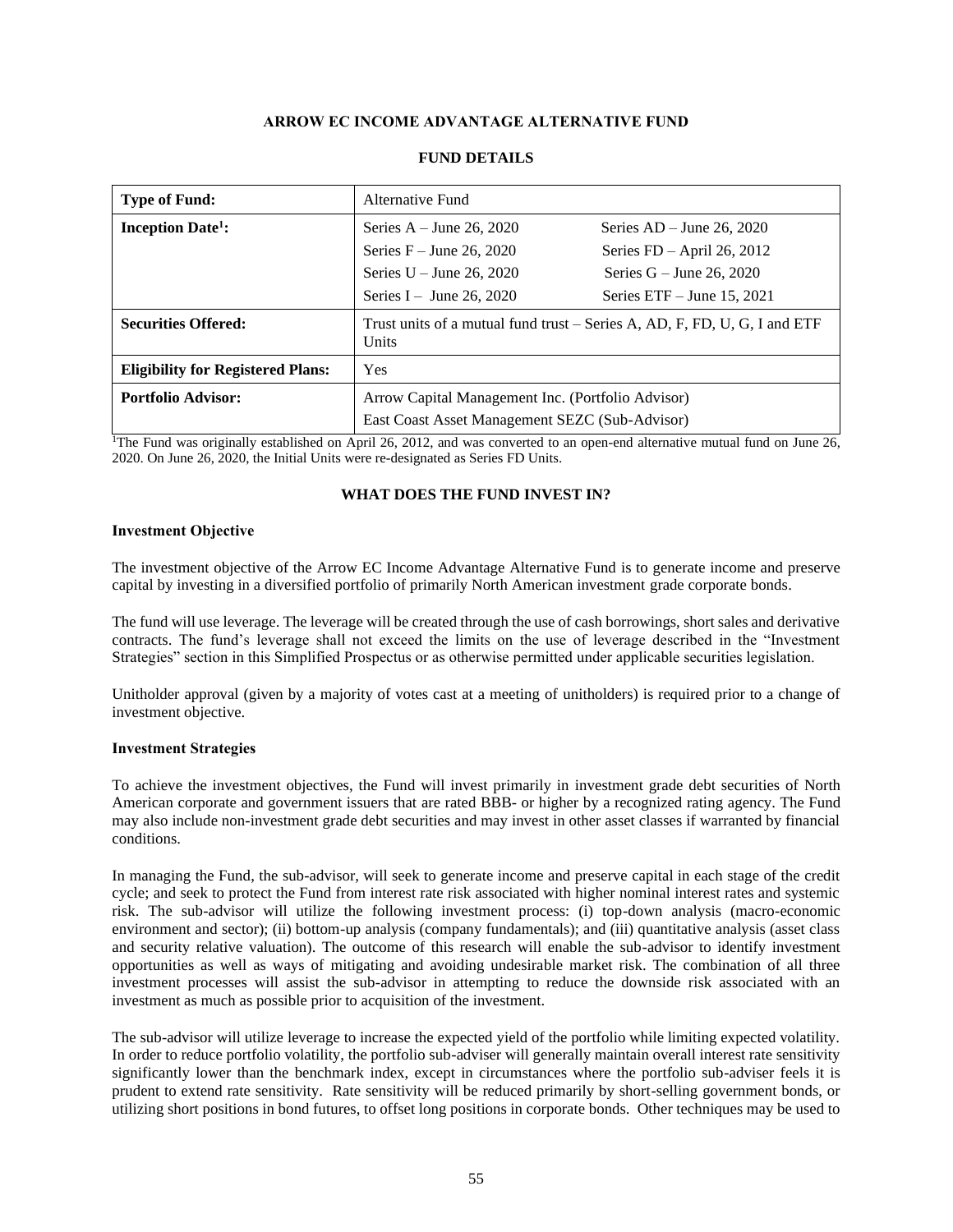## **ARROW EC INCOME ADVANTAGE ALTERNATIVE FUND**

<span id="page-55-0"></span>

| <b>Type of Fund:</b>                     | Alternative Fund                                                                          |                              |  |
|------------------------------------------|-------------------------------------------------------------------------------------------|------------------------------|--|
| <b>Inception Date<sup>1</sup></b> :      | Series $A - June 26, 2020$                                                                | Series $AD - June 26, 2020$  |  |
|                                          | Series $F -$ June 26, 2020                                                                | Series $FD - April 26, 2012$ |  |
|                                          | Series $U -$ June 26, 2020                                                                | Series $G -$ June 26, 2020   |  |
|                                          | Series I – June 26, 2020                                                                  | Series $ETF - June 15, 2021$ |  |
| <b>Securities Offered:</b>               | Trust units of a mutual fund trust – Series A, AD, F, FD, U, G, I and ETF<br><b>Units</b> |                              |  |
| <b>Eligibility for Registered Plans:</b> | Yes                                                                                       |                              |  |
| <b>Portfolio Advisor:</b>                | Arrow Capital Management Inc. (Portfolio Advisor)                                         |                              |  |
|                                          | East Coast Asset Management SEZC (Sub-Advisor)                                            |                              |  |

### **FUND DETAILS**

<sup>1</sup>The Fund was originally established on April 26, 2012, and was converted to an open-end alternative mutual fund on June 26, 2020. On June 26, 2020, the Initial Units were re-designated as Series FD Units.

#### **WHAT DOES THE FUND INVEST IN?**

#### **Investment Objective**

The investment objective of the Arrow EC Income Advantage Alternative Fund is to generate income and preserve capital by investing in a diversified portfolio of primarily North American investment grade corporate bonds.

The fund will use leverage. The leverage will be created through the use of cash borrowings, short sales and derivative contracts. The fund's leverage shall not exceed the limits on the use of leverage described in the "Investment Strategies" section in this Simplified Prospectus or as otherwise permitted under applicable securities legislation.

Unitholder approval (given by a majority of votes cast at a meeting of unitholders) is required prior to a change of investment objective.

#### **Investment Strategies**

To achieve the investment objectives, the Fund will invest primarily in investment grade debt securities of North American corporate and government issuers that are rated BBB- or higher by a recognized rating agency. The Fund may also include non-investment grade debt securities and may invest in other asset classes if warranted by financial conditions.

In managing the Fund, the sub-advisor, will seek to generate income and preserve capital in each stage of the credit cycle; and seek to protect the Fund from interest rate risk associated with higher nominal interest rates and systemic risk. The sub-advisor will utilize the following investment process: (i) top-down analysis (macro-economic environment and sector); (ii) bottom-up analysis (company fundamentals); and (iii) quantitative analysis (asset class and security relative valuation). The outcome of this research will enable the sub-advisor to identify investment opportunities as well as ways of mitigating and avoiding undesirable market risk. The combination of all three investment processes will assist the sub-advisor in attempting to reduce the downside risk associated with an investment as much as possible prior to acquisition of the investment.

The sub-advisor will utilize leverage to increase the expected yield of the portfolio while limiting expected volatility. In order to reduce portfolio volatility, the portfolio sub-adviser will generally maintain overall interest rate sensitivity significantly lower than the benchmark index, except in circumstances where the portfolio sub-adviser feels it is prudent to extend rate sensitivity. Rate sensitivity will be reduced primarily by short-selling government bonds, or utilizing short positions in bond futures, to offset long positions in corporate bonds. Other techniques may be used to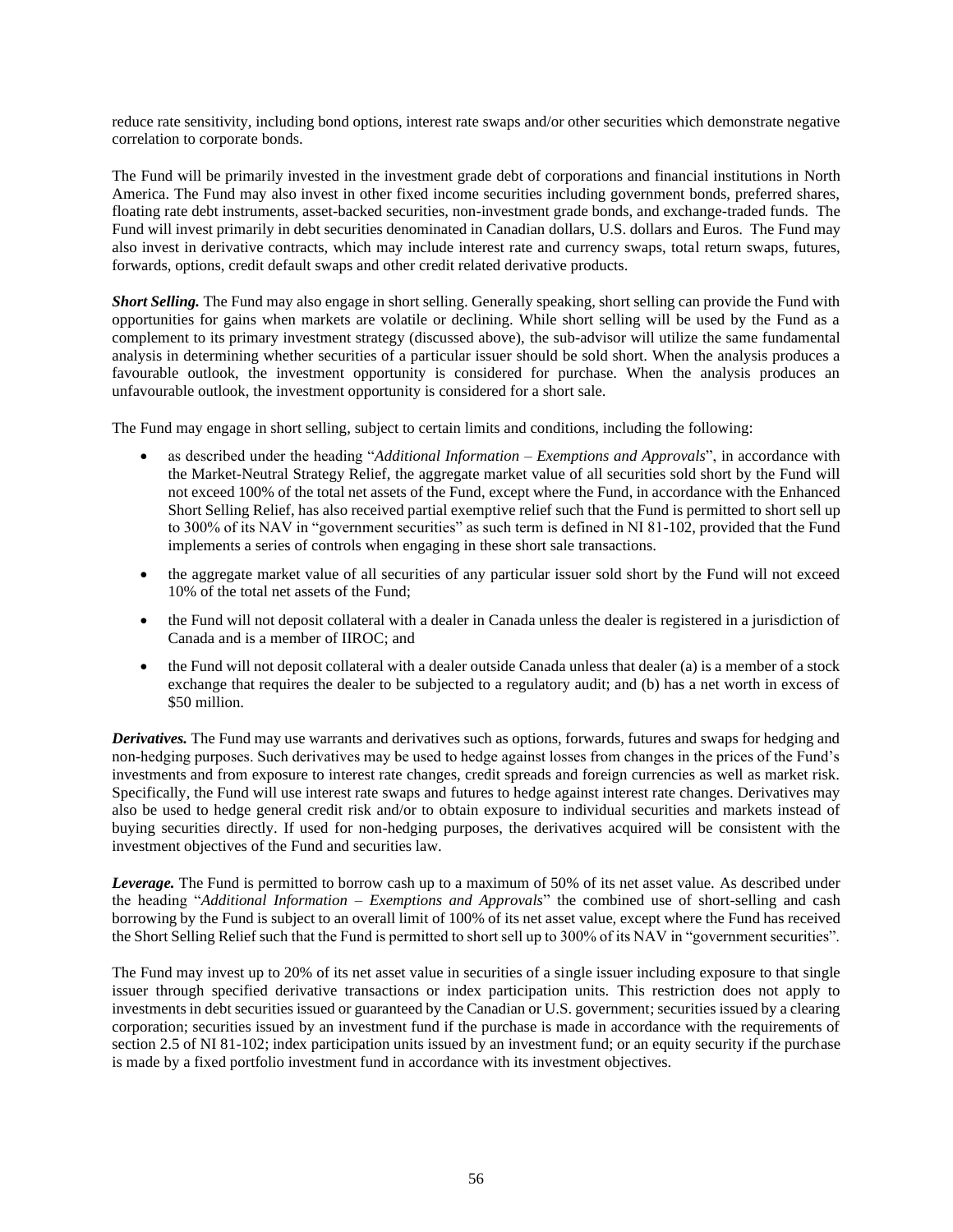reduce rate sensitivity, including bond options, interest rate swaps and/or other securities which demonstrate negative correlation to corporate bonds.

The Fund will be primarily invested in the investment grade debt of corporations and financial institutions in North America. The Fund may also invest in other fixed income securities including government bonds, preferred shares, floating rate debt instruments, asset-backed securities, non-investment grade bonds, and exchange-traded funds. The Fund will invest primarily in debt securities denominated in Canadian dollars, U.S. dollars and Euros. The Fund may also invest in derivative contracts, which may include interest rate and currency swaps, total return swaps, futures, forwards, options, credit default swaps and other credit related derivative products.

*Short Selling.* The Fund may also engage in short selling. Generally speaking, short selling can provide the Fund with opportunities for gains when markets are volatile or declining. While short selling will be used by the Fund as a complement to its primary investment strategy (discussed above), the sub-advisor will utilize the same fundamental analysis in determining whether securities of a particular issuer should be sold short. When the analysis produces a favourable outlook, the investment opportunity is considered for purchase. When the analysis produces an unfavourable outlook, the investment opportunity is considered for a short sale.

The Fund may engage in short selling, subject to certain limits and conditions, including the following:

- as described under the heading "*Additional Information – Exemptions and Approvals*", in accordance with the Market-Neutral Strategy Relief, the aggregate market value of all securities sold short by the Fund will not exceed 100% of the total net assets of the Fund, except where the Fund, in accordance with the Enhanced Short Selling Relief, has also received partial exemptive relief such that the Fund is permitted to short sell up to 300% of its NAV in "government securities" as such term is defined in NI 81-102, provided that the Fund implements a series of controls when engaging in these short sale transactions.
- the aggregate market value of all securities of any particular issuer sold short by the Fund will not exceed 10% of the total net assets of the Fund;
- the Fund will not deposit collateral with a dealer in Canada unless the dealer is registered in a jurisdiction of Canada and is a member of IIROC; and
- the Fund will not deposit collateral with a dealer outside Canada unless that dealer (a) is a member of a stock exchange that requires the dealer to be subjected to a regulatory audit; and (b) has a net worth in excess of \$50 million.

*Derivatives.* The Fund may use warrants and derivatives such as options, forwards, futures and swaps for hedging and non-hedging purposes. Such derivatives may be used to hedge against losses from changes in the prices of the Fund's investments and from exposure to interest rate changes, credit spreads and foreign currencies as well as market risk. Specifically, the Fund will use interest rate swaps and futures to hedge against interest rate changes. Derivatives may also be used to hedge general credit risk and/or to obtain exposure to individual securities and markets instead of buying securities directly. If used for non-hedging purposes, the derivatives acquired will be consistent with the investment objectives of the Fund and securities law.

*Leverage.* The Fund is permitted to borrow cash up to a maximum of 50% of its net asset value. As described under the heading "*Additional Information – Exemptions and Approvals*" the combined use of short-selling and cash borrowing by the Fund is subject to an overall limit of 100% of its net asset value, except where the Fund has received the Short Selling Relief such that the Fund is permitted to short sell up to 300% of its NAV in "government securities".

The Fund may invest up to 20% of its net asset value in securities of a single issuer including exposure to that single issuer through specified derivative transactions or index participation units. This restriction does not apply to investments in debt securities issued or guaranteed by the Canadian or U.S. government; securities issued by a clearing corporation; securities issued by an investment fund if the purchase is made in accordance with the requirements of section 2.5 of NI 81-102; index participation units issued by an investment fund; or an equity security if the purchase is made by a fixed portfolio investment fund in accordance with its investment objectives.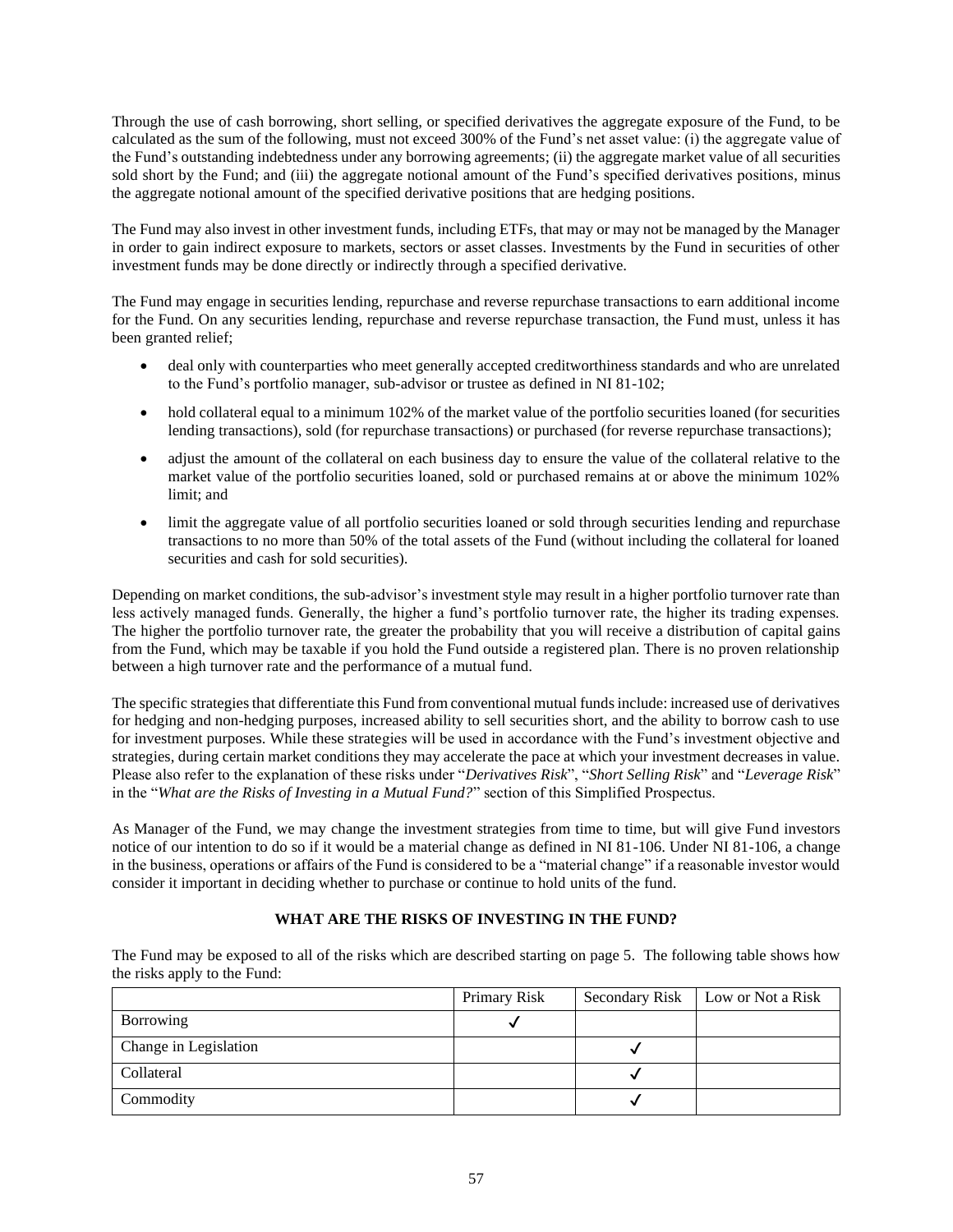Through the use of cash borrowing, short selling, or specified derivatives the aggregate exposure of the Fund, to be calculated as the sum of the following, must not exceed 300% of the Fund's net asset value: (i) the aggregate value of the Fund's outstanding indebtedness under any borrowing agreements; (ii) the aggregate market value of all securities sold short by the Fund; and (iii) the aggregate notional amount of the Fund's specified derivatives positions, minus the aggregate notional amount of the specified derivative positions that are hedging positions.

The Fund may also invest in other investment funds, including ETFs, that may or may not be managed by the Manager in order to gain indirect exposure to markets, sectors or asset classes. Investments by the Fund in securities of other investment funds may be done directly or indirectly through a specified derivative.

The Fund may engage in securities lending, repurchase and reverse repurchase transactions to earn additional income for the Fund. On any securities lending, repurchase and reverse repurchase transaction, the Fund must, unless it has been granted relief;

- deal only with counterparties who meet generally accepted creditworthiness standards and who are unrelated to the Fund's portfolio manager, sub-advisor or trustee as defined in NI 81-102;
- hold collateral equal to a minimum 102% of the market value of the portfolio securities loaned (for securities lending transactions), sold (for repurchase transactions) or purchased (for reverse repurchase transactions);
- adjust the amount of the collateral on each business day to ensure the value of the collateral relative to the market value of the portfolio securities loaned, sold or purchased remains at or above the minimum 102% limit; and
- limit the aggregate value of all portfolio securities loaned or sold through securities lending and repurchase transactions to no more than 50% of the total assets of the Fund (without including the collateral for loaned securities and cash for sold securities).

Depending on market conditions, the sub-advisor's investment style may result in a higher portfolio turnover rate than less actively managed funds. Generally, the higher a fund's portfolio turnover rate, the higher its trading expenses. The higher the portfolio turnover rate, the greater the probability that you will receive a distribution of capital gains from the Fund, which may be taxable if you hold the Fund outside a registered plan. There is no proven relationship between a high turnover rate and the performance of a mutual fund.

The specific strategies that differentiate this Fund from conventional mutual funds include: increased use of derivatives for hedging and non-hedging purposes, increased ability to sell securities short, and the ability to borrow cash to use for investment purposes. While these strategies will be used in accordance with the Fund's investment objective and strategies, during certain market conditions they may accelerate the pace at which your investment decreases in value. Please also refer to the explanation of these risks under "*Derivatives Risk*", "*Short Selling Risk*" and "*Leverage Risk*" in the "*What are the Risks of Investing in a Mutual Fund?*" section of this Simplified Prospectus.

As Manager of the Fund, we may change the investment strategies from time to time, but will give Fund investors notice of our intention to do so if it would be a material change as defined in NI 81-106. Under NI 81-106, a change in the business, operations or affairs of the Fund is considered to be a "material change" if a reasonable investor would consider it important in deciding whether to purchase or continue to hold units of the fund.

## **WHAT ARE THE RISKS OF INVESTING IN THE FUND?**

The Fund may be exposed to all of the risks which are described starting on pag[e 5.](#page-5-0) The following table shows how the risks apply to the Fund:

|                       | Primary Risk | Secondary Risk | Low or Not a Risk |
|-----------------------|--------------|----------------|-------------------|
| Borrowing             |              |                |                   |
| Change in Legislation |              |                |                   |
| Collateral            |              |                |                   |
| Commodity             |              |                |                   |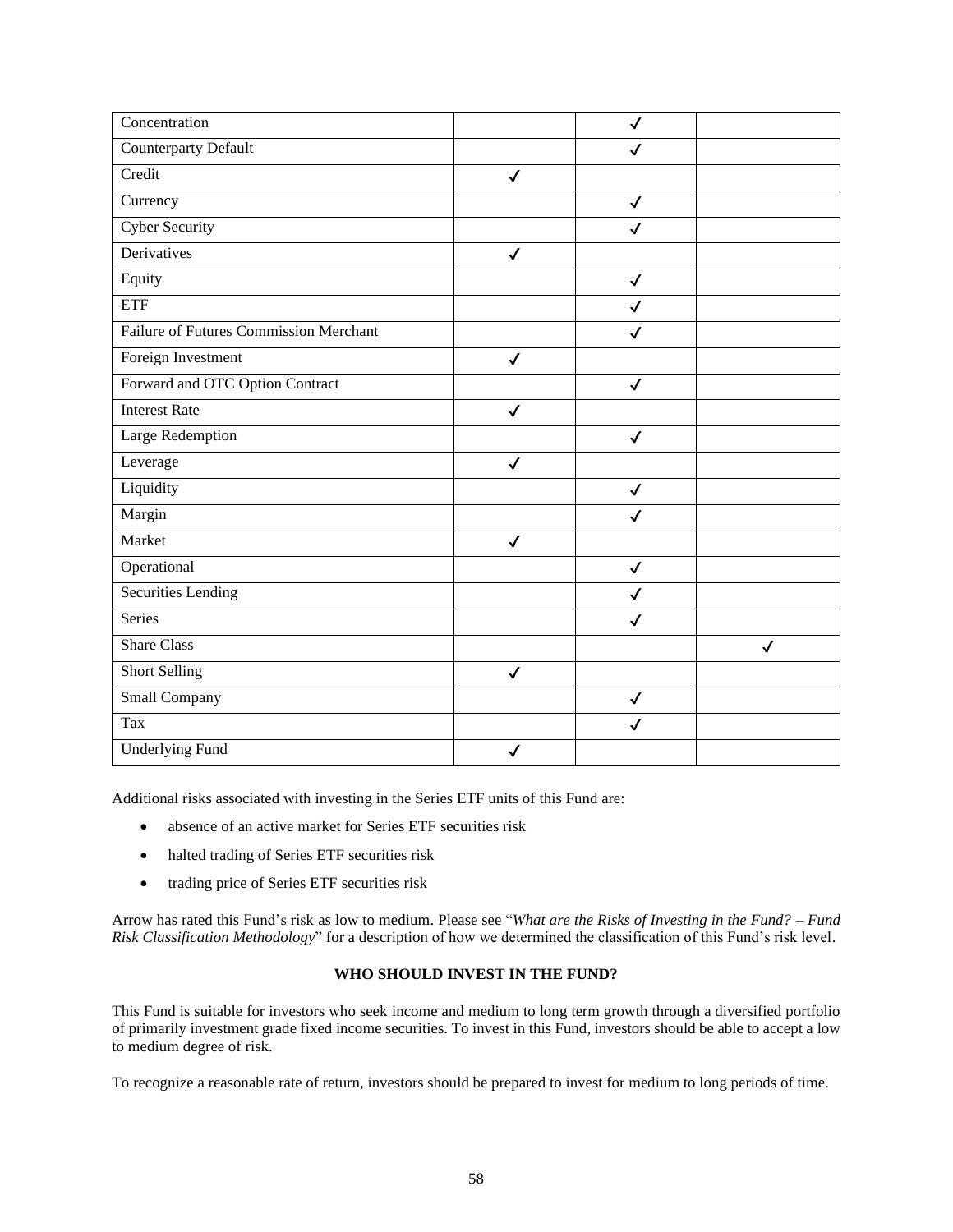| Concentration                          |              | $\checkmark$ |              |
|----------------------------------------|--------------|--------------|--------------|
| Counterparty Default                   |              | $\checkmark$ |              |
| Credit                                 | $\checkmark$ |              |              |
| Currency                               |              | $\checkmark$ |              |
| <b>Cyber Security</b>                  |              | $\checkmark$ |              |
| Derivatives                            | $\checkmark$ |              |              |
| Equity                                 |              | $\checkmark$ |              |
| <b>ETF</b>                             |              | $\checkmark$ |              |
| Failure of Futures Commission Merchant |              | ✓            |              |
| Foreign Investment                     | $\checkmark$ |              |              |
| Forward and OTC Option Contract        |              | $\checkmark$ |              |
| <b>Interest Rate</b>                   | $\checkmark$ |              |              |
| Large Redemption                       |              | $\checkmark$ |              |
| Leverage                               | $\checkmark$ |              |              |
| Liquidity                              |              | $\checkmark$ |              |
| Margin                                 |              | $\checkmark$ |              |
| Market                                 | $\checkmark$ |              |              |
| Operational                            |              | $\checkmark$ |              |
| <b>Securities Lending</b>              |              | $\checkmark$ |              |
| Series                                 |              | $\checkmark$ |              |
| <b>Share Class</b>                     |              |              | $\checkmark$ |
| <b>Short Selling</b>                   | $\checkmark$ |              |              |
| Small Company                          |              | $\checkmark$ |              |
| Tax                                    |              | $\checkmark$ |              |
| <b>Underlying Fund</b>                 | ✓            |              |              |
|                                        |              |              |              |

Additional risks associated with investing in the Series ETF units of this Fund are:

- absence of an active market for Series ETF securities risk
- halted trading of Series ETF securities risk
- trading price of Series ETF securities risk

Arrow has rated this Fund's risk as low to medium. Please see "*What are the Risks of Investing in the Fund? – Fund Risk Classification Methodology*" for a description of how we determined the classification of this Fund's risk level.

#### **WHO SHOULD INVEST IN THE FUND?**

This Fund is suitable for investors who seek income and medium to long term growth through a diversified portfolio of primarily investment grade fixed income securities. To invest in this Fund, investors should be able to accept a low to medium degree of risk.

To recognize a reasonable rate of return, investors should be prepared to invest for medium to long periods of time.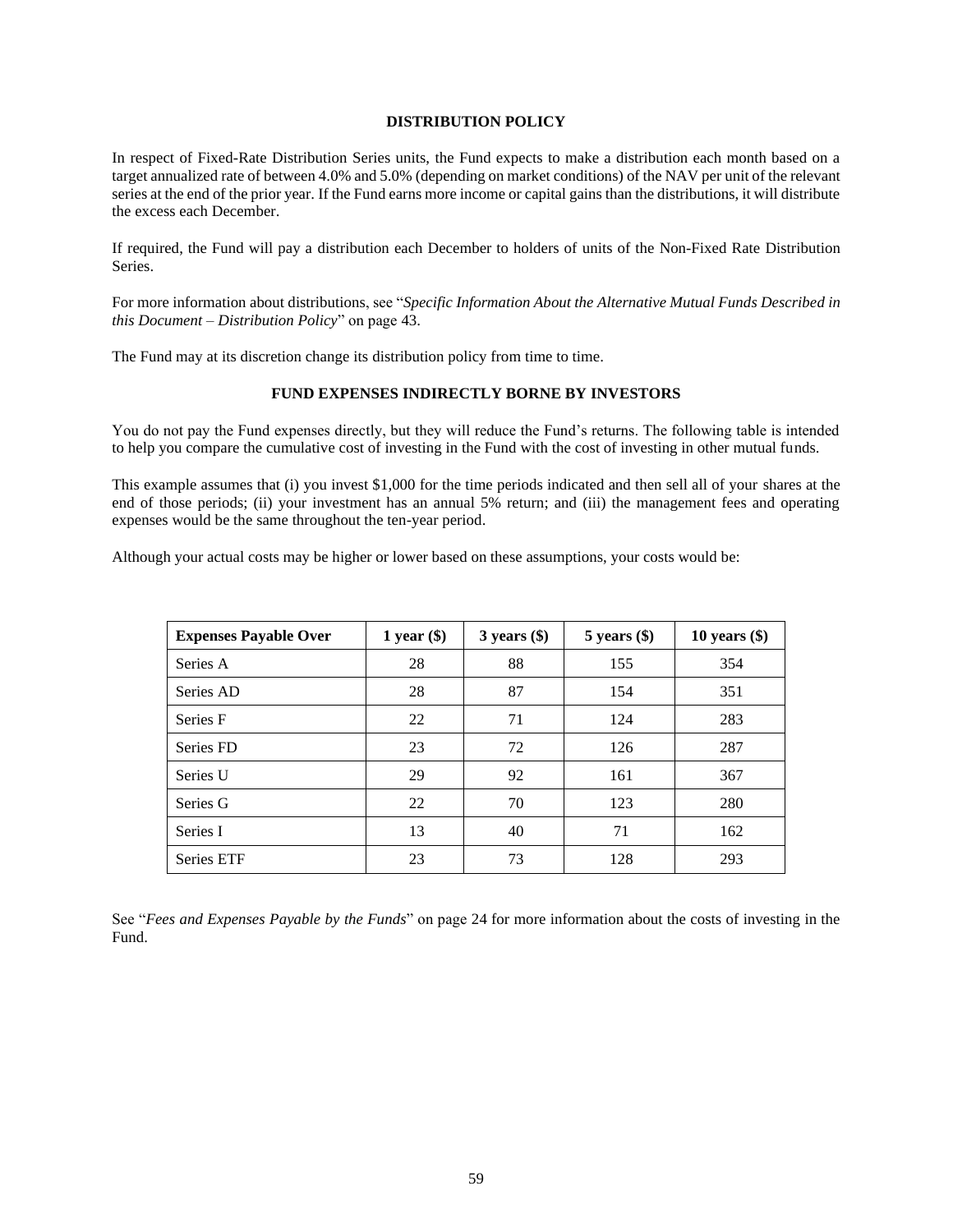#### **DISTRIBUTION POLICY**

In respect of Fixed-Rate Distribution Series units, the Fund expects to make a distribution each month based on a target annualized rate of between 4.0% and 5.0% (depending on market conditions) of the NAV per unit of the relevant series at the end of the prior year. If the Fund earns more income or capital gains than the distributions, it will distribute the excess each December.

If required, the Fund will pay a distribution each December to holders of units of the Non-Fixed Rate Distribution Series.

For more information about distributions, see "*Specific Information About the Alternative Mutual Funds Described in this Document – Distribution Policy*" on page [43.](#page-43-0)

The Fund may at its discretion change its distribution policy from time to time.

### **FUND EXPENSES INDIRECTLY BORNE BY INVESTORS**

You do not pay the Fund expenses directly, but they will reduce the Fund's returns. The following table is intended to help you compare the cumulative cost of investing in the Fund with the cost of investing in other mutual funds.

This example assumes that (i) you invest \$1,000 for the time periods indicated and then sell all of your shares at the end of those periods; (ii) your investment has an annual 5% return; and (iii) the management fees and operating expenses would be the same throughout the ten-year period.

Although your actual costs may be higher or lower based on these assumptions, your costs would be:

| <b>Expenses Payable Over</b> | $1$ year $(\$)$ | $3 \text{ years } (\$)$ | $5$ years $(\$)$ | 10 years $(\$)$ |
|------------------------------|-----------------|-------------------------|------------------|-----------------|
| Series A                     | 28              | 88                      | 155              | 354             |
| Series AD                    | 28              | 87                      | 154              | 351             |
| Series F                     | 22              | 71                      | 124              | 283             |
| Series FD                    | 23              | 72                      | 126              | 287             |
| Series U                     | 29              | 92                      | 161              | 367             |
| Series G                     | 22              | 70                      | 123              | 280             |
| Series I                     | 13              | 40                      | 71               | 162             |
| <b>Series ETF</b>            | 23              | 73                      | 128              | 293             |

See "*Fees and Expenses Payable by the Funds*" on page [24](#page-24-1) for more information about the costs of investing in the Fund.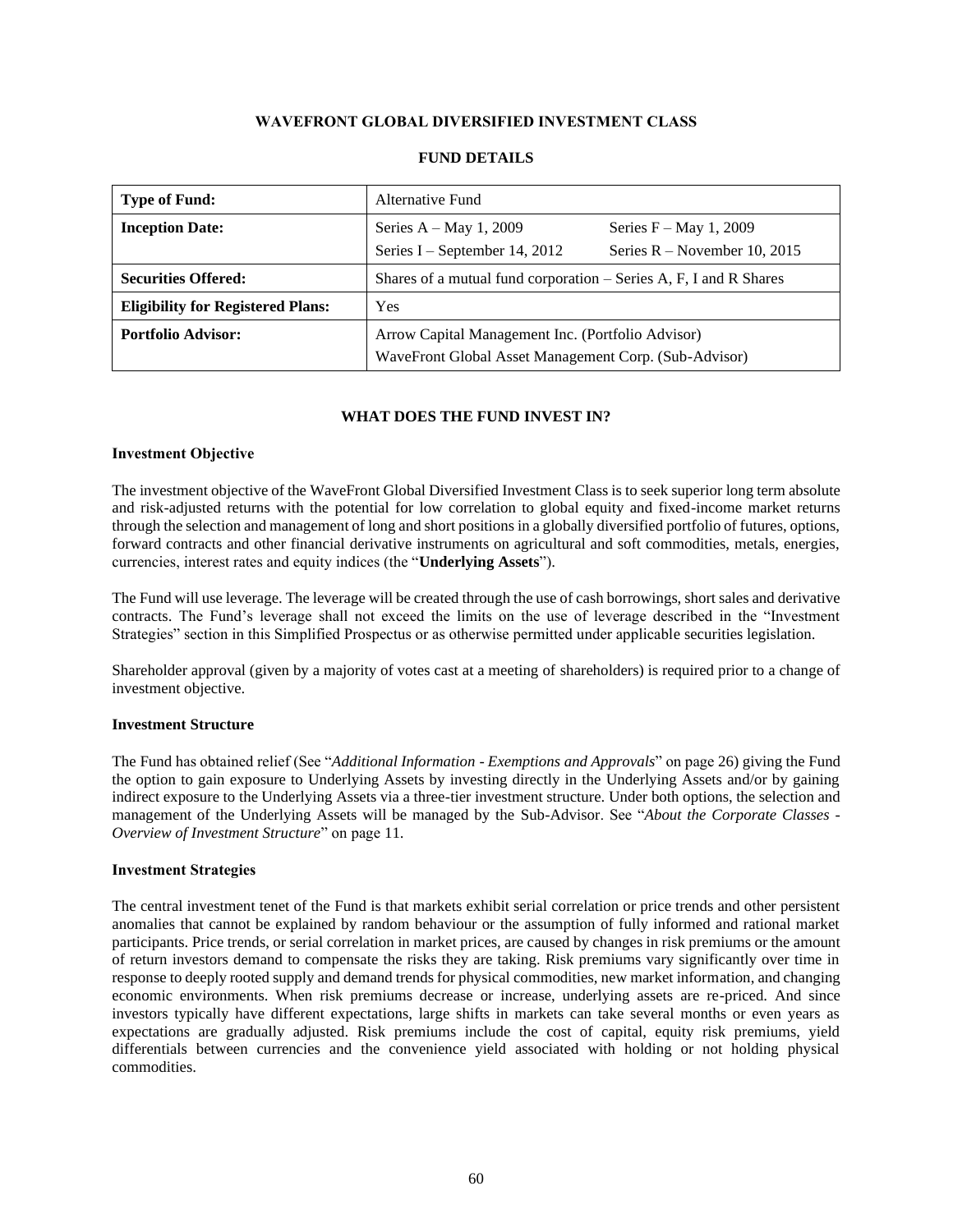## **WAVEFRONT GLOBAL DIVERSIFIED INVESTMENT CLASS**

<span id="page-60-0"></span>

| <b>Type of Fund:</b>                     | Alternative Fund                                                                                           |                                                             |  |
|------------------------------------------|------------------------------------------------------------------------------------------------------------|-------------------------------------------------------------|--|
| <b>Inception Date:</b>                   | Series $A - May 1$ , 2009<br>Series I – September 14, 2012                                                 | Series $F - May 1$ , 2009<br>Series $R$ – November 10, 2015 |  |
| <b>Securities Offered:</b>               | Shares of a mutual fund corporation – Series A, F, I and R Shares                                          |                                                             |  |
| <b>Eligibility for Registered Plans:</b> | <b>Yes</b>                                                                                                 |                                                             |  |
| <b>Portfolio Advisor:</b>                | Arrow Capital Management Inc. (Portfolio Advisor)<br>WaveFront Global Asset Management Corp. (Sub-Advisor) |                                                             |  |

### **FUND DETAILS**

## **WHAT DOES THE FUND INVEST IN?**

#### **Investment Objective**

The investment objective of the WaveFront Global Diversified Investment Class is to seek superior long term absolute and risk-adjusted returns with the potential for low correlation to global equity and fixed-income market returns through the selection and management of long and short positions in a globally diversified portfolio of futures, options, forward contracts and other financial derivative instruments on agricultural and soft commodities, metals, energies, currencies, interest rates and equity indices (the "**Underlying Assets**").

The Fund will use leverage. The leverage will be created through the use of cash borrowings, short sales and derivative contracts. The Fund's leverage shall not exceed the limits on the use of leverage described in the "Investment Strategies" section in this Simplified Prospectus or as otherwise permitted under applicable securities legislation.

Shareholder approval (given by a majority of votes cast at a meeting of shareholders) is required prior to a change of investment objective.

#### **Investment Structure**

The Fund has obtained relief (See "*Additional Information - Exemptions and Approvals*" on page 26) giving the Fund the option to gain exposure to Underlying Assets by investing directly in the Underlying Assets and/or by gaining indirect exposure to the Underlying Assets via a three-tier investment structure. Under both options, the selection and management of the Underlying Assets will be managed by the Sub-Advisor. See "*About the Corporate Classes - Overview of Investment Structure*" on page 11.

#### **Investment Strategies**

The central investment tenet of the Fund is that markets exhibit serial correlation or price trends and other persistent anomalies that cannot be explained by random behaviour or the assumption of fully informed and rational market participants. Price trends, or serial correlation in market prices, are caused by changes in risk premiums or the amount of return investors demand to compensate the risks they are taking. Risk premiums vary significantly over time in response to deeply rooted supply and demand trends for physical commodities, new market information, and changing economic environments. When risk premiums decrease or increase, underlying assets are re-priced. And since investors typically have different expectations, large shifts in markets can take several months or even years as expectations are gradually adjusted. Risk premiums include the cost of capital, equity risk premiums, yield differentials between currencies and the convenience yield associated with holding or not holding physical commodities.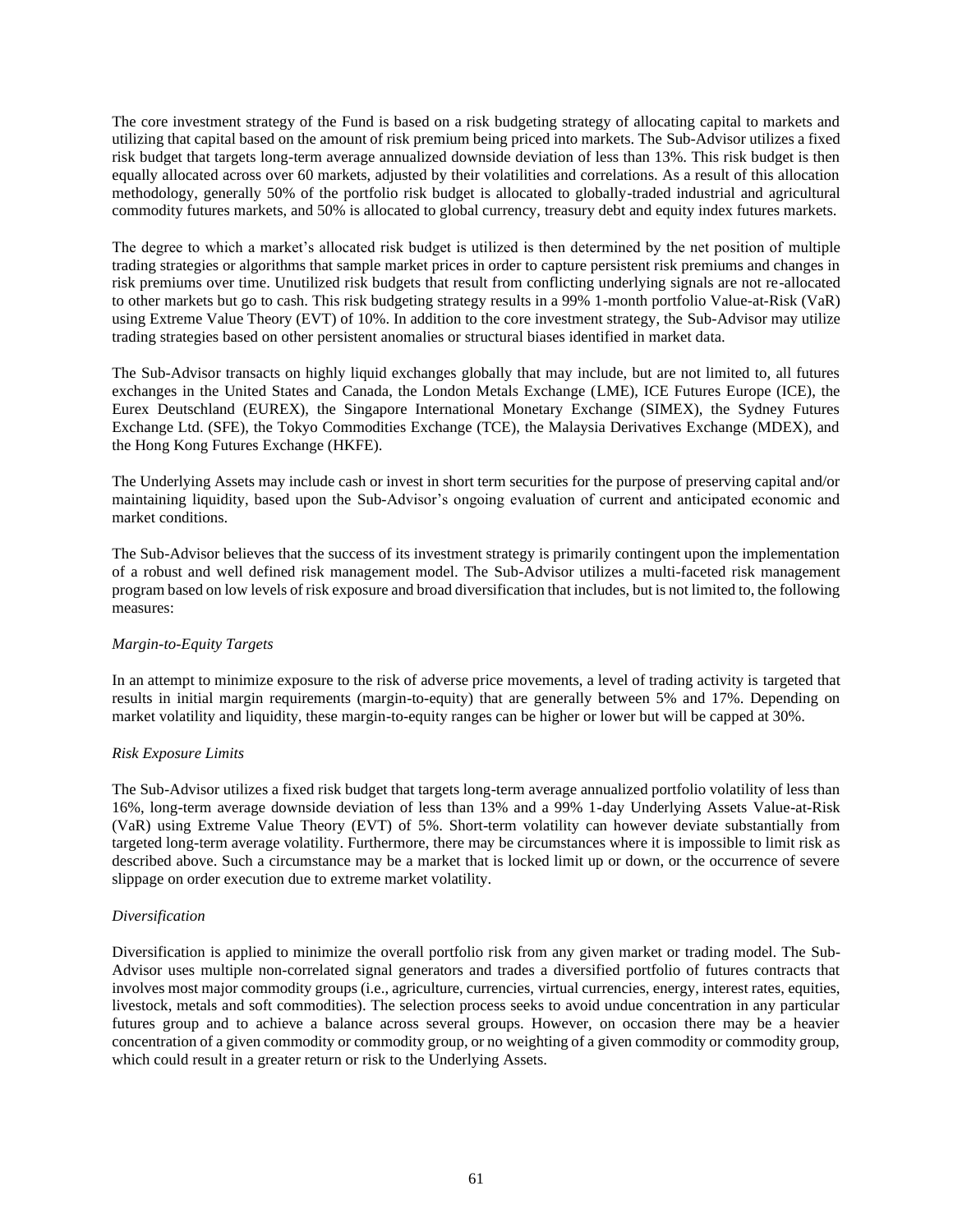The core investment strategy of the Fund is based on a risk budgeting strategy of allocating capital to markets and utilizing that capital based on the amount of risk premium being priced into markets. The Sub-Advisor utilizes a fixed risk budget that targets long-term average annualized downside deviation of less than 13%. This risk budget is then equally allocated across over 60 markets, adjusted by their volatilities and correlations. As a result of this allocation methodology, generally 50% of the portfolio risk budget is allocated to globally-traded industrial and agricultural commodity futures markets, and 50% is allocated to global currency, treasury debt and equity index futures markets.

The degree to which a market's allocated risk budget is utilized is then determined by the net position of multiple trading strategies or algorithms that sample market prices in order to capture persistent risk premiums and changes in risk premiums over time. Unutilized risk budgets that result from conflicting underlying signals are not re-allocated to other markets but go to cash. This risk budgeting strategy results in a 99% 1-month portfolio Value-at-Risk (VaR) using Extreme Value Theory (EVT) of 10%. In addition to the core investment strategy, the Sub-Advisor may utilize trading strategies based on other persistent anomalies or structural biases identified in market data.

The Sub-Advisor transacts on highly liquid exchanges globally that may include, but are not limited to, all futures exchanges in the United States and Canada, the London Metals Exchange (LME), ICE Futures Europe (ICE), the Eurex Deutschland (EUREX), the Singapore International Monetary Exchange (SIMEX), the Sydney Futures Exchange Ltd. (SFE), the Tokyo Commodities Exchange (TCE), the Malaysia Derivatives Exchange (MDEX), and the Hong Kong Futures Exchange (HKFE).

The Underlying Assets may include cash or invest in short term securities for the purpose of preserving capital and/or maintaining liquidity, based upon the Sub-Advisor's ongoing evaluation of current and anticipated economic and market conditions.

The Sub-Advisor believes that the success of its investment strategy is primarily contingent upon the implementation of a robust and well defined risk management model. The Sub-Advisor utilizes a multi-faceted risk management program based on low levels of risk exposure and broad diversification that includes, but is not limited to, the following measures:

## *Margin-to-Equity Targets*

In an attempt to minimize exposure to the risk of adverse price movements, a level of trading activity is targeted that results in initial margin requirements (margin-to-equity) that are generally between 5% and 17%. Depending on market volatility and liquidity, these margin-to-equity ranges can be higher or lower but will be capped at 30%.

#### *Risk Exposure Limits*

The Sub-Advisor utilizes a fixed risk budget that targets long-term average annualized portfolio volatility of less than 16%, long-term average downside deviation of less than 13% and a 99% 1-day Underlying Assets Value-at-Risk (VaR) using Extreme Value Theory (EVT) of 5%. Short-term volatility can however deviate substantially from targeted long-term average volatility. Furthermore, there may be circumstances where it is impossible to limit risk as described above. Such a circumstance may be a market that is locked limit up or down, or the occurrence of severe slippage on order execution due to extreme market volatility.

## *Diversification*

Diversification is applied to minimize the overall portfolio risk from any given market or trading model. The Sub-Advisor uses multiple non-correlated signal generators and trades a diversified portfolio of futures contracts that involves most major commodity groups (i.e., agriculture, currencies, virtual currencies, energy, interest rates, equities, livestock, metals and soft commodities). The selection process seeks to avoid undue concentration in any particular futures group and to achieve a balance across several groups. However, on occasion there may be a heavier concentration of a given commodity or commodity group, or no weighting of a given commodity or commodity group, which could result in a greater return or risk to the Underlying Assets.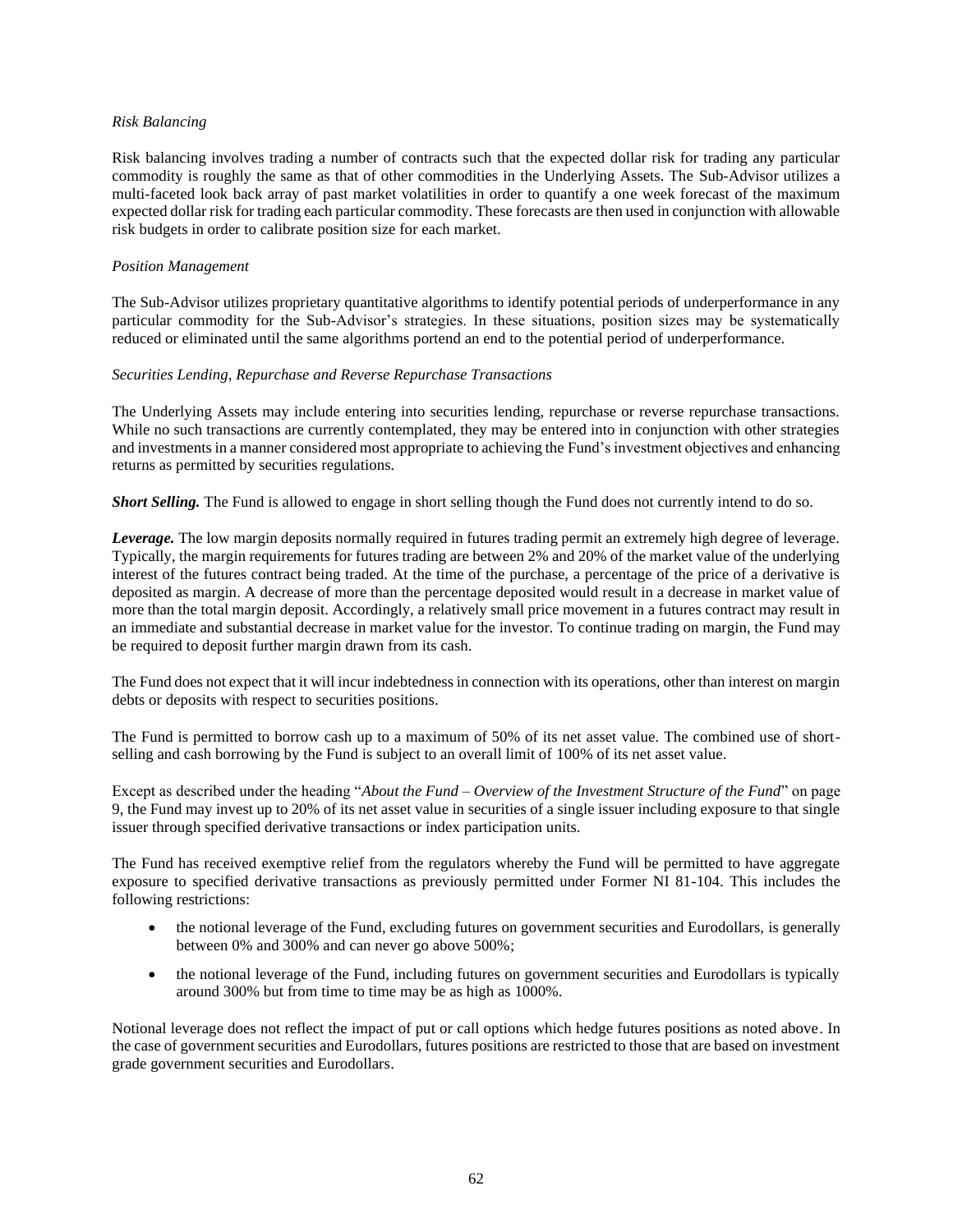#### *Risk Balancing*

Risk balancing involves trading a number of contracts such that the expected dollar risk for trading any particular commodity is roughly the same as that of other commodities in the Underlying Assets. The Sub-Advisor utilizes a multi-faceted look back array of past market volatilities in order to quantify a one week forecast of the maximum expected dollar risk for trading each particular commodity. These forecasts are then used in conjunction with allowable risk budgets in order to calibrate position size for each market.

#### *Position Management*

The Sub-Advisor utilizes proprietary quantitative algorithms to identify potential periods of underperformance in any particular commodity for the Sub-Advisor's strategies. In these situations, position sizes may be systematically reduced or eliminated until the same algorithms portend an end to the potential period of underperformance.

### *Securities Lending, Repurchase and Reverse Repurchase Transactions*

The Underlying Assets may include entering into securities lending, repurchase or reverse repurchase transactions. While no such transactions are currently contemplated, they may be entered into in conjunction with other strategies and investments in a manner considered most appropriate to achieving the Fund's investment objectives and enhancing returns as permitted by securities regulations.

*Short Selling.* The Fund is allowed to engage in short selling though the Fund does not currently intend to do so.

*Leverage.* The low margin deposits normally required in futures trading permit an extremely high degree of leverage. Typically, the margin requirements for futures trading are between 2% and 20% of the market value of the underlying interest of the futures contract being traded. At the time of the purchase, a percentage of the price of a derivative is deposited as margin. A decrease of more than the percentage deposited would result in a decrease in market value of more than the total margin deposit. Accordingly, a relatively small price movement in a futures contract may result in an immediate and substantial decrease in market value for the investor. To continue trading on margin, the Fund may be required to deposit further margin drawn from its cash.

The Fund does not expect that it will incur indebtedness in connection with its operations, other than interest on margin debts or deposits with respect to securities positions.

The Fund is permitted to borrow cash up to a maximum of 50% of its net asset value. The combined use of shortselling and cash borrowing by the Fund is subject to an overall limit of 100% of its net asset value.

Except as described under the heading "*About the Fund – Overview of the Investment Structure of the Fund*" on page 9, the Fund may invest up to 20% of its net asset value in securities of a single issuer including exposure to that single issuer through specified derivative transactions or index participation units.

The Fund has received exemptive relief from the regulators whereby the Fund will be permitted to have aggregate exposure to specified derivative transactions as previously permitted under Former NI 81-104. This includes the following restrictions:

- the notional leverage of the Fund, excluding futures on government securities and Eurodollars, is generally between 0% and 300% and can never go above 500%;
- the notional leverage of the Fund, including futures on government securities and Eurodollars is typically around 300% but from time to time may be as high as 1000%.

Notional leverage does not reflect the impact of put or call options which hedge futures positions as noted above. In the case of government securities and Eurodollars, futures positions are restricted to those that are based on investment grade government securities and Eurodollars.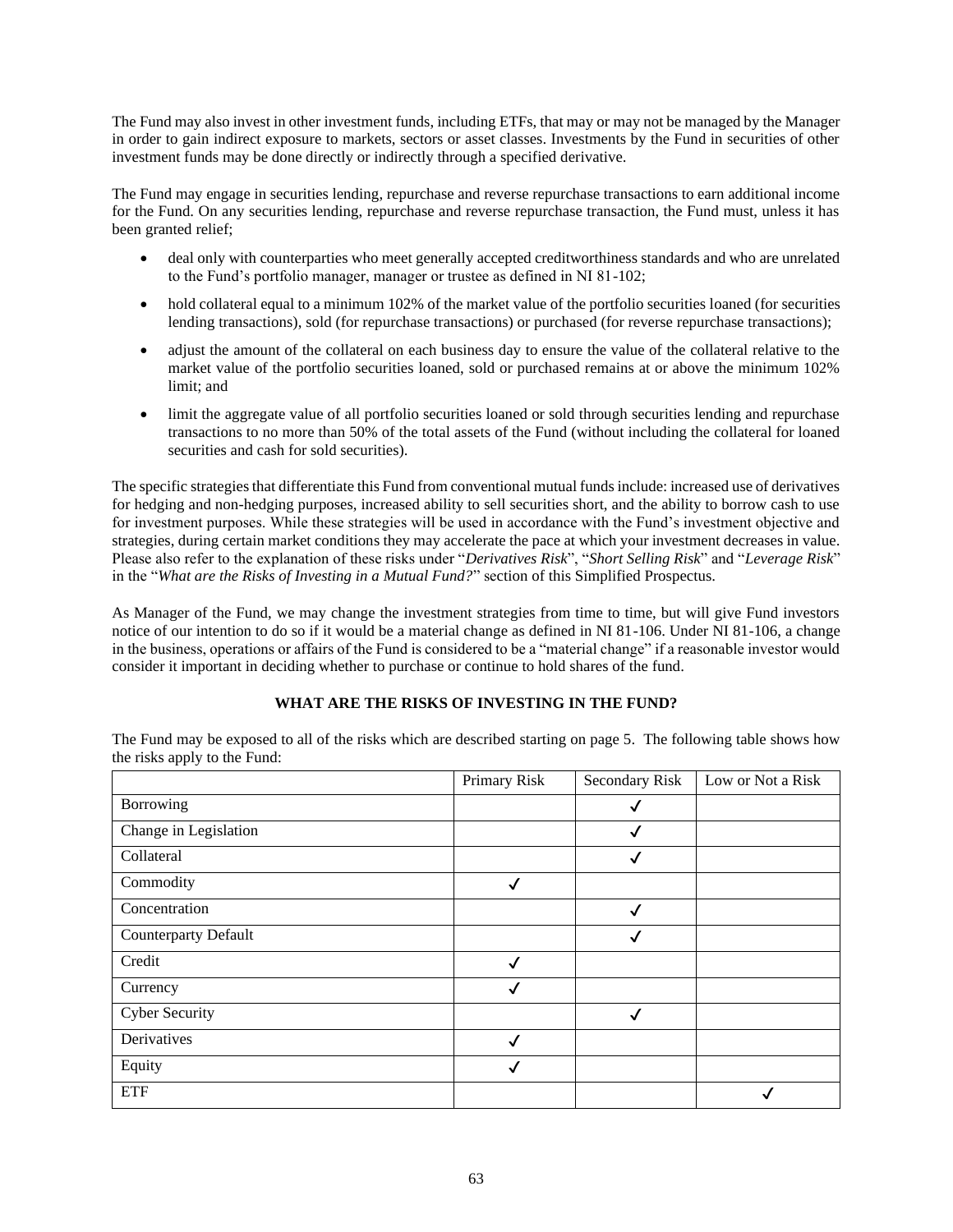The Fund may also invest in other investment funds, including ETFs, that may or may not be managed by the Manager in order to gain indirect exposure to markets, sectors or asset classes. Investments by the Fund in securities of other investment funds may be done directly or indirectly through a specified derivative.

The Fund may engage in securities lending, repurchase and reverse repurchase transactions to earn additional income for the Fund. On any securities lending, repurchase and reverse repurchase transaction, the Fund must, unless it has been granted relief;

- deal only with counterparties who meet generally accepted creditworthiness standards and who are unrelated to the Fund's portfolio manager, manager or trustee as defined in NI 81-102;
- hold collateral equal to a minimum 102% of the market value of the portfolio securities loaned (for securities lending transactions), sold (for repurchase transactions) or purchased (for reverse repurchase transactions);
- adjust the amount of the collateral on each business day to ensure the value of the collateral relative to the market value of the portfolio securities loaned, sold or purchased remains at or above the minimum 102% limit; and
- limit the aggregate value of all portfolio securities loaned or sold through securities lending and repurchase transactions to no more than 50% of the total assets of the Fund (without including the collateral for loaned securities and cash for sold securities).

The specific strategies that differentiate this Fund from conventional mutual funds include: increased use of derivatives for hedging and non-hedging purposes, increased ability to sell securities short, and the ability to borrow cash to use for investment purposes. While these strategies will be used in accordance with the Fund's investment objective and strategies, during certain market conditions they may accelerate the pace at which your investment decreases in value. Please also refer to the explanation of these risks under "*Derivatives Risk*", "*Short Selling Risk*" and "*Leverage Risk*" in the "*What are the Risks of Investing in a Mutual Fund?*" section of this Simplified Prospectus.

As Manager of the Fund, we may change the investment strategies from time to time, but will give Fund investors notice of our intention to do so if it would be a material change as defined in NI 81-106. Under NI 81-106, a change in the business, operations or affairs of the Fund is considered to be a "material change" if a reasonable investor would consider it important in deciding whether to purchase or continue to hold shares of the fund.

## **WHAT ARE THE RISKS OF INVESTING IN THE FUND?**

|                       | Primary Risk | Secondary Risk | Low or Not a Risk |
|-----------------------|--------------|----------------|-------------------|
| Borrowing             |              | √              |                   |
| Change in Legislation |              | ✓              |                   |
| Collateral            |              | √              |                   |
| Commodity             | √            |                |                   |
| Concentration         |              | √              |                   |
| Counterparty Default  |              | √              |                   |
| Credit                | √            |                |                   |
| Currency              | √            |                |                   |
| <b>Cyber Security</b> |              | √              |                   |
| Derivatives           |              |                |                   |
| Equity                |              |                |                   |
| <b>ETF</b>            |              |                |                   |

The Fund may be exposed to all of the risks which are described starting on pag[e 5.](#page-5-0) The following table shows how the risks apply to the Fund: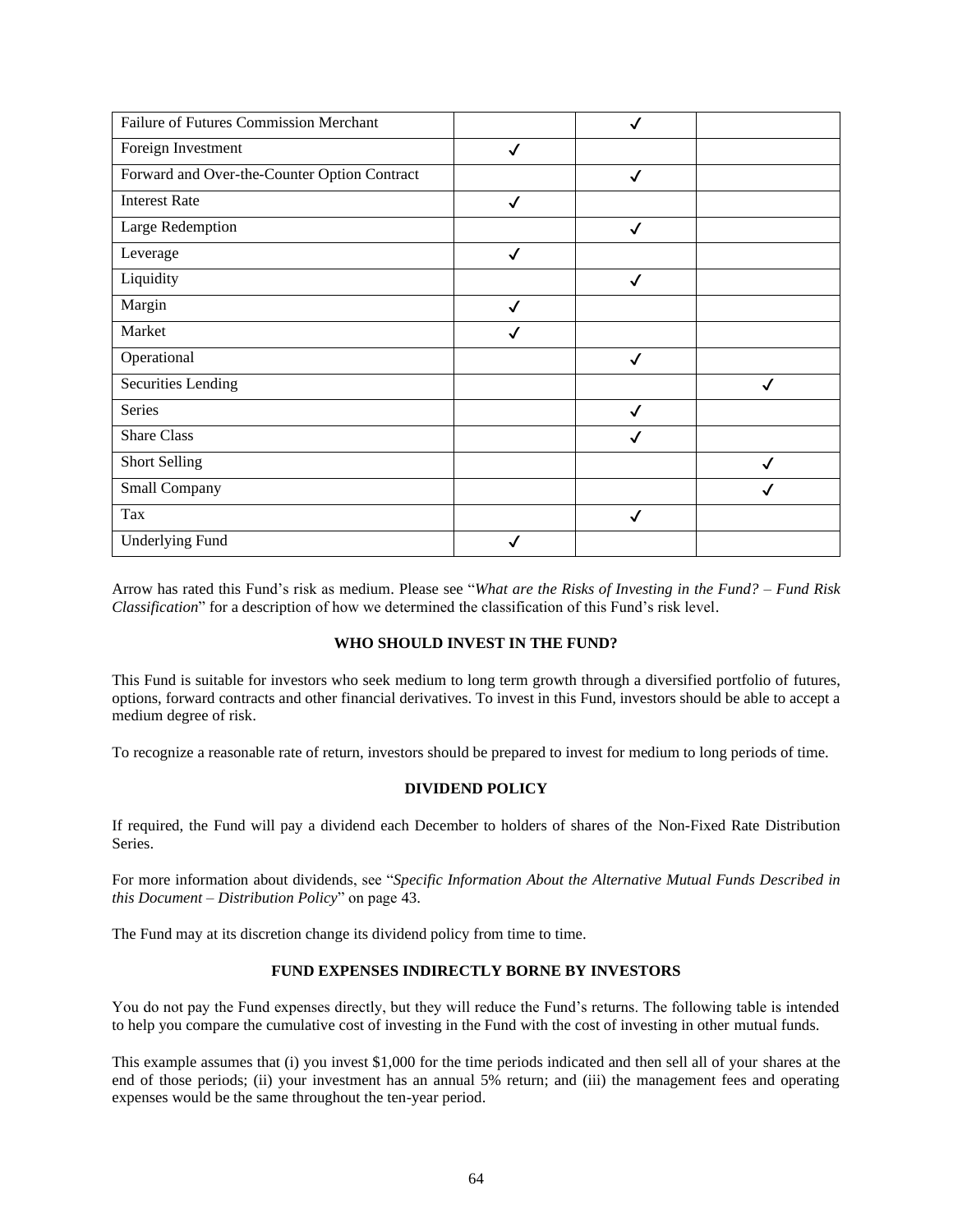| Failure of Futures Commission Merchant       |              |              |   |
|----------------------------------------------|--------------|--------------|---|
| Foreign Investment                           | ✓            |              |   |
| Forward and Over-the-Counter Option Contract |              | $\checkmark$ |   |
| <b>Interest Rate</b>                         | ✓            |              |   |
| Large Redemption                             |              | ✓            |   |
| Leverage                                     | $\checkmark$ |              |   |
| Liquidity                                    |              | $\checkmark$ |   |
| Margin                                       | ✓            |              |   |
| Market                                       |              |              |   |
| Operational                                  |              | ✓            |   |
| <b>Securities Lending</b>                    |              |              | ✓ |
| Series                                       |              | $\checkmark$ |   |
| <b>Share Class</b>                           |              |              |   |
| <b>Short Selling</b>                         |              |              |   |
| Small Company                                |              |              |   |
| Tax                                          |              | $\checkmark$ |   |
| <b>Underlying Fund</b>                       | ✓            |              |   |

Arrow has rated this Fund's risk as medium. Please see "*What are the Risks of Investing in the Fund? – Fund Risk Classification*" for a description of how we determined the classification of this Fund's risk level.

## **WHO SHOULD INVEST IN THE FUND?**

This Fund is suitable for investors who seek medium to long term growth through a diversified portfolio of futures, options, forward contracts and other financial derivatives. To invest in this Fund, investors should be able to accept a medium degree of risk.

To recognize a reasonable rate of return, investors should be prepared to invest for medium to long periods of time.

## **DIVIDEND POLICY**

If required, the Fund will pay a dividend each December to holders of shares of the Non-Fixed Rate Distribution **Series** 

For more information about dividends, see "*Specific Information About the Alternative Mutual Funds Described in this Document – Distribution Policy*" on page [43.](#page-43-0)

The Fund may at its discretion change its dividend policy from time to time.

## **FUND EXPENSES INDIRECTLY BORNE BY INVESTORS**

You do not pay the Fund expenses directly, but they will reduce the Fund's returns. The following table is intended to help you compare the cumulative cost of investing in the Fund with the cost of investing in other mutual funds.

This example assumes that (i) you invest \$1,000 for the time periods indicated and then sell all of your shares at the end of those periods; (ii) your investment has an annual 5% return; and (iii) the management fees and operating expenses would be the same throughout the ten-year period.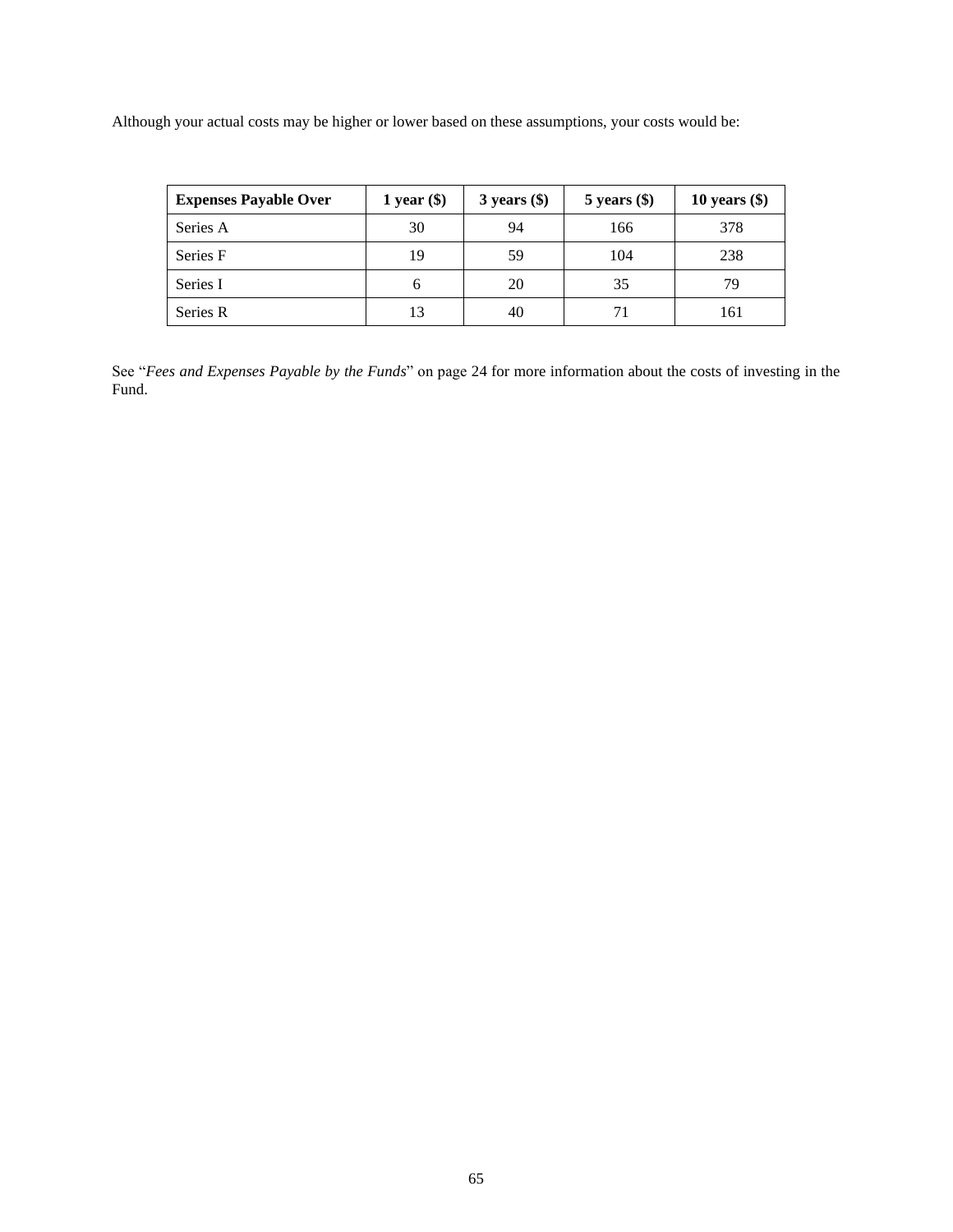Although your actual costs may be higher or lower based on these assumptions, your costs would be:

| <b>Expenses Payable Over</b> | 1 year $(\$)$ | $3 \text{ years}$ (\$) | $5$ years $(\$)$ | 10 years $(\$)$ |
|------------------------------|---------------|------------------------|------------------|-----------------|
| Series A                     | 30            | 94                     | 166              | 378             |
| Series F                     | 19            | 59                     | 104              | 238             |
| Series I                     | b             | 20                     | 35               | 79              |
| Series R                     | 13            | 40                     | 71               | 161             |

See "*Fees and Expenses Payable by the Funds*" on page [24](#page-24-1) for more information about the costs of investing in the Fund.